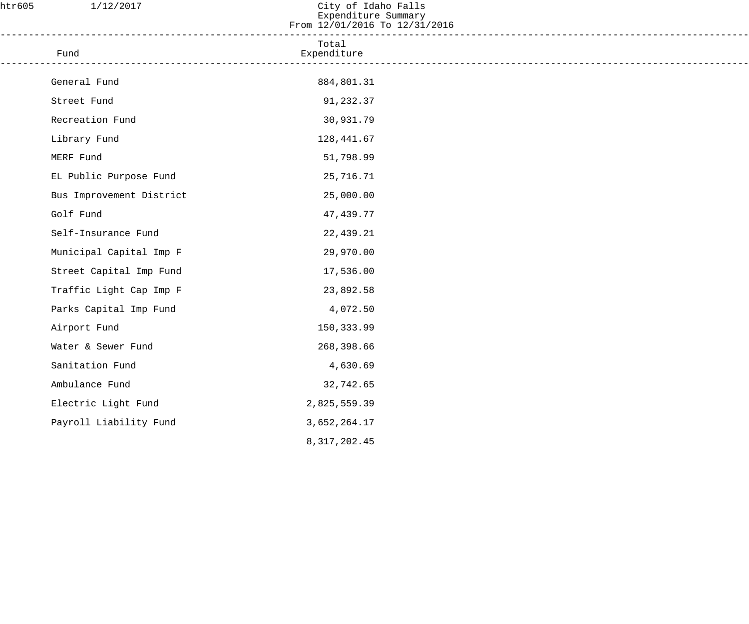| htr605 | 1/12/2017                | City of Idaho Falls<br>Expenditure Summary<br>From 12/01/2016 To 12/31/2016 |  |
|--------|--------------------------|-----------------------------------------------------------------------------|--|
|        | Fund                     | Total<br>Expenditure<br>________________________                            |  |
|        | General Fund             | 884,801.31                                                                  |  |
|        | Street Fund              | 91,232.37                                                                   |  |
|        | Recreation Fund          | 30,931.79                                                                   |  |
|        | Library Fund             | 128,441.67                                                                  |  |
|        | MERF Fund                | 51,798.99                                                                   |  |
|        | EL Public Purpose Fund   | 25,716.71                                                                   |  |
|        | Bus Improvement District | 25,000.00                                                                   |  |
|        | Golf Fund                | 47,439.77                                                                   |  |
|        | Self-Insurance Fund      | 22,439.21                                                                   |  |
|        | Municipal Capital Imp F  | 29,970.00                                                                   |  |
|        | Street Capital Imp Fund  | 17,536.00                                                                   |  |
|        | Traffic Light Cap Imp F  | 23,892.58                                                                   |  |
|        | Parks Capital Imp Fund   | 4,072.50                                                                    |  |
|        | Airport Fund             | 150,333.99                                                                  |  |
|        | Water & Sewer Fund       | 268,398.66                                                                  |  |
|        | Sanitation Fund          | 4,630.69                                                                    |  |
|        | Ambulance Fund           | 32,742.65                                                                   |  |
|        | Electric Light Fund      | 2,825,559.39                                                                |  |
|        | Payroll Liability Fund   | 3,652,264.17                                                                |  |
|        |                          | 8, 317, 202.45                                                              |  |
|        |                          |                                                                             |  |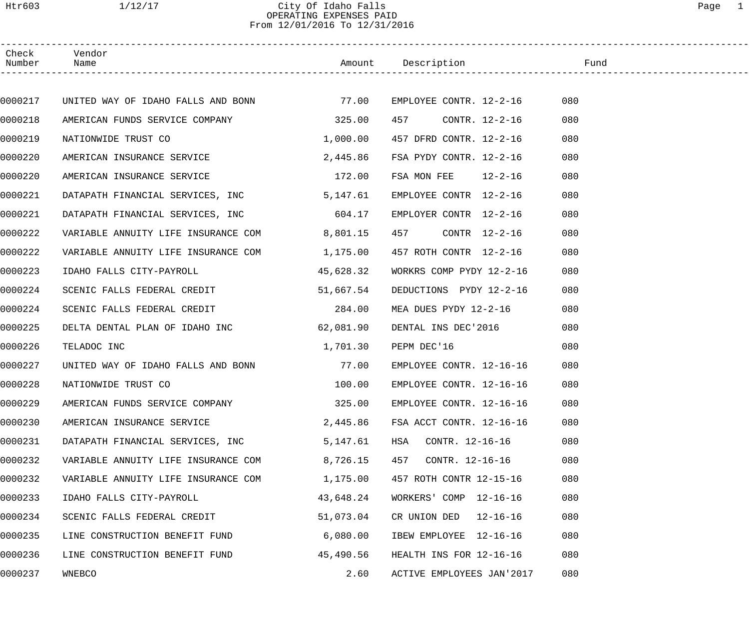# Htr603 1/12/17 City Of Idaho Falls Page 1 OPERATING EXPENSES PAID From 12/01/2016 To 12/31/2016

| Check<br>Number | Vendor<br>Name                           |           | Amount Description        | Fund |
|-----------------|------------------------------------------|-----------|---------------------------|------|
|                 |                                          |           |                           |      |
| 0000217         | UNITED WAY OF IDAHO FALLS AND BONN 77.00 |           | EMPLOYEE CONTR. 12-2-16   | 080  |
| 0000218         | AMERICAN FUNDS SERVICE COMPANY           | 325.00    | CONTR. 12-2-16<br>457     | 080  |
| 0000219         | NATIONWIDE TRUST CO                      | 1,000.00  | 457 DFRD CONTR. 12-2-16   | 080  |
| 0000220         | AMERICAN INSURANCE SERVICE               | 2,445.86  | FSA PYDY CONTR. 12-2-16   | 080  |
| 0000220         | AMERICAN INSURANCE SERVICE               | 172.00    | FSA MON FEE $12-2-16$     | 080  |
| 0000221         | DATAPATH FINANCIAL SERVICES, INC         | 5,147.61  | EMPLOYEE CONTR 12-2-16    | 080  |
| 0000221         | DATAPATH FINANCIAL SERVICES, INC         | 604.17    | EMPLOYER CONTR 12-2-16    | 080  |
| 0000222         | VARIABLE ANNUITY LIFE INSURANCE COM      | 8,801.15  | 457<br>CONTR 12-2-16      | 080  |
| 0000222         | VARIABLE ANNUITY LIFE INSURANCE COM      | 1,175.00  | 457 ROTH CONTR 12-2-16    | 080  |
| 0000223         | IDAHO FALLS CITY-PAYROLL                 | 45,628.32 | WORKRS COMP PYDY 12-2-16  | 080  |
| 0000224         | SCENIC FALLS FEDERAL CREDIT              | 51,667.54 | DEDUCTIONS PYDY 12-2-16   | 080  |
| 0000224         | SCENIC FALLS FEDERAL CREDIT              | 284.00    | MEA DUES PYDY 12-2-16     | 080  |
| 0000225         | DELTA DENTAL PLAN OF IDAHO INC           | 62,081.90 | DENTAL INS DEC'2016       | 080  |
| 0000226         | TELADOC INC                              | 1,701.30  | PEPM DEC'16               | 080  |
| 0000227         | UNITED WAY OF IDAHO FALLS AND BONN       | 77.00     | EMPLOYEE CONTR. 12-16-16  | 080  |
| 0000228         | NATIONWIDE TRUST CO                      | 100.00    | EMPLOYEE CONTR. 12-16-16  | 080  |
| 0000229         | AMERICAN FUNDS SERVICE COMPANY           | 325.00    | EMPLOYEE CONTR. 12-16-16  | 080  |
| 0000230         | AMERICAN INSURANCE SERVICE               | 2,445.86  | FSA ACCT CONTR. 12-16-16  | 080  |
| 0000231         | DATAPATH FINANCIAL SERVICES, INC         | 5,147.61  | HSA<br>CONTR. 12-16-16    | 080  |
| 0000232         | VARIABLE ANNUITY LIFE INSURANCE COM      | 8,726.15  | 457<br>CONTR. 12-16-16    | 080  |
| 0000232         | VARIABLE ANNUITY LIFE INSURANCE COM      | 1,175.00  | 457 ROTH CONTR 12-15-16   | 080  |
| 0000233         | IDAHO FALLS CITY-PAYROLL                 | 43,648.24 | WORKERS' COMP 12-16-16    | 080  |
| 0000234         | SCENIC FALLS FEDERAL CREDIT              | 51,073.04 | CR UNION DED $12-16-16$   | 080  |
| 0000235         | LINE CONSTRUCTION BENEFIT FUND           | 6,080.00  | IBEW EMPLOYEE 12-16-16    | 080  |
| 0000236         | LINE CONSTRUCTION BENEFIT FUND           | 45,490.56 | HEALTH INS FOR 12-16-16   | 080  |
| 0000237         | WNEBCO                                   | 2.60      | ACTIVE EMPLOYEES JAN'2017 | 080  |
|                 |                                          |           |                           |      |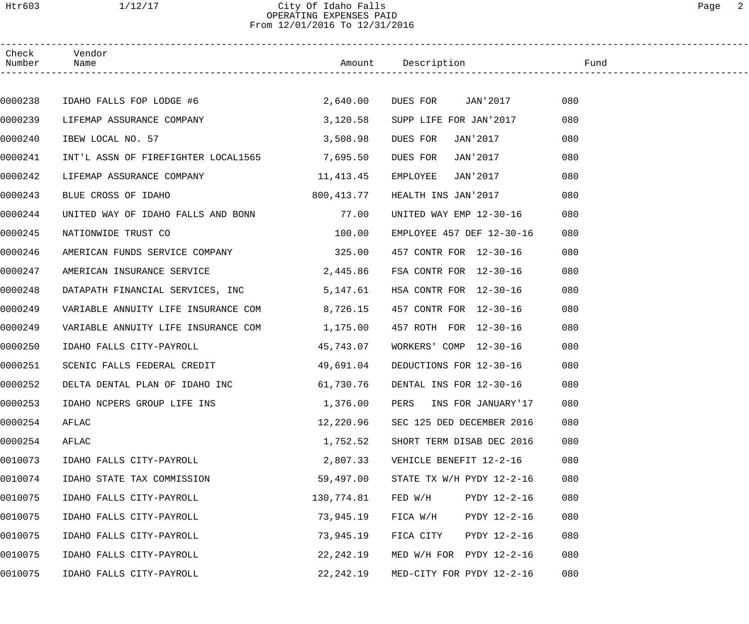| Check<br>Number | Vendor<br>Name                           |             | Amount Description                | Fund |
|-----------------|------------------------------------------|-------------|-----------------------------------|------|
|                 |                                          |             |                                   |      |
| 0000238         | IDAHO FALLS FOP LODGE #6                 | 2,640.00    | DUES FOR JAN'2017 080             |      |
| 0000239         | LIFEMAP ASSURANCE COMPANY                | 3,120.58    | SUPP LIFE FOR JAN'2017            | 080  |
| 0000240         | IBEW LOCAL NO. 57                        | 3,508.98    | DUES FOR<br>JAN'2017              | 080  |
| 0000241         | INT'L ASSN OF FIREFIGHTER LOCAL1565      | 7,695.50    | DUES FOR<br>JAN'2017              | 080  |
| 0000242         | LIFEMAP ASSURANCE COMPANY                | 11, 413. 45 | EMPLOYEE<br>JAN'2017              | 080  |
| 0000243         | BLUE CROSS OF IDAHO                      | 800,413.77  | HEALTH INS JAN'2017               | 080  |
| 0000244         | UNITED WAY OF IDAHO FALLS AND BONN 77.00 |             | UNITED WAY EMP 12-30-16           | 080  |
| 0000245         | NATIONWIDE TRUST CO                      | 100.00      | EMPLOYEE 457 DEF 12-30-16         | 080  |
| 0000246         | AMERICAN FUNDS SERVICE COMPANY 325.00    |             | 457 CONTR FOR 12-30-16            | 080  |
| 0000247         | AMERICAN INSURANCE SERVICE               | 2,445.86    | FSA CONTR FOR 12-30-16            | 080  |
| 0000248         | DATAPATH FINANCIAL SERVICES, INC         | 5,147.61    | HSA CONTR FOR 12-30-16            | 080  |
| 0000249         | VARIABLE ANNUITY LIFE INSURANCE COM      | 8,726.15    | 457 CONTR FOR 12-30-16            | 080  |
| 0000249         | VARIABLE ANNUITY LIFE INSURANCE COM      | 1,175.00    | 457 ROTH FOR 12-30-16             | 080  |
| 0000250         | IDAHO FALLS CITY-PAYROLL                 | 45,743.07   | WORKERS' COMP 12-30-16            | 080  |
| 0000251         | SCENIC FALLS FEDERAL CREDIT              | 49,691.04   | DEDUCTIONS FOR 12-30-16           | 080  |
| 0000252         | DELTA DENTAL PLAN OF IDAHO INC           |             | 61,730.76 DENTAL INS FOR 12-30-16 | 080  |
| 0000253         | IDAHO NCPERS GROUP LIFE INS              | 1,376.00    | PERS<br>INS FOR JANUARY'17        | 080  |
| 0000254         | AFLAC                                    | 12,220.96   | SEC 125 DED DECEMBER 2016         | 080  |
| 0000254         | AFLAC                                    | 1,752.52    | SHORT TERM DISAB DEC 2016         | 080  |
| 0010073         | IDAHO FALLS CITY-PAYROLL                 | 2,807.33    | VEHICLE BENEFIT 12-2-16           | 080  |
| 0010074         | IDAHO STATE TAX COMMISSION               | 59,497.00   | STATE TX W/H PYDY 12-2-16         | 080  |
| 0010075         | IDAHO FALLS CITY-PAYROLL                 | 130,774.81  | FED W/H<br>PYDY 12-2-16           | 080  |
| 0010075         | IDAHO FALLS CITY-PAYROLL                 | 73,945.19   | FICA W/H<br>PYDY 12-2-16          | 080  |
| 0010075         | IDAHO FALLS CITY-PAYROLL                 | 73,945.19   | PYDY 12-2-16<br>FICA CITY         | 080  |
| 0010075         | IDAHO FALLS CITY-PAYROLL                 | 22, 242.19  | MED W/H FOR PYDY 12-2-16          | 080  |
| 0010075         | IDAHO FALLS CITY-PAYROLL                 | 22,242.19   | MED-CITY FOR PYDY 12-2-16         | 080  |
|                 |                                          |             |                                   |      |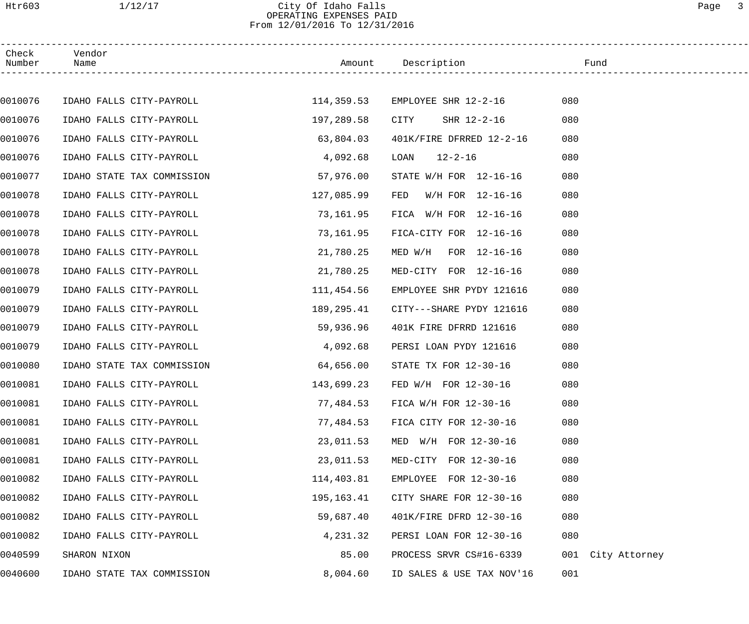# Htr603 1/12/17 City Of Idaho Falls Page 3 OPERATING EXPENSES PAID From 12/01/2016 To 12/31/2016

| Check<br>Number | Vendor<br>Name             |            | Amount Description              | Fund                 |
|-----------------|----------------------------|------------|---------------------------------|----------------------|
|                 |                            |            |                                 |                      |
| 0010076         | IDAHO FALLS CITY-PAYROLL   |            | 114,359.53 EMPLOYEE SHR 12-2-16 | 080                  |
| 0010076         | IDAHO FALLS CITY-PAYROLL   | 197,289.58 | CITY<br>SHR 12-2-16             | 080                  |
| 0010076         | IDAHO FALLS CITY-PAYROLL   | 63,804.03  | 401K/FIRE DFRRED 12-2-16        | 080                  |
| 0010076         | IDAHO FALLS CITY-PAYROLL   | 4,092.68   | $12 - 2 - 16$<br>LOAN           | 080                  |
| 0010077         | IDAHO STATE TAX COMMISSION | 57,976.00  | STATE W/H FOR 12-16-16          | 080                  |
| 0010078         | IDAHO FALLS CITY-PAYROLL   | 127,085.99 | FED<br>W/H FOR 12-16-16         | 080                  |
| 0010078         | IDAHO FALLS CITY-PAYROLL   | 73,161.95  | FICA W/H FOR 12-16-16           | 080                  |
| 0010078         | IDAHO FALLS CITY-PAYROLL   | 73,161.95  | FICA-CITY FOR 12-16-16          | 080                  |
| 0010078         | IDAHO FALLS CITY-PAYROLL   | 21,780.25  | MED W/H FOR 12-16-16            | 080                  |
| 0010078         | IDAHO FALLS CITY-PAYROLL   | 21,780.25  | MED-CITY FOR 12-16-16           | 080                  |
| 0010079         | IDAHO FALLS CITY-PAYROLL   | 111,454.56 | EMPLOYEE SHR PYDY 121616        | 080                  |
| 0010079         | IDAHO FALLS CITY-PAYROLL   | 189,295.41 | CITY---SHARE PYDY 121616        | 080                  |
| 0010079         | IDAHO FALLS CITY-PAYROLL   | 59,936.96  | 401K FIRE DFRRD 121616          | 080                  |
| 0010079         | IDAHO FALLS CITY-PAYROLL   | 4,092.68   | PERSI LOAN PYDY 121616          | 080                  |
| 0010080         | IDAHO STATE TAX COMMISSION | 64,656.00  | STATE TX FOR 12-30-16           | 080                  |
| 0010081         | IDAHO FALLS CITY-PAYROLL   |            | 143,699.23 FED W/H FOR 12-30-16 | 080                  |
| 0010081         | IDAHO FALLS CITY-PAYROLL   | 77,484.53  | FICA W/H FOR 12-30-16           | 080                  |
| 0010081         | IDAHO FALLS CITY-PAYROLL   | 77,484.53  | FICA CITY FOR 12-30-16          | 080                  |
| 0010081         | IDAHO FALLS CITY-PAYROLL   | 23,011.53  | MED W/H FOR 12-30-16            | 080                  |
| 0010081         | IDAHO FALLS CITY-PAYROLL   | 23,011.53  | MED-CITY FOR 12-30-16           | 080                  |
| 0010082         | IDAHO FALLS CITY-PAYROLL   | 114,403.81 | EMPLOYEE FOR 12-30-16           | 080                  |
| 0010082         | IDAHO FALLS CITY-PAYROLL   | 195,163.41 | CITY SHARE FOR 12-30-16         | 080                  |
| 0010082         | IDAHO FALLS CITY-PAYROLL   | 59,687.40  | 401K/FIRE DFRD 12-30-16         | 080                  |
| 0010082         | IDAHO FALLS CITY-PAYROLL   | 4,231.32   | PERSI LOAN FOR 12-30-16         | 080                  |
| 0040599         | SHARON NIXON               | 85.00      | PROCESS SRVR CS#16-6339         | 001<br>City Attorney |
| 0040600         | IDAHO STATE TAX COMMISSION | 8,004.60   | ID SALES & USE TAX NOV'16       | 001                  |
|                 |                            |            |                                 |                      |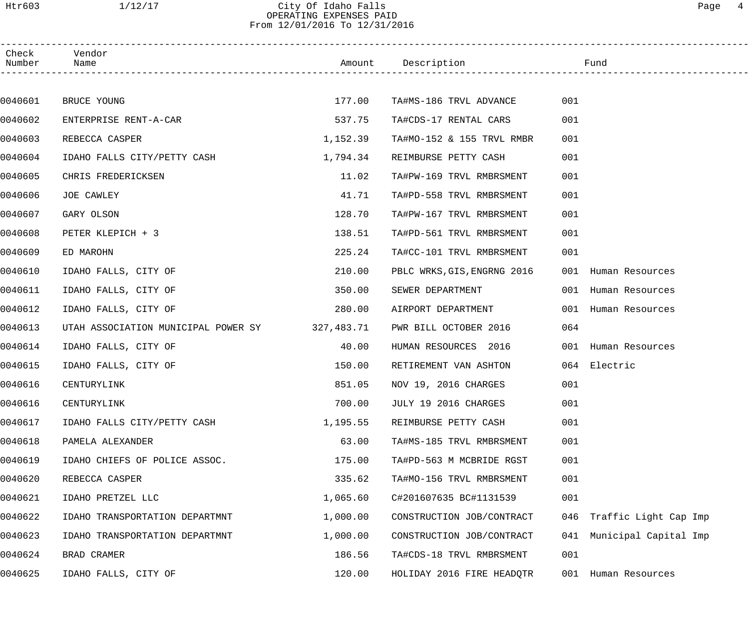# Htr603 1/12/17 City Of Idaho Falls Page 4 OPERATING EXPENSES PAID From 12/01/2016 To 12/31/2016

| Check<br>Number | Vendor<br>Name                                 |          | Amount Description          |     | Fund                  |
|-----------------|------------------------------------------------|----------|-----------------------------|-----|-----------------------|
|                 |                                                |          |                             |     |                       |
| 0040601         | BRUCE YOUNG                                    | 177.00   | TA#MS-186 TRVL ADVANCE      | 001 |                       |
| 0040602         | ENTERPRISE RENT-A-CAR                          | 537.75   | TA#CDS-17 RENTAL CARS       | 001 |                       |
| 0040603         | REBECCA CASPER                                 | 1,152.39 | TA#MO-152 & 155 TRVL RMBR   | 001 |                       |
| 0040604         | IDAHO FALLS CITY/PETTY CASH                    | 1,794.34 | REIMBURSE PETTY CASH        | 001 |                       |
| 0040605         | CHRIS FREDERICKSEN                             | 11.02    | TA#PW-169 TRVL RMBRSMENT    | 001 |                       |
| 0040606         | JOE CAWLEY                                     | 41.71    | TA#PD-558 TRVL RMBRSMENT    | 001 |                       |
| 0040607         | GARY OLSON                                     | 128.70   | TA#PW-167 TRVL RMBRSMENT    | 001 |                       |
| 0040608         | PETER KLEPICH + 3                              | 138.51   | TA#PD-561 TRVL RMBRSMENT    | 001 |                       |
| 0040609         | ED MAROHN                                      | 225.24   | TA#CC-101 TRVL RMBRSMENT    | 001 |                       |
| 0040610         | IDAHO FALLS, CITY OF                           | 210.00   | PBLC WRKS, GIS, ENGRNG 2016 |     | 001 Human Resources   |
| 0040611         | IDAHO FALLS, CITY OF                           | 350.00   | SEWER DEPARTMENT            |     | 001 Human Resources   |
| 0040612         | IDAHO FALLS, CITY OF                           | 280.00   | AIRPORT DEPARTMENT          |     | 001 Human Resources   |
| 0040613         | UTAH ASSOCIATION MUNICIPAL POWER SY 327,483.71 |          | PWR BILL OCTOBER 2016       | 064 |                       |
| 0040614         | IDAHO FALLS, CITY OF                           | 40.00    | HUMAN RESOURCES 2016        |     | 001 Human Resources   |
| 0040615         | IDAHO FALLS, CITY OF                           | 150.00   | RETIREMENT VAN ASHTON       |     | 064 Electric          |
| 0040616         | CENTURYLINK                                    | 851.05   | NOV 19, 2016 CHARGES        | 001 |                       |
| 0040616         | CENTURYLINK                                    | 700.00   | JULY 19 2016 CHARGES        | 001 |                       |
| 0040617         | IDAHO FALLS CITY/PETTY CASH                    | 1,195.55 | REIMBURSE PETTY CASH        | 001 |                       |
| 0040618         | PAMELA ALEXANDER                               | 63.00    | TA#MS-185 TRVL RMBRSMENT    | 001 |                       |
| 0040619         | IDAHO CHIEFS OF POLICE ASSOC.                  | 175.00   | TA#PD-563 M MCBRIDE RGST    | 001 |                       |
| 0040620         | REBECCA CASPER                                 | 335.62   | TA#MO-156 TRVL RMBRSMENT    | 001 |                       |
| 0040621         | IDAHO PRETZEL LLC                              | 1,065.60 | C#201607635 BC#1131539      | 001 |                       |
| 0040622         | IDAHO TRANSPORTATION DEPARTMNT                 | 1,000.00 | CONSTRUCTION JOB/CONTRACT   | 046 | Traffic Light Cap Imp |
| 0040623         | IDAHO TRANSPORTATION DEPARTMNT                 | 1,000.00 | CONSTRUCTION JOB/CONTRACT   | 041 | Municipal Capital Imp |
| 0040624         | BRAD CRAMER                                    | 186.56   | TA#CDS-18 TRVL RMBRSMENT    | 001 |                       |
| 0040625         | IDAHO FALLS, CITY OF                           | 120.00   | HOLIDAY 2016 FIRE HEADQTR   |     | 001 Human Resources   |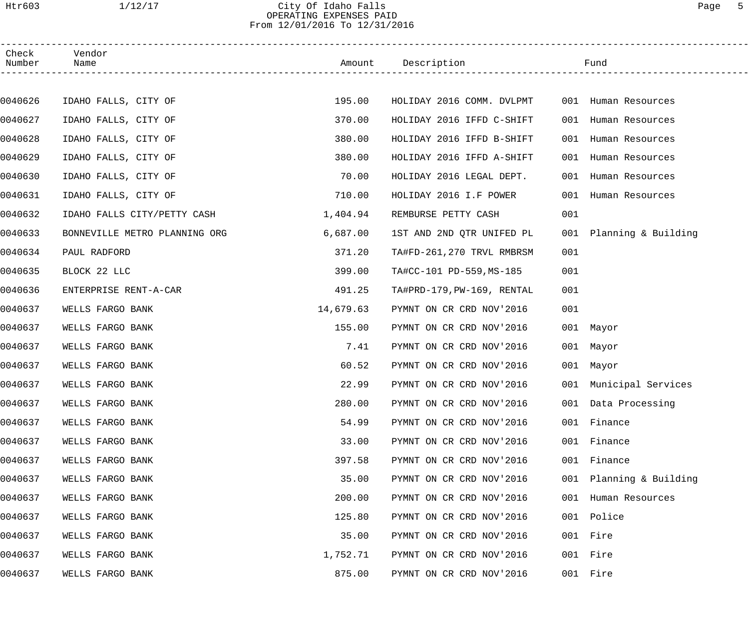# Htr603 1/12/17 City Of Idaho Falls Page 5 OPERATING EXPENSES PAID From 12/01/2016 To 12/31/2016

| Check<br>Number | Vendor<br>Name                |           | Amount Description         |     | Fund                    |  |
|-----------------|-------------------------------|-----------|----------------------------|-----|-------------------------|--|
|                 |                               |           |                            |     |                         |  |
| 0040626         | IDAHO FALLS, CITY OF          | 195.00    | HOLIDAY 2016 COMM. DVLPMT  |     | 001 Human Resources     |  |
| 0040627         | IDAHO FALLS, CITY OF          | 370.00    | HOLIDAY 2016 IFFD C-SHIFT  | 001 | Human Resources         |  |
| 0040628         | IDAHO FALLS, CITY OF          | 380.00    | HOLIDAY 2016 IFFD B-SHIFT  | 001 | Human Resources         |  |
| 0040629         | IDAHO FALLS, CITY OF          | 380.00    | HOLIDAY 2016 IFFD A-SHIFT  |     | 001 Human Resources     |  |
| 0040630         | IDAHO FALLS, CITY OF          | 70.00     | HOLIDAY 2016 LEGAL DEPT.   | 001 | Human Resources         |  |
| 0040631         | IDAHO FALLS, CITY OF          | 710.00    | HOLIDAY 2016 I.F POWER     | 001 | Human Resources         |  |
| 0040632         | IDAHO FALLS CITY/PETTY CASH   | 1,404.94  | REMBURSE PETTY CASH        | 001 |                         |  |
| 0040633         | BONNEVILLE METRO PLANNING ORG | 6,687.00  | 1ST AND 2ND QTR UNIFED PL  |     | 001 Planning & Building |  |
| 0040634         | PAUL RADFORD                  | 371.20    | TA#FD-261,270 TRVL RMBRSM  | 001 |                         |  |
| 0040635         | BLOCK 22 LLC                  | 399.00    | TA#CC-101 PD-559, MS-185   | 001 |                         |  |
| 0040636         | ENTERPRISE RENT-A-CAR         | 491.25    | TA#PRD-179, PW-169, RENTAL | 001 |                         |  |
| 0040637         | WELLS FARGO BANK              | 14,679.63 | PYMNT ON CR CRD NOV'2016   | 001 |                         |  |
| 0040637         | WELLS FARGO BANK              | 155.00    | PYMNT ON CR CRD NOV'2016   |     | 001 Mayor               |  |
| 0040637         | WELLS FARGO BANK              | 7.41      | PYMNT ON CR CRD NOV'2016   |     | 001 Mayor               |  |
| 0040637         | WELLS FARGO BANK              | 60.52     | PYMNT ON CR CRD NOV'2016   |     | 001 Mayor               |  |
| 0040637         | WELLS FARGO BANK              | 22.99     | PYMNT ON CR CRD NOV'2016   |     | 001 Municipal Services  |  |
| 0040637         | WELLS FARGO BANK              | 280.00    | PYMNT ON CR CRD NOV'2016   |     | 001 Data Processing     |  |
| 0040637         | WELLS FARGO BANK              | 54.99     | PYMNT ON CR CRD NOV'2016   |     | 001 Finance             |  |
| 0040637         | WELLS FARGO BANK              | 33.00     | PYMNT ON CR CRD NOV'2016   |     | 001 Finance             |  |
| 0040637         | WELLS FARGO BANK              | 397.58    | PYMNT ON CR CRD NOV'2016   |     | 001 Finance             |  |
| 0040637         | WELLS FARGO BANK              | 35.00     | PYMNT ON CR CRD NOV'2016   |     | 001 Planning & Building |  |
| 0040637         | WELLS FARGO BANK              | 200.00    | PYMNT ON CR CRD NOV'2016   |     | 001 Human Resources     |  |
| 0040637         | WELLS FARGO BANK              | 125.80    | PYMNT ON CR CRD NOV'2016   |     | 001 Police              |  |
| 0040637         | WELLS FARGO BANK              | 35.00     | PYMNT ON CR CRD NOV'2016   |     | 001 Fire                |  |
| 0040637         | WELLS FARGO BANK              | 1,752.71  | PYMNT ON CR CRD NOV'2016   |     | 001 Fire                |  |
| 0040637         | WELLS FARGO BANK              | 875.00    | PYMNT ON CR CRD NOV'2016   |     | 001 Fire                |  |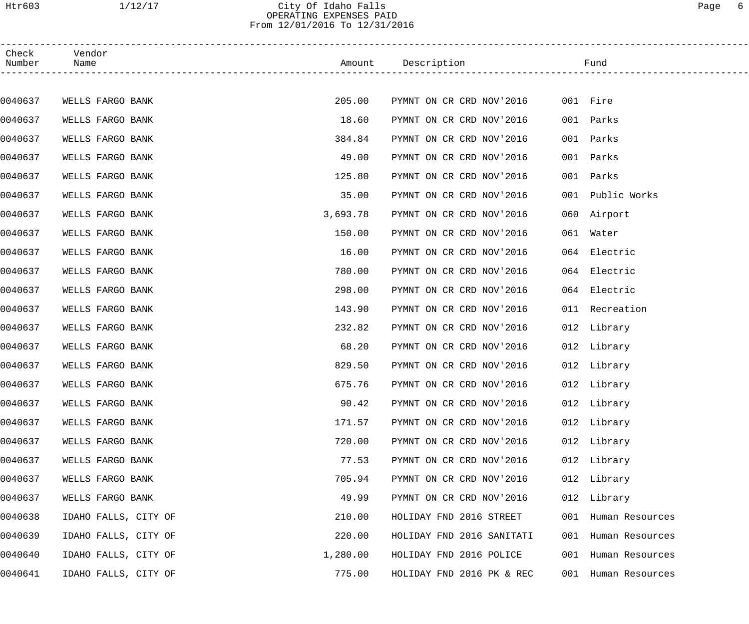## Htr603 1/12/17 City Of Idaho Falls Page 6 OPERATING EXPENSES PAID From 12/01/2016 To 12/31/2016

| Check<br>Number | Vendor<br>Name       |          | Amount Description        |     | Fund                |  |
|-----------------|----------------------|----------|---------------------------|-----|---------------------|--|
|                 |                      |          |                           |     |                     |  |
| 0040637         | WELLS FARGO BANK     | 205.00   | PYMNT ON CR CRD NOV'2016  |     | 001 Fire            |  |
| 0040637         | WELLS FARGO BANK     | 18.60    | PYMNT ON CR CRD NOV'2016  | 001 | Parks               |  |
| 0040637         | WELLS FARGO BANK     | 384.84   | PYMNT ON CR CRD NOV'2016  | 001 | Parks               |  |
| 0040637         | WELLS FARGO BANK     | 49.00    | PYMNT ON CR CRD NOV'2016  | 001 | Parks               |  |
| 0040637         | WELLS FARGO BANK     | 125.80   | PYMNT ON CR CRD NOV'2016  | 001 | Parks               |  |
| 0040637         | WELLS FARGO BANK     | 35.00    | PYMNT ON CR CRD NOV'2016  | 001 | Public Works        |  |
| 0040637         | WELLS FARGO BANK     | 3,693.78 | PYMNT ON CR CRD NOV'2016  |     | 060 Airport         |  |
| 0040637         | WELLS FARGO BANK     | 150.00   | PYMNT ON CR CRD NOV'2016  |     | 061 Water           |  |
| 0040637         | WELLS FARGO BANK     | 16.00    | PYMNT ON CR CRD NOV'2016  |     | 064 Electric        |  |
| 0040637         | WELLS FARGO BANK     | 780.00   | PYMNT ON CR CRD NOV'2016  |     | 064 Electric        |  |
| 0040637         | WELLS FARGO BANK     | 298.00   | PYMNT ON CR CRD NOV'2016  |     | 064 Electric        |  |
| 0040637         | WELLS FARGO BANK     | 143.90   | PYMNT ON CR CRD NOV'2016  |     | 011 Recreation      |  |
| 0040637         | WELLS FARGO BANK     | 232.82   | PYMNT ON CR CRD NOV'2016  |     | 012 Library         |  |
| 0040637         | WELLS FARGO BANK     | 68.20    | PYMNT ON CR CRD NOV'2016  |     | 012 Library         |  |
| 0040637         | WELLS FARGO BANK     | 829.50   | PYMNT ON CR CRD NOV'2016  |     | 012 Library         |  |
| 0040637         | WELLS FARGO BANK     | 675.76   | PYMNT ON CR CRD NOV'2016  |     | 012 Library         |  |
| 0040637         | WELLS FARGO BANK     | 90.42    | PYMNT ON CR CRD NOV'2016  |     | 012 Library         |  |
| 0040637         | WELLS FARGO BANK     | 171.57   | PYMNT ON CR CRD NOV'2016  |     | 012 Library         |  |
| 0040637         | WELLS FARGO BANK     | 720.00   | PYMNT ON CR CRD NOV'2016  |     | 012 Library         |  |
| 0040637         | WELLS FARGO BANK     | 77.53    | PYMNT ON CR CRD NOV'2016  |     | 012 Library         |  |
| 0040637         | WELLS FARGO BANK     | 705.94   | PYMNT ON CR CRD NOV'2016  |     | 012 Library         |  |
| 0040637         | WELLS FARGO BANK     | 49.99    | PYMNT ON CR CRD NOV'2016  |     | 012 Library         |  |
| 0040638         | IDAHO FALLS, CITY OF | 210.00   | HOLIDAY FND 2016 STREET   |     | 001 Human Resources |  |
| 0040639         | IDAHO FALLS, CITY OF | 220.00   | HOLIDAY FND 2016 SANITATI |     | 001 Human Resources |  |
| 0040640         | IDAHO FALLS, CITY OF | 1,280.00 | HOLIDAY FND 2016 POLICE   |     | 001 Human Resources |  |
| 0040641         | IDAHO FALLS, CITY OF | 775.00   | HOLIDAY FND 2016 PK & REC |     | 001 Human Resources |  |
|                 |                      |          |                           |     |                     |  |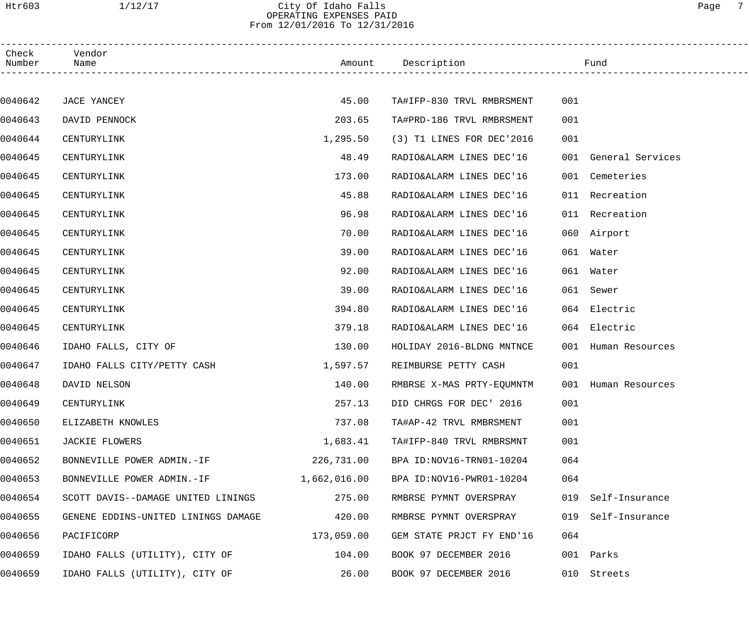## Htr603 1/12/17 City Of Idaho Falls Page 7 OPERATING EXPENSES PAID From 12/01/2016 To 12/31/2016

| Check<br>Number | Vendor<br>Name                      |              | Amount Description        |     | Fund                 |  |
|-----------------|-------------------------------------|--------------|---------------------------|-----|----------------------|--|
|                 |                                     |              |                           |     |                      |  |
| 0040642         | JACE YANCEY                         | 45.00        | TA#IFP-830 TRVL RMBRSMENT | 001 |                      |  |
| 0040643         | DAVID PENNOCK                       | 203.65       | TA#PRD-186 TRVL RMBRSMENT | 001 |                      |  |
| 0040644         | CENTURYLINK                         | 1,295.50     | (3) T1 LINES FOR DEC'2016 | 001 |                      |  |
| 0040645         | CENTURYLINK                         | 48.49        | RADIO&ALARM LINES DEC'16  |     | 001 General Services |  |
| 0040645         | CENTURYLINK                         | 173.00       | RADIO&ALARM LINES DEC'16  |     | 001 Cemeteries       |  |
| 0040645         | CENTURYLINK                         | 45.88        | RADIO&ALARM LINES DEC'16  |     | 011 Recreation       |  |
| 0040645         | CENTURYLINK                         | 96.98        | RADIO&ALARM LINES DEC'16  |     | 011 Recreation       |  |
| 0040645         | CENTURYLINK                         | 70.00        | RADIO&ALARM LINES DEC'16  |     | 060 Airport          |  |
| 0040645         | CENTURYLINK                         | 39.00        | RADIO&ALARM LINES DEC'16  |     | 061 Water            |  |
| 0040645         | CENTURYLINK                         | 92.00        | RADIO&ALARM LINES DEC'16  |     | 061 Water            |  |
| 0040645         | CENTURYLINK                         | 39.00        | RADIO&ALARM LINES DEC'16  |     | 061 Sewer            |  |
| 0040645         | CENTURYLINK                         | 394.80       | RADIO&ALARM LINES DEC'16  |     | 064 Electric         |  |
| 0040645         | CENTURYLINK                         | 379.18       | RADIO&ALARM LINES DEC'16  |     | 064 Electric         |  |
| 0040646         | IDAHO FALLS, CITY OF                | 130.00       | HOLIDAY 2016-BLDNG MNTNCE |     | 001 Human Resources  |  |
| 0040647         | IDAHO FALLS CITY/PETTY CASH         | 1,597.57     | REIMBURSE PETTY CASH      | 001 |                      |  |
| 0040648         | DAVID NELSON                        | 140.00       | RMBRSE X-MAS PRTY-EQUMNTM |     | 001 Human Resources  |  |
| 0040649         | CENTURYLINK                         | 257.13       | DID CHRGS FOR DEC' 2016   | 001 |                      |  |
| 0040650         | ELIZABETH KNOWLES                   | 737.08       | TA#AP-42 TRVL RMBRSMENT   | 001 |                      |  |
| 0040651         | JACKIE FLOWERS                      | 1,683.41     | TA#IFP-840 TRVL RMBRSMNT  | 001 |                      |  |
| 0040652         | BONNEVILLE POWER ADMIN.-IF          | 226,731.00   | BPA ID:NOV16-TRN01-10204  | 064 |                      |  |
| 0040653         | BONNEVILLE POWER ADMIN.-IF          | 1,662,016.00 | BPA ID:NOV16-PWR01-10204  | 064 |                      |  |
| 0040654         | SCOTT DAVIS--DAMAGE UNITED LININGS  | 275.00       | RMBRSE PYMNT OVERSPRAY    | 019 | Self-Insurance       |  |
| 0040655         | GENENE EDDINS-UNITED LININGS DAMAGE | 420.00       | RMBRSE PYMNT OVERSPRAY    | 019 | Self-Insurance       |  |
| 0040656         | PACIFICORP                          | 173,059.00   | GEM STATE PRJCT FY END'16 | 064 |                      |  |
| 0040659         | IDAHO FALLS (UTILITY), CITY OF      | 104.00       | BOOK 97 DECEMBER 2016     | 001 | Parks                |  |
| 0040659         | IDAHO FALLS (UTILITY), CITY OF      | 26.00        | BOOK 97 DECEMBER 2016     |     | 010 Streets          |  |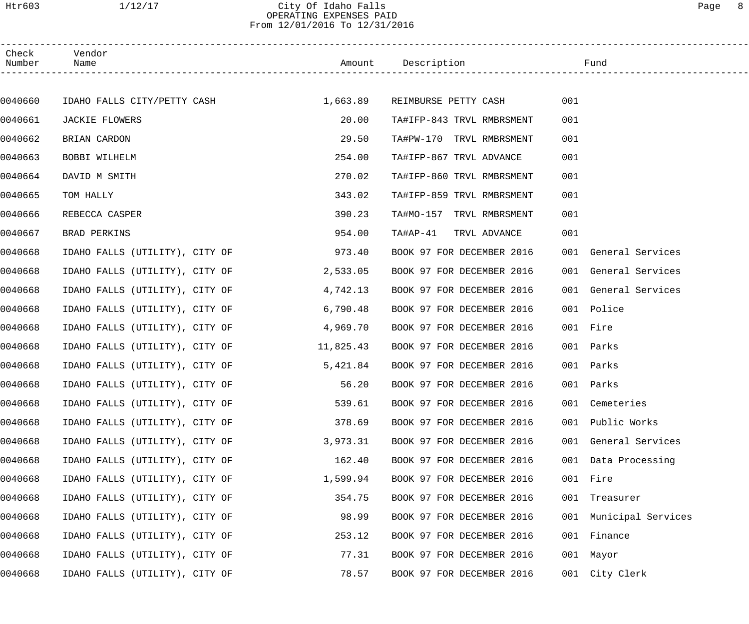## Htr603 1/12/17 City Of Idaho Falls Page 8 OPERATING EXPENSES PAID From 12/01/2016 To 12/31/2016

| Check<br>Number | Vendor<br>Name                 |           | Amount Description        |           | Fund                   |
|-----------------|--------------------------------|-----------|---------------------------|-----------|------------------------|
|                 |                                |           |                           |           |                        |
| 0040660         | IDAHO FALLS CITY/PETTY CASH    | 1,663.89  | REIMBURSE PETTY CASH      | 001       |                        |
| 0040661         | JACKIE FLOWERS                 | 20.00     | TA#IFP-843 TRVL RMBRSMENT | 001       |                        |
| 0040662         | BRIAN CARDON                   | 29.50     | TA#PW-170 TRVL RMBRSMENT  | 001       |                        |
| 0040663         | BOBBI WILHELM                  | 254.00    | TA#IFP-867 TRVL ADVANCE   | 001       |                        |
| 0040664         | DAVID M SMITH                  | 270.02    | TA#IFP-860 TRVL RMBRSMENT | 001       |                        |
| 0040665         | TOM HALLY                      | 343.02    | TA#IFP-859 TRVL RMBRSMENT | 001       |                        |
| 0040666         | REBECCA CASPER                 | 390.23    | TA#MO-157 TRVL RMBRSMENT  | 001       |                        |
| 0040667         | BRAD PERKINS                   | 954.00    | TA#AP-41<br>TRVL ADVANCE  | 001       |                        |
| 0040668         | IDAHO FALLS (UTILITY), CITY OF | 973.40    | BOOK 97 FOR DECEMBER 2016 |           | 001 General Services   |
| 0040668         | IDAHO FALLS (UTILITY), CITY OF | 2,533.05  | BOOK 97 FOR DECEMBER 2016 |           | 001 General Services   |
| 0040668         | IDAHO FALLS (UTILITY), CITY OF | 4,742.13  | BOOK 97 FOR DECEMBER 2016 |           | 001 General Services   |
| 0040668         | IDAHO FALLS (UTILITY), CITY OF | 6,790.48  | BOOK 97 FOR DECEMBER 2016 |           | 001 Police             |
| 0040668         | IDAHO FALLS (UTILITY), CITY OF | 4,969.70  | BOOK 97 FOR DECEMBER 2016 | 001 Fire  |                        |
| 0040668         | IDAHO FALLS (UTILITY), CITY OF | 11,825.43 | BOOK 97 FOR DECEMBER 2016 | 001       | Parks                  |
| 0040668         | IDAHO FALLS (UTILITY), CITY OF | 5,421.84  | BOOK 97 FOR DECEMBER 2016 | 001       | Parks                  |
| 0040668         | IDAHO FALLS (UTILITY), CITY OF | 56.20     | BOOK 97 FOR DECEMBER 2016 | 001 Parks |                        |
| 0040668         | IDAHO FALLS (UTILITY), CITY OF | 539.61    | BOOK 97 FOR DECEMBER 2016 |           | 001 Cemeteries         |
| 0040668         | IDAHO FALLS (UTILITY), CITY OF | 378.69    | BOOK 97 FOR DECEMBER 2016 | 001       | Public Works           |
| 0040668         | IDAHO FALLS (UTILITY), CITY OF | 3,973.31  | BOOK 97 FOR DECEMBER 2016 |           | 001 General Services   |
| 0040668         | IDAHO FALLS (UTILITY), CITY OF | 162.40    | BOOK 97 FOR DECEMBER 2016 |           | 001 Data Processing    |
| 0040668         | IDAHO FALLS (UTILITY), CITY OF | 1,599.94  | BOOK 97 FOR DECEMBER 2016 | 001 Fire  |                        |
| 0040668         | IDAHO FALLS (UTILITY), CITY OF | 354.75    | BOOK 97 FOR DECEMBER 2016 |           | 001 Treasurer          |
| 0040668         | IDAHO FALLS (UTILITY), CITY OF | 98.99     | BOOK 97 FOR DECEMBER 2016 |           | 001 Municipal Services |
| 0040668         | IDAHO FALLS (UTILITY), CITY OF | 253.12    | BOOK 97 FOR DECEMBER 2016 |           | 001 Finance            |
| 0040668         | IDAHO FALLS (UTILITY), CITY OF | 77.31     | BOOK 97 FOR DECEMBER 2016 |           | 001 Mayor              |
| 0040668         | IDAHO FALLS (UTILITY), CITY OF | 78.57     | BOOK 97 FOR DECEMBER 2016 |           | 001 City Clerk         |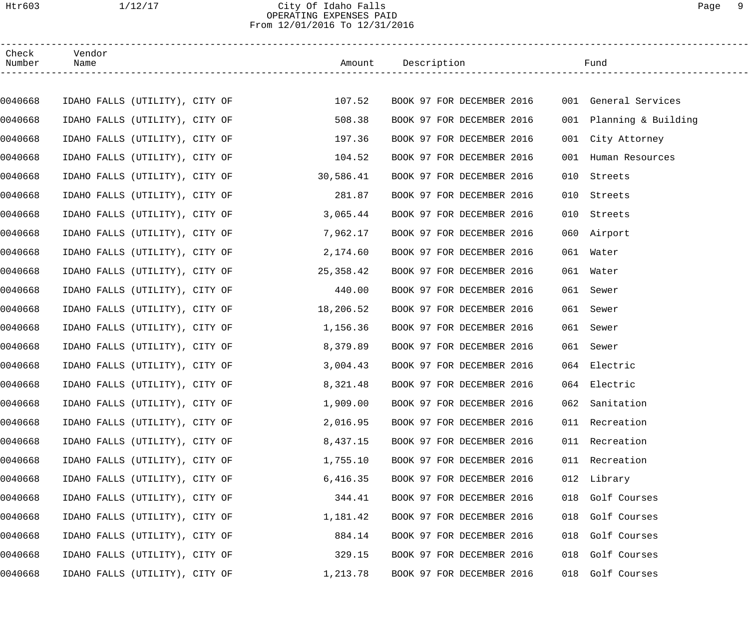# Htr603 1/12/17 City Of Idaho Falls Page 9 OPERATING EXPENSES PAID From 12/01/2016 To 12/31/2016

| Check<br>Number | Vendor<br>Name                 |  |                                       | Amount Description        | Fund                    |  |
|-----------------|--------------------------------|--|---------------------------------------|---------------------------|-------------------------|--|
|                 |                                |  |                                       |                           |                         |  |
| 0040668         |                                |  | IDAHO FALLS (UTILITY), CITY OF 107.52 | BOOK 97 FOR DECEMBER 2016 | 001 General Services    |  |
| 0040668         | IDAHO FALLS (UTILITY), CITY OF |  | 508.38                                | BOOK 97 FOR DECEMBER 2016 | 001 Planning & Building |  |
| 0040668         | IDAHO FALLS (UTILITY), CITY OF |  | 197.36                                | BOOK 97 FOR DECEMBER 2016 | 001 City Attorney       |  |
| 0040668         | IDAHO FALLS (UTILITY), CITY OF |  | 104.52                                | BOOK 97 FOR DECEMBER 2016 | Human Resources<br>001  |  |
| 0040668         | IDAHO FALLS (UTILITY), CITY OF |  | 30,586.41                             | BOOK 97 FOR DECEMBER 2016 | Streets<br>010          |  |
| 0040668         | IDAHO FALLS (UTILITY), CITY OF |  | 281.87                                | BOOK 97 FOR DECEMBER 2016 | 010<br>Streets          |  |
| 0040668         | IDAHO FALLS (UTILITY), CITY OF |  | 3,065.44                              | BOOK 97 FOR DECEMBER 2016 | 010<br>Streets          |  |
| 0040668         | IDAHO FALLS (UTILITY), CITY OF |  | 7,962.17                              | BOOK 97 FOR DECEMBER 2016 | 060 Airport             |  |
| 0040668         | IDAHO FALLS (UTILITY), CITY OF |  | 2,174.60                              | BOOK 97 FOR DECEMBER 2016 | 061 Water               |  |
| 0040668         | IDAHO FALLS (UTILITY), CITY OF |  | 25,358.42                             | BOOK 97 FOR DECEMBER 2016 | 061 Water               |  |
| 0040668         | IDAHO FALLS (UTILITY), CITY OF |  | 440.00                                | BOOK 97 FOR DECEMBER 2016 | 061 Sewer               |  |
| 0040668         | IDAHO FALLS (UTILITY), CITY OF |  | 18,206.52                             | BOOK 97 FOR DECEMBER 2016 | 061<br>Sewer            |  |
| 0040668         | IDAHO FALLS (UTILITY), CITY OF |  | 1,156.36                              | BOOK 97 FOR DECEMBER 2016 | 061<br>Sewer            |  |
| 0040668         | IDAHO FALLS (UTILITY), CITY OF |  | 8,379.89                              | BOOK 97 FOR DECEMBER 2016 | 061 Sewer               |  |
| 0040668         | IDAHO FALLS (UTILITY), CITY OF |  | 3,004.43                              | BOOK 97 FOR DECEMBER 2016 | 064 Electric            |  |
| 0040668         | IDAHO FALLS (UTILITY), CITY OF |  | 8,321.48                              | BOOK 97 FOR DECEMBER 2016 | 064 Electric            |  |
| 0040668         | IDAHO FALLS (UTILITY), CITY OF |  | 1,909.00                              | BOOK 97 FOR DECEMBER 2016 | 062 Sanitation          |  |
| 0040668         | IDAHO FALLS (UTILITY), CITY OF |  | 2,016.95                              | BOOK 97 FOR DECEMBER 2016 | 011 Recreation          |  |
| 0040668         | IDAHO FALLS (UTILITY), CITY OF |  | 8,437.15                              | BOOK 97 FOR DECEMBER 2016 | 011 Recreation          |  |
| 0040668         | IDAHO FALLS (UTILITY), CITY OF |  | 1,755.10                              | BOOK 97 FOR DECEMBER 2016 | 011 Recreation          |  |
| 0040668         | IDAHO FALLS (UTILITY), CITY OF |  | 6,416.35                              | BOOK 97 FOR DECEMBER 2016 | 012 Library             |  |
| 0040668         | IDAHO FALLS (UTILITY), CITY OF |  | 344.41                                | BOOK 97 FOR DECEMBER 2016 | 018 Golf Courses        |  |
| 0040668         | IDAHO FALLS (UTILITY), CITY OF |  | 1,181.42                              | BOOK 97 FOR DECEMBER 2016 | 018 Golf Courses        |  |
| 0040668         | IDAHO FALLS (UTILITY), CITY OF |  | 884.14                                | BOOK 97 FOR DECEMBER 2016 | 018 Golf Courses        |  |
| 0040668         | IDAHO FALLS (UTILITY), CITY OF |  | 329.15                                | BOOK 97 FOR DECEMBER 2016 | 018 Golf Courses        |  |
| 0040668         | IDAHO FALLS (UTILITY), CITY OF |  | 1,213.78                              | BOOK 97 FOR DECEMBER 2016 | Golf Courses<br>018     |  |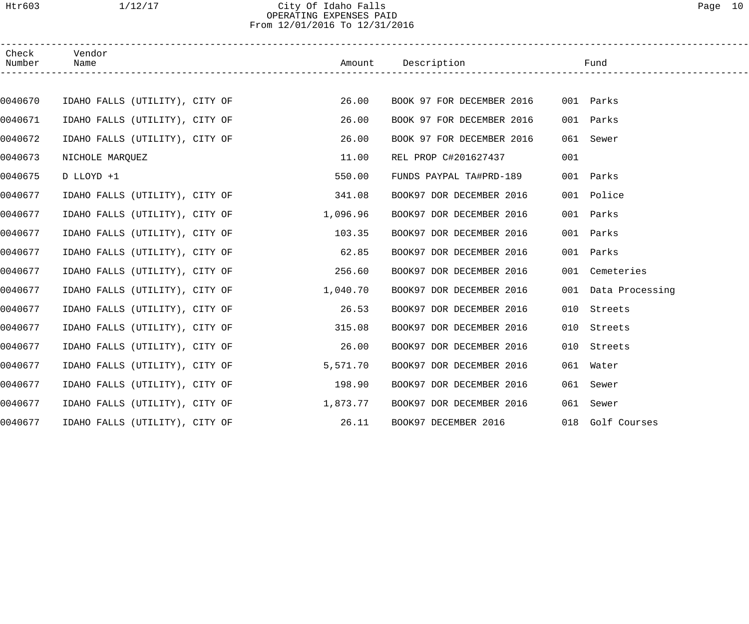# Htr603 1/12/17 City Of Idaho Falls Page 10 OPERATING EXPENSES PAID From 12/01/2016 To 12/31/2016

| Check<br>Number | Vendor<br>Name                 | Amount                                | Description               | Fund                |
|-----------------|--------------------------------|---------------------------------------|---------------------------|---------------------|
|                 |                                |                                       |                           |                     |
| 0040670         | IDAHO FALLS (UTILITY), CITY OF | 26.00                                 | BOOK 97 FOR DECEMBER 2016 | 001 Parks           |
| 0040671         | IDAHO FALLS (UTILITY), CITY OF | 26.00                                 | BOOK 97 FOR DECEMBER 2016 | 001 Parks           |
| 0040672         | IDAHO FALLS (UTILITY), CITY OF | 26.00                                 | BOOK 97 FOR DECEMBER 2016 | 061 Sewer           |
| 0040673         | NICHOLE MARQUEZ                | 11.00                                 | REL PROP C#201627437      | 001                 |
| 0040675         | D LLOYD +1                     | 550.00                                | FUNDS PAYPAL TA#PRD-189   | 001 Parks           |
| 0040677         | IDAHO FALLS (UTILITY), CITY OF | 341.08                                | BOOK97 DOR DECEMBER 2016  | 001 Police          |
| 0040677         | IDAHO FALLS (UTILITY), CITY OF | 1,096.96                              | BOOK97 DOR DECEMBER 2016  | 001 Parks           |
| 0040677         | IDAHO FALLS (UTILITY), CITY OF | 103.35                                | BOOK97 DOR DECEMBER 2016  | 001 Parks           |
| 0040677         | IDAHO FALLS (UTILITY), CITY OF | 62.85                                 | BOOK97 DOR DECEMBER 2016  | 001 Parks           |
| 0040677         | IDAHO FALLS (UTILITY), CITY OF | 256.60                                | BOOK97 DOR DECEMBER 2016  | 001 Cemeteries      |
| 0040677         | IDAHO FALLS (UTILITY), CITY OF | 1,040.70                              | BOOK97 DOR DECEMBER 2016  | 001 Data Processing |
| 0040677         | IDAHO FALLS (UTILITY), CITY OF | 26.53                                 | BOOK97 DOR DECEMBER 2016  | 010 Streets         |
| 0040677         | IDAHO FALLS (UTILITY), CITY OF | 315.08                                | BOOK97 DOR DECEMBER 2016  | 010 Streets         |
| 0040677         | IDAHO FALLS (UTILITY), CITY OF | 26.00                                 | BOOK97 DOR DECEMBER 2016  | 010 Streets         |
| 0040677         | IDAHO FALLS (UTILITY), CITY OF | 5,571.70                              | BOOK97 DOR DECEMBER 2016  | 061 Water           |
| 0040677         |                                | IDAHO FALLS (UTILITY), CITY OF 398.90 | BOOK97 DOR DECEMBER 2016  | 061 Sewer           |
| 0040677         | IDAHO FALLS (UTILITY), CITY OF | 1,873.77                              | BOOK97 DOR DECEMBER 2016  | 061 Sewer           |
| 0040677         | IDAHO FALLS (UTILITY), CITY OF | 26.11                                 | BOOK97 DECEMBER 2016      | 018 Golf Courses    |
|                 |                                |                                       |                           |                     |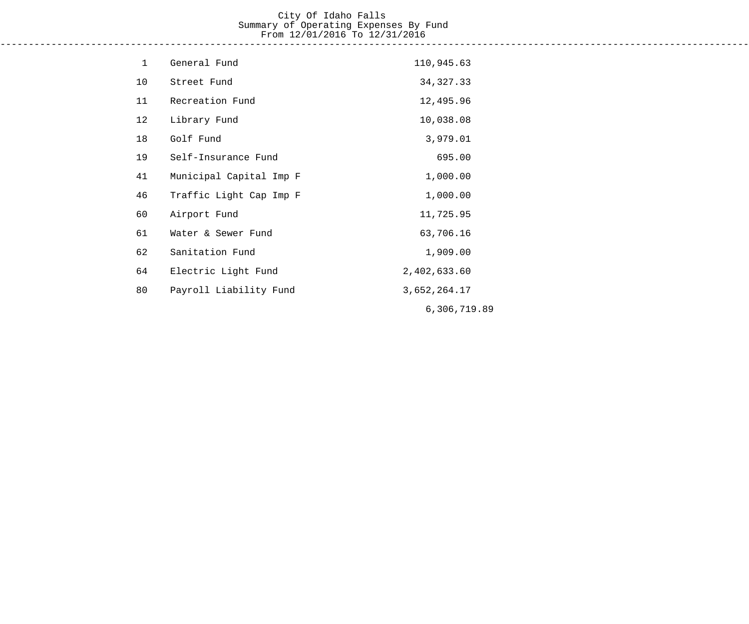# City Of Idaho Falls Summary of Operating Expenses By Fund From 12/01/2016 To 12/31/2016

------------------------------------------------------------------------------------------------------------------------------------

| $\mathbf 1$ | General Fund            | 110,945.63   |
|-------------|-------------------------|--------------|
| 10          | Street Fund             | 34, 327. 33  |
| 11          | Recreation Fund         | 12,495.96    |
| 12          | Library Fund            | 10,038.08    |
| 18          | Golf Fund               | 3,979.01     |
| 19          | Self-Insurance Fund     | 695.00       |
| 41          | Municipal Capital Imp F | 1,000.00     |
| 46          | Traffic Light Cap Imp F | 1,000.00     |
| 60          | Airport Fund            | 11,725.95    |
| 61          | Water & Sewer Fund      | 63,706.16    |
| 62          | Sanitation Fund         | 1,909.00     |
| 64          | Electric Light Fund     | 2,402,633.60 |
| 80          | Payroll Liability Fund  | 3,652,264.17 |
|             |                         | 6,306,719.89 |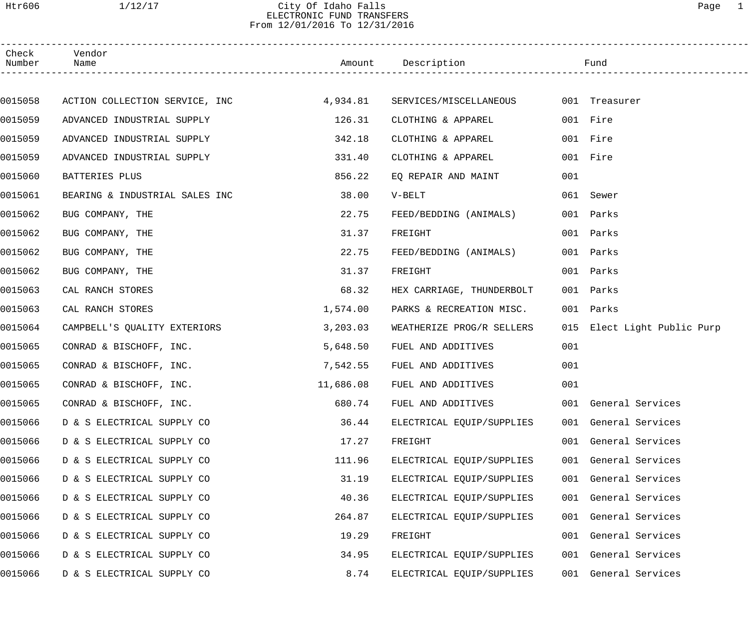# Htr606 1/12/17 City Of Idaho Falls Page 1 ELECTRONIC FUND TRANSFERS From 12/01/2016 To 12/31/2016

| Check<br>Number Name | Vendor                                                                       |          | Amount Description Fund   |     |                             |
|----------------------|------------------------------------------------------------------------------|----------|---------------------------|-----|-----------------------------|
|                      |                                                                              |          |                           |     |                             |
| 0015058              | ACTION COLLECTION SERVICE, INC 4,934.81 SERVICES/MISCELLANEOUS 001 Treasurer |          |                           |     |                             |
| 0015059              | ADVANCED INDUSTRIAL SUPPLY                                                   | 126.31   | CLOTHING & APPAREL        |     | 001 Fire                    |
| 0015059              | ADVANCED INDUSTRIAL SUPPLY                                                   | 342.18   | CLOTHING & APPAREL        |     | 001 Fire                    |
| 0015059              | ADVANCED INDUSTRIAL SUPPLY                                                   | 331.40   | CLOTHING & APPAREL        |     | 001 Fire                    |
| 0015060              | BATTERIES PLUS                                                               | 856.22   | EQ REPAIR AND MAINT       | 001 |                             |
| 0015061              | BEARING & INDUSTRIAL SALES INC                                               | 38.00    | V-BELT                    |     | 061 Sewer                   |
| 0015062              | BUG COMPANY, THE                                                             | 22.75    | FEED/BEDDING (ANIMALS)    |     | 001 Parks                   |
| 0015062              | BUG COMPANY, THE                                                             | 31.37    | FREIGHT                   |     | 001 Parks                   |
| 0015062              | BUG COMPANY, THE                                                             | 22.75    | FEED/BEDDING (ANIMALS)    |     | 001 Parks                   |
| 0015062              | BUG COMPANY, THE                                                             | 31.37    | FREIGHT                   |     | 001 Parks                   |
| 0015063              | CAL RANCH STORES                                                             | 68.32    | HEX CARRIAGE, THUNDERBOLT |     | 001 Parks                   |
| 0015063              | CAL RANCH STORES                                                             | 1,574.00 | PARKS & RECREATION MISC.  |     | 001 Parks                   |
| 0015064              | CAMPBELL'S QUALITY EXTERIORS                                                 | 3,203.03 | WEATHERIZE PROG/R SELLERS |     | 015 Elect Light Public Purp |
| 0015065              | CONRAD & BISCHOFF, INC.                                                      | 5,648.50 | FUEL AND ADDITIVES        | 001 |                             |
| 0015065              | CONRAD & BISCHOFF, INC.                                                      | 7,542.55 | FUEL AND ADDITIVES        | 001 |                             |
| 0015065              | CONRAD & BISCHOFF, INC. $11,686.08$ FUEL AND ADDITIVES                       |          |                           | 001 |                             |
| 0015065              | CONRAD & BISCHOFF, INC.                                                      | 680.74   | FUEL AND ADDITIVES        |     | 001 General Services        |
| 0015066              | D & S ELECTRICAL SUPPLY CO                                                   | 36.44    | ELECTRICAL EQUIP/SUPPLIES |     | 001 General Services        |
| 0015066              | D & S ELECTRICAL SUPPLY CO                                                   | 17.27    | FREIGHT                   | 001 | General Services            |
| 0015066              | D & S ELECTRICAL SUPPLY CO                                                   | 111.96   | ELECTRICAL EQUIP/SUPPLIES | 001 | General Services            |
| 0015066              | D & S ELECTRICAL SUPPLY CO                                                   | 31.19    | ELECTRICAL EQUIP/SUPPLIES | 001 | General Services            |
| 0015066              | D & S ELECTRICAL SUPPLY CO                                                   | 40.36    | ELECTRICAL EQUIP/SUPPLIES | 001 | General Services            |
| 0015066              | D & S ELECTRICAL SUPPLY CO                                                   | 264.87   | ELECTRICAL EQUIP/SUPPLIES | 001 | General Services            |
| 0015066              | D & S ELECTRICAL SUPPLY CO                                                   | 19.29    | FREIGHT                   | 001 | General Services            |
| 0015066              | D & S ELECTRICAL SUPPLY CO                                                   | 34.95    | ELECTRICAL EQUIP/SUPPLIES | 001 | General Services            |
| 0015066              | D & S ELECTRICAL SUPPLY CO                                                   | 8.74     | ELECTRICAL EQUIP/SUPPLIES | 001 | General Services            |
|                      |                                                                              |          |                           |     |                             |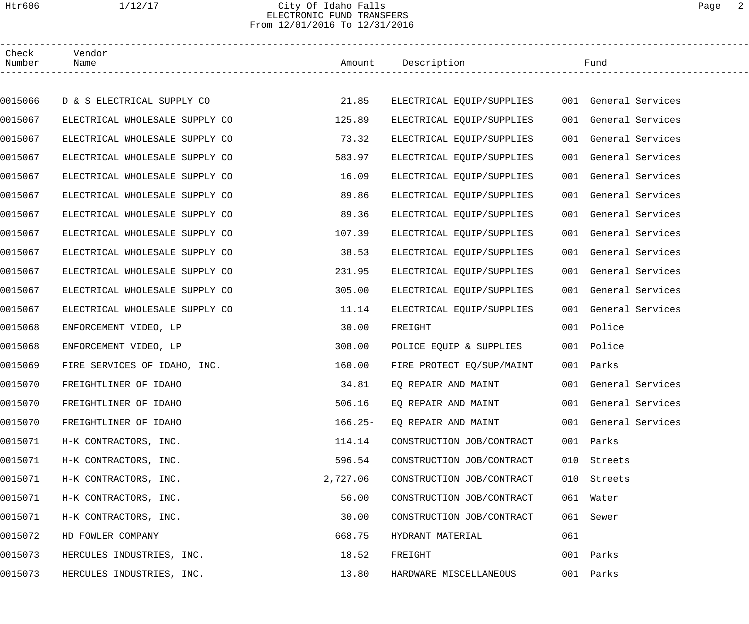# Htr606 1/12/17 City Of Idaho Falls Page 2 ELECTRONIC FUND TRANSFERS From 12/01/2016 To 12/31/2016

| Check<br>Number | Vendor<br>Name                 |           | Amount Description        |     | Fund                 |
|-----------------|--------------------------------|-----------|---------------------------|-----|----------------------|
|                 |                                |           |                           |     |                      |
| 0015066         | D & S ELECTRICAL SUPPLY CO     | 21.85     | ELECTRICAL EQUIP/SUPPLIES |     | 001 General Services |
| 0015067         | ELECTRICAL WHOLESALE SUPPLY CO | 125.89    | ELECTRICAL EQUIP/SUPPLIES |     | 001 General Services |
| 0015067         | ELECTRICAL WHOLESALE SUPPLY CO | 73.32     | ELECTRICAL EQUIP/SUPPLIES | 001 | General Services     |
| 0015067         | ELECTRICAL WHOLESALE SUPPLY CO | 583.97    | ELECTRICAL EQUIP/SUPPLIES | 001 | General Services     |
| 0015067         | ELECTRICAL WHOLESALE SUPPLY CO | 16.09     | ELECTRICAL EQUIP/SUPPLIES | 001 | General Services     |
| 0015067         | ELECTRICAL WHOLESALE SUPPLY CO | 89.86     | ELECTRICAL EQUIP/SUPPLIES | 001 | General Services     |
| 0015067         | ELECTRICAL WHOLESALE SUPPLY CO | 89.36     | ELECTRICAL EQUIP/SUPPLIES | 001 | General Services     |
| 0015067         | ELECTRICAL WHOLESALE SUPPLY CO | 107.39    | ELECTRICAL EQUIP/SUPPLIES | 001 | General Services     |
| 0015067         | ELECTRICAL WHOLESALE SUPPLY CO | 38.53     | ELECTRICAL EQUIP/SUPPLIES | 001 | General Services     |
| 0015067         | ELECTRICAL WHOLESALE SUPPLY CO | 231.95    | ELECTRICAL EQUIP/SUPPLIES | 001 | General Services     |
| 0015067         | ELECTRICAL WHOLESALE SUPPLY CO | 305.00    | ELECTRICAL EQUIP/SUPPLIES |     | 001 General Services |
| 0015067         | ELECTRICAL WHOLESALE SUPPLY CO | 11.14     | ELECTRICAL EQUIP/SUPPLIES | 001 | General Services     |
| 0015068         | ENFORCEMENT VIDEO, LP          | 30.00     | FREIGHT                   |     | 001 Police           |
| 0015068         | ENFORCEMENT VIDEO, LP          | 308.00    | POLICE EQUIP & SUPPLIES   |     | 001 Police           |
| 0015069         | FIRE SERVICES OF IDAHO, INC.   | 160.00    | FIRE PROTECT EQ/SUP/MAINT |     | 001 Parks            |
| 0015070         | FREIGHTLINER OF IDAHO          | 34.81     | EQ REPAIR AND MAINT       |     | 001 General Services |
| 0015070         | FREIGHTLINER OF IDAHO          | 506.16    | EQ REPAIR AND MAINT       |     | 001 General Services |
| 0015070         | FREIGHTLINER OF IDAHO          | $166.25-$ | EQ REPAIR AND MAINT       |     | 001 General Services |
| 0015071         | H-K CONTRACTORS, INC.          | 114.14    | CONSTRUCTION JOB/CONTRACT |     | 001 Parks            |
| 0015071         | H-K CONTRACTORS, INC.          | 596.54    | CONSTRUCTION JOB/CONTRACT | 010 | Streets              |
| 0015071         | H-K CONTRACTORS, INC.          | 2,727.06  | CONSTRUCTION JOB/CONTRACT | 010 | Streets              |
| 0015071         | H-K CONTRACTORS, INC.          | 56.00     | CONSTRUCTION JOB/CONTRACT |     | 061 Water            |
| 0015071         | H-K CONTRACTORS, INC.          | 30.00     | CONSTRUCTION JOB/CONTRACT | 061 | Sewer                |
| 0015072         | HD FOWLER COMPANY              | 668.75    | HYDRANT MATERIAL          | 061 |                      |
| 0015073         | HERCULES INDUSTRIES, INC.      | 18.52     | FREIGHT                   | 001 | Parks                |
| 0015073         | HERCULES INDUSTRIES, INC.      | 13.80     | HARDWARE MISCELLANEOUS    |     | 001 Parks            |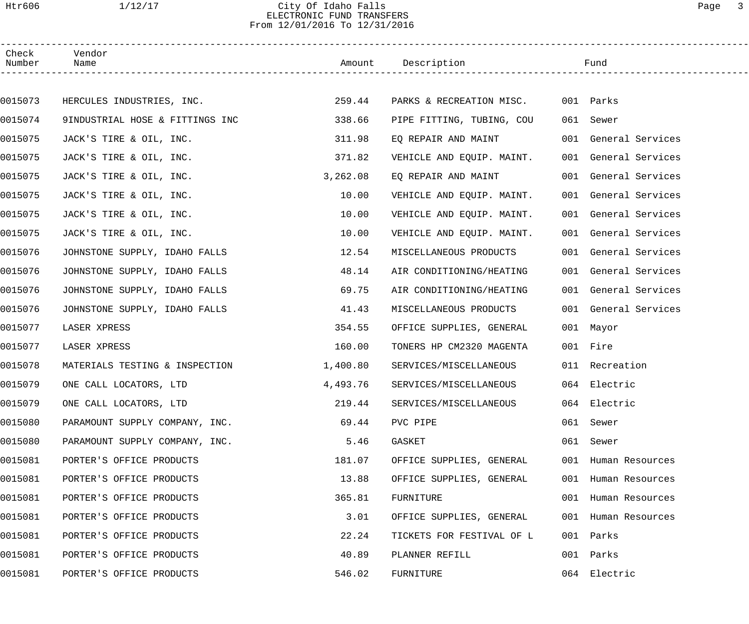## Htr606 1/12/17 City Of Idaho Falls Page 3 ELECTRONIC FUND TRANSFERS From 12/01/2016 To 12/31/2016

| Check<br>Number | Vendor<br>Name                  |          | Amount Description        |     | Fund                 |  |
|-----------------|---------------------------------|----------|---------------------------|-----|----------------------|--|
|                 |                                 |          |                           |     |                      |  |
| 0015073         | HERCULES INDUSTRIES, INC.       | 259.44   | PARKS & RECREATION MISC.  |     | 001 Parks            |  |
| 0015074         | 9INDUSTRIAL HOSE & FITTINGS INC | 338.66   | PIPE FITTING, TUBING, COU |     | 061 Sewer            |  |
| 0015075         | JACK'S TIRE & OIL, INC.         | 311.98   | EQ REPAIR AND MAINT       |     | 001 General Services |  |
| 0015075         | JACK'S TIRE & OIL, INC.         | 371.82   | VEHICLE AND EQUIP. MAINT. |     | 001 General Services |  |
| 0015075         | JACK'S TIRE & OIL, INC.         | 3,262.08 | EQ REPAIR AND MAINT       |     | 001 General Services |  |
| 0015075         | JACK'S TIRE & OIL, INC.         | 10.00    | VEHICLE AND EQUIP. MAINT. |     | 001 General Services |  |
| 0015075         | JACK'S TIRE & OIL, INC.         | 10.00    | VEHICLE AND EQUIP. MAINT. |     | 001 General Services |  |
| 0015075         | JACK'S TIRE & OIL, INC.         | 10.00    | VEHICLE AND EQUIP. MAINT. |     | 001 General Services |  |
| 0015076         | JOHNSTONE SUPPLY, IDAHO FALLS   | 12.54    | MISCELLANEOUS PRODUCTS    |     | 001 General Services |  |
| 0015076         | JOHNSTONE SUPPLY, IDAHO FALLS   | 48.14    | AIR CONDITIONING/HEATING  |     | 001 General Services |  |
| 0015076         | JOHNSTONE SUPPLY, IDAHO FALLS   | 69.75    | AIR CONDITIONING/HEATING  |     | 001 General Services |  |
| 0015076         | JOHNSTONE SUPPLY, IDAHO FALLS   | 41.43    | MISCELLANEOUS PRODUCTS    |     | 001 General Services |  |
| 0015077         | LASER XPRESS                    | 354.55   | OFFICE SUPPLIES, GENERAL  |     | 001 Mayor            |  |
| 0015077         | LASER XPRESS                    | 160.00   | TONERS HP CM2320 MAGENTA  |     | 001 Fire             |  |
| 0015078         | MATERIALS TESTING & INSPECTION  | 1,400.80 | SERVICES/MISCELLANEOUS    |     | 011 Recreation       |  |
| 0015079         | ONE CALL LOCATORS, LTD          | 4,493.76 | SERVICES/MISCELLANEOUS    |     | 064 Electric         |  |
| 0015079         | ONE CALL LOCATORS, LTD          | 219.44   | SERVICES/MISCELLANEOUS    |     | 064 Electric         |  |
| 0015080         | PARAMOUNT SUPPLY COMPANY, INC.  | 69.44    | PVC PIPE                  |     | 061 Sewer            |  |
| 0015080         | PARAMOUNT SUPPLY COMPANY, INC.  | 5.46     | GASKET                    |     | 061 Sewer            |  |
| 0015081         | PORTER'S OFFICE PRODUCTS        | 181.07   | OFFICE SUPPLIES, GENERAL  |     | 001 Human Resources  |  |
| 0015081         | PORTER'S OFFICE PRODUCTS        | 13.88    | OFFICE SUPPLIES, GENERAL  |     | 001 Human Resources  |  |
| 0015081         | PORTER'S OFFICE PRODUCTS        | 365.81   | FURNITURE                 |     | 001 Human Resources  |  |
| 0015081         | PORTER'S OFFICE PRODUCTS        | 3.01     | OFFICE SUPPLIES, GENERAL  |     | 001 Human Resources  |  |
| 0015081         | PORTER'S OFFICE PRODUCTS        | 22.24    | TICKETS FOR FESTIVAL OF L |     | 001 Parks            |  |
| 0015081         | PORTER'S OFFICE PRODUCTS        | 40.89    | PLANNER REFILL            | 001 | Parks                |  |
| 0015081         | PORTER'S OFFICE PRODUCTS        | 546.02   | FURNITURE                 |     | 064 Electric         |  |
|                 |                                 |          |                           |     |                      |  |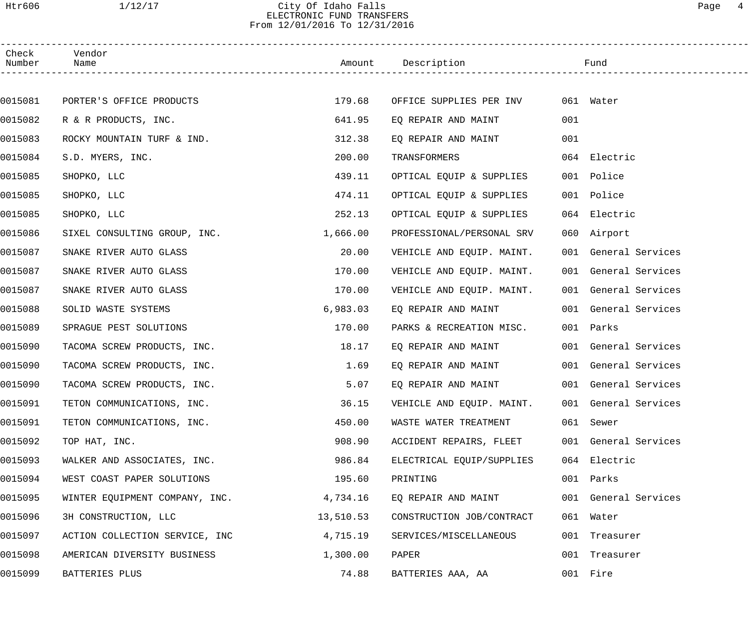# Htr606 1/12/17 City Of Idaho Falls Page 4 ELECTRONIC FUND TRANSFERS From 12/01/2016 To 12/31/2016

| Check<br>Number | Vendor<br>Name                 |           | Amount Description                             |     | Fund                 |  |
|-----------------|--------------------------------|-----------|------------------------------------------------|-----|----------------------|--|
|                 |                                |           |                                                |     |                      |  |
| 0015081         | PORTER'S OFFICE PRODUCTS       | 179.68    | OFFICE SUPPLIES PER INV                        |     | 061 Water            |  |
| 0015082         | R & R PRODUCTS, INC.           | 641.95    | EO REPAIR AND MAINT                            | 001 |                      |  |
| 0015083         | ROCKY MOUNTAIN TURF & IND.     | 312.38    | EQ REPAIR AND MAINT                            | 001 |                      |  |
| 0015084         | S.D. MYERS, INC.               | 200.00    | TRANSFORMERS                                   |     | 064 Electric         |  |
| 0015085         | SHOPKO, LLC                    | 439.11    | OPTICAL EQUIP & SUPPLIES                       |     | 001 Police           |  |
| 0015085         | SHOPKO, LLC                    | 474.11    | OPTICAL EQUIP & SUPPLIES                       |     | 001 Police           |  |
| 0015085         | SHOPKO, LLC                    | 252.13    | OPTICAL EQUIP & SUPPLIES                       |     | 064 Electric         |  |
| 0015086         | SIXEL CONSULTING GROUP, INC.   | 1,666.00  | PROFESSIONAL/PERSONAL SRV                      |     | 060 Airport          |  |
| 0015087         | SNAKE RIVER AUTO GLASS         | 20.00     | VEHICLE AND EQUIP. MAINT.                      |     | 001 General Services |  |
| 0015087         | SNAKE RIVER AUTO GLASS         | 170.00    | VEHICLE AND EQUIP. MAINT.                      |     | 001 General Services |  |
| 0015087         | SNAKE RIVER AUTO GLASS         | 170.00    | VEHICLE AND EQUIP. MAINT.                      |     | 001 General Services |  |
| 0015088         | SOLID WASTE SYSTEMS            | 6,983.03  | EQ REPAIR AND MAINT                            |     | 001 General Services |  |
| 0015089         | SPRAGUE PEST SOLUTIONS         | 170.00    | PARKS & RECREATION MISC.                       |     | 001 Parks            |  |
| 0015090         | TACOMA SCREW PRODUCTS, INC.    | 18.17     | EO REPAIR AND MAINT                            |     | 001 General Services |  |
| 0015090         | TACOMA SCREW PRODUCTS, INC.    | 1.69      | EQ REPAIR AND MAINT                            |     | 001 General Services |  |
| 0015090         | TACOMA SCREW PRODUCTS, INC.    | 5.07      | EQ REPAIR AND MAINT                            |     | 001 General Services |  |
| 0015091         | TETON COMMUNICATIONS, INC.     | 36.15     | VEHICLE AND EQUIP. MAINT. 001 General Services |     |                      |  |
| 0015091         | TETON COMMUNICATIONS, INC.     | 450.00    | WASTE WATER TREATMENT                          |     | 061 Sewer            |  |
| 0015092         | TOP HAT, INC.                  | 908.90    | ACCIDENT REPAIRS, FLEET                        |     | 001 General Services |  |
| 0015093         | WALKER AND ASSOCIATES, INC.    | 986.84    | ELECTRICAL EQUIP/SUPPLIES                      |     | 064 Electric         |  |
| 0015094         | WEST COAST PAPER SOLUTIONS     | 195.60    | PRINTING                                       |     | 001 Parks            |  |
| 0015095         | WINTER EQUIPMENT COMPANY, INC. | 4,734.16  | EQ REPAIR AND MAINT                            |     | 001 General Services |  |
| 0015096         | 3H CONSTRUCTION, LLC           | 13,510.53 | CONSTRUCTION JOB/CONTRACT                      |     | 061 Water            |  |
| 0015097         | ACTION COLLECTION SERVICE, INC | 4,715.19  | SERVICES/MISCELLANEOUS                         |     | 001 Treasurer        |  |
| 0015098         | AMERICAN DIVERSITY BUSINESS    | 1,300.00  | PAPER                                          |     | 001 Treasurer        |  |
| 0015099         | BATTERIES PLUS                 | 74.88     | BATTERIES AAA, AA                              |     | 001 Fire             |  |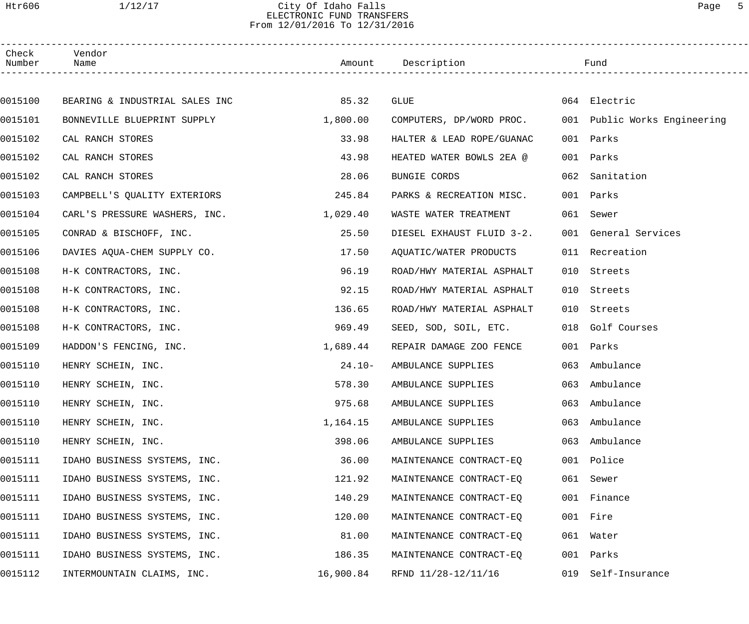# Htr606 1/12/17 City Of Idaho Falls Page 5 ELECTRONIC FUND TRANSFERS From 12/01/2016 To 12/31/2016

------------------------------------------------------------------------------------------------------------------------------------

| Check<br>Number | Vendor<br>Name                 | Amount    | Description               |     | Fund                     |  |
|-----------------|--------------------------------|-----------|---------------------------|-----|--------------------------|--|
|                 |                                |           |                           |     |                          |  |
| 0015100         | BEARING & INDUSTRIAL SALES INC | 85.32     | <b>GLUE</b>               |     | 064 Electric             |  |
| 0015101         | BONNEVILLE BLUEPRINT SUPPLY    | 1,800.00  | COMPUTERS, DP/WORD PROC.  | 001 | Public Works Engineering |  |
| 0015102         | CAL RANCH STORES               | 33.98     | HALTER & LEAD ROPE/GUANAC | 001 | Parks                    |  |
| 0015102         | CAL RANCH STORES               | 43.98     | HEATED WATER BOWLS 2EA @  | 001 | Parks                    |  |
| 0015102         | CAL RANCH STORES               | 28.06     | BUNGIE CORDS              | 062 | Sanitation               |  |
| 0015103         | CAMPBELL'S QUALITY EXTERIORS   | 245.84    | PARKS & RECREATION MISC.  | 001 | Parks                    |  |
| 0015104         | CARL'S PRESSURE WASHERS, INC.  | 1,029.40  | WASTE WATER TREATMENT     | 061 | Sewer                    |  |
| 0015105         | CONRAD & BISCHOFF, INC.        | 25.50     | DIESEL EXHAUST FLUID 3-2. |     | 001 General Services     |  |
| 0015106         | DAVIES AQUA-CHEM SUPPLY CO.    | 17.50     | AQUATIC/WATER PRODUCTS    | 011 | Recreation               |  |
| 0015108         | H-K CONTRACTORS, INC.          | 96.19     | ROAD/HWY MATERIAL ASPHALT | 010 | Streets                  |  |
| 0015108         | H-K CONTRACTORS, INC.          | 92.15     | ROAD/HWY MATERIAL ASPHALT | 010 | Streets                  |  |
| 0015108         | H-K CONTRACTORS, INC.          | 136.65    | ROAD/HWY MATERIAL ASPHALT | 010 | Streets                  |  |
| 0015108         | H-K CONTRACTORS, INC.          | 969.49    | SEED, SOD, SOIL, ETC.     | 018 | Golf Courses             |  |
| 0015109         | HADDON'S FENCING, INC.         | 1,689.44  | REPAIR DAMAGE ZOO FENCE   | 001 | Parks                    |  |
| 0015110         | HENRY SCHEIN, INC.             | $24.10-$  | AMBULANCE SUPPLIES        | 063 | Ambulance                |  |
| 0015110         | HENRY SCHEIN, INC.             | 578.30    | AMBULANCE SUPPLIES        | 063 | Ambulance                |  |
| 0015110         | HENRY SCHEIN, INC.             | 975.68    | AMBULANCE SUPPLIES        |     | 063 Ambulance            |  |
| 0015110         | HENRY SCHEIN, INC.             | 1,164.15  | AMBULANCE SUPPLIES        |     | 063 Ambulance            |  |
| 0015110         | HENRY SCHEIN, INC.             | 398.06    | AMBULANCE SUPPLIES        | 063 | Ambulance                |  |
| 0015111         | IDAHO BUSINESS SYSTEMS, INC.   | 36.00     | MAINTENANCE CONTRACT-EQ   |     | 001 Police               |  |
| 0015111         | IDAHO BUSINESS SYSTEMS, INC.   | 121.92    | MAINTENANCE CONTRACT-EQ   | 061 | Sewer                    |  |
| 0015111         | IDAHO BUSINESS SYSTEMS, INC.   | 140.29    | MAINTENANCE CONTRACT-EQ   | 001 | Finance                  |  |
| 0015111         | IDAHO BUSINESS SYSTEMS, INC.   | 120.00    | MAINTENANCE CONTRACT-EQ   |     | 001 Fire                 |  |
| 0015111         | IDAHO BUSINESS SYSTEMS, INC.   | 81.00     | MAINTENANCE CONTRACT-EQ   |     | 061 Water                |  |
| 0015111         | IDAHO BUSINESS SYSTEMS, INC.   | 186.35    | MAINTENANCE CONTRACT-EQ   | 001 | Parks                    |  |
| 0015112         | INTERMOUNTAIN CLAIMS, INC.     | 16,900.84 | RFND 11/28-12/11/16       | 019 | Self-Insurance           |  |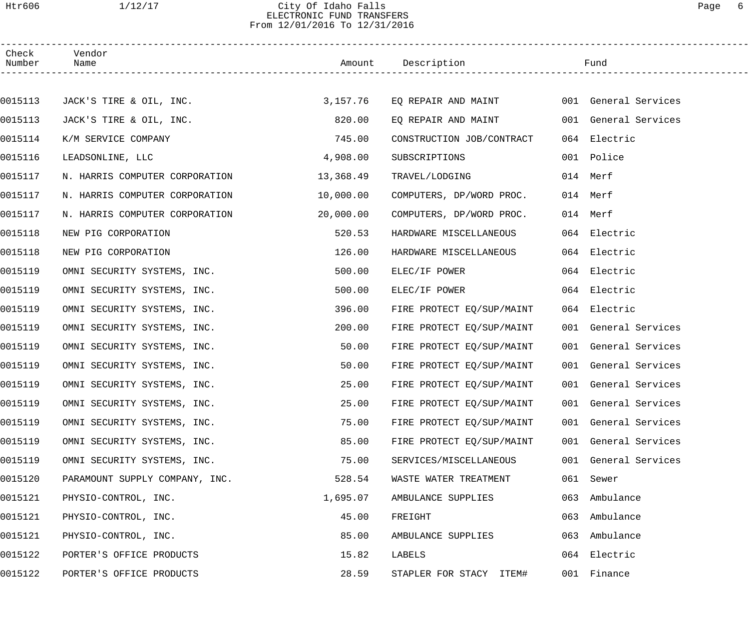## Htr606 1/12/17 City Of Idaho Falls Page 6 ELECTRONIC FUND TRANSFERS From 12/01/2016 To 12/31/2016

| Check<br>Number | Vendor<br>Name                 |           | Amount Description                       |     | Fund                 |  |
|-----------------|--------------------------------|-----------|------------------------------------------|-----|----------------------|--|
|                 |                                |           |                                          |     |                      |  |
| 0015113         | JACK'S TIRE & OIL, INC.        | 3,157.76  | EQ REPAIR AND MAINT 001 General Services |     |                      |  |
| 0015113         | JACK'S TIRE & OIL, INC.        | 820.00    | EO REPAIR AND MAINT                      |     | 001 General Services |  |
| 0015114         | K/M SERVICE COMPANY            | 745.00    | CONSTRUCTION JOB/CONTRACT                |     | 064 Electric         |  |
| 0015116         | LEADSONLINE, LLC               | 4,908.00  | SUBSCRIPTIONS                            |     | 001 Police           |  |
| 0015117         | N. HARRIS COMPUTER CORPORATION | 13,368.49 | TRAVEL/LODGING                           |     | 014 Merf             |  |
| 0015117         | N. HARRIS COMPUTER CORPORATION | 10,000.00 | COMPUTERS, DP/WORD PROC.                 |     | 014 Merf             |  |
| 0015117         | N. HARRIS COMPUTER CORPORATION | 20,000.00 | COMPUTERS, DP/WORD PROC.                 |     | 014 Merf             |  |
| 0015118         | NEW PIG CORPORATION            | 520.53    | HARDWARE MISCELLANEOUS                   |     | 064 Electric         |  |
| 0015118         | NEW PIG CORPORATION            | 126.00    | HARDWARE MISCELLANEOUS                   |     | 064 Electric         |  |
| 0015119         | OMNI SECURITY SYSTEMS, INC.    | 500.00    | ELEC/IF POWER                            |     | 064 Electric         |  |
| 0015119         | OMNI SECURITY SYSTEMS, INC.    | 500.00    | ELEC/IF POWER                            |     | 064 Electric         |  |
| 0015119         | OMNI SECURITY SYSTEMS, INC.    | 396.00    | FIRE PROTECT EQ/SUP/MAINT                |     | 064 Electric         |  |
| 0015119         | OMNI SECURITY SYSTEMS, INC.    | 200.00    | FIRE PROTECT EQ/SUP/MAINT                |     | 001 General Services |  |
| 0015119         | OMNI SECURITY SYSTEMS, INC.    | 50.00     | FIRE PROTECT EO/SUP/MAINT                |     | 001 General Services |  |
| 0015119         | OMNI SECURITY SYSTEMS, INC.    | 50.00     | FIRE PROTECT EQ/SUP/MAINT                |     | 001 General Services |  |
| 0015119         | OMNI SECURITY SYSTEMS, INC.    | 25.00     | FIRE PROTECT EQ/SUP/MAINT                |     | 001 General Services |  |
| 0015119         | OMNI SECURITY SYSTEMS, INC.    | 25.00     | FIRE PROTECT EQ/SUP/MAINT                |     | 001 General Services |  |
| 0015119         | OMNI SECURITY SYSTEMS, INC.    | 75.00     | FIRE PROTECT EQ/SUP/MAINT                |     | 001 General Services |  |
| 0015119         | OMNI SECURITY SYSTEMS, INC.    | 85.00     | FIRE PROTECT EQ/SUP/MAINT                |     | 001 General Services |  |
| 0015119         | OMNI SECURITY SYSTEMS, INC.    | 75.00     | SERVICES/MISCELLANEOUS                   |     | 001 General Services |  |
| 0015120         | PARAMOUNT SUPPLY COMPANY, INC. | 528.54    | WASTE WATER TREATMENT                    |     | 061 Sewer            |  |
| 0015121         | PHYSIO-CONTROL, INC.           | 1,695.07  | AMBULANCE SUPPLIES                       | 063 | Ambulance            |  |
| 0015121         | PHYSIO-CONTROL, INC.           | 45.00     | FREIGHT                                  | 063 | Ambulance            |  |
| 0015121         | PHYSIO-CONTROL, INC.           | 85.00     | AMBULANCE SUPPLIES                       | 063 | Ambulance            |  |
| 0015122         | PORTER'S OFFICE PRODUCTS       | 15.82     | LABELS                                   | 064 | Electric             |  |
| 0015122         | PORTER'S OFFICE PRODUCTS       | 28.59     | STAPLER FOR STACY ITEM#                  |     | 001 Finance          |  |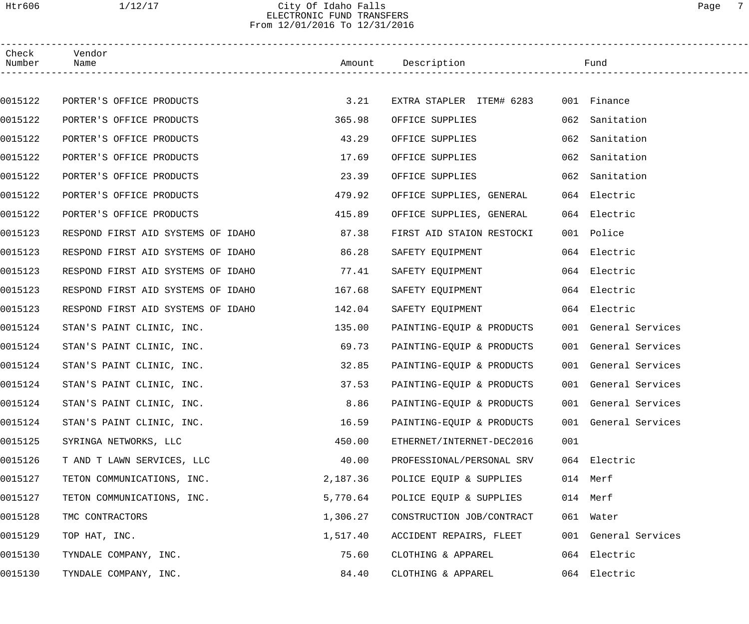## Htr606 1/12/17 City Of Idaho Falls Page 7 ELECTRONIC FUND TRANSFERS From 12/01/2016 To 12/31/2016

| Check<br>Number | Vendor<br>Name                     |          | Amount Description        |     | Fund                 |
|-----------------|------------------------------------|----------|---------------------------|-----|----------------------|
|                 |                                    |          |                           |     |                      |
| 0015122         | PORTER'S OFFICE PRODUCTS           | 3.21     | EXTRA STAPLER ITEM# 6283  |     | 001 Finance          |
| 0015122         | PORTER'S OFFICE PRODUCTS           | 365.98   | OFFICE SUPPLIES           |     | 062 Sanitation       |
| 0015122         | PORTER'S OFFICE PRODUCTS           | 43.29    | OFFICE SUPPLIES           | 062 | Sanitation           |
| 0015122         | PORTER'S OFFICE PRODUCTS           | 17.69    | OFFICE SUPPLIES           |     | 062 Sanitation       |
| 0015122         | PORTER'S OFFICE PRODUCTS           | 23.39    | OFFICE SUPPLIES           |     | 062 Sanitation       |
| 0015122         | PORTER'S OFFICE PRODUCTS           | 479.92   | OFFICE SUPPLIES, GENERAL  |     | 064 Electric         |
| 0015122         | PORTER'S OFFICE PRODUCTS           | 415.89   | OFFICE SUPPLIES, GENERAL  |     | 064 Electric         |
| 0015123         | RESPOND FIRST AID SYSTEMS OF IDAHO | 87.38    | FIRST AID STAION RESTOCKI |     | 001 Police           |
| 0015123         | RESPOND FIRST AID SYSTEMS OF IDAHO | 86.28    | SAFETY EQUIPMENT          |     | 064 Electric         |
| 0015123         | RESPOND FIRST AID SYSTEMS OF IDAHO | 77.41    | SAFETY EQUIPMENT          |     | 064 Electric         |
| 0015123         | RESPOND FIRST AID SYSTEMS OF IDAHO | 167.68   | SAFETY EQUIPMENT          |     | 064 Electric         |
| 0015123         | RESPOND FIRST AID SYSTEMS OF IDAHO | 142.04   | SAFETY EQUIPMENT          |     | 064 Electric         |
| 0015124         | STAN'S PAINT CLINIC, INC.          | 135.00   | PAINTING-EQUIP & PRODUCTS |     | 001 General Services |
| 0015124         | STAN'S PAINT CLINIC, INC.          | 69.73    | PAINTING-EQUIP & PRODUCTS |     | 001 General Services |
| 0015124         | STAN'S PAINT CLINIC, INC.          | 32.85    | PAINTING-EQUIP & PRODUCTS |     | 001 General Services |
| 0015124         | STAN'S PAINT CLINIC, INC.          | 37.53    | PAINTING-EQUIP & PRODUCTS |     | 001 General Services |
| 0015124         | STAN'S PAINT CLINIC, INC.          | 8.86     | PAINTING-EQUIP & PRODUCTS |     | 001 General Services |
| 0015124         | STAN'S PAINT CLINIC, INC.          | 16.59    | PAINTING-EQUIP & PRODUCTS |     | 001 General Services |
| 0015125         | SYRINGA NETWORKS, LLC              | 450.00   | ETHERNET/INTERNET-DEC2016 | 001 |                      |
| 0015126         | T AND T LAWN SERVICES, LLC         | 40.00    | PROFESSIONAL/PERSONAL SRV |     | 064 Electric         |
| 0015127         | TETON COMMUNICATIONS, INC.         | 2,187.36 | POLICE EQUIP & SUPPLIES   |     | 014 Merf             |
| 0015127         | TETON COMMUNICATIONS, INC.         | 5,770.64 | POLICE EQUIP & SUPPLIES   |     | 014 Merf             |
| 0015128         | TMC CONTRACTORS                    | 1,306.27 | CONSTRUCTION JOB/CONTRACT |     | 061 Water            |
| 0015129         | TOP HAT, INC.                      | 1,517.40 | ACCIDENT REPAIRS, FLEET   |     | 001 General Services |
| 0015130         | TYNDALE COMPANY, INC.              | 75.60    | CLOTHING & APPAREL        |     | 064 Electric         |
| 0015130         | TYNDALE COMPANY, INC.              | 84.40    | CLOTHING & APPAREL        |     | 064 Electric         |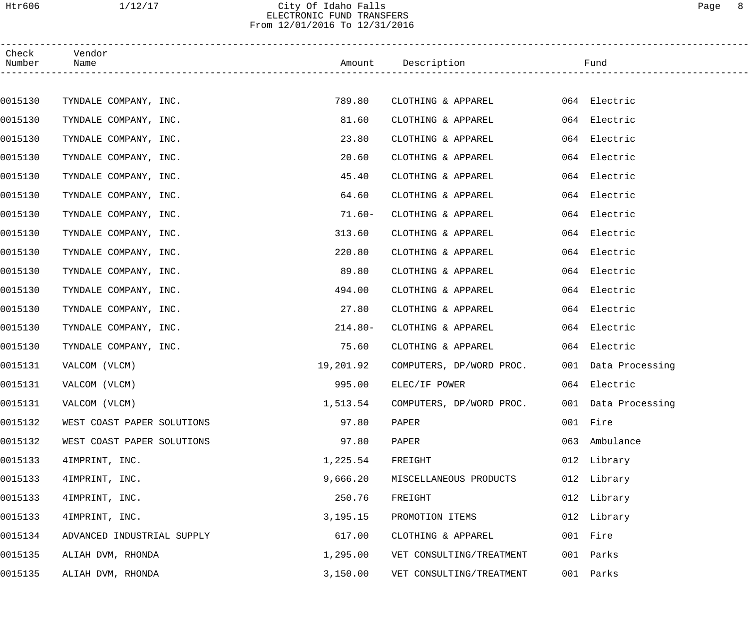# Htr606 1/12/17 City Of Idaho Falls Page 8 ELECTRONIC FUND TRANSFERS From 12/01/2016 To 12/31/2016

| Check<br>Number | Vendor<br>Name             |            | Amount Description       |     | Fund                |
|-----------------|----------------------------|------------|--------------------------|-----|---------------------|
|                 |                            |            |                          |     |                     |
| 0015130         | TYNDALE COMPANY, INC.      | 789.80     | CLOTHING & APPAREL       |     | 064 Electric        |
| 0015130         | TYNDALE COMPANY, INC.      | 81.60      | CLOTHING & APPAREL       |     | 064 Electric        |
| 0015130         | TYNDALE COMPANY, INC.      | 23.80      | CLOTHING & APPAREL       |     | 064 Electric        |
| 0015130         | TYNDALE COMPANY, INC.      | 20.60      | CLOTHING & APPAREL       |     | 064 Electric        |
| 0015130         | TYNDALE COMPANY, INC.      | 45.40      | CLOTHING & APPAREL       |     | 064 Electric        |
| 0015130         | TYNDALE COMPANY, INC.      | 64.60      | CLOTHING & APPAREL       |     | 064 Electric        |
| 0015130         | TYNDALE COMPANY, INC.      | $71.60 -$  | CLOTHING & APPAREL       |     | 064 Electric        |
| 0015130         | TYNDALE COMPANY, INC.      | 313.60     | CLOTHING & APPAREL       |     | 064 Electric        |
| 0015130         | TYNDALE COMPANY, INC.      | 220.80     | CLOTHING & APPAREL       |     | 064 Electric        |
| 0015130         | TYNDALE COMPANY, INC.      | 89.80      | CLOTHING & APPAREL       |     | 064 Electric        |
| 0015130         | TYNDALE COMPANY, INC.      | 494.00     | CLOTHING & APPAREL       |     | 064 Electric        |
| 0015130         | TYNDALE COMPANY, INC.      | 27.80      | CLOTHING & APPAREL       |     | 064 Electric        |
| 0015130         | TYNDALE COMPANY, INC.      | $214.80-$  | CLOTHING & APPAREL       |     | 064 Electric        |
| 0015130         | TYNDALE COMPANY, INC.      | 75.60      | CLOTHING & APPAREL       |     | 064 Electric        |
| 0015131         | VALCOM (VLCM)              | 19,201.92  | COMPUTERS, DP/WORD PROC. |     | 001 Data Processing |
| 0015131         | VALCOM (VLCM)              | 995.00     | ELEC/IF POWER            |     | 064 Electric        |
| 0015131         | VALCOM (VLCM)              | 1,513.54   | COMPUTERS, DP/WORD PROC. |     | 001 Data Processing |
| 0015132         | WEST COAST PAPER SOLUTIONS | 97.80      | PAPER                    |     | 001 Fire            |
| 0015132         | WEST COAST PAPER SOLUTIONS | 97.80      | PAPER                    | 063 | Ambulance           |
| 0015133         | 4IMPRINT, INC.             | 1,225.54   | FREIGHT                  |     | 012 Library         |
| 0015133         | 4IMPRINT, INC.             | 9,666.20   | MISCELLANEOUS PRODUCTS   |     | 012 Library         |
| 0015133         | 4IMPRINT, INC.             | 250.76     | FREIGHT                  |     | 012 Library         |
| 0015133         | 4IMPRINT, INC.             | 3, 195. 15 | PROMOTION ITEMS          |     | 012 Library         |
| 0015134         | ADVANCED INDUSTRIAL SUPPLY | 617.00     | CLOTHING & APPAREL       |     | 001 Fire            |
| 0015135         | ALIAH DVM, RHONDA          | 1,295.00   | VET CONSULTING/TREATMENT | 001 | Parks               |
| 0015135         | ALIAH DVM, RHONDA          | 3,150.00   | VET CONSULTING/TREATMENT |     | 001 Parks           |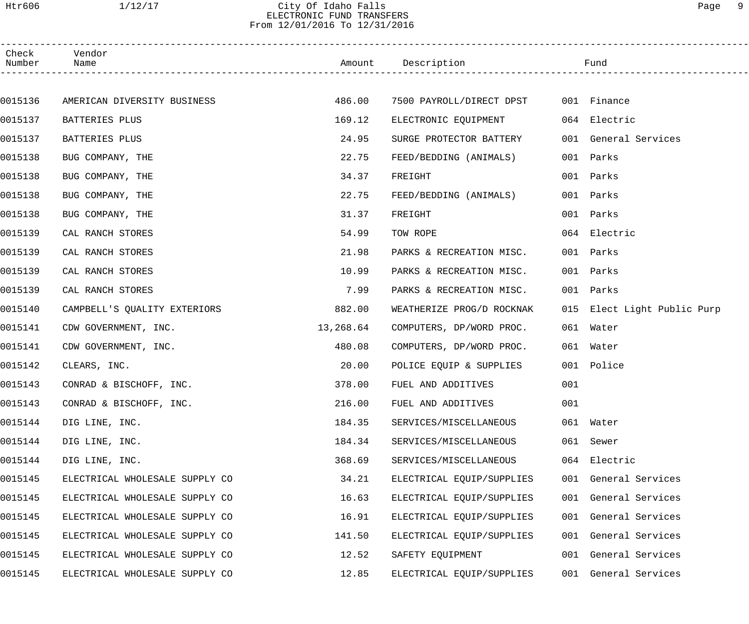# Htr606 1/12/17 City Of Idaho Falls Page 9 ELECTRONIC FUND TRANSFERS From 12/01/2016 To 12/31/2016

| Check<br>Number | Vendor<br>Name                 |           | Amount Description                   |     | Fund                        |
|-----------------|--------------------------------|-----------|--------------------------------------|-----|-----------------------------|
|                 |                                |           |                                      |     |                             |
| 0015136         | AMERICAN DIVERSITY BUSINESS    | 486.00    | 7500 PAYROLL/DIRECT DPST 001 Finance |     |                             |
| 0015137         | BATTERIES PLUS                 | 169.12    | ELECTRONIC EQUIPMENT                 |     | 064 Electric                |
| 0015137         | BATTERIES PLUS                 | 24.95     | SURGE PROTECTOR BATTERY              |     | 001 General Services        |
| 0015138         | BUG COMPANY, THE               | 22.75     | FEED/BEDDING (ANIMALS)               |     | 001 Parks                   |
| 0015138         | BUG COMPANY, THE               | 34.37     | FREIGHT                              | 001 | Parks                       |
| 0015138         | BUG COMPANY, THE               | 22.75     | FEED/BEDDING (ANIMALS)               |     | 001 Parks                   |
| 0015138         | BUG COMPANY, THE               | 31.37     | FREIGHT                              |     | 001 Parks                   |
| 0015139         | CAL RANCH STORES               | 54.99     | TOW ROPE                             |     | 064 Electric                |
| 0015139         | CAL RANCH STORES               | 21.98     | PARKS & RECREATION MISC.             |     | 001 Parks                   |
| 0015139         | CAL RANCH STORES               | 10.99     | PARKS & RECREATION MISC.             |     | 001 Parks                   |
| 0015139         | CAL RANCH STORES               | 7.99      | PARKS & RECREATION MISC.             |     | 001 Parks                   |
| 0015140         | CAMPBELL'S QUALITY EXTERIORS   | 882.00    | WEATHERIZE PROG/D ROCKNAK            |     | 015 Elect Light Public Purp |
| 0015141         | CDW GOVERNMENT, INC.           | 13,268.64 | COMPUTERS, DP/WORD PROC.             |     | 061 Water                   |
| 0015141         | CDW GOVERNMENT, INC.           | 480.08    | COMPUTERS, DP/WORD PROC.             |     | 061 Water                   |
| 0015142         | CLEARS, INC.                   | 20.00     | POLICE EQUIP & SUPPLIES              |     | 001 Police                  |
| 0015143         | CONRAD & BISCHOFF, INC.        | 378.00    | FUEL AND ADDITIVES                   | 001 |                             |
| 0015143         | CONRAD & BISCHOFF, INC.        | 216.00    | FUEL AND ADDITIVES                   | 001 |                             |
| 0015144         | DIG LINE, INC.                 | 184.35    | SERVICES/MISCELLANEOUS               |     | 061 Water                   |
| 0015144         | DIG LINE, INC.                 | 184.34    | SERVICES/MISCELLANEOUS               |     | 061 Sewer                   |
| 0015144         | DIG LINE, INC.                 | 368.69    | SERVICES/MISCELLANEOUS               |     | 064 Electric                |
| 0015145         | ELECTRICAL WHOLESALE SUPPLY CO | 34.21     | ELECTRICAL EQUIP/SUPPLIES            |     | 001 General Services        |
| 0015145         | ELECTRICAL WHOLESALE SUPPLY CO | 16.63     | ELECTRICAL EQUIP/SUPPLIES            |     | 001 General Services        |
| 0015145         | ELECTRICAL WHOLESALE SUPPLY CO | 16.91     | ELECTRICAL EQUIP/SUPPLIES            |     | 001 General Services        |
| 0015145         | ELECTRICAL WHOLESALE SUPPLY CO | 141.50    | ELECTRICAL EQUIP/SUPPLIES            |     | 001 General Services        |
| 0015145         | ELECTRICAL WHOLESALE SUPPLY CO | 12.52     | SAFETY EQUIPMENT                     |     | 001 General Services        |
| 0015145         | ELECTRICAL WHOLESALE SUPPLY CO | 12.85     | ELECTRICAL EQUIP/SUPPLIES            |     | 001 General Services        |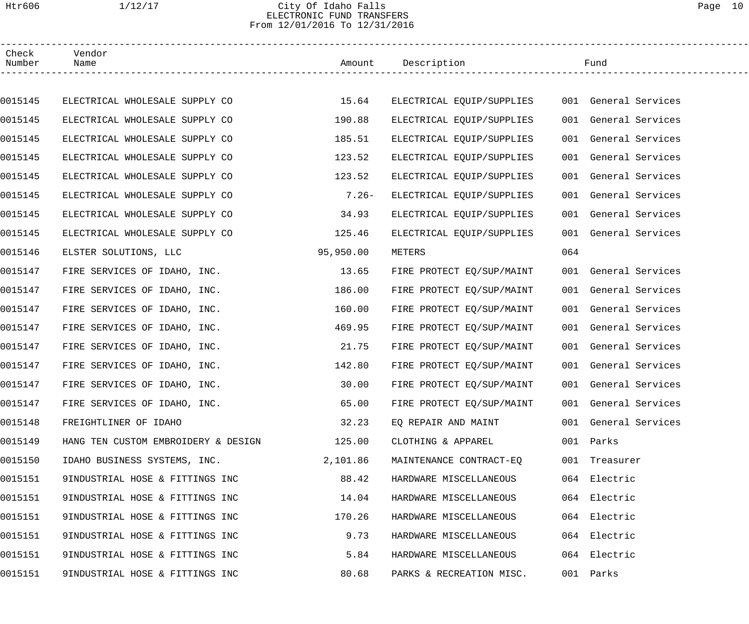# Htr606 1/12/17 City Of Idaho Falls Page 10 ELECTRONIC FUND TRANSFERS From 12/01/2016 To 12/31/2016

| Check<br>Number | Vendor<br>Name                      |           | Amount Description        |     | Fund                 |  |
|-----------------|-------------------------------------|-----------|---------------------------|-----|----------------------|--|
|                 |                                     |           |                           |     |                      |  |
| 0015145         | ELECTRICAL WHOLESALE SUPPLY CO      | 15.64     | ELECTRICAL EQUIP/SUPPLIES |     | 001 General Services |  |
| 0015145         | ELECTRICAL WHOLESALE SUPPLY CO      | 190.88    | ELECTRICAL EQUIP/SUPPLIES |     | 001 General Services |  |
| 0015145         | ELECTRICAL WHOLESALE SUPPLY CO      | 185.51    | ELECTRICAL EQUIP/SUPPLIES |     | 001 General Services |  |
| 0015145         | ELECTRICAL WHOLESALE SUPPLY CO      | 123.52    | ELECTRICAL EQUIP/SUPPLIES |     | 001 General Services |  |
| 0015145         | ELECTRICAL WHOLESALE SUPPLY CO      | 123.52    | ELECTRICAL EQUIP/SUPPLIES |     | 001 General Services |  |
| 0015145         | ELECTRICAL WHOLESALE SUPPLY CO      | $7.26-$   | ELECTRICAL EQUIP/SUPPLIES |     | 001 General Services |  |
| 0015145         | ELECTRICAL WHOLESALE SUPPLY CO      | 34.93     | ELECTRICAL EQUIP/SUPPLIES |     | 001 General Services |  |
| 0015145         | ELECTRICAL WHOLESALE SUPPLY CO      | 125.46    | ELECTRICAL EQUIP/SUPPLIES |     | 001 General Services |  |
| 0015146         | ELSTER SOLUTIONS, LLC               | 95,950.00 | METERS                    | 064 |                      |  |
| 0015147         | FIRE SERVICES OF IDAHO, INC.        | 13.65     | FIRE PROTECT EQ/SUP/MAINT |     | 001 General Services |  |
| 0015147         | FIRE SERVICES OF IDAHO, INC.        | 186.00    | FIRE PROTECT EQ/SUP/MAINT |     | 001 General Services |  |
| 0015147         | FIRE SERVICES OF IDAHO, INC.        | 160.00    | FIRE PROTECT EQ/SUP/MAINT |     | 001 General Services |  |
| 0015147         | FIRE SERVICES OF IDAHO, INC.        | 469.95    | FIRE PROTECT EQ/SUP/MAINT |     | 001 General Services |  |
| 0015147         | FIRE SERVICES OF IDAHO, INC.        | 21.75     | FIRE PROTECT EQ/SUP/MAINT |     | 001 General Services |  |
| 0015147         | FIRE SERVICES OF IDAHO, INC.        | 142.80    | FIRE PROTECT EQ/SUP/MAINT |     | 001 General Services |  |
| 0015147         | FIRE SERVICES OF IDAHO, INC.        | 30.00     | FIRE PROTECT EQ/SUP/MAINT |     | 001 General Services |  |
| 0015147         | FIRE SERVICES OF IDAHO, INC.        | 65.00     | FIRE PROTECT EQ/SUP/MAINT |     | 001 General Services |  |
| 0015148         | FREIGHTLINER OF IDAHO               | 32.23     | EO REPAIR AND MAINT       |     | 001 General Services |  |
| 0015149         | HANG TEN CUSTOM EMBROIDERY & DESIGN | 125.00    | CLOTHING & APPAREL        |     | 001 Parks            |  |
| 0015150         | IDAHO BUSINESS SYSTEMS, INC.        | 2,101.86  | MAINTENANCE CONTRACT-EO   |     | 001 Treasurer        |  |
| 0015151         | 9INDUSTRIAL HOSE & FITTINGS INC     | 88.42     | HARDWARE MISCELLANEOUS    |     | 064 Electric         |  |
| 0015151         | 9INDUSTRIAL HOSE & FITTINGS INC     | 14.04     | HARDWARE MISCELLANEOUS    |     | 064 Electric         |  |
| 0015151         | 9INDUSTRIAL HOSE & FITTINGS INC     | 170.26    | HARDWARE MISCELLANEOUS    |     | 064 Electric         |  |
| 0015151         | 9INDUSTRIAL HOSE & FITTINGS INC     | 9.73      | HARDWARE MISCELLANEOUS    |     | 064 Electric         |  |
| 0015151         | 9INDUSTRIAL HOSE & FITTINGS INC     | 5.84      | HARDWARE MISCELLANEOUS    |     | 064 Electric         |  |
| 0015151         | 9INDUSTRIAL HOSE & FITTINGS INC     | 80.68     | PARKS & RECREATION MISC.  |     | 001 Parks            |  |
|                 |                                     |           |                           |     |                      |  |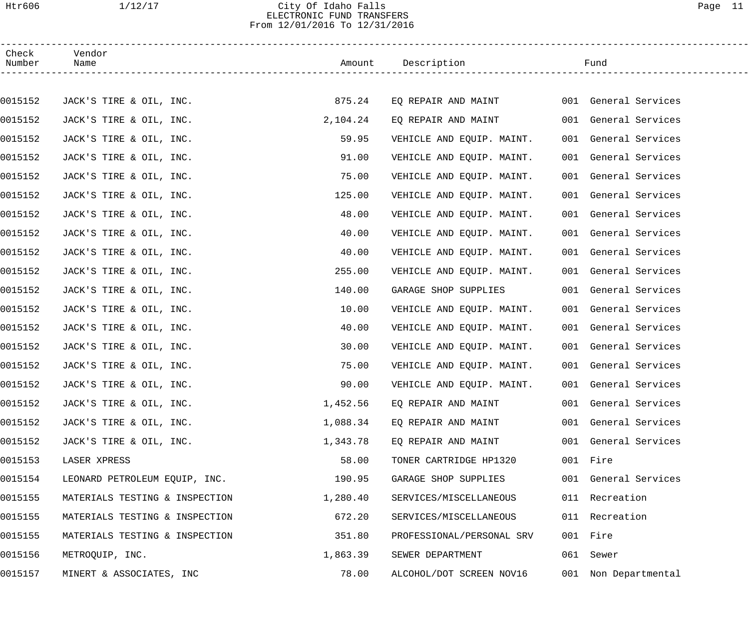## Htr606 1/12/17 City Of Idaho Falls Page 11 ELECTRONIC FUND TRANSFERS From 12/01/2016 To 12/31/2016

| Check<br>Number | Vendor<br>Name                 |          | Amount Description        | Fund                 |  |
|-----------------|--------------------------------|----------|---------------------------|----------------------|--|
|                 |                                |          |                           |                      |  |
| 0015152         | JACK'S TIRE & OIL, INC.        | 875.24   | EQ REPAIR AND MAINT       | 001 General Services |  |
| 0015152         | JACK'S TIRE & OIL, INC.        | 2,104.24 | EQ REPAIR AND MAINT       | 001 General Services |  |
| 0015152         | JACK'S TIRE & OIL, INC.        | 59.95    | VEHICLE AND EQUIP. MAINT. | 001 General Services |  |
| 0015152         | JACK'S TIRE & OIL, INC.        | 91.00    | VEHICLE AND EQUIP. MAINT. | 001 General Services |  |
| 0015152         | JACK'S TIRE & OIL, INC.        | 75.00    | VEHICLE AND EQUIP. MAINT. | 001 General Services |  |
| 0015152         | JACK'S TIRE & OIL, INC.        | 125.00   | VEHICLE AND EQUIP. MAINT. | 001 General Services |  |
| 0015152         | JACK'S TIRE & OIL, INC.        | 48.00    | VEHICLE AND EQUIP. MAINT. | 001 General Services |  |
| 0015152         | JACK'S TIRE & OIL, INC.        | 40.00    | VEHICLE AND EQUIP. MAINT. | 001 General Services |  |
| 0015152         | JACK'S TIRE & OIL, INC.        | 40.00    | VEHICLE AND EQUIP. MAINT. | 001 General Services |  |
| 0015152         | JACK'S TIRE & OIL, INC.        | 255.00   | VEHICLE AND EQUIP. MAINT. | 001 General Services |  |
| 0015152         | JACK'S TIRE & OIL, INC.        | 140.00   | GARAGE SHOP SUPPLIES      | 001 General Services |  |
| 0015152         | JACK'S TIRE & OIL, INC.        | 10.00    | VEHICLE AND EQUIP. MAINT. | 001 General Services |  |
| 0015152         | JACK'S TIRE & OIL, INC.        | 40.00    | VEHICLE AND EQUIP. MAINT. | 001 General Services |  |
| 0015152         | JACK'S TIRE & OIL, INC.        | 30.00    | VEHICLE AND EQUIP. MAINT. | 001 General Services |  |
| 0015152         | JACK'S TIRE & OIL, INC.        | 75.00    | VEHICLE AND EQUIP. MAINT. | 001 General Services |  |
| 0015152         | JACK'S TIRE & OIL, INC.        | 90.00    | VEHICLE AND EQUIP. MAINT. | 001 General Services |  |
| 0015152         | JACK'S TIRE & OIL, INC.        | 1,452.56 | EQ REPAIR AND MAINT       | 001 General Services |  |
| 0015152         | JACK'S TIRE & OIL, INC.        | 1,088.34 | EQ REPAIR AND MAINT       | 001 General Services |  |
| 0015152         | JACK'S TIRE & OIL, INC.        | 1,343.78 | EQ REPAIR AND MAINT       | 001 General Services |  |
| 0015153         | LASER XPRESS                   | 58.00    | TONER CARTRIDGE HP1320    | 001 Fire             |  |
| 0015154         | LEONARD PETROLEUM EQUIP, INC.  | 190.95   | GARAGE SHOP SUPPLIES      | 001 General Services |  |
| 0015155         | MATERIALS TESTING & INSPECTION | 1,280.40 | SERVICES/MISCELLANEOUS    | 011 Recreation       |  |
| 0015155         | MATERIALS TESTING & INSPECTION | 672.20   | SERVICES/MISCELLANEOUS    | 011 Recreation       |  |
| 0015155         | MATERIALS TESTING & INSPECTION | 351.80   | PROFESSIONAL/PERSONAL SRV | 001 Fire             |  |
| 0015156         | METROQUIP, INC.                | 1,863.39 | SEWER DEPARTMENT          | 061 Sewer            |  |
| 0015157         | MINERT & ASSOCIATES, INC       | 78.00    | ALCOHOL/DOT SCREEN NOV16  | 001 Non Departmental |  |
|                 |                                |          |                           |                      |  |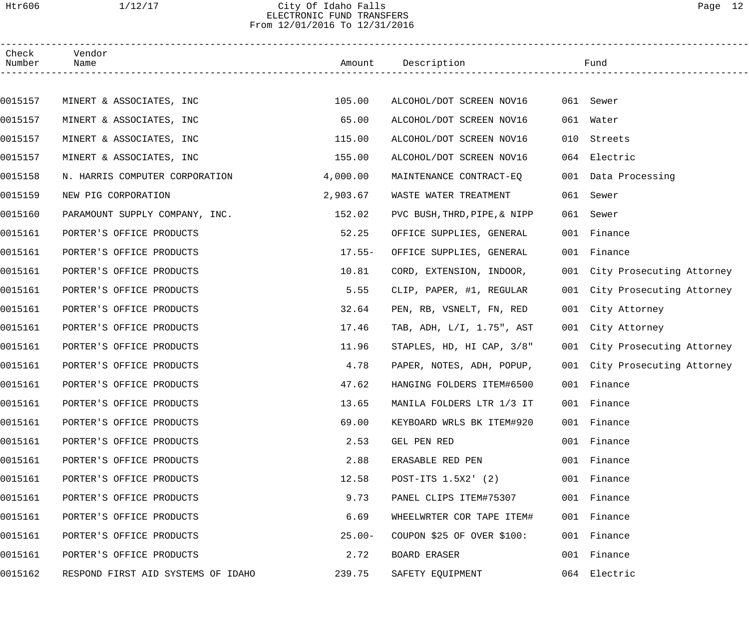## Htr606 1/12/17 City Of Idaho Falls Page 12 ELECTRONIC FUND TRANSFERS From 12/01/2016 To 12/31/2016

| Check<br>Number | Vendor<br>Name                     |          | Amount Description           |     | Fund                          |
|-----------------|------------------------------------|----------|------------------------------|-----|-------------------------------|
|                 |                                    |          |                              |     |                               |
| 0015157         | MINERT & ASSOCIATES, INC           | 105.00   | ALCOHOL/DOT SCREEN NOV16     |     | 061 Sewer                     |
| 0015157         | MINERT & ASSOCIATES, INC           | 65.00    | ALCOHOL/DOT SCREEN NOV16     | 061 | Water                         |
| 0015157         | MINERT & ASSOCIATES, INC           | 115.00   | ALCOHOL/DOT SCREEN NOV16     | 010 | Streets                       |
| 0015157         | MINERT & ASSOCIATES, INC           | 155.00   | ALCOHOL/DOT SCREEN NOV16     | 064 | Electric                      |
| 0015158         | N. HARRIS COMPUTER CORPORATION     | 4,000.00 | MAINTENANCE CONTRACT-EQ      |     | 001 Data Processing           |
| 0015159         | NEW PIG CORPORATION                | 2,903.67 | WASTE WATER TREATMENT        | 061 | Sewer                         |
| 0015160         | PARAMOUNT SUPPLY COMPANY, INC.     | 152.02   | PVC BUSH, THRD, PIPE, & NIPP | 061 | Sewer                         |
| 0015161         | PORTER'S OFFICE PRODUCTS           | 52.25    | OFFICE SUPPLIES, GENERAL     | 001 | Finance                       |
| 0015161         | PORTER'S OFFICE PRODUCTS           | $17.55-$ | OFFICE SUPPLIES, GENERAL     |     | 001 Finance                   |
| 0015161         | PORTER'S OFFICE PRODUCTS           | 10.81    | CORD, EXTENSION, INDOOR,     |     | 001 City Prosecuting Attorney |
| 0015161         | PORTER'S OFFICE PRODUCTS           | 5.55     | CLIP, PAPER, #1, REGULAR     |     | 001 City Prosecuting Attorney |
| 0015161         | PORTER'S OFFICE PRODUCTS           | 32.64    | PEN, RB, VSNELT, FN, RED     |     | 001 City Attorney             |
| 0015161         | PORTER'S OFFICE PRODUCTS           | 17.46    | TAB, ADH, L/I, 1.75", AST    |     | 001 City Attorney             |
| 0015161         | PORTER'S OFFICE PRODUCTS           | 11.96    | STAPLES, HD, HI CAP, 3/8"    |     | 001 City Prosecuting Attorney |
| 0015161         | PORTER'S OFFICE PRODUCTS           | 4.78     | PAPER, NOTES, ADH, POPUP,    |     | 001 City Prosecuting Attorney |
| 0015161         | PORTER'S OFFICE PRODUCTS           | 47.62    | HANGING FOLDERS ITEM#6500    |     | 001 Finance                   |
| 0015161         | PORTER'S OFFICE PRODUCTS           | 13.65    | MANILA FOLDERS LTR 1/3 IT    |     | 001 Finance                   |
| 0015161         | PORTER'S OFFICE PRODUCTS           | 69.00    | KEYBOARD WRLS BK ITEM#920    |     | 001 Finance                   |
| 0015161         | PORTER'S OFFICE PRODUCTS           | 2.53     | GEL PEN RED                  |     | 001 Finance                   |
| 0015161         | PORTER'S OFFICE PRODUCTS           | 2.88     | ERASABLE RED PEN             |     | 001 Finance                   |
| 0015161         | PORTER'S OFFICE PRODUCTS           | 12.58    | POST-ITS 1.5X2' (2)          |     | 001 Finance                   |
| 0015161         | PORTER'S OFFICE PRODUCTS           | 9.73     | PANEL CLIPS ITEM#75307       |     | 001 Finance                   |
| 0015161         | PORTER'S OFFICE PRODUCTS           | 6.69     | WHEELWRTER COR TAPE ITEM#    |     | 001 Finance                   |
| 0015161         | PORTER'S OFFICE PRODUCTS           | $25.00-$ | COUPON $$25$ OF OVER $$100:$ |     | 001 Finance                   |
| 0015161         | PORTER'S OFFICE PRODUCTS           | 2.72     | BOARD ERASER                 |     | 001 Finance                   |
| 0015162         | RESPOND FIRST AID SYSTEMS OF IDAHO | 239.75   | SAFETY EQUIPMENT             |     | 064 Electric                  |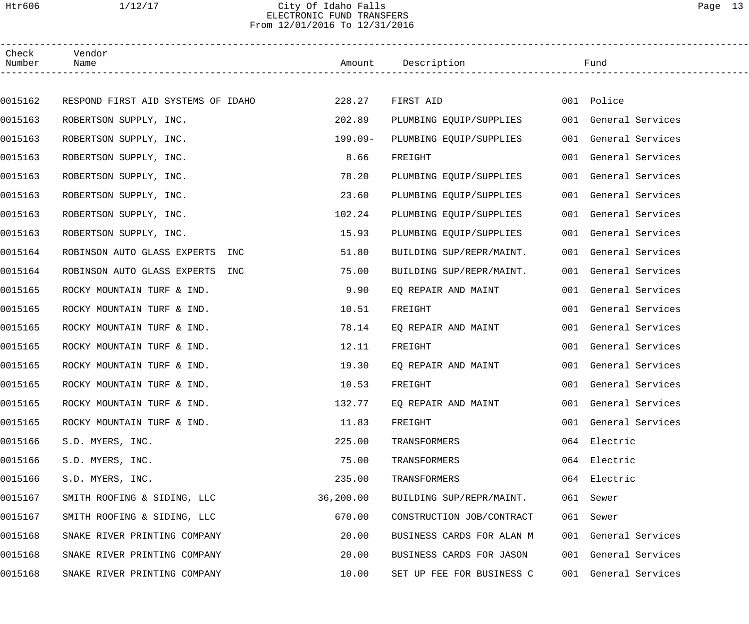## Htr606 1/12/17 City Of Idaho Falls Page 13 ELECTRONIC FUND TRANSFERS From 12/01/2016 To 12/31/2016

| Check<br>Number | Vendor<br>Name                     |            | Amount Description        | Fund                 |
|-----------------|------------------------------------|------------|---------------------------|----------------------|
|                 |                                    |            |                           |                      |
| 0015162         | RESPOND FIRST AID SYSTEMS OF IDAHO | 228.27     | FIRST AID                 | 001 Police           |
| 0015163         | ROBERTSON SUPPLY, INC.             | 202.89     | PLUMBING EQUIP/SUPPLIES   | 001 General Services |
| 0015163         | ROBERTSON SUPPLY, INC.             | $199.09 -$ | PLUMBING EQUIP/SUPPLIES   | 001 General Services |
| 0015163         | ROBERTSON SUPPLY, INC.             | 8.66       | FREIGHT                   | 001 General Services |
| 0015163         | ROBERTSON SUPPLY, INC.             | 78.20      | PLUMBING EQUIP/SUPPLIES   | 001 General Services |
| 0015163         | ROBERTSON SUPPLY, INC.             | 23.60      | PLUMBING EQUIP/SUPPLIES   | 001 General Services |
| 0015163         | ROBERTSON SUPPLY, INC.             | 102.24     | PLUMBING EQUIP/SUPPLIES   | 001 General Services |
| 0015163         | ROBERTSON SUPPLY, INC.             | 15.93      | PLUMBING EQUIP/SUPPLIES   | 001 General Services |
| 0015164         | ROBINSON AUTO GLASS EXPERTS INC    | 51.80      | BUILDING SUP/REPR/MAINT.  | 001 General Services |
| 0015164         | ROBINSON AUTO GLASS EXPERTS INC    | 75.00      | BUILDING SUP/REPR/MAINT.  | 001 General Services |
| 0015165         | ROCKY MOUNTAIN TURF & IND.         | 9.90       | EQ REPAIR AND MAINT       | 001 General Services |
| 0015165         | ROCKY MOUNTAIN TURF & IND.         | 10.51      | FREIGHT                   | 001 General Services |
| 0015165         | ROCKY MOUNTAIN TURF & IND.         | 78.14      | EQ REPAIR AND MAINT       | 001 General Services |
| 0015165         | ROCKY MOUNTAIN TURF & IND.         | 12.11      | FREIGHT                   | 001 General Services |
| 0015165         | ROCKY MOUNTAIN TURF & IND.         | 19.30      | EQ REPAIR AND MAINT       | 001 General Services |
| 0015165         | ROCKY MOUNTAIN TURF & IND.         | 10.53      | FREIGHT                   | 001 General Services |
| 0015165         | ROCKY MOUNTAIN TURF & IND.         | 132.77     | EQ REPAIR AND MAINT       | 001 General Services |
| 0015165         | ROCKY MOUNTAIN TURF & IND.         | 11.83      | FREIGHT                   | 001 General Services |
| 0015166         | S.D. MYERS, INC.                   | 225.00     | TRANSFORMERS              | 064 Electric         |
| 0015166         | S.D. MYERS, INC.                   | 75.00      | TRANSFORMERS              | 064 Electric         |
| 0015166         | S.D. MYERS, INC.                   | 235.00     | TRANSFORMERS              | 064 Electric         |
| 0015167         | SMITH ROOFING & SIDING, LLC        | 36, 200.00 | BUILDING SUP/REPR/MAINT.  | 061 Sewer            |
| 0015167         | SMITH ROOFING & SIDING, LLC        | 670.00     | CONSTRUCTION JOB/CONTRACT | 061 Sewer            |
| 0015168         | SNAKE RIVER PRINTING COMPANY       | 20.00      | BUSINESS CARDS FOR ALAN M | 001 General Services |
| 0015168         | SNAKE RIVER PRINTING COMPANY       | 20.00      | BUSINESS CARDS FOR JASON  | 001 General Services |
| 0015168         | SNAKE RIVER PRINTING COMPANY       | 10.00      | SET UP FEE FOR BUSINESS C | 001 General Services |
|                 |                                    |            |                           |                      |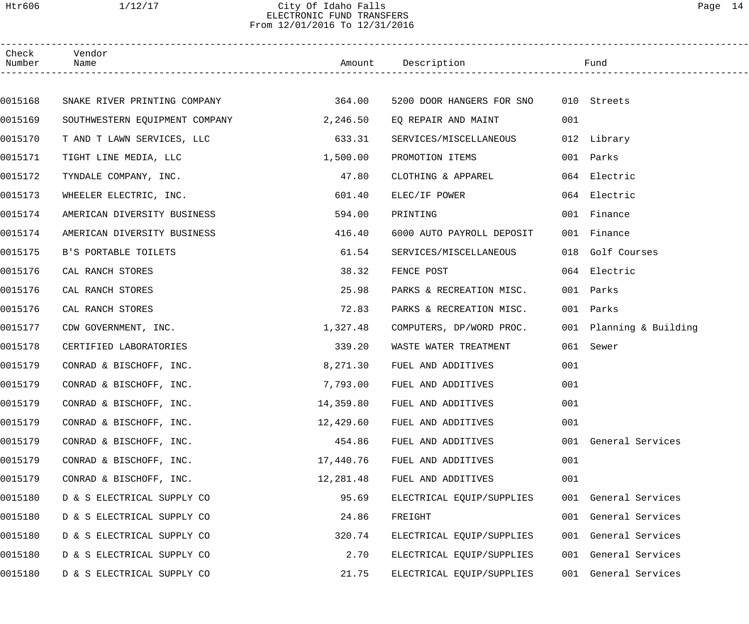# Htr606 1/12/17 City Of Idaho Falls Page 14 ELECTRONIC FUND TRANSFERS From 12/01/2016 To 12/31/2016

| Check<br>Number | Vendor<br>Name                 |           | Amount Description                    |     | Fund                    |  |
|-----------------|--------------------------------|-----------|---------------------------------------|-----|-------------------------|--|
|                 |                                |           |                                       |     |                         |  |
| 0015168         | SNAKE RIVER PRINTING COMPANY   | 364.00    | 5200 DOOR HANGERS FOR SNO 010 Streets |     |                         |  |
| 0015169         | SOUTHWESTERN EQUIPMENT COMPANY | 2,246.50  | EO REPAIR AND MAINT                   | 001 |                         |  |
| 0015170         | T AND T LAWN SERVICES, LLC     | 633.31    | SERVICES/MISCELLANEOUS                |     | 012 Library             |  |
| 0015171         | TIGHT LINE MEDIA, LLC          | 1,500.00  | PROMOTION ITEMS                       |     | 001 Parks               |  |
| 0015172         | TYNDALE COMPANY, INC.          | 47.80     | CLOTHING & APPAREL                    |     | 064 Electric            |  |
| 0015173         | WHEELER ELECTRIC, INC.         | 601.40    | ELEC/IF POWER                         |     | 064 Electric            |  |
| 0015174         | AMERICAN DIVERSITY BUSINESS    | 594.00    | PRINTING                              |     | 001 Finance             |  |
| 0015174         | AMERICAN DIVERSITY BUSINESS    | 416.40    | 6000 AUTO PAYROLL DEPOSIT             |     | 001 Finance             |  |
| 0015175         | B'S PORTABLE TOILETS           | 61.54     | SERVICES/MISCELLANEOUS                |     | 018 Golf Courses        |  |
| 0015176         | CAL RANCH STORES               | 38.32     | FENCE POST                            |     | 064 Electric            |  |
| 0015176         | CAL RANCH STORES               | 25.98     | PARKS & RECREATION MISC.              |     | 001 Parks               |  |
| 0015176         | CAL RANCH STORES               | 72.83     | PARKS & RECREATION MISC.              |     | 001 Parks               |  |
| 0015177         | CDW GOVERNMENT, INC.           | 1,327.48  | COMPUTERS, DP/WORD PROC.              |     | 001 Planning & Building |  |
| 0015178         | CERTIFIED LABORATORIES         | 339.20    | WASTE WATER TREATMENT                 |     | 061 Sewer               |  |
| 0015179         | CONRAD & BISCHOFF, INC.        | 8,271.30  | FUEL AND ADDITIVES                    | 001 |                         |  |
| 0015179         | CONRAD & BISCHOFF, INC.        | 7,793.00  | FUEL AND ADDITIVES                    | 001 |                         |  |
| 0015179         | CONRAD & BISCHOFF, INC.        | 14,359.80 | FUEL AND ADDITIVES                    | 001 |                         |  |
| 0015179         | CONRAD & BISCHOFF, INC.        | 12,429.60 | FUEL AND ADDITIVES                    | 001 |                         |  |
| 0015179         | CONRAD & BISCHOFF, INC.        | 454.86    | FUEL AND ADDITIVES                    | 001 | General Services        |  |
| 0015179         | CONRAD & BISCHOFF, INC.        | 17,440.76 | FUEL AND ADDITIVES                    | 001 |                         |  |
| 0015179         | CONRAD & BISCHOFF, INC.        | 12,281.48 | FUEL AND ADDITIVES                    | 001 |                         |  |
| 0015180         | D & S ELECTRICAL SUPPLY CO     | 95.69     | ELECTRICAL EQUIP/SUPPLIES             | 001 | General Services        |  |
| 0015180         | D & S ELECTRICAL SUPPLY CO     | 24.86     | FREIGHT                               | 001 | General Services        |  |
| 0015180         | D & S ELECTRICAL SUPPLY CO     | 320.74    | ELECTRICAL EQUIP/SUPPLIES             | 001 | General Services        |  |
| 0015180         | D & S ELECTRICAL SUPPLY CO     | 2.70      | ELECTRICAL EQUIP/SUPPLIES             | 001 | General Services        |  |
| 0015180         | D & S ELECTRICAL SUPPLY CO     | 21.75     | ELECTRICAL EQUIP/SUPPLIES             | 001 | General Services        |  |
|                 |                                |           |                                       |     |                         |  |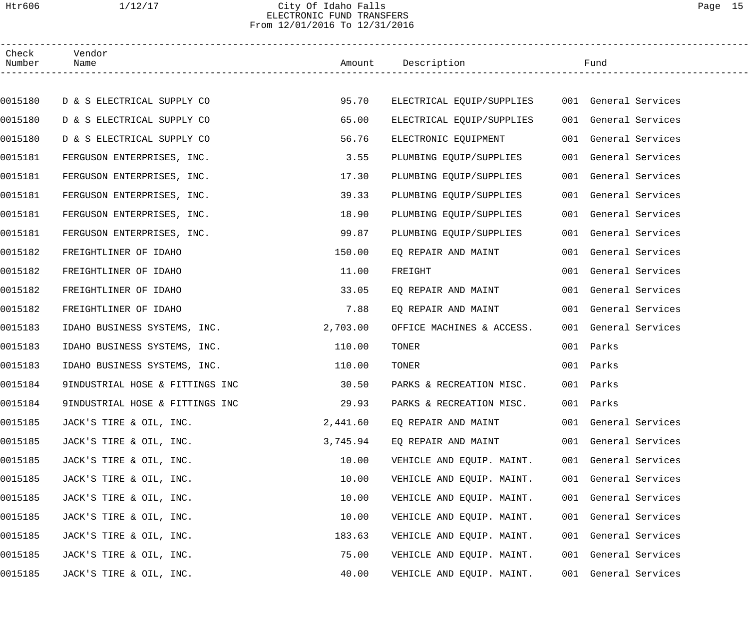# Htr606 1/12/17 City Of Idaho Falls Page 15 ELECTRONIC FUND TRANSFERS From 12/01/2016 To 12/31/2016

| Check<br>Number | Vendor<br>Name                  |          | Amount Description                             | Fund                 |  |
|-----------------|---------------------------------|----------|------------------------------------------------|----------------------|--|
|                 |                                 |          |                                                |                      |  |
| 0015180         | D & S ELECTRICAL SUPPLY CO      | 95.70    | ELECTRICAL EQUIP/SUPPLIES 001 General Services |                      |  |
| 0015180         | D & S ELECTRICAL SUPPLY CO      | 65.00    | ELECTRICAL EQUIP/SUPPLIES                      | 001 General Services |  |
| 0015180         | D & S ELECTRICAL SUPPLY CO      | 56.76    | ELECTRONIC EQUIPMENT                           | 001 General Services |  |
| 0015181         | FERGUSON ENTERPRISES, INC.      | 3.55     | PLUMBING EQUIP/SUPPLIES                        | 001 General Services |  |
| 0015181         | FERGUSON ENTERPRISES, INC.      | 17.30    | PLUMBING EQUIP/SUPPLIES                        | 001 General Services |  |
| 0015181         | FERGUSON ENTERPRISES, INC.      | 39.33    | PLUMBING EQUIP/SUPPLIES                        | 001 General Services |  |
| 0015181         | FERGUSON ENTERPRISES, INC.      | 18.90    | PLUMBING EQUIP/SUPPLIES                        | 001 General Services |  |
| 0015181         | FERGUSON ENTERPRISES, INC.      | 99.87    | PLUMBING EQUIP/SUPPLIES                        | 001 General Services |  |
| 0015182         | FREIGHTLINER OF IDAHO           | 150.00   | EQ REPAIR AND MAINT                            | 001 General Services |  |
| 0015182         | FREIGHTLINER OF IDAHO           | 11.00    | FREIGHT                                        | 001 General Services |  |
| 0015182         | FREIGHTLINER OF IDAHO           | 33.05    | EQ REPAIR AND MAINT                            | 001 General Services |  |
| 0015182         | FREIGHTLINER OF IDAHO           | 7.88     | EQ REPAIR AND MAINT                            | 001 General Services |  |
| 0015183         | IDAHO BUSINESS SYSTEMS, INC.    | 2,703.00 | OFFICE MACHINES & ACCESS.                      | 001 General Services |  |
| 0015183         | IDAHO BUSINESS SYSTEMS, INC.    | 110.00   | TONER                                          | 001 Parks            |  |
| 0015183         | IDAHO BUSINESS SYSTEMS, INC.    | 110.00   | TONER                                          | 001 Parks            |  |
| 0015184         | 9INDUSTRIAL HOSE & FITTINGS INC | 30.50    | PARKS & RECREATION MISC.                       | 001 Parks            |  |
| 0015184         | 9INDUSTRIAL HOSE & FITTINGS INC | 29.93    | PARKS & RECREATION MISC.                       | 001 Parks            |  |
| 0015185         | JACK'S TIRE & OIL, INC.         | 2,441.60 | EO REPAIR AND MAINT                            | 001 General Services |  |
| 0015185         | JACK'S TIRE & OIL, INC.         | 3,745.94 | EQ REPAIR AND MAINT                            | 001 General Services |  |
| 0015185         | JACK'S TIRE & OIL, INC.         | 10.00    | VEHICLE AND EQUIP. MAINT.                      | 001 General Services |  |
| 0015185         | JACK'S TIRE & OIL, INC.         | 10.00    | VEHICLE AND EQUIP. MAINT.                      | 001 General Services |  |
| 0015185         | JACK'S TIRE & OIL, INC.         | 10.00    | VEHICLE AND EQUIP. MAINT.                      | 001 General Services |  |
| 0015185         | JACK'S TIRE & OIL, INC.         | 10.00    | VEHICLE AND EQUIP. MAINT.                      | 001 General Services |  |
| 0015185         | JACK'S TIRE & OIL, INC.         | 183.63   | VEHICLE AND EQUIP. MAINT.                      | 001 General Services |  |
| 0015185         | JACK'S TIRE & OIL, INC.         | 75.00    | VEHICLE AND EQUIP. MAINT.                      | 001 General Services |  |
| 0015185         | JACK'S TIRE & OIL, INC.         | 40.00    | VEHICLE AND EQUIP. MAINT.                      | 001 General Services |  |
|                 |                                 |          |                                                |                      |  |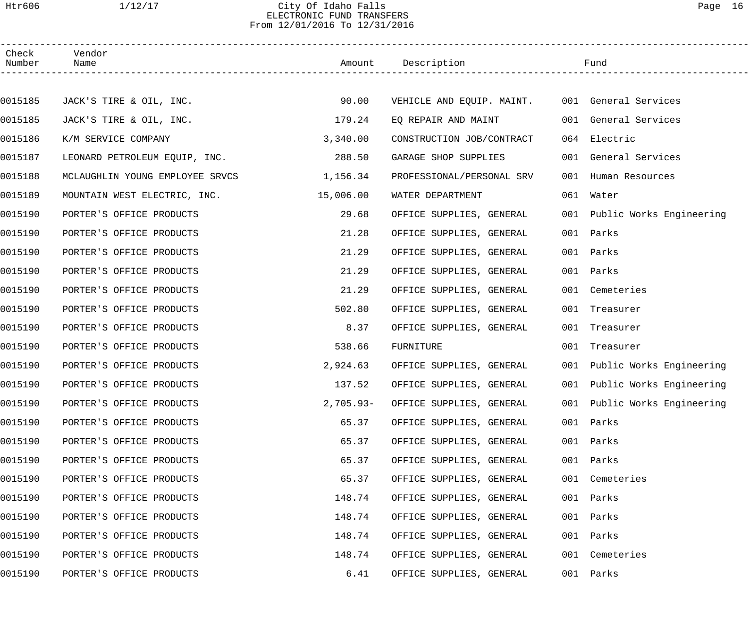## Htr606 1/12/17 City Of Idaho Falls Page 16 ELECTRONIC FUND TRANSFERS From 12/01/2016 To 12/31/2016

| Check<br>Number | Vendor<br>Name                  |             | Amount Description                             |     | Fund                         |  |
|-----------------|---------------------------------|-------------|------------------------------------------------|-----|------------------------------|--|
|                 |                                 |             |                                                |     |                              |  |
| 0015185         | JACK'S TIRE & OIL, INC.         | 90.00       | VEHICLE AND EQUIP. MAINT. 001 General Services |     |                              |  |
| 0015185         | JACK'S TIRE & OIL, INC.         | 179.24      | EO REPAIR AND MAINT                            |     | 001 General Services         |  |
| 0015186         | K/M SERVICE COMPANY             | 3,340.00    | CONSTRUCTION JOB/CONTRACT                      |     | 064 Electric                 |  |
| 0015187         | LEONARD PETROLEUM EQUIP, INC.   | 288.50      | GARAGE SHOP SUPPLIES                           |     | 001 General Services         |  |
| 0015188         | MCLAUGHLIN YOUNG EMPLOYEE SRVCS | 1,156.34    | PROFESSIONAL/PERSONAL SRV                      |     | 001 Human Resources          |  |
| 0015189         | MOUNTAIN WEST ELECTRIC, INC.    | 15,006.00   | WATER DEPARTMENT                               |     | 061 Water                    |  |
| 0015190         | PORTER'S OFFICE PRODUCTS        | 29.68       | OFFICE SUPPLIES, GENERAL                       |     | 001 Public Works Engineering |  |
| 0015190         | PORTER'S OFFICE PRODUCTS        | 21.28       | OFFICE SUPPLIES, GENERAL                       |     | 001 Parks                    |  |
| 0015190         | PORTER'S OFFICE PRODUCTS        | 21.29       | OFFICE SUPPLIES, GENERAL                       |     | 001 Parks                    |  |
| 0015190         | PORTER'S OFFICE PRODUCTS        | 21.29       | OFFICE SUPPLIES, GENERAL                       |     | 001 Parks                    |  |
| 0015190         | PORTER'S OFFICE PRODUCTS        | 21.29       | OFFICE SUPPLIES, GENERAL                       |     | 001 Cemeteries               |  |
| 0015190         | PORTER'S OFFICE PRODUCTS        | 502.80      | OFFICE SUPPLIES, GENERAL                       | 001 | Treasurer                    |  |
| 0015190         | PORTER'S OFFICE PRODUCTS        | 8.37        | OFFICE SUPPLIES, GENERAL                       |     | 001 Treasurer                |  |
| 0015190         | PORTER'S OFFICE PRODUCTS        | 538.66      | FURNITURE                                      |     | 001 Treasurer                |  |
| 0015190         | PORTER'S OFFICE PRODUCTS        | 2,924.63    | OFFICE SUPPLIES, GENERAL                       |     | 001 Public Works Engineering |  |
| 0015190         | PORTER'S OFFICE PRODUCTS        | 137.52      | OFFICE SUPPLIES, GENERAL                       |     | 001 Public Works Engineering |  |
| 0015190         | PORTER'S OFFICE PRODUCTS        | $2,705.93-$ | OFFICE SUPPLIES, GENERAL                       |     | 001 Public Works Engineering |  |
| 0015190         | PORTER'S OFFICE PRODUCTS        | 65.37       | OFFICE SUPPLIES, GENERAL                       |     | 001 Parks                    |  |
| 0015190         | PORTER'S OFFICE PRODUCTS        | 65.37       | OFFICE SUPPLIES, GENERAL                       |     | 001 Parks                    |  |
| 0015190         | PORTER'S OFFICE PRODUCTS        | 65.37       | OFFICE SUPPLIES, GENERAL                       |     | 001 Parks                    |  |
| 0015190         | PORTER'S OFFICE PRODUCTS        | 65.37       | OFFICE SUPPLIES, GENERAL                       |     | 001 Cemeteries               |  |
| 0015190         | PORTER'S OFFICE PRODUCTS        | 148.74      | OFFICE SUPPLIES, GENERAL                       |     | 001 Parks                    |  |
| 0015190         | PORTER'S OFFICE PRODUCTS        | 148.74      | OFFICE SUPPLIES, GENERAL                       |     | 001 Parks                    |  |
| 0015190         | PORTER'S OFFICE PRODUCTS        | 148.74      | OFFICE SUPPLIES, GENERAL                       | 001 | Parks                        |  |
| 0015190         | PORTER'S OFFICE PRODUCTS        | 148.74      | OFFICE SUPPLIES, GENERAL                       |     | 001 Cemeteries               |  |
| 0015190         | PORTER'S OFFICE PRODUCTS        | 6.41        | OFFICE SUPPLIES, GENERAL                       |     | 001 Parks                    |  |
|                 |                                 |             |                                                |     |                              |  |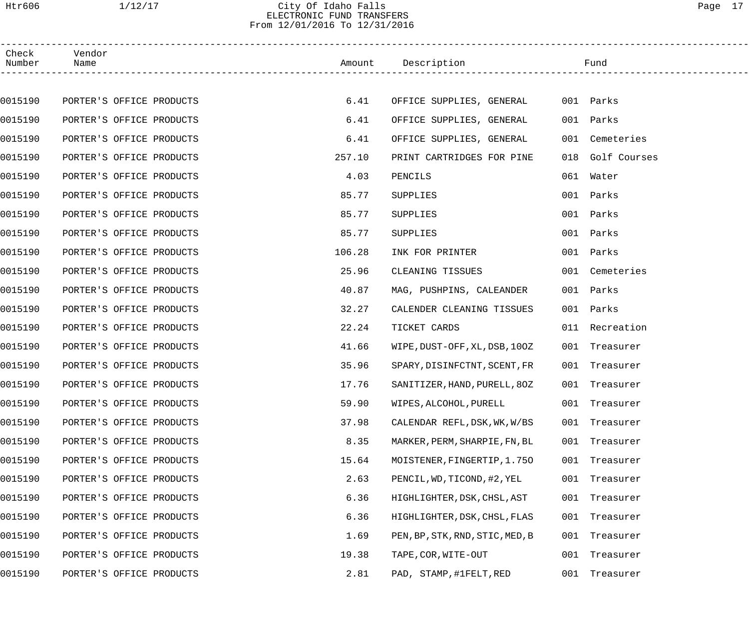# Htr606 1/12/17 City Of Idaho Falls Page 17 ELECTRONIC FUND TRANSFERS From 12/01/2016 To 12/31/2016

| Check<br>Number | Vendor<br>Name           |        | Amount Description              | Fund             |  |
|-----------------|--------------------------|--------|---------------------------------|------------------|--|
|                 |                          |        |                                 |                  |  |
| 0015190         | PORTER'S OFFICE PRODUCTS | 6.41   | OFFICE SUPPLIES, GENERAL        | 001 Parks        |  |
| 0015190         | PORTER'S OFFICE PRODUCTS | 6.41   | OFFICE SUPPLIES, GENERAL        | 001 Parks        |  |
| 0015190         | PORTER'S OFFICE PRODUCTS | 6.41   | OFFICE SUPPLIES, GENERAL        | 001 Cemeteries   |  |
| 0015190         | PORTER'S OFFICE PRODUCTS | 257.10 | PRINT CARTRIDGES FOR PINE       | 018 Golf Courses |  |
| 0015190         | PORTER'S OFFICE PRODUCTS | 4.03   | PENCILS                         | 061 Water        |  |
| 0015190         | PORTER'S OFFICE PRODUCTS | 85.77  | SUPPLIES                        | 001 Parks        |  |
| 0015190         | PORTER'S OFFICE PRODUCTS | 85.77  | SUPPLIES                        | 001 Parks        |  |
| 0015190         | PORTER'S OFFICE PRODUCTS | 85.77  | SUPPLIES                        | 001 Parks        |  |
| 0015190         | PORTER'S OFFICE PRODUCTS | 106.28 | INK FOR PRINTER                 | 001 Parks        |  |
| 0015190         | PORTER'S OFFICE PRODUCTS | 25.96  | CLEANING TISSUES                | 001 Cemeteries   |  |
| 0015190         | PORTER'S OFFICE PRODUCTS | 40.87  | MAG, PUSHPINS, CALEANDER        | 001 Parks        |  |
| 0015190         | PORTER'S OFFICE PRODUCTS | 32.27  | CALENDER CLEANING TISSUES       | 001 Parks        |  |
| 0015190         | PORTER'S OFFICE PRODUCTS | 22.24  | TICKET CARDS                    | 011 Recreation   |  |
| 0015190         | PORTER'S OFFICE PRODUCTS | 41.66  | WIPE, DUST-OFF, XL, DSB, 100Z   | 001 Treasurer    |  |
| 0015190         | PORTER'S OFFICE PRODUCTS | 35.96  | SPARY, DISINFCTNT, SCENT, FR    | 001 Treasurer    |  |
| 0015190         | PORTER'S OFFICE PRODUCTS | 17.76  | SANITIZER, HAND, PURELL, 80Z    | 001 Treasurer    |  |
| 0015190         | PORTER'S OFFICE PRODUCTS | 59.90  | WIPES, ALCOHOL, PURELL          | 001 Treasurer    |  |
| 0015190         | PORTER'S OFFICE PRODUCTS | 37.98  | CALENDAR REFL, DSK, WK, W/BS    | 001 Treasurer    |  |
| 0015190         | PORTER'S OFFICE PRODUCTS | 8.35   | MARKER, PERM, SHARPIE, FN, BL   | 001 Treasurer    |  |
| 0015190         | PORTER'S OFFICE PRODUCTS | 15.64  | MOISTENER, FINGERTIP, 1.750     | 001 Treasurer    |  |
| 0015190         | PORTER'S OFFICE PRODUCTS | 2.63   | PENCIL, WD, TICOND, #2, YEL     | 001 Treasurer    |  |
| 0015190         | PORTER'S OFFICE PRODUCTS | 6.36   | HIGHLIGHTER, DSK, CHSL, AST     | 001 Treasurer    |  |
| 0015190         | PORTER'S OFFICE PRODUCTS | 6.36   | HIGHLIGHTER, DSK, CHSL, FLAS    | 001 Treasurer    |  |
| 0015190         | PORTER'S OFFICE PRODUCTS | 1.69   | PEN, BP, STK, RND, STIC, MED, B | 001 Treasurer    |  |
| 0015190         | PORTER'S OFFICE PRODUCTS | 19.38  | TAPE, COR, WITE-OUT             | 001 Treasurer    |  |
| 0015190         | PORTER'S OFFICE PRODUCTS | 2.81   | PAD, STAMP, #1FELT, RED         | 001 Treasurer    |  |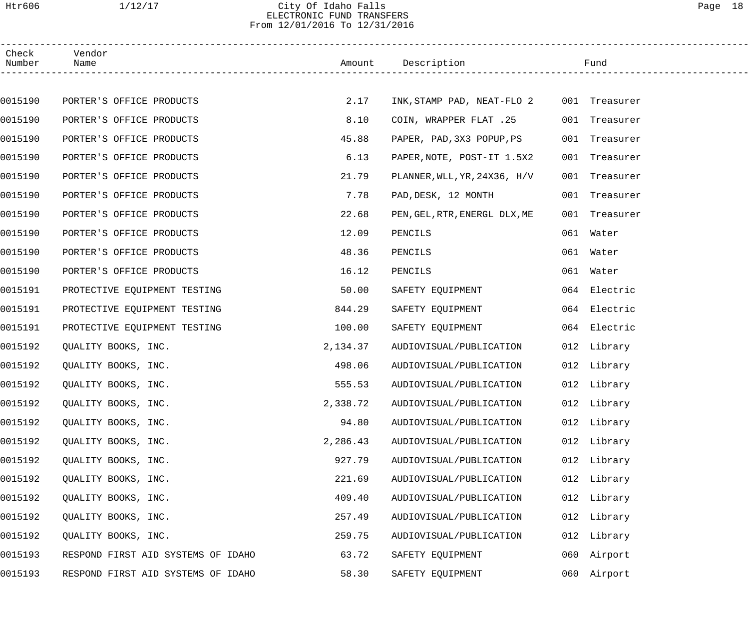# Htr606 1/12/17 City Of Idaho Falls Page 18 ELECTRONIC FUND TRANSFERS From 12/01/2016 To 12/31/2016

| Check<br>Number | Vendor<br>Name                     |          | Amount Description                       |     | Fund          |  |
|-----------------|------------------------------------|----------|------------------------------------------|-----|---------------|--|
|                 |                                    |          |                                          |     |               |  |
| 0015190         | PORTER'S OFFICE PRODUCTS           | 2.17     | INK, STAMP PAD, NEAT-FLO 2 001 Treasurer |     |               |  |
| 0015190         | PORTER'S OFFICE PRODUCTS           | 8.10     | COIN, WRAPPER FLAT .25                   |     | 001 Treasurer |  |
| 0015190         | PORTER'S OFFICE PRODUCTS           | 45.88    | PAPER, PAD, 3X3 POPUP, PS                |     | 001 Treasurer |  |
| 0015190         | PORTER'S OFFICE PRODUCTS           | 6.13     | PAPER, NOTE, POST-IT 1.5X2               | 001 | Treasurer     |  |
| 0015190         | PORTER'S OFFICE PRODUCTS           | 21.79    | PLANNER, WLL, YR, 24X36, H/V             |     | 001 Treasurer |  |
| 0015190         | PORTER'S OFFICE PRODUCTS           | 7.78     | PAD, DESK, 12 MONTH                      |     | 001 Treasurer |  |
| 0015190         | PORTER'S OFFICE PRODUCTS           | 22.68    | PEN, GEL, RTR, ENERGL DLX, ME            |     | 001 Treasurer |  |
| 0015190         | PORTER'S OFFICE PRODUCTS           | 12.09    | PENCILS                                  |     | 061 Water     |  |
| 0015190         | PORTER'S OFFICE PRODUCTS           | 48.36    | PENCILS                                  |     | 061 Water     |  |
| 0015190         | PORTER'S OFFICE PRODUCTS           | 16.12    | PENCILS                                  |     | 061 Water     |  |
| 0015191         | PROTECTIVE EQUIPMENT TESTING       | 50.00    | SAFETY EQUIPMENT                         |     | 064 Electric  |  |
| 0015191         | PROTECTIVE EQUIPMENT TESTING       | 844.29   | SAFETY EQUIPMENT                         |     | 064 Electric  |  |
| 0015191         | PROTECTIVE EQUIPMENT TESTING       | 100.00   | SAFETY EQUIPMENT                         |     | 064 Electric  |  |
| 0015192         | QUALITY BOOKS, INC.                | 2,134.37 | AUDIOVISUAL/PUBLICATION                  |     | 012 Library   |  |
| 0015192         | QUALITY BOOKS, INC.                | 498.06   | AUDIOVISUAL/PUBLICATION                  |     | 012 Library   |  |
| 0015192         | QUALITY BOOKS, INC.                | 555.53   | AUDIOVISUAL/PUBLICATION                  |     | 012 Library   |  |
| 0015192         | QUALITY BOOKS, INC.                | 2,338.72 | AUDIOVISUAL/PUBLICATION                  |     | 012 Library   |  |
| 0015192         | QUALITY BOOKS, INC.                | 94.80    | AUDIOVISUAL/PUBLICATION                  |     | 012 Library   |  |
| 0015192         | QUALITY BOOKS, INC.                | 2,286.43 | AUDIOVISUAL/PUBLICATION                  |     | 012 Library   |  |
| 0015192         | QUALITY BOOKS, INC.                | 927.79   | AUDIOVISUAL/PUBLICATION                  |     | 012 Library   |  |
| 0015192         | QUALITY BOOKS, INC.                | 221.69   | AUDIOVISUAL/PUBLICATION                  |     | 012 Library   |  |
| 0015192         | QUALITY BOOKS, INC.                | 409.40   | AUDIOVISUAL/PUBLICATION                  |     | 012 Library   |  |
| 0015192         | QUALITY BOOKS, INC.                | 257.49   | AUDIOVISUAL/PUBLICATION                  |     | 012 Library   |  |
| 0015192         | QUALITY BOOKS, INC.                | 259.75   | AUDIOVISUAL/PUBLICATION                  |     | 012 Library   |  |
| 0015193         | RESPOND FIRST AID SYSTEMS OF IDAHO | 63.72    | SAFETY EQUIPMENT                         |     | 060 Airport   |  |
| 0015193         | RESPOND FIRST AID SYSTEMS OF IDAHO | 58.30    | SAFETY EQUIPMENT                         |     | 060 Airport   |  |
|                 |                                    |          |                                          |     |               |  |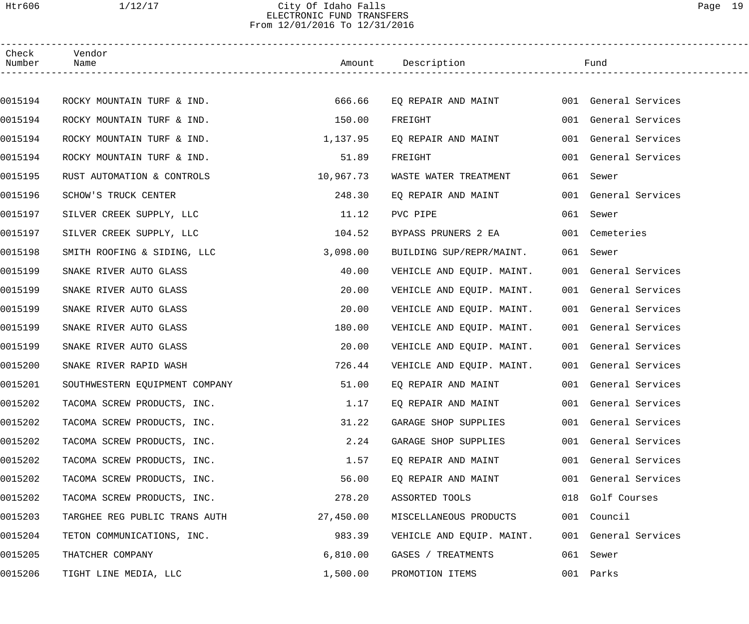# Htr606 1/12/17 City Of Idaho Falls Page 19 ELECTRONIC FUND TRANSFERS From 12/01/2016 To 12/31/2016

| Check<br>Number | Vendor<br>Name                 |           | Amount Description        | Fund                 |
|-----------------|--------------------------------|-----------|---------------------------|----------------------|
|                 |                                |           |                           |                      |
| 0015194         | ROCKY MOUNTAIN TURF & IND.     | 666.66    | EQ REPAIR AND MAINT       | 001 General Services |
| 0015194         | ROCKY MOUNTAIN TURF & IND.     | 150.00    | FREIGHT                   | 001 General Services |
| 0015194         | ROCKY MOUNTAIN TURF & IND.     | 1,137.95  | EQ REPAIR AND MAINT       | 001 General Services |
| 0015194         | ROCKY MOUNTAIN TURF & IND.     | 51.89     | FREIGHT                   | 001 General Services |
| 0015195         | RUST AUTOMATION & CONTROLS     | 10,967.73 | WASTE WATER TREATMENT     | 061 Sewer            |
| 0015196         | SCHOW'S TRUCK CENTER           | 248.30    | EO REPAIR AND MAINT       | 001 General Services |
| 0015197         | SILVER CREEK SUPPLY, LLC       | 11.12     | PVC PIPE                  | 061 Sewer            |
| 0015197         | SILVER CREEK SUPPLY, LLC       | 104.52    | BYPASS PRUNERS 2 EA       | 001 Cemeteries       |
| 0015198         | SMITH ROOFING & SIDING, LLC    | 3,098.00  | BUILDING SUP/REPR/MAINT.  | 061 Sewer            |
| 0015199         | SNAKE RIVER AUTO GLASS         | 40.00     | VEHICLE AND EQUIP. MAINT. | 001 General Services |
| 0015199         | SNAKE RIVER AUTO GLASS         | 20.00     | VEHICLE AND EQUIP. MAINT. | 001 General Services |
| 0015199         | SNAKE RIVER AUTO GLASS         | 20.00     | VEHICLE AND EQUIP. MAINT. | 001 General Services |
| 0015199         | SNAKE RIVER AUTO GLASS         | 180.00    | VEHICLE AND EQUIP. MAINT. | 001 General Services |
| 0015199         | SNAKE RIVER AUTO GLASS         | 20.00     | VEHICLE AND EQUIP. MAINT. | 001 General Services |
| 0015200         | SNAKE RIVER RAPID WASH         | 726.44    | VEHICLE AND EQUIP. MAINT. | 001 General Services |
| 0015201         | SOUTHWESTERN EQUIPMENT COMPANY | 51.00     | EQ REPAIR AND MAINT       | 001 General Services |
| 0015202         | TACOMA SCREW PRODUCTS, INC.    | 1.17      | EQ REPAIR AND MAINT       | 001 General Services |
| 0015202         | TACOMA SCREW PRODUCTS, INC.    | 31.22     | GARAGE SHOP SUPPLIES      | 001 General Services |
| 0015202         | TACOMA SCREW PRODUCTS, INC.    | 2.24      | GARAGE SHOP SUPPLIES      | 001 General Services |
| 0015202         | TACOMA SCREW PRODUCTS, INC.    | 1.57      | EO REPAIR AND MAINT       | 001 General Services |
| 0015202         | TACOMA SCREW PRODUCTS, INC.    | 56.00     | EO REPAIR AND MAINT       | 001 General Services |
| 0015202         | TACOMA SCREW PRODUCTS, INC.    | 278.20    | ASSORTED TOOLS            | 018 Golf Courses     |
| 0015203         | TARGHEE REG PUBLIC TRANS AUTH  | 27,450.00 | MISCELLANEOUS PRODUCTS    | 001 Council          |
| 0015204         | TETON COMMUNICATIONS, INC.     | 983.39    | VEHICLE AND EQUIP. MAINT. | 001 General Services |
| 0015205         | THATCHER COMPANY               | 6,810.00  | GASES / TREATMENTS        | 061 Sewer            |
| 0015206         | TIGHT LINE MEDIA, LLC          | 1,500.00  | PROMOTION ITEMS           | 001 Parks            |
|                 |                                |           |                           |                      |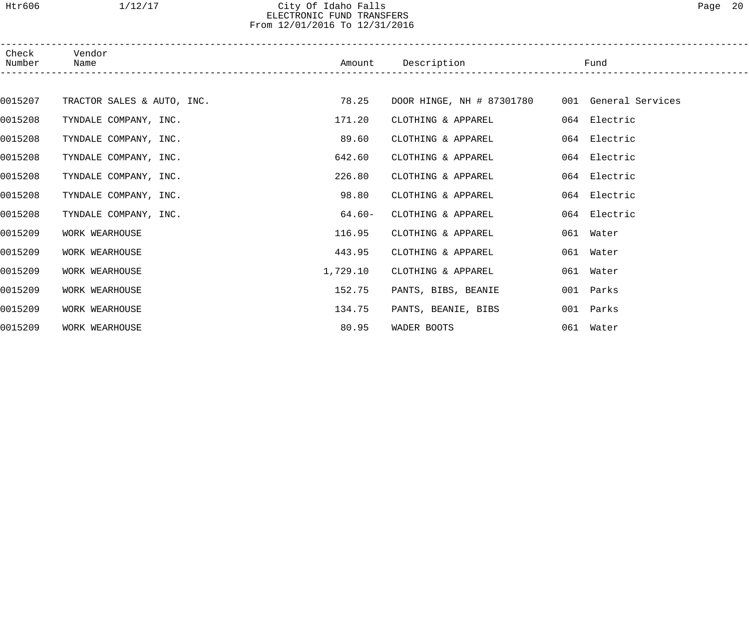# Htr606 1/12/17 City Of Idaho Falls Page 20 ELECTRONIC FUND TRANSFERS From 12/01/2016 To 12/31/2016

| Check<br>Number | Vendor<br>Name        |                            | Amount    | Description         |                                                | Fund         |  |
|-----------------|-----------------------|----------------------------|-----------|---------------------|------------------------------------------------|--------------|--|
|                 |                       |                            |           |                     |                                                |              |  |
| 0015207         |                       | TRACTOR SALES & AUTO, INC. | 78.25     |                     | DOOR HINGE, NH # 87301780 001 General Services |              |  |
| 0015208         | TYNDALE COMPANY, INC. |                            | 171.20    | CLOTHING & APPAREL  |                                                | 064 Electric |  |
| 0015208         | TYNDALE COMPANY, INC. |                            | 89.60     | CLOTHING & APPAREL  |                                                | 064 Electric |  |
| 0015208         | TYNDALE COMPANY, INC. |                            | 642.60    | CLOTHING & APPAREL  |                                                | 064 Electric |  |
| 0015208         | TYNDALE COMPANY, INC. |                            | 226.80    | CLOTHING & APPAREL  |                                                | 064 Electric |  |
| 0015208         | TYNDALE COMPANY, INC. |                            | 98.80     | CLOTHING & APPAREL  |                                                | 064 Electric |  |
| 0015208         | TYNDALE COMPANY, INC. |                            | $64.60 -$ | CLOTHING & APPAREL  |                                                | 064 Electric |  |
| 0015209         | WORK WEARHOUSE        |                            | 116.95    | CLOTHING & APPAREL  |                                                | 061 Water    |  |
| 0015209         | WORK WEARHOUSE        |                            | 443.95    | CLOTHING & APPAREL  |                                                | 061 Water    |  |
| 0015209         | WORK WEARHOUSE        |                            | 1,729.10  | CLOTHING & APPAREL  |                                                | 061 Water    |  |
| 0015209         | WORK WEARHOUSE        |                            | 152.75    | PANTS, BIBS, BEANIE |                                                | 001 Parks    |  |
| 0015209         | WORK WEARHOUSE        |                            | 134.75    | PANTS, BEANIE, BIBS |                                                | 001 Parks    |  |
| 0015209         | WORK WEARHOUSE        |                            | 80.95     | WADER BOOTS         |                                                | 061 Water    |  |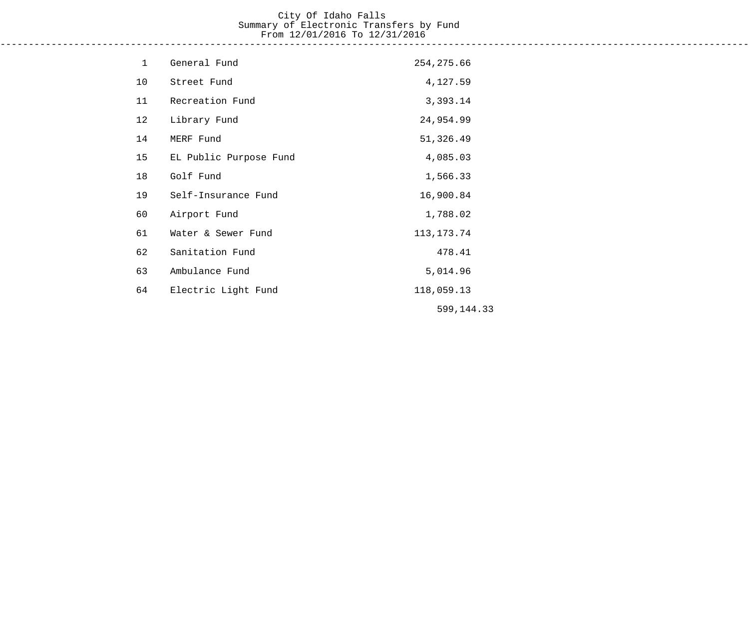# City Of Idaho Falls Summary of Electronic Transfers by Fund From 12/01/2016 To 12/31/2016 ------------------------------------------------------------------------------------------------------------------------------------

| $\mathbf 1$ | General Fund           | 254, 275.66  |
|-------------|------------------------|--------------|
| 10          | Street Fund            | 4,127.59     |
| 11          | Recreation Fund        | 3,393.14     |
| 12          | Library Fund           | 24,954.99    |
| 14          | MERF Fund              | 51,326.49    |
| 15          | EL Public Purpose Fund | 4,085.03     |
| 18          | Golf Fund              | 1,566.33     |
| 19          | Self-Insurance Fund    | 16,900.84    |
| 60          | Airport Fund           | 1,788.02     |
| 61          | Water & Sewer Fund     | 113, 173. 74 |
| 62          | Sanitation Fund        | 478.41       |
| 63          | Ambulance Fund         | 5,014.96     |
| 64          | Electric Light Fund    | 118,059.13   |
|             |                        | 599,144.33   |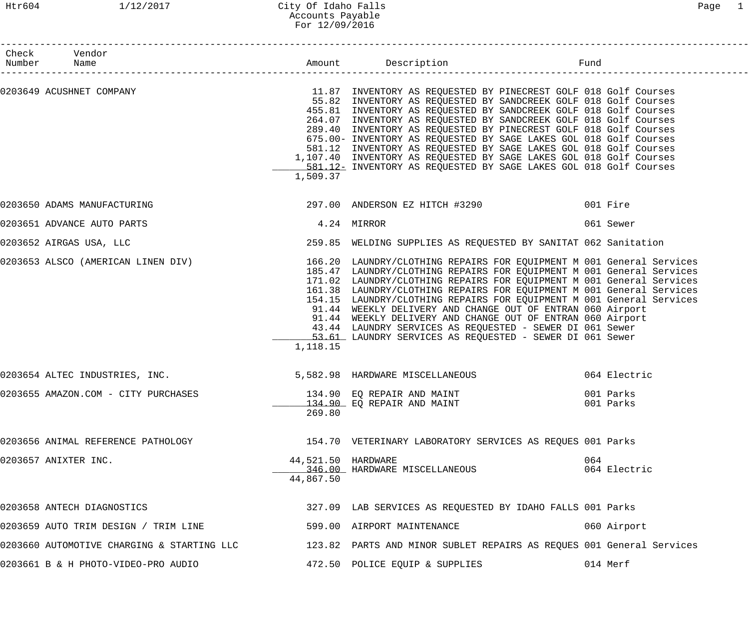## Htr604 1/12/2017 City Of Idaho Falls Page 1 Accounts Payable For 12/09/2016

| Check Vendor<br>Number Name                                      |                                 |                                                                                                                                                                                                                                                                                                                                                                                                                                                                                                                                                                                                                                                                                 |                        |
|------------------------------------------------------------------|---------------------------------|---------------------------------------------------------------------------------------------------------------------------------------------------------------------------------------------------------------------------------------------------------------------------------------------------------------------------------------------------------------------------------------------------------------------------------------------------------------------------------------------------------------------------------------------------------------------------------------------------------------------------------------------------------------------------------|------------------------|
|                                                                  | 1,509.37                        | 0203649 ACUSHNET COMPANY (2018) SOLUTION MARKET SOLL COMPANY AS REQUESTED BY PINECREST GOLF 018 Golf Courses<br>55.82 INVENTORY AS REQUESTED BY SANDCREEK GOLF 018 Golf Courses<br>455.81 INVENTORY AS REQUESTED BY SANDCREEK GOLF 018 Golf Courses<br>264.07 INVENTORY AS REQUESTED BY SANDCREEK GOLF 018 Golf Courses<br>289.40 INVENTORY AS REQUESTED BY PINECREST GOLF 018 Golf Courses<br>675.00- INVENTORY AS REQUESTED BY SAGE LAKES GOL 018 Golf Courses<br>581.12 INVENTORY AS REQUESTED BY SAGE LAKES GOL 018 Golf Courses<br>1,107.40 INVENTORY AS REQUESTED BY SAGE LAKES GOL 018 Golf Courses<br>581.12- INVENTORY AS REQUESTED BY SAGE LAKES GOL 018 Golf Courses |                        |
| 0203650 ADAMS MANUFACTURING                                      |                                 | 297.00 ANDERSON EZ HITCH #3290                                                                                                                                                                                                                                                                                                                                                                                                                                                                                                                                                                                                                                                  | 001 Fire               |
| 0203651 ADVANCE AUTO PARTS                                       |                                 | 4.24 MIRROR                                                                                                                                                                                                                                                                                                                                                                                                                                                                                                                                                                                                                                                                     | 061 Sewer              |
| 0203652 AIRGAS USA, LLC                                          |                                 | 259.85 WELDING SUPPLIES AS REQUESTED BY SANITAT 062 Sanitation                                                                                                                                                                                                                                                                                                                                                                                                                                                                                                                                                                                                                  |                        |
|                                                                  | 1,118.15                        | 0203653 ALSCO (AMERICAN LINEN DIV) 166.20 LAUNDRY/CLOTHING REPAIRS FOR EQUIPMENT M 001 General Services<br>185.47 LAUNDRY/CLOTHING REPAIRS FOR EQUIPMENT M 001 General Services<br>171.02 LAUNDRY/CLOTHING REPAIRS FOR EQUIPMENT M 001 General Services<br>161.38 LAUNDRY/CLOTHING REPAIRS FOR EQUIPMENT M 001 General Services<br>154.15 LAUNDRY/CLOTHING REPAIRS FOR EQUIPMENT M 001 General Services<br>91.44 WEEKLY DELIVERY AND CHANGE OUT OF ENTRAN 060 Airport<br>91.44 WEEKLY DELIVERY AND CHANGE OUT OF ENTRAN 060 Airport<br>43.44 LAUNDRY SERVICES AS REQUESTED - SEWER DI 061 Sewer<br>53.61 LAUNDRY SERVICES AS REQUESTED - SEWER DI 061 Sewer                     |                        |
| 0203654 ALTEC INDUSTRIES, INC.                                   |                                 | 5,582.98 HARDWARE MISCELLANEOUS                                                                                                                                                                                                                                                                                                                                                                                                                                                                                                                                                                                                                                                 | 064 Electric           |
| 0203655 AMAZON.COM - CITY PURCHASES $134.90$ EQ REPAIR AND MAINT | 269.80                          | 134.90 EQ REPAIR AND MAINT                                                                                                                                                                                                                                                                                                                                                                                                                                                                                                                                                                                                                                                      | 001 Parks<br>001 Parks |
| 0203656 ANIMAL REFERENCE PATHOLOGY                               |                                 | 154.70 VETERINARY LABORATORY SERVICES AS REQUES 001 Parks                                                                                                                                                                                                                                                                                                                                                                                                                                                                                                                                                                                                                       |                        |
| 0203657 ANIXTER INC.                                             | 44,521.50 HARDWARE<br>44,867.50 | 346.00 HARDWARE MISCELLANEOUS                                                                                                                                                                                                                                                                                                                                                                                                                                                                                                                                                                                                                                                   | 064<br>064 Electric    |
| 0203658 ANTECH DIAGNOSTICS                                       |                                 | 327.09 LAB SERVICES AS REQUESTED BY IDAHO FALLS 001 Parks                                                                                                                                                                                                                                                                                                                                                                                                                                                                                                                                                                                                                       |                        |
| 0203659 AUTO TRIM DESIGN / TRIM LINE                             |                                 | 599.00 AIRPORT MAINTENANCE                                                                                                                                                                                                                                                                                                                                                                                                                                                                                                                                                                                                                                                      | 060 Airport            |
| 0203660 AUTOMOTIVE CHARGING & STARTING LLC                       |                                 | 123.82 PARTS AND MINOR SUBLET REPAIRS AS REQUES 001 General Services                                                                                                                                                                                                                                                                                                                                                                                                                                                                                                                                                                                                            |                        |
| 0203661 B & H PHOTO-VIDEO-PRO AUDIO                              |                                 | 472.50 POLICE EQUIP & SUPPLIES                                                                                                                                                                                                                                                                                                                                                                                                                                                                                                                                                                                                                                                  | 014 Merf               |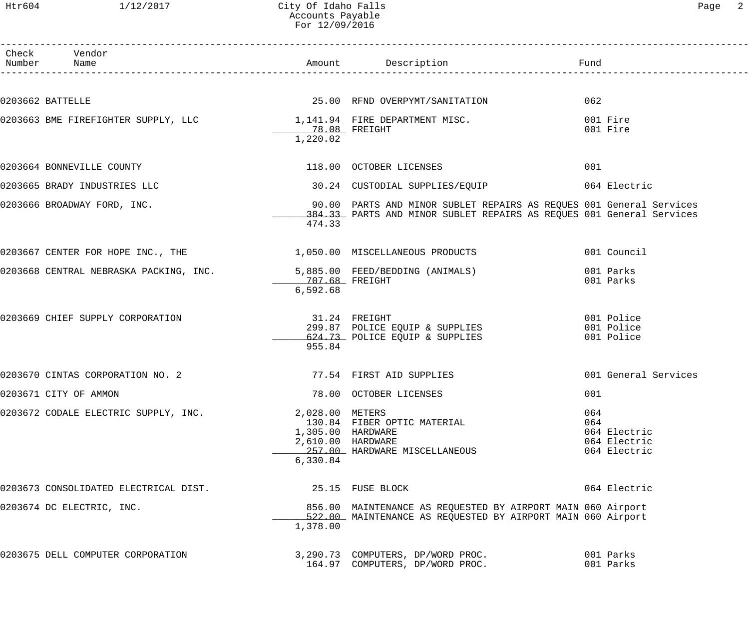## Htr604 1/12/2017 City Of Idaho Falls Page 2 Accounts Payable For 12/09/2016

| Check Vendor<br>Number Name |                                                                        |                                        |                                                                      |                              |
|-----------------------------|------------------------------------------------------------------------|----------------------------------------|----------------------------------------------------------------------|------------------------------|
|                             |                                                                        |                                        |                                                                      |                              |
| 0203662 BATTELLE            |                                                                        |                                        | 25.00 RFND OVERPYMT/SANITATION                                       | 062                          |
|                             | 0203663 BME FIREFIGHTER SUPPLY, LLC $1,141.94$ FIRE DEPARTMENT MISC.   |                                        |                                                                      | 001 Fire                     |
|                             |                                                                        | 1,220.02                               |                                                                      | 001 Fire                     |
|                             |                                                                        |                                        |                                                                      |                              |
|                             | 0203664 BONNEVILLE COUNTY                                              |                                        | 118.00 OCTOBER LICENSES                                              | 001                          |
|                             | 0203665 BRADY INDUSTRIES LLC                                           |                                        | 30.24 CUSTODIAL SUPPLIES/EQUIP 664 Electric                          |                              |
|                             | 0203666 BROADWAY FORD, INC.                                            |                                        | 90.00 PARTS AND MINOR SUBLET REPAIRS AS REQUES 001 General Services  |                              |
|                             |                                                                        |                                        | 384.33 PARTS AND MINOR SUBLET REPAIRS AS REQUES 001 General Services |                              |
|                             |                                                                        | 474.33                                 |                                                                      |                              |
|                             | 0203667 CENTER FOR HOPE INC., THE 1,050.00 MISCELLANEOUS PRODUCTS      |                                        |                                                                      | 001 Council                  |
|                             | 0203668 CENTRAL NEBRASKA PACKING, INC. 5,885.00 FEED/BEDDING (ANIMALS) |                                        |                                                                      | 001 Parks                    |
|                             |                                                                        | 707.68 FREIGHT                         |                                                                      | 001 Parks                    |
|                             |                                                                        | 6,592.68                               |                                                                      |                              |
|                             | 0203669 CHIEF SUPPLY CORPORATION                                       | 31.24 FREIGHT                          |                                                                      | 001 Police                   |
|                             |                                                                        |                                        | 299.87 POLICE EQUIP & SUPPLIES                                       | 001 Police                   |
|                             |                                                                        | 955.84                                 | 624.73 POLICE EQUIP & SUPPLIES                                       | 001 Police                   |
|                             |                                                                        |                                        |                                                                      |                              |
|                             | 0203670 CINTAS CORPORATION NO. 2                                       |                                        | 77.54 FIRST AID SUPPLIES                                             | 001 General Services         |
| 0203671 CITY OF AMMON       |                                                                        |                                        | 78.00 OCTOBER LICENSES                                               | 001                          |
|                             | 0203672 CODALE ELECTRIC SUPPLY, INC.                                   | 2,028.00 METERS                        |                                                                      | 064                          |
|                             |                                                                        |                                        | 130.84 FIBER OPTIC MATERIAL                                          | 064                          |
|                             |                                                                        | 1,305.00 HARDWARE<br>2,610.00 HARDWARE |                                                                      | 064 Electric<br>064 Electric |
|                             |                                                                        |                                        | 257.00 HARDWARE MISCELLANEOUS                                        | 064 Electric                 |
|                             |                                                                        | 6,330.84                               |                                                                      |                              |
|                             | 0203673 CONSOLIDATED ELECTRICAL DIST.                                  |                                        | 25.15 FUSE BLOCK                                                     | 064 Electric                 |
|                             | 0203674 DC ELECTRIC, INC.                                              |                                        | 856.00 MAINTENANCE AS REQUESTED BY AIRPORT MAIN 060 Airport          |                              |
|                             |                                                                        |                                        | 522.00 MAINTENANCE AS REQUESTED BY AIRPORT MAIN 060 Airport          |                              |
|                             |                                                                        | 1,378.00                               |                                                                      |                              |
|                             | 0203675 DELL COMPUTER CORPORATION                                      |                                        | 3,290.73 COMPUTERS, DP/WORD PROC.                                    | 001 Parks                    |
|                             |                                                                        |                                        | 164.97 COMPUTERS, DP/WORD PROC.                                      | 001 Parks                    |
|                             |                                                                        |                                        |                                                                      |                              |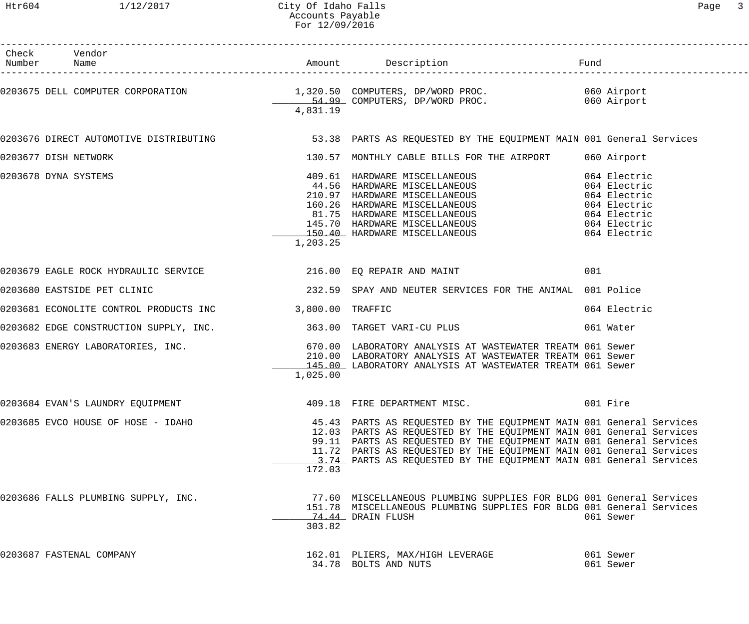| Check Vendor<br>Number Name                                       |          |                                                                                                                                                                                                                                                                                                                                                                |                        |
|-------------------------------------------------------------------|----------|----------------------------------------------------------------------------------------------------------------------------------------------------------------------------------------------------------------------------------------------------------------------------------------------------------------------------------------------------------------|------------------------|
|                                                                   | 4,831.19 | 0203675 DELL COMPUTER CORPORATION 1,320.50 COMPUTERS, DP/WORD PROC.<br>54.99 COMPUTERS, DP/WORD PROC. 060 Airport 060 Airport                                                                                                                                                                                                                                  |                        |
|                                                                   |          | 0203676 DIRECT AUTOMOTIVE DISTRIBUTING                  53.38  PARTS AS REQUESTED BY THE EQUIPMENT MAIN 001 General Services                                                                                                                                                                                                                                   |                        |
| 0203677 DISH NETWORK                                              |          | 130.57 MONTHLY CABLE BILLS FOR THE AIRPORT 060 Airport                                                                                                                                                                                                                                                                                                         |                        |
| 0203678 DYNA SYSTEMS                                              | 1,203.25 | 409.61 HARDWARE MISCELLANEOUS 064 Electric<br>44.56 HARDWARE MISCELLANEOUS 064 Electric<br>210.97 HARDWARE MISCELLANEOUS 064 Electric<br>160.26 HARDWARE MISCELLANEOUS 064 Electric<br>81.75 HARDWARE MISCELLANEOUS 064 Electric<br>150.                                                                                                                       |                        |
|                                                                   |          | 0203679 EAGLE ROCK HYDRAULIC SERVICE THE SERIES REPAIR AND MAINT                                                                                                                                                                                                                                                                                               | 001                    |
| 0203680 EASTSIDE PET CLINIC                                       |          | 232.59 SPAY AND NEUTER SERVICES FOR THE ANIMAL 001 Police                                                                                                                                                                                                                                                                                                      |                        |
| 0203681 ECONOLITE CONTROL PRODUCTS INC 3,800.00 TRAFFIC           |          |                                                                                                                                                                                                                                                                                                                                                                | 064 Electric           |
| 0203682 EDGE CONSTRUCTION SUPPLY, INC. 363.00 TARGET VARI-CU PLUS |          |                                                                                                                                                                                                                                                                                                                                                                | 061 Water              |
|                                                                   | 1,025.00 | 145.00 LABORATORY ANALYSIS AT WASTEWATER TREATM 061 Sewer                                                                                                                                                                                                                                                                                                      |                        |
| 0203684 EVAN'S LAUNDRY EQUIPMENT                                  |          | 409.18 FIRE DEPARTMENT MISC.                                                                                                                                                                                                                                                                                                                                   | 001 Fire               |
| 0203685 EVCO HOUSE OF HOSE - IDAHO                                | 172.03   | 45.43 PARTS AS REQUESTED BY THE EQUIPMENT MAIN 001 General Services<br>12.03 PARTS AS REQUESTED BY THE EQUIPMENT MAIN 001 General Services<br>99.11 PARTS AS REQUESTED BY THE EQUIPMENT MAIN 001 General Services<br>11.72 PARTS AS REQUESTED BY THE EQUIPMENT MAIN 001 General Services<br>3.74 PARTS AS REQUESTED BY THE EQUIPMENT MAIN 001 General Services |                        |
| 0203686 FALLS PLUMBING SUPPLY, INC.                               | 303.82   | 77.60 MISCELLANEOUS PLUMBING SUPPLIES FOR BLDG 001 General Services<br>151.78 MISCELLANEOUS PLUMBING SUPPLIES FOR BLDG 001 General Services<br>74.44 DRAIN FLUSH                                                                                                                                                                                               | 061 Sewer              |
| 0203687 FASTENAL COMPANY                                          |          | 162.01 PLIERS, MAX/HIGH LEVERAGE<br>34.78 BOLTS AND NUTS                                                                                                                                                                                                                                                                                                       | 061 Sewer<br>061 Sewer |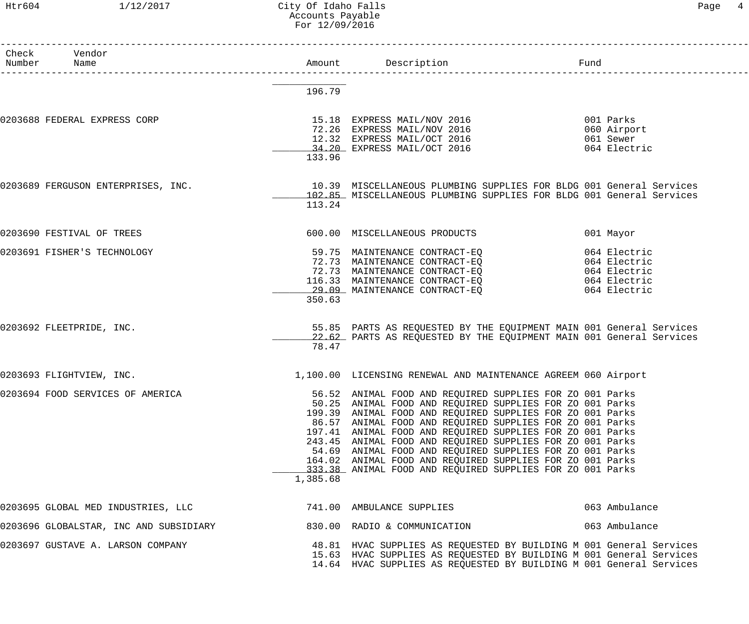#### Htr604 1/12/2017 City Of Idaho Falls Page 4 Accounts Payable For 12/09/2016

| Check Vendor<br>Number Name            |          | Amount Description<br>Fund                                                                                                                                                                                                                                                                                                                                                                                                                                                                                                                                    |                                                       |
|----------------------------------------|----------|---------------------------------------------------------------------------------------------------------------------------------------------------------------------------------------------------------------------------------------------------------------------------------------------------------------------------------------------------------------------------------------------------------------------------------------------------------------------------------------------------------------------------------------------------------------|-------------------------------------------------------|
|                                        | 196.79   |                                                                                                                                                                                                                                                                                                                                                                                                                                                                                                                                                               |                                                       |
| 0203688 FEDERAL EXPRESS CORP           | 133.96   | 15.18 EXPRESS MAIL/NOV 2016<br>72.26 EXPRESS MAIL/NOV 2016<br>12.32 EXPRESS MAIL/OCT 2016<br>34.20 EXPRESS MAIL/OCT 2016                                                                                                                                                                                                                                                                                                                                                                                                                                      | 001 Parks<br>060 Airport<br>061 Sewer<br>064 Electric |
| 0203689 FERGUSON ENTERPRISES, INC.     | 113.24   | 10.39 MISCELLANEOUS PLUMBING SUPPLIES FOR BLDG 001 General Services<br>102.85 MISCELLANEOUS PLUMBING SUPPLIES FOR BLDG 001 General Services                                                                                                                                                                                                                                                                                                                                                                                                                   |                                                       |
| 0203690 FESTIVAL OF TREES              |          | 600.00 MISCELLANEOUS PRODUCTS                                                                                                                                                                                                                                                                                                                                                                                                                                                                                                                                 | 001 Mayor                                             |
| 0203691 FISHER'S TECHNOLOGY            | 350.63   | 59.75 MAINTENANCE CONTRACT-EQ<br>72.73 MAINTENANCE CONTRACT-EQ<br>064 Electric<br>72.73 MAINTENANCE CONTRACT-EQ<br>116.33 MAINTENANCE CONTRACT-EQ 064 Electric<br>29.09 MAINTENANCE CONTRACT-EQ                                                                                                                                                                                                                                                                                                                                                               | 064 Electric<br>064 Electric<br>064 Electric          |
| 0203692 FLEETPRIDE, INC.               | 78.47    | 55.85 PARTS AS REQUESTED BY THE EQUIPMENT MAIN 001 General Services<br>22.62 PARTS AS REQUESTED BY THE EQUIPMENT MAIN 001 General Services                                                                                                                                                                                                                                                                                                                                                                                                                    |                                                       |
| 0203693 FLIGHTVIEW, INC.               |          | 1,100.00 LICENSING RENEWAL AND MAINTENANCE AGREEM 060 Airport                                                                                                                                                                                                                                                                                                                                                                                                                                                                                                 |                                                       |
| 0203694 FOOD SERVICES OF AMERICA       | 1,385.68 | 56.52 ANIMAL FOOD AND REQUIRED SUPPLIES FOR ZO 001 Parks<br>50.25 ANIMAL FOOD AND REQUIRED SUPPLIES FOR ZO 001 Parks<br>199.39 ANIMAL FOOD AND REQUIRED SUPPLIES FOR ZO 001 Parks<br>86.57 ANIMAL FOOD AND REQUIRED SUPPLIES FOR ZO 001 Parks<br>197.41 ANIMAL FOOD AND REQUIRED SUPPLIES FOR ZO 001 Parks<br>243.45 ANIMAL FOOD AND REQUIRED SUPPLIES FOR ZO 001 Parks<br>54.69 ANIMAL FOOD AND REQUIRED SUPPLIES FOR ZO 001 Parks<br>164.02 ANIMAL FOOD AND REQUIRED SUPPLIES FOR ZO 001 Parks<br>333.38 ANIMAL FOOD AND REQUIRED SUPPLIES FOR ZO 001 Parks |                                                       |
| 0203695 GLOBAL MED INDUSTRIES, LLC     |          | 741.00 AMBULANCE SUPPLIES                                                                                                                                                                                                                                                                                                                                                                                                                                                                                                                                     | 063 Ambulance                                         |
| 0203696 GLOBALSTAR, INC AND SUBSIDIARY |          | 830.00 RADIO & COMMUNICATION                                                                                                                                                                                                                                                                                                                                                                                                                                                                                                                                  | 063 Ambulance                                         |
| 0203697 GUSTAVE A. LARSON COMPANY      |          | 48.81 HVAC SUPPLIES AS REQUESTED BY BUILDING M 001 General Services<br>15.63 HVAC SUPPLIES AS REQUESTED BY BUILDING M 001 General Services<br>14.64 HVAC SUPPLIES AS REQUESTED BY BUILDING M 001 General Services                                                                                                                                                                                                                                                                                                                                             |                                                       |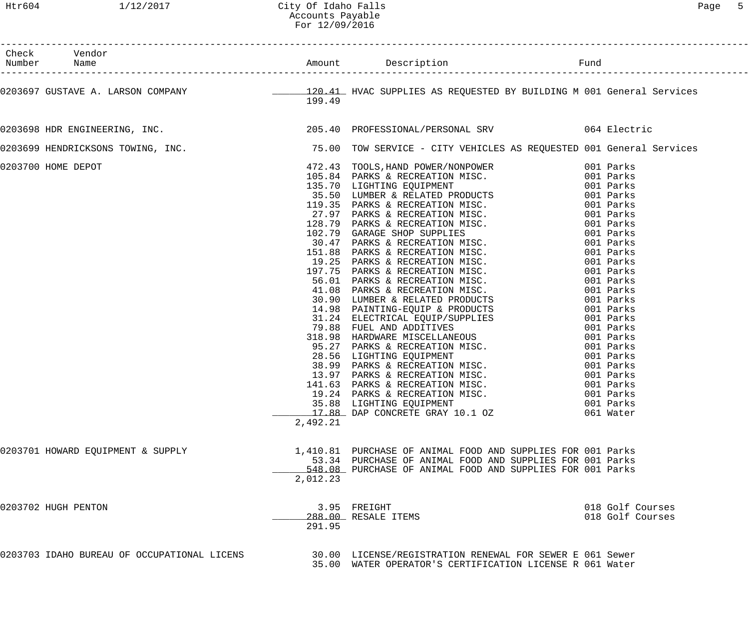| Check Vendor<br>Number Name                 |          |                                                                                                                                                                                                                                                                                                                                                    |                                      |
|---------------------------------------------|----------|----------------------------------------------------------------------------------------------------------------------------------------------------------------------------------------------------------------------------------------------------------------------------------------------------------------------------------------------------|--------------------------------------|
|                                             | 199.49   | 0203697 GUSTAVE A. LARSON COMPANY <b>120.41</b> HVAC SUPPLIES AS REQUESTED BY BUILDING M 001 General Services                                                                                                                                                                                                                                      |                                      |
|                                             |          | 0203698 HDR ENGINEERING, INC. The Same Control of the Superior Control of the Superior Control of the Superior                                                                                                                                                                                                                                     |                                      |
|                                             |          | 0203699 HENDRICKSONS TOWING, INC. THE REARD MANUSING TOW SERVICE - CITY VEHICLES AS REQUESTED 001 General Services                                                                                                                                                                                                                                 |                                      |
| 0203700 HOME DEPOT                          | 2,492.21 | 75.00 TOW SERVICE - CITY VEHICLES AS REQUESTED 001 Genera.<br>172. 43 TONIS, HAND POWER/NONDVOKER.<br>195. 84 PARKS & RECREATION MISC. 001 Parks<br>135.70 LIGHTING EQUIPMENT<br>35.50 LUMBER & RELATED PRODUCTS 001 Parks<br>19.35 PAR<br>19.24 PARKS & RECREATION MISC. 001 Parks<br>35.88 LIGHTING EQUIPMENT<br>17.88 DAP CONCRETE GRAY 10.1 OZ | 001 Parks<br>061 Water               |
| 0203701 HOWARD EQUIPMENT & SUPPLY           | 2,012.23 | 1,410.81 PURCHASE OF ANIMAL FOOD AND SUPPLIES FOR 001 Parks<br>53.34 PURCHASE OF ANIMAL FOOD AND SUPPLIES FOR 001 Parks<br>548.08 PURCHASE OF ANIMAL FOOD AND SUPPLIES FOR 001 Parks                                                                                                                                                               |                                      |
| 0203702 HUGH PENTON                         | 291.95   | 3.95 FREIGHT<br>288.00 RESALE ITEMS                                                                                                                                                                                                                                                                                                                | 018 Golf Courses<br>018 Golf Courses |
| 0203703 IDAHO BUREAU OF OCCUPATIONAL LICENS |          | 30.00 LICENSE/REGISTRATION RENEWAL FOR SEWER E 061 Sewer<br>35.00 WATER OPERATOR'S CERTIFICATION LICENSE R 061 Water                                                                                                                                                                                                                               |                                      |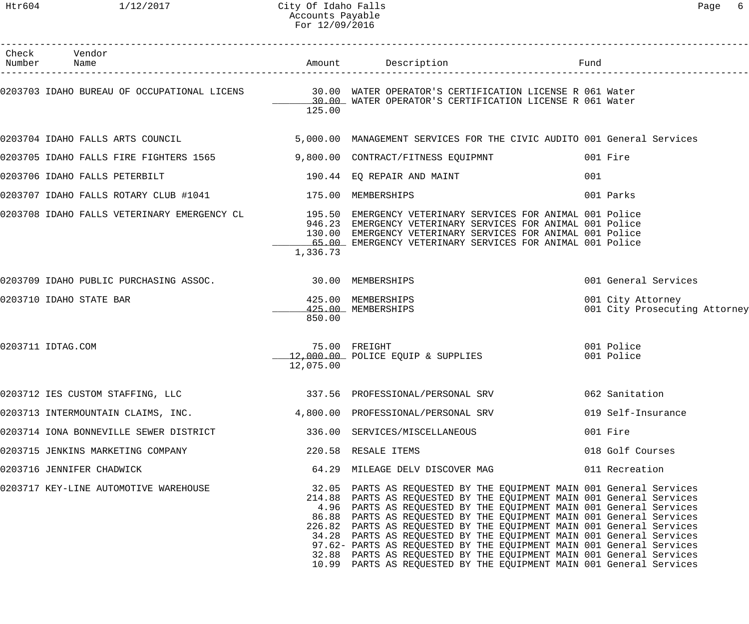| Check Vendor<br>Number Name                                              |           | Amount Description                                                                                                                                                                                                                                                                                                                                                                                                                                                                                                                                                                                                                                            | Fund                                               |
|--------------------------------------------------------------------------|-----------|---------------------------------------------------------------------------------------------------------------------------------------------------------------------------------------------------------------------------------------------------------------------------------------------------------------------------------------------------------------------------------------------------------------------------------------------------------------------------------------------------------------------------------------------------------------------------------------------------------------------------------------------------------------|----------------------------------------------------|
|                                                                          | 125.00    | 0203703 IDAHO BUREAU OF OCCUPATIONAL LICENS 30.00 WATER OPERATOR'S CERTIFICATION LICENSE R 061 Water<br>30.00 WATER OPERATOR'S CERTIFICATION LICENSE R 061 Water                                                                                                                                                                                                                                                                                                                                                                                                                                                                                              |                                                    |
| 0203704 IDAHO FALLS ARTS COUNCIL                                         |           | 5,000.00 MANAGEMENT SERVICES FOR THE CIVIC AUDITO 001 General Services                                                                                                                                                                                                                                                                                                                                                                                                                                                                                                                                                                                        |                                                    |
|                                                                          |           | 0203705 IDAHO FALLS FIRE FIGHTERS 1565 39,800.00 CONTRACT/FITNESS EQUIPMNT                                                                                                                                                                                                                                                                                                                                                                                                                                                                                                                                                                                    | 001 Fire                                           |
| 0203706 IDAHO FALLS PETERBILT                                            |           | 190.44 EQ REPAIR AND MAINT                                                                                                                                                                                                                                                                                                                                                                                                                                                                                                                                                                                                                                    | 001                                                |
| 0203707 IDAHO FALLS ROTARY CLUB #1041 175.00 MEMBERSHIPS                 |           |                                                                                                                                                                                                                                                                                                                                                                                                                                                                                                                                                                                                                                                               | 001 Parks                                          |
|                                                                          | 1,336.73  | 0203708 IDAHO FALLS VETERINARY EMERGENCY CL<br>195.50 EMERGENCY VETERINARY SERVICES FOR ANIMAL 001 Police<br>946.23 EMERGENCY VETERINARY SERVICES FOR ANIMAL 001 Police<br>130.00 EMERGENCY VETERINARY SERVICES FOR ANIMAL 001 Police<br>                                                                                                                                                                                                                                                                                                                                                                                                                     |                                                    |
| 0203709 IDAHO PUBLIC PURCHASING ASSOC. 30.00 MEMBERSHIPS                 |           |                                                                                                                                                                                                                                                                                                                                                                                                                                                                                                                                                                                                                                                               | 001 General Services                               |
| 0203710 IDAHO STATE BAR                                                  | 850.00    | 425.00 MEMBERSHIPS<br>425.00 MEMBERSHIPS                                                                                                                                                                                                                                                                                                                                                                                                                                                                                                                                                                                                                      | 001 City Attorney<br>001 City Prosecuting Attorney |
| 0203711 IDTAG.COM                                                        | 12,075.00 | 75.00 FREIGHT<br>12,000.00 POLICE EQUIP & SUPPLIES                                                                                                                                                                                                                                                                                                                                                                                                                                                                                                                                                                                                            | 001 Police<br>001 Police                           |
| 0203712 IES CUSTOM STAFFING, LLC                                         |           |                                                                                                                                                                                                                                                                                                                                                                                                                                                                                                                                                                                                                                                               |                                                    |
| 0203713 INTERMOUNTAIN CLAIMS, INC.                                       |           | 4,800.00 PROFESSIONAL/PERSONAL SRV                                                                                                                                                                                                                                                                                                                                                                                                                                                                                                                                                                                                                            | 019 Self-Insurance                                 |
| 0203714 IONA BONNEVILLE SEWER DISTRICT 600 336.00 SERVICES/MISCELLANEOUS |           |                                                                                                                                                                                                                                                                                                                                                                                                                                                                                                                                                                                                                                                               | 001 Fire                                           |
| 0203715 JENKINS MARKETING COMPANY                                        |           | 220.58 RESALE ITEMS                                                                                                                                                                                                                                                                                                                                                                                                                                                                                                                                                                                                                                           | 018 Golf Courses                                   |
| 0203716 JENNIFER CHADWICK                                                |           | 64.29 MILEAGE DELV DISCOVER MAG                                                                                                                                                                                                                                                                                                                                                                                                                                                                                                                                                                                                                               | 011 Recreation                                     |
| 0203717 KEY-LINE AUTOMOTIVE WAREHOUSE                                    |           | 32.05 PARTS AS REQUESTED BY THE EQUIPMENT MAIN 001 General Services<br>214.88 PARTS AS REQUESTED BY THE EQUIPMENT MAIN 001 General Services<br>4.96 PARTS AS REQUESTED BY THE EQUIPMENT MAIN 001 General Services<br>86.88 PARTS AS REQUESTED BY THE EQUIPMENT MAIN 001 General Services<br>226.82 PARTS AS REQUESTED BY THE EQUIPMENT MAIN 001 General Services<br>34.28 PARTS AS REQUESTED BY THE EQUIPMENT MAIN 001 General Services<br>97.62- PARTS AS REQUESTED BY THE EQUIPMENT MAIN 001 General Services<br>32.88 PARTS AS REQUESTED BY THE EQUIPMENT MAIN 001 General Services<br>10.99 PARTS AS REQUESTED BY THE EQUIPMENT MAIN 001 General Services |                                                    |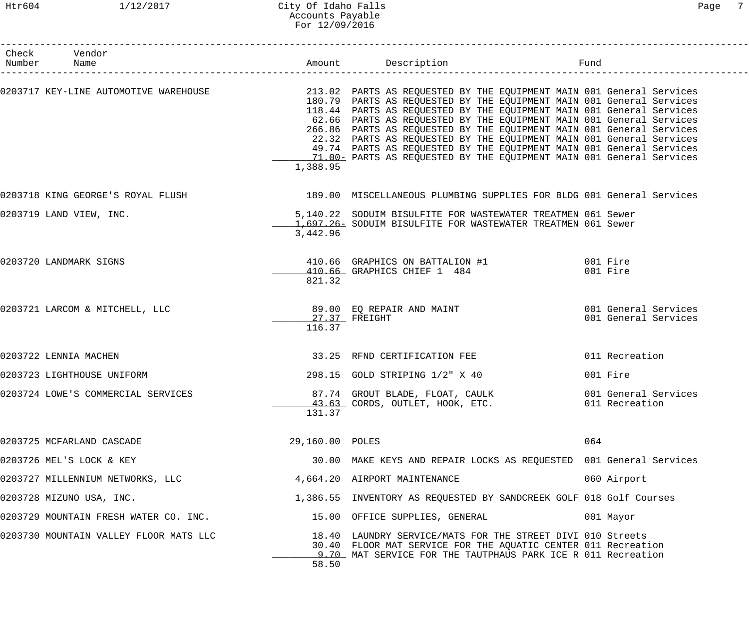#### Htr604 1/12/2017 City Of Idaho Falls Page 7 Accounts Payable For 12/09/2016

| Check Vendor<br>Number Name            |                         | Amount Description Description Fund                                                                                                                                                                                                                                                                                                                                                                                                                                                                                                                                                                                                           |                                              |
|----------------------------------------|-------------------------|-----------------------------------------------------------------------------------------------------------------------------------------------------------------------------------------------------------------------------------------------------------------------------------------------------------------------------------------------------------------------------------------------------------------------------------------------------------------------------------------------------------------------------------------------------------------------------------------------------------------------------------------------|----------------------------------------------|
|                                        | 1,388.95                | 0203717 KEY-LINE AUTOMOTIVE WAREHOUSE <b>1999 1243.02 PARTS AS REQUESTED BY THE EQUIPMENT</b> MAIN 001 General Services<br>180.79 PARTS AS REQUESTED BY THE EQUIPMENT MAIN 001 General Services<br>118.44 PARTS AS REQUESTED BY THE EQUIPMENT MAIN 001 General Services<br>62.66 PARTS AS REQUESTED BY THE EQUIPMENT MAIN 001 General Services<br>266.86 PARTS AS REQUESTED BY THE EQUIPMENT MAIN 001 General Services<br>22.32 PARTS AS REQUESTED BY THE EQUIPMENT MAIN 001 General Services<br>49.74 PARTS AS REQUESTED BY THE EQUIPMENT MAIN 001 General Services<br>11.00 = PARTS AS REQUESTED BY THE EQUIPMENT MAIN 001 General Services |                                              |
| 0203718 KING GEORGE'S ROYAL FLUSH      |                         | 189.00 MISCELLANEOUS PLUMBING SUPPLIES FOR BLDG 001 General Services                                                                                                                                                                                                                                                                                                                                                                                                                                                                                                                                                                          |                                              |
| 0203719 LAND VIEW, INC.                | 3,442.96                | 5,140.22 SODUIM BISULFITE FOR WASTEWATER TREATMEN 061 Sewer<br>1,697.26 SODUIM BISULFITE FOR WASTEWATER TREATMEN 061 Sewer                                                                                                                                                                                                                                                                                                                                                                                                                                                                                                                    |                                              |
| 0203720 LANDMARK SIGNS                 | 821.32                  | 410.66 GRAPHICS ON BATTALION #1 001 Fire<br>410.66 GRAPHICS CHIEF 1 484                                                                                                                                                                                                                                                                                                                                                                                                                                                                                                                                                                       | 001 Fire                                     |
| 0203721 LARCOM & MITCHELL, LLC         | 27.37 FREIGHT<br>116.37 | 89.00 EQ REPAIR AND MAINT                                                                                                                                                                                                                                                                                                                                                                                                                                                                                                                                                                                                                     | 001 General Services<br>001 General Services |
| 0203722 LENNIA MACHEN                  |                         | 33.25 RFND CERTIFICATION FEE                                                                                                                                                                                                                                                                                                                                                                                                                                                                                                                                                                                                                  | 011 Recreation                               |
| 0203723 LIGHTHOUSE UNIFORM             |                         | 298.15 GOLD STRIPING 1/2" X 40                                                                                                                                                                                                                                                                                                                                                                                                                                                                                                                                                                                                                | 001 Fire                                     |
| 0203724 LOWE'S COMMERCIAL SERVICES     | 131.37                  | 87.74 GROUT BLADE, FLOAT, CAULK<br>43.63 CORDS, OUTLET, HOOK, ETC.                                                                                                                                                                                                                                                                                                                                                                                                                                                                                                                                                                            | 001 General Services<br>011 Recreation       |
| 0203725 MCFARLAND CASCADE              | 29,160.00 POLES         |                                                                                                                                                                                                                                                                                                                                                                                                                                                                                                                                                                                                                                               | 064                                          |
| 0203726 MEL'S LOCK & KEY               |                         | 30.00 MAKE KEYS AND REPAIR LOCKS AS REQUESTED 001 General Services                                                                                                                                                                                                                                                                                                                                                                                                                                                                                                                                                                            |                                              |
| 0203727 MILLENNIUM NETWORKS, LLC       |                         | 4,664.20 AIRPORT MAINTENANCE                                                                                                                                                                                                                                                                                                                                                                                                                                                                                                                                                                                                                  | 060 Airport                                  |
| 0203728 MIZUNO USA, INC.               |                         | 1,386.55 INVENTORY AS REQUESTED BY SANDCREEK GOLF 018 Golf Courses                                                                                                                                                                                                                                                                                                                                                                                                                                                                                                                                                                            |                                              |
| 0203729 MOUNTAIN FRESH WATER CO. INC.  |                         | 15.00 OFFICE SUPPLIES, GENERAL                                                                                                                                                                                                                                                                                                                                                                                                                                                                                                                                                                                                                | 001 Mayor                                    |
| 0203730 MOUNTAIN VALLEY FLOOR MATS LLC | 58.50                   | 18.40 LAUNDRY SERVICE/MATS FOR THE STREET DIVI 010 Streets<br>30.40 FLOOR MAT SERVICE FOR THE AQUATIC CENTER 011 Recreation<br>9.70 MAT SERVICE FOR THE TAUTPHAUS PARK ICE R 011 Recreation                                                                                                                                                                                                                                                                                                                                                                                                                                                   |                                              |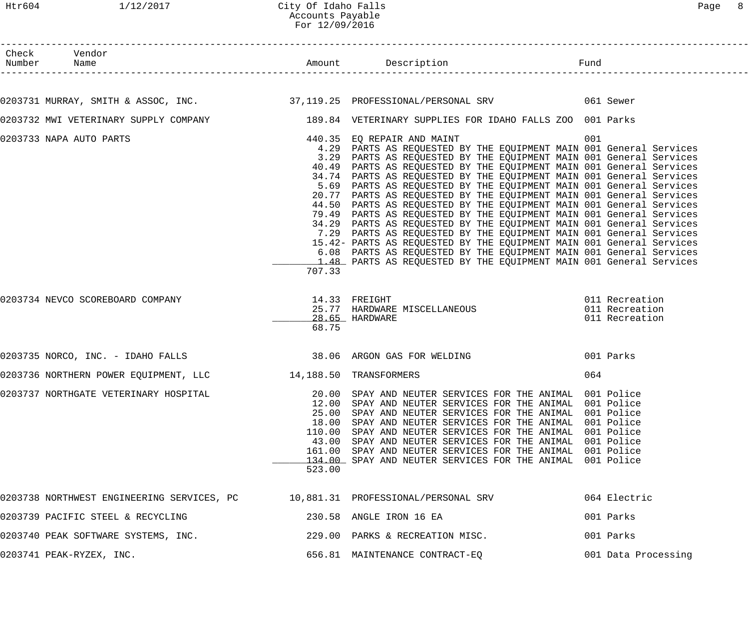| Check Vendor                                                                                             |        |                                                                                                                                                                                                                                                                                                                                                                                                                                                                                                                                                                                                                                                                                                                                                                                                                                                                                                                                                                                  |                                                    |
|----------------------------------------------------------------------------------------------------------|--------|----------------------------------------------------------------------------------------------------------------------------------------------------------------------------------------------------------------------------------------------------------------------------------------------------------------------------------------------------------------------------------------------------------------------------------------------------------------------------------------------------------------------------------------------------------------------------------------------------------------------------------------------------------------------------------------------------------------------------------------------------------------------------------------------------------------------------------------------------------------------------------------------------------------------------------------------------------------------------------|----------------------------------------------------|
|                                                                                                          |        |                                                                                                                                                                                                                                                                                                                                                                                                                                                                                                                                                                                                                                                                                                                                                                                                                                                                                                                                                                                  |                                                    |
| 0203731 MURRAY, SMITH & ASSOC, INC. 27,119.25 PROFESSIONAL/PERSONAL SRV 661 Sewer                        |        |                                                                                                                                                                                                                                                                                                                                                                                                                                                                                                                                                                                                                                                                                                                                                                                                                                                                                                                                                                                  |                                                    |
| 0203732 MWI VETERINARY SUPPLY COMPANY 189.84 VETERINARY SUPPLIES FOR IDAHO FALLS ZOO 001 Parks           |        |                                                                                                                                                                                                                                                                                                                                                                                                                                                                                                                                                                                                                                                                                                                                                                                                                                                                                                                                                                                  |                                                    |
| 0203733 NAPA AUTO PARTS                                                                                  | 707.33 | 440.35 EQ REPAIR AND MAINT<br>4.29 PARTS AS REQUESTED BY THE EQUIPMENT MAIN 001 General Services<br>3.29 PARTS AS REQUESTED BY THE EQUIPMENT MAIN 001 General Services<br>40.49 PARTS AS REQUESTED BY THE EQUIPMENT MAIN 001 General Services<br>34.74 PARTS AS REQUESTED BY THE EQUIPMENT MAIN 001 General Services<br>5.69 PARTS AS REQUESTED BY THE EQUIPMENT MAIN 001 General Services<br>20.77 PARTS AS REQUESTED BY THE EQUIPMENT MAIN 001 General Services<br>44.50 PARTS AS REQUESTED BY THE EQUIPMENT MAIN 001 General Services<br>79.49 PARTS AS REQUESTED BY THE EQUIPMENT MAIN 001 General Services<br>34.29 PARTS AS REQUESTED BY THE EQUIPMENT MAIN 001 General Services<br>7.29 PARTS AS REQUESTED BY THE EQUIPMENT MAIN 001 General Services<br>15.42- PARTS AS REQUESTED BY THE EQUIPMENT MAIN 001 General Services<br>6.08 PARTS AS REQUESTED BY THE EQUIPMENT MAIN 001 General Services<br>1.48 PARTS AS REQUESTED BY THE EQUIPMENT MAIN 001 General Services | 001                                                |
| 0203734 NEVCO SCOREBOARD COMPANY                                                                         | 68.75  | 14.33 FREIGHT<br>25.77 HARDWARE MISCELLANEOUS<br>28.65 HARDWARE                                                                                                                                                                                                                                                                                                                                                                                                                                                                                                                                                                                                                                                                                                                                                                                                                                                                                                                  | 011 Recreation<br>011 Recreation<br>011 Recreation |
| 0203735 NORCO, INC. - IDAHO FALLS 38.06 ARGON GAS FOR WELDING                                            |        |                                                                                                                                                                                                                                                                                                                                                                                                                                                                                                                                                                                                                                                                                                                                                                                                                                                                                                                                                                                  | 001 Parks                                          |
| 0203736 NORTHERN POWER EQUIPMENT, LLC 14,188.50 TRANSFORMERS                                             |        |                                                                                                                                                                                                                                                                                                                                                                                                                                                                                                                                                                                                                                                                                                                                                                                                                                                                                                                                                                                  | 064                                                |
| 0203737 NORTHGATE VETERINARY HOSPITAL THE SERIE 20.00 SPAY AND NEUTER SERVICES FOR THE ANIMAL 001 Police | 523.00 | 12.00 SPAY AND NEUTER SERVICES FOR THE ANIMAL 001 Police<br>25.00 SPAY AND NEUTER SERVICES FOR THE ANIMAL 001 Police<br>18.00 SPAY AND NEUTER SERVICES FOR THE ANIMAL 001 Police<br>110.00 SPAY AND NEUTER SERVICES FOR THE ANIMAL 001 Police<br>43.00 SPAY AND NEUTER SERVICES FOR THE ANIMAL 001 Police<br>161.00 SPAY AND NEUTER SERVICES FOR THE ANIMAL 001 Police<br>134.00 SPAY AND NEUTER SERVICES FOR THE ANIMAL 001 Police                                                                                                                                                                                                                                                                                                                                                                                                                                                                                                                                              |                                                    |
| 0203738 NORTHWEST ENGINEERING SERVICES, PC      10,881.31 PROFESSIONAL/PERSONAL SRV                      |        |                                                                                                                                                                                                                                                                                                                                                                                                                                                                                                                                                                                                                                                                                                                                                                                                                                                                                                                                                                                  | 064 Electric                                       |
| 0203739 PACIFIC STEEL & RECYCLING<br>230.58 ANGLE IRON 16 EA                                             |        |                                                                                                                                                                                                                                                                                                                                                                                                                                                                                                                                                                                                                                                                                                                                                                                                                                                                                                                                                                                  | 001 Parks                                          |
| 0203740 PEAK SOFTWARE SYSTEMS, INC. 229.00 PARKS & RECREATION MISC.                                      |        |                                                                                                                                                                                                                                                                                                                                                                                                                                                                                                                                                                                                                                                                                                                                                                                                                                                                                                                                                                                  | 001 Parks                                          |
| 0203741 PEAK-RYZEX, INC.                                                                                 |        | 656.81 MAINTENANCE CONTRACT-EQ                                                                                                                                                                                                                                                                                                                                                                                                                                                                                                                                                                                                                                                                                                                                                                                                                                                                                                                                                   | 001 Data Processing                                |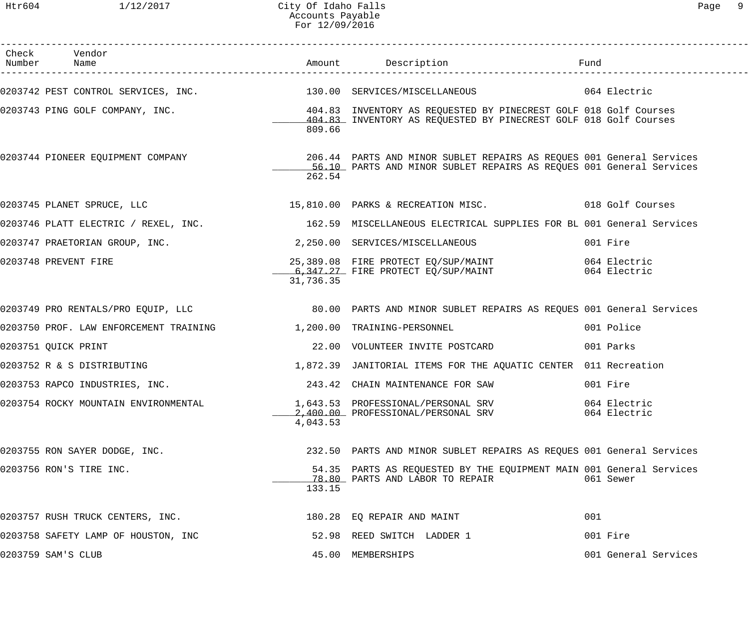Htr604 1/12/2017 City Of Idaho Falls Page 9 Accounts Payable For 12/09/2016

| Check Vendor<br>Number Name                                                                                                                                            |           |                                                                                                        |                      |
|------------------------------------------------------------------------------------------------------------------------------------------------------------------------|-----------|--------------------------------------------------------------------------------------------------------|----------------------|
| 0203742 PEST CONTROL SERVICES, INC. 130.00 SERVICES/MISCELLANEOUS 64 Electric                                                                                          |           |                                                                                                        |                      |
| 0203743 PING GOLF COMPANY, INC.<br>104.83 INVENTORY AS REQUESTED BY PINECREST GOLF 018 Golf Courses<br>104.83 INVENTORY AS PEQUESTED BY DINECRET COLF 018 Golf Courses | 809.66    | 404.83 INVENTORY AS REQUESTED BY PINECREST GOLF 018 Golf Courses                                       |                      |
| 0203744 PIONEER EQUIPMENT COMPANY 206.44 PARTS AND MINOR SUBLET REPAIRS AS REQUES 001 General Services                                                                 | 262.54    | 56.10 PARTS AND MINOR SUBLET REPAIRS AS REQUES 001 General Services                                    |                      |
| 0203745 PLANET SPRUCE, LLC 15,810.00 PARKS & RECREATION MISC. 018 Golf Courses                                                                                         |           |                                                                                                        |                      |
| 0203746 PLATT ELECTRIC / REXEL, INC.                 162.59 MISCELLANEOUS ELECTRICAL SUPPLIES FOR BL 001 General Services                                              |           |                                                                                                        |                      |
| 0203747 PRAETORIAN GROUP, INC. 2,250.00 SERVICES/MISCELLANEOUS                                                                                                         |           |                                                                                                        | 001 Fire             |
| 0203748 PREVENT FIRE                                                                                                                                                   | 31,736.35 | 25,389.08 FIRE PROTECT EQ/SUP/MAINT 6,347.27 FIRE PROTECT EQ/SUP/MAINT 064 Electric                    |                      |
| 0203749 PRO RENTALS/PRO EQUIP, LLC 60 00 2000 DARTS AND MINOR SUBLET REPAIRS AS REQUES 001 General Services                                                            |           |                                                                                                        |                      |
| 0203750 PROF. LAW ENFORCEMENT TRAINING $1,200.00$ TRAINING-PERSONNEL                                                                                                   |           |                                                                                                        | 001 Police           |
| 0203751 QUICK PRINT                                                                                                                                                    |           | 22.00 VOLUNTEER INVITE POSTCARD                                                                        | 001 Parks            |
| 0203752 R & S DISTRIBUTING                                                                                                                                             |           | 1,872.39 JANITORIAL ITEMS FOR THE AQUATIC CENTER 011 Recreation                                        |                      |
| 0203753 RAPCO INDUSTRIES, INC.                                                                                                                                         |           | 243.42 CHAIN MAINTENANCE FOR SAW                                                                       | 001 Fire             |
| 0203754 ROCKY MOUNTAIN ENVIRONMENTAL                                                                                                                                   | 4,043.53  | 1,643.53 PROFESSIONAL/PERSONAL SRV 064 Electric<br>2,400.00 PROFESSIONAL/PERSONAL SRV 064 Electric     |                      |
| 0203755 RON SAYER DODGE, INC.                                                                                                                                          |           | 232.50 PARTS AND MINOR SUBLET REPAIRS AS REQUES 001 General Services                                   |                      |
| 0203756 RON'S TIRE INC.                                                                                                                                                | 133.15    | 54.35 PARTS AS REQUESTED BY THE EQUIPMENT MAIN 001 General Services<br>78.80 PARTS AND LABOR TO REPAIR | 061 Sewer            |
| 0203757 RUSH TRUCK CENTERS, INC.                                                                                                                                       |           | 180.28 EQ REPAIR AND MAINT                                                                             | 001                  |
| 0203758 SAFETY LAMP OF HOUSTON, INC                                                                                                                                    |           | 52.98 REED SWITCH LADDER 1                                                                             | 001 Fire             |
| 0203759 SAM'S CLUB                                                                                                                                                     |           | 45.00 MEMBERSHIPS                                                                                      | 001 General Services |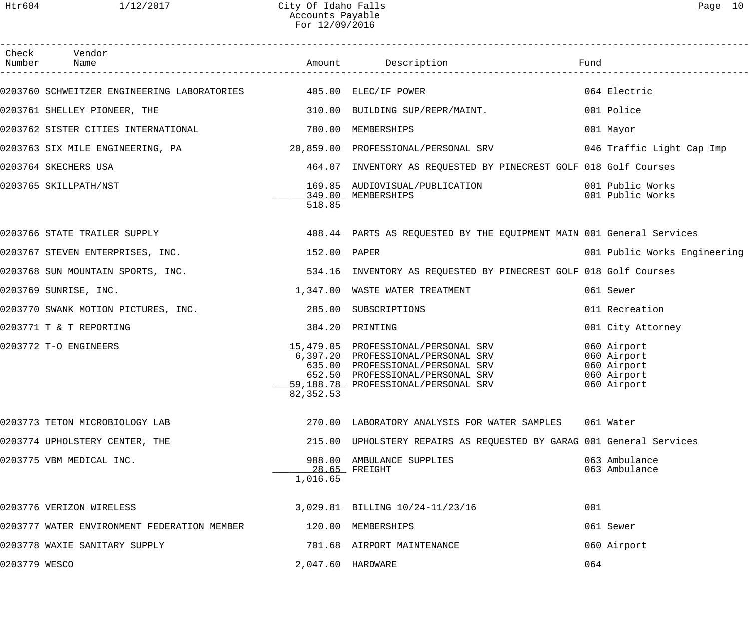------------------------------------------------------------------------------------------------------------------------------------

| Check         | Vendor<br>Number Name                       |                   |                                                                                                                                                                                          | Fund                                                                    |
|---------------|---------------------------------------------|-------------------|------------------------------------------------------------------------------------------------------------------------------------------------------------------------------------------|-------------------------------------------------------------------------|
|               |                                             |                   | 0203760 SCHWEITZER ENGINEERING LABORATORIES 405.00 ELEC/IF POWER                                                                                                                         | 064 Electric                                                            |
|               | 0203761 SHELLEY PIONEER, THE                |                   | 310.00 BUILDING SUP/REPR/MAINT.                                                                                                                                                          | 001 Police                                                              |
|               | 0203762 SISTER CITIES INTERNATIONAL         |                   | 780.00 MEMBERSHIPS                                                                                                                                                                       | 001 Mayor                                                               |
|               |                                             |                   |                                                                                                                                                                                          | 046 Traffic Light Cap Imp                                               |
|               | 0203764 SKECHERS USA                        |                   | 464.07 INVENTORY AS REQUESTED BY PINECREST GOLF 018 Golf Courses                                                                                                                         |                                                                         |
|               | 0203765 SKILLPATH/NST                       | 518.85            | 169.85 AUDIOVISUAL/PUBLICATION<br>349.00 MEMBERSHIPS                                                                                                                                     | 001 Public Works<br>001 Public Works                                    |
|               | 0203766 STATE TRAILER SUPPLY                |                   | 408.44 PARTS AS REQUESTED BY THE EQUIPMENT MAIN 001 General Services                                                                                                                     |                                                                         |
|               | 0203767 STEVEN ENTERPRISES, INC.            | 152.00 PAPER      |                                                                                                                                                                                          | 001 Public Works Engineering                                            |
|               | 0203768 SUN MOUNTAIN SPORTS, INC.           |                   | 534.16 INVENTORY AS REQUESTED BY PINECREST GOLF 018 Golf Courses                                                                                                                         |                                                                         |
|               | 0203769 SUNRISE, INC.                       |                   | 1,347.00 WASTE WATER TREATMENT                                                                                                                                                           | 061 Sewer                                                               |
|               | 0203770 SWANK MOTION PICTURES, INC.         |                   | 285.00 SUBSCRIPTIONS                                                                                                                                                                     | 011 Recreation                                                          |
|               | 0203771 T & T REPORTING                     |                   | 384.20 PRINTING                                                                                                                                                                          | 001 City Attorney                                                       |
|               | 0203772 T-O ENGINEERS                       | 82, 352.53        | 15,479.05 PROFESSIONAL/PERSONAL SRV<br>6,397.20 PROFESSIONAL/PERSONAL SRV<br>635.00 PROFESSIONAL/PERSONAL SRV<br>652.50 PROFESSIONAL/PERSONAL SRV<br>59,188.78 PROFESSIONAL/PERSONAL SRV | 060 Airport<br>060 Airport<br>060 Airport<br>060 Airport<br>060 Airport |
|               | 0203773 TETON MICROBIOLOGY LAB              |                   | 270.00 LABORATORY ANALYSIS FOR WATER SAMPLES                                                                                                                                             | 061 Water                                                               |
|               | 0203774 UPHOLSTERY CENTER, THE              |                   | 215.00 UPHOLSTERY REPAIRS AS REQUESTED BY GARAG 001 General Services                                                                                                                     |                                                                         |
|               | 0203775 VBM MEDICAL INC.                    | 1,016.65          | 988.00 AMBULANCE SUPPLIES<br>$28.65$ FREIGHT                                                                                                                                             | 063 Ambulance<br>063 Ambulance                                          |
|               | 0203776 VERIZON WIRELESS                    |                   | 3,029.81 BILLING 10/24-11/23/16                                                                                                                                                          | 001                                                                     |
|               | 0203777 WATER ENVIRONMENT FEDERATION MEMBER |                   | 120.00 MEMBERSHIPS                                                                                                                                                                       | 061 Sewer                                                               |
|               | 0203778 WAXIE SANITARY SUPPLY               |                   | 701.68 AIRPORT MAINTENANCE                                                                                                                                                               | 060 Airport                                                             |
| 0203779 WESCO |                                             | 2,047.60 HARDWARE |                                                                                                                                                                                          | 064                                                                     |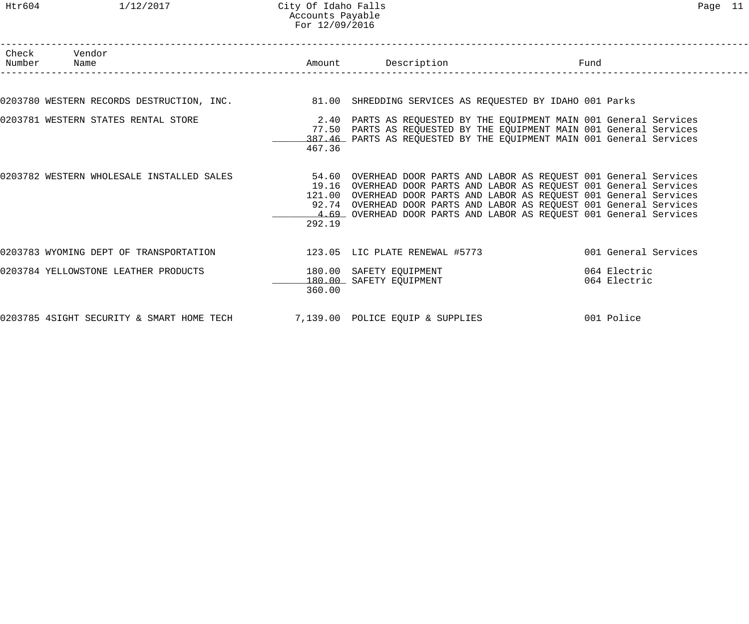#### Htr604 1/12/2017 City Of Idaho Falls Page 11 Accounts Payable For 12/09/2016

| Check Vendor<br>Number Name                                                                         |        | Amount Description                                                                                                                                                                                                                                                                                                                                              | Fund |                              |
|-----------------------------------------------------------------------------------------------------|--------|-----------------------------------------------------------------------------------------------------------------------------------------------------------------------------------------------------------------------------------------------------------------------------------------------------------------------------------------------------------------|------|------------------------------|
|                                                                                                     |        |                                                                                                                                                                                                                                                                                                                                                                 |      |                              |
| 0203780 WESTERN RECORDS DESTRUCTION, INC. 481.00 SHREDDING SERVICES AS REQUESTED BY IDAHO 001 Parks |        |                                                                                                                                                                                                                                                                                                                                                                 |      |                              |
| 0203781 WESTERN STATES RENTAL STORE                                                                 | 467.36 | 2.40 PARTS AS REQUESTED BY THE EQUIPMENT MAIN 001 General Services<br>77.50 PARTS AS REQUESTED BY THE EQUIPMENT MAIN 001 General Services<br>387.46 PARTS AS REQUESTED BY THE EQUIPMENT MAIN 001 General Services                                                                                                                                               |      |                              |
| 0203782 WESTERN WHOLESALE INSTALLED SALES                                                           | 292.19 | 54.60 OVERHEAD DOOR PARTS AND LABOR AS REQUEST 001 General Services<br>19.16 OVERHEAD DOOR PARTS AND LABOR AS REQUEST 001 General Services<br>121.00 OVERHEAD DOOR PARTS AND LABOR AS REQUEST 001 General Services<br>92.74 OVERHEAD DOOR PARTS AND LABOR AS REQUEST 001 General Services<br>4.69 OVERHEAD DOOR PARTS AND LABOR AS REQUEST 001 General Services |      |                              |
| 0203783 WYOMING DEPT OF TRANSPORTATION 123.05 LIC PLATE RENEWAL #5773                               |        |                                                                                                                                                                                                                                                                                                                                                                 |      | 001 General Services         |
| 0203784 YELLOWSTONE LEATHER PRODUCTS                                                                | 360.00 | 180.00 SAFETY EQUIPMENT<br>180.00 SAFETY EQUIPMENT                                                                                                                                                                                                                                                                                                              |      | 064 Electric<br>064 Electric |
| 0203785 4SIGHT SECURITY & SMART HOME TECH 7,139.00 POLICE EQUIP & SUPPLIES                          |        |                                                                                                                                                                                                                                                                                                                                                                 |      | 001 Police                   |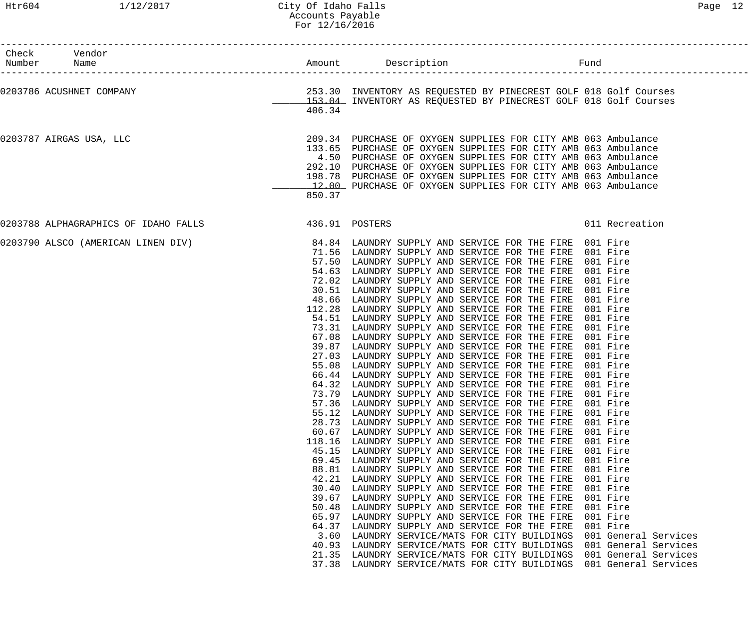| Check Vendor<br>Number Name                                                                                                                                    |                                                                                                                                                       |                                                                                                                                                                                                                                                                                                                                                                                                                                                                                                                                                                                                                                                                                                                                                                                                                                                                                                                                                                                                                                                                                                                                                                                                                                                                                                                                                                                                                                                                                                                                                                                                                                              |                                                                                                                                                                                                                                                                      |
|----------------------------------------------------------------------------------------------------------------------------------------------------------------|-------------------------------------------------------------------------------------------------------------------------------------------------------|----------------------------------------------------------------------------------------------------------------------------------------------------------------------------------------------------------------------------------------------------------------------------------------------------------------------------------------------------------------------------------------------------------------------------------------------------------------------------------------------------------------------------------------------------------------------------------------------------------------------------------------------------------------------------------------------------------------------------------------------------------------------------------------------------------------------------------------------------------------------------------------------------------------------------------------------------------------------------------------------------------------------------------------------------------------------------------------------------------------------------------------------------------------------------------------------------------------------------------------------------------------------------------------------------------------------------------------------------------------------------------------------------------------------------------------------------------------------------------------------------------------------------------------------------------------------------------------------------------------------------------------------|----------------------------------------------------------------------------------------------------------------------------------------------------------------------------------------------------------------------------------------------------------------------|
| 0203786 ACUSHNET COMPANY                                                                                                                                       | 406.34                                                                                                                                                | 253.30 INVENTORY AS REQUESTED BY PINECREST GOLF 018 Golf Courses<br>153.04 INVENTORY AS REQUESTED BY PINECREST GOLF 018 Golf Courses                                                                                                                                                                                                                                                                                                                                                                                                                                                                                                                                                                                                                                                                                                                                                                                                                                                                                                                                                                                                                                                                                                                                                                                                                                                                                                                                                                                                                                                                                                         |                                                                                                                                                                                                                                                                      |
| 0203787 AIRGAS USA, LLC                                                                                                                                        | 850.37                                                                                                                                                | 209.34 PURCHASE OF OXYGEN SUPPLIES FOR CITY AMB 063 Ambulance<br>133.65 PURCHASE OF OXYGEN SUPPLIES FOR CITY AMB 063 Ambulance<br>4.50 PURCHASE OF OXYGEN SUPPLIES FOR CITY AMB 063 Ambulance<br>292.10 PURCHASE OF OXYGEN SUPPLIES FOR CITY AMB 063 Ambulance<br>198.78 PURCHASE OF OXYGEN SUPPLIES FOR CITY AMB 063 Ambulance<br>12.00 PURCHASE OF OXYGEN SUPPLIES FOR CITY AMB 063 Ambulance                                                                                                                                                                                                                                                                                                                                                                                                                                                                                                                                                                                                                                                                                                                                                                                                                                                                                                                                                                                                                                                                                                                                                                                                                                              |                                                                                                                                                                                                                                                                      |
| 0203788 ALPHAGRAPHICS OF IDAHO FALLS 436.91 POSTERS                                                                                                            |                                                                                                                                                       |                                                                                                                                                                                                                                                                                                                                                                                                                                                                                                                                                                                                                                                                                                                                                                                                                                                                                                                                                                                                                                                                                                                                                                                                                                                                                                                                                                                                                                                                                                                                                                                                                                              | 011 Recreation                                                                                                                                                                                                                                                       |
| 0203790 ALSCO (AMERICAN LINEN DIV) <sup>84.84</sup> LAUNDRY SUPPLY AND SERVICE FOR THE FIRE 001 Fire<br>71.56 LAUNDRY SUPPLY AND SERVICE FOR THE FIRE 001 Fire | 57.36<br>55.12<br>28.73<br>60.67<br>118.16<br>45.15<br>69.45<br>88.81<br>42.21<br>30.40<br>39.67<br>50.48<br>65.97<br>64.37<br>3.60<br>40.93<br>21.35 | 57.50 LAUNDRY SUPPLY AND SERVICE FOR THE FIRE 001 Fire<br>54.63 LAUNDRY SUPPLY AND SERVICE FOR THE FIRE 001 Fire<br>72.02 LAUNDRY SUPPLY AND SERVICE FOR THE FIRE 001 Fire<br>30.51 LAUNDRY SUPPLY AND SERVICE FOR THE FIRE 001 Fire<br>48.66 LAUNDRY SUPPLY AND SERVICE FOR THE FIRE 001 Fire<br>112.28 LAUNDRY SUPPLY AND SERVICE FOR THE FIRE 001 Fire<br>54.51 LAUNDRY SUPPLY AND SERVICE FOR THE FIRE<br>73.31 LAUNDRY SUPPLY AND SERVICE FOR THE FIRE<br>67.08 LAUNDRY SUPPLY AND SERVICE FOR THE FIRE 001 Fire<br>39.87 LAUNDRY SUPPLY AND SERVICE FOR THE FIRE 001 Fire<br>27.03 LAUNDRY SUPPLY AND SERVICE FOR THE FIRE 001 Fire<br>55.08 LAUNDRY SUPPLY AND SERVICE FOR THE FIRE 001 Fire<br>66.44 LAUNDRY SUPPLY AND SERVICE FOR THE FIRE 001 Fire<br>64.32 LAUNDRY SUPPLY AND SERVICE FOR THE FIRE 001 Fire<br>73.79 LAUNDRY SUPPLY AND SERVICE FOR THE FIRE 001 Fire<br>LAUNDRY SUPPLY AND SERVICE FOR THE FIRE<br>LAUNDRY SUPPLY AND SERVICE FOR THE FIRE<br>LAUNDRY SUPPLY AND SERVICE FOR THE FIRE<br>LAUNDRY SUPPLY AND SERVICE FOR THE FIRE<br>LAUNDRY SUPPLY AND SERVICE FOR THE FIRE<br>LAUNDRY SUPPLY AND SERVICE FOR THE FIRE<br>LAUNDRY SUPPLY AND SERVICE FOR THE FIRE<br>LAUNDRY SUPPLY AND SERVICE FOR THE FIRE<br>LAUNDRY SUPPLY AND SERVICE FOR THE FIRE<br>LAUNDRY SUPPLY AND SERVICE FOR THE FIRE<br>LAUNDRY SUPPLY AND SERVICE FOR THE FIRE<br>LAUNDRY SUPPLY AND SERVICE FOR THE FIRE<br>LAUNDRY SUPPLY AND SERVICE FOR THE FIRE<br>LAUNDRY SUPPLY AND SERVICE FOR THE FIRE<br>LAUNDRY SERVICE/MATS FOR CITY BUILDINGS<br>LAUNDRY SERVICE/MATS FOR CITY BUILDINGS<br>LAUNDRY SERVICE/MATS FOR CITY BUILDINGS | 001 Fire<br>001 Fire<br>001 Fire<br>001 Fire<br>001 Fire<br>001 Fire<br>001 Fire<br>001 Fire<br>001 Fire<br>001 Fire<br>001 Fire<br>001 Fire<br>001 Fire<br>001 Fire<br>001 Fire<br>001 Fire<br>001 General Services<br>001 General Services<br>001 General Services |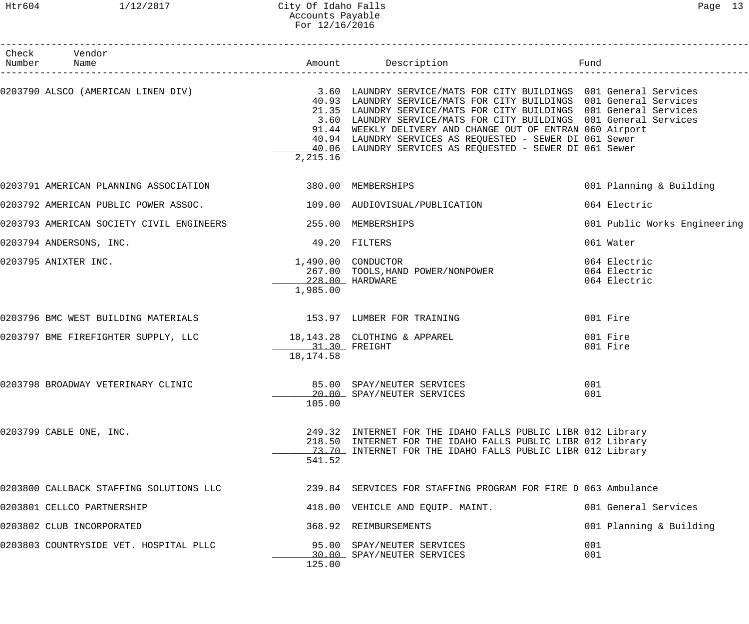#### Htr604 1/12/2017 City Of Idaho Falls Page 13 Accounts Payable For 12/16/2016

| Check Vendor<br>Number Name                                           |                                                   |                                                                                                                                                                                                                                                                                                                                                                                                                                                                                                             |                                              |
|-----------------------------------------------------------------------|---------------------------------------------------|-------------------------------------------------------------------------------------------------------------------------------------------------------------------------------------------------------------------------------------------------------------------------------------------------------------------------------------------------------------------------------------------------------------------------------------------------------------------------------------------------------------|----------------------------------------------|
|                                                                       | 2,215.16                                          | 0203790 ALSCO (AMERICAN LINEN DIV) 3.60 LAUNDRY SERVICE/MATS FOR CITY BUILDINGS 001 General Services<br>40.93 LAUNDRY SERVICE/MATS FOR CITY BUILDINGS 001 General Services<br>21.35 LAUNDRY SERVICE/MATS FOR CITY BUILDINGS 001 General Services<br>3.60 LAUNDRY SERVICE/MATS FOR CITY BUILDINGS 001 General Services<br>91.44 WEEKLY DELIVERY AND CHANGE OUT OF ENTRAN 060 Airport<br>40.94 LAUNDRY SERVICES AS REQUESTED - SEWER DI 061 Sewer<br>40.06 LAUNDRY SERVICES AS REQUESTED - SEWER DI 061 Sewer |                                              |
| 0203791 AMERICAN PLANNING ASSOCIATION 380.00 MEMBERSHIPS              |                                                   |                                                                                                                                                                                                                                                                                                                                                                                                                                                                                                             | 001 Planning & Building                      |
| 0203792 AMERICAN PUBLIC POWER ASSOC. 4 109.00 AUDIOVISUAL/PUBLICATION |                                                   |                                                                                                                                                                                                                                                                                                                                                                                                                                                                                                             | 064 Electric                                 |
|                                                                       |                                                   |                                                                                                                                                                                                                                                                                                                                                                                                                                                                                                             | 001 Public Works Engineering                 |
| 0203794 ANDERSONS, INC.                                               | 49.20 FILTERS                                     |                                                                                                                                                                                                                                                                                                                                                                                                                                                                                                             | 061 Water                                    |
| 0203795 ANIXTER INC.                                                  | 1,490.00 CONDUCTOR<br>228.00 HARDWARE<br>1,985.00 | 267.00 TOOLS, HAND POWER/NONPOWER                                                                                                                                                                                                                                                                                                                                                                                                                                                                           | 064 Electric<br>064 Electric<br>064 Electric |
| 0203796 BMC WEST BUILDING MATERIALS 153.97 LUMBER FOR TRAINING        |                                                   |                                                                                                                                                                                                                                                                                                                                                                                                                                                                                                             | 001 Fire                                     |
| 0203797 BME FIREFIGHTER SUPPLY, LLC 18,143.28 CLOTHING & APPAREL      | 18,174.58                                         |                                                                                                                                                                                                                                                                                                                                                                                                                                                                                                             | 001 Fire<br>001 Fire                         |
| 0203798 BROADWAY VETERINARY CLINIC                                    | 105.00                                            | 85.00 SPAY/NEUTER SERVICES<br>20.00 SPAY/NEUTER SERVICES                                                                                                                                                                                                                                                                                                                                                                                                                                                    | 001<br>001                                   |
| 0203799 CABLE ONE, INC.                                               | 541.52                                            | 249.32 INTERNET FOR THE IDAHO FALLS PUBLIC LIBR 012 Library<br>218.50 INTERNET FOR THE IDAHO FALLS PUBLIC LIBR 012 Library<br>73.70 INTERNET FOR THE IDAHO FALLS PUBLIC LIBR 012 Library                                                                                                                                                                                                                                                                                                                    |                                              |
| 0203800 CALLBACK STAFFING SOLUTIONS LLC                               |                                                   | 239.84 SERVICES FOR STAFFING PROGRAM FOR FIRE D 063 Ambulance                                                                                                                                                                                                                                                                                                                                                                                                                                               |                                              |
| 0203801 CELLCO PARTNERSHIP                                            |                                                   | 418.00 VEHICLE AND EQUIP. MAINT.                                                                                                                                                                                                                                                                                                                                                                                                                                                                            | 001 General Services                         |
| 0203802 CLUB INCORPORATED                                             |                                                   | 368.92 REIMBURSEMENTS                                                                                                                                                                                                                                                                                                                                                                                                                                                                                       | 001 Planning & Building                      |
| 0203803 COUNTRYSIDE VET. HOSPITAL PLLC                                | 125.00                                            | 95.00 SPAY/NEUTER SERVICES<br>30.00 SPAY/NEUTER SERVICES                                                                                                                                                                                                                                                                                                                                                                                                                                                    | 001<br>001                                   |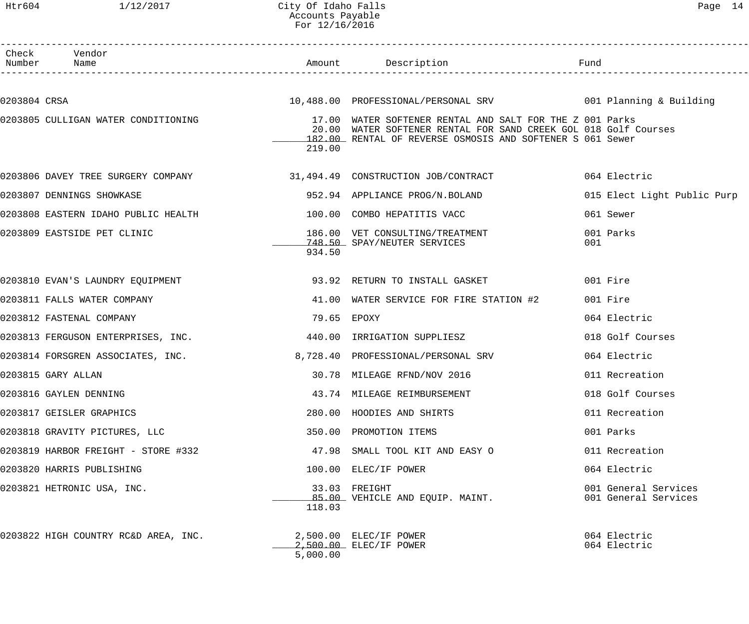#### Htr604 1/12/2017 City Of Idaho Falls Page 14 Accounts Payable For 12/16/2016

|              | Check Vendor<br>Number Name                                                         |             |                                                                                                                                                                                          |     |                                              |
|--------------|-------------------------------------------------------------------------------------|-------------|------------------------------------------------------------------------------------------------------------------------------------------------------------------------------------------|-----|----------------------------------------------|
| 0203804 CRSA |                                                                                     |             | 10,488.00 PROFESSIONAL/PERSONAL SRV 6001 Planning & Building                                                                                                                             |     |                                              |
|              | 0203805 CULLIGAN WATER CONDITIONING                                                 | 219.00      | 17.00 WATER SOFTENER RENTAL AND SALT FOR THE Z 001 Parks<br>20.00 WATER SOFTENER RENTAL FOR SAND CREEK GOL 018 Golf Courses<br>182.00 RENTAL OF REVERSE OSMOSIS AND SOFTENER S 061 Sewer |     |                                              |
|              | 0203806 DAVEY TREE SURGERY COMPANY 31,494.49 CONSTRUCTION JOB/CONTRACT 064 Electric |             |                                                                                                                                                                                          |     |                                              |
|              | 0203807 DENNINGS SHOWKASE                                                           |             | 952.94 APPLIANCE PROG/N.BOLAND                                                                                                                                                           |     | 015 Elect Light Public Purp                  |
|              | 0203808 EASTERN IDAHO PUBLIC HEALTH                                                 |             | 100.00 COMBO HEPATITIS VACC                                                                                                                                                              |     | 061 Sewer                                    |
|              | 0203809 EASTSIDE PET CLINIC                                                         | 934.50      | 186.00 VET CONSULTING/TREATMENT<br>748.50 SPAY/NEUTER SERVICES                                                                                                                           | 001 | 001 Parks                                    |
|              |                                                                                     |             |                                                                                                                                                                                          |     | 001 Fire                                     |
|              | 0203811 FALLS WATER COMPANY                                                         |             | 41.00 WATER SERVICE FOR FIRE STATION #2                                                                                                                                                  |     | 001 Fire                                     |
|              | 0203812 FASTENAL COMPANY                                                            | 79.65 EPOXY |                                                                                                                                                                                          |     | 064 Electric                                 |
|              | 0203813 FERGUSON ENTERPRISES, INC. 440.00 IRRIGATION SUPPLIESZ                      |             |                                                                                                                                                                                          |     | 018 Golf Courses                             |
|              | 0203814 FORSGREN ASSOCIATES, INC. 6. 2008) 8,728.40 PROFESSIONAL/PERSONAL SRV       |             |                                                                                                                                                                                          |     | 064 Electric                                 |
|              | 0203815 GARY ALLAN                                                                  |             | 30.78 MILEAGE RFND/NOV 2016                                                                                                                                                              |     | 011 Recreation                               |
|              | 0203816 GAYLEN DENNING                                                              |             | 43.74 MILEAGE REIMBURSEMENT                                                                                                                                                              |     | 018 Golf Courses                             |
|              | 0203817 GEISLER GRAPHICS                                                            |             | 280.00 HOODIES AND SHIRTS                                                                                                                                                                |     | 011 Recreation                               |
|              | 0203818 GRAVITY PICTURES, LLC                                                       |             | 350.00 PROMOTION ITEMS                                                                                                                                                                   |     | 001 Parks                                    |
|              | 0203819 HARBOR FREIGHT - STORE #332                                                 |             | 47.98 SMALL TOOL KIT AND EASY O                                                                                                                                                          |     | 011 Recreation                               |
|              | 0203820 HARRIS PUBLISHING                                                           |             | 100.00 ELEC/IF POWER                                                                                                                                                                     |     | 064 Electric                                 |
|              | 0203821 HETRONIC USA, INC.                                                          | 118.03      | 33.03 FREIGHT<br>85.00 VEHICLE AND EQUIP. MAINT.                                                                                                                                         |     | 001 General Services<br>001 General Services |
|              | 0203822 HIGH COUNTRY RC&D AREA, INC.                                                | 5,000.00    | $2,500.00$ ELEC/IF POWER<br>2,500.00 ELEC/IF POWER                                                                                                                                       |     | 064 Electric<br>064 Electric                 |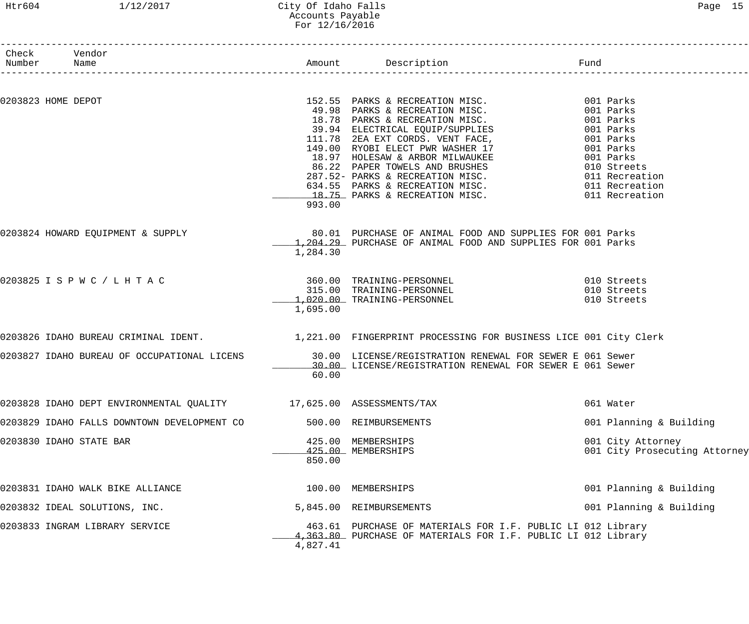#### Htr604 1/12/2017 City Of Idaho Falls Page 15 Accounts Payable For 12/16/2016

| Check Vendor       |                                                                                                       |          |                                                                                                                                                                                                                                            |      |                               |
|--------------------|-------------------------------------------------------------------------------------------------------|----------|--------------------------------------------------------------------------------------------------------------------------------------------------------------------------------------------------------------------------------------------|------|-------------------------------|
| Number             | Name                                                                                                  |          | n<br>------------------------                                                                                                                                                                                                              | Fund |                               |
|                    |                                                                                                       |          |                                                                                                                                                                                                                                            |      |                               |
| 0203823 HOME DEPOT |                                                                                                       |          |                                                                                                                                                                                                                                            |      |                               |
|                    |                                                                                                       |          |                                                                                                                                                                                                                                            |      |                               |
|                    |                                                                                                       |          |                                                                                                                                                                                                                                            |      |                               |
|                    |                                                                                                       |          |                                                                                                                                                                                                                                            |      |                               |
|                    |                                                                                                       |          |                                                                                                                                                                                                                                            |      |                               |
|                    |                                                                                                       |          |                                                                                                                                                                                                                                            |      |                               |
|                    |                                                                                                       |          |                                                                                                                                                                                                                                            |      |                               |
|                    |                                                                                                       |          |                                                                                                                                                                                                                                            |      |                               |
|                    |                                                                                                       |          |                                                                                                                                                                                                                                            |      |                               |
|                    |                                                                                                       |          |                                                                                                                                                                                                                                            |      |                               |
|                    |                                                                                                       | 993.00   | 152.55 PARKS & RECREATION MISC.<br>49.98 PARKS & RECREATION MISC.<br>18.78 PARKS & RECREATION MISC.<br>39.94 ELECTRICAL EQUIP/SUPPLIES<br>11.78 ZEA EXT CORDS. VENT FACE,<br>149.00 RYOBI ELECT PWR WASHER 17 001 Parks<br>18.97 HOLESAW & |      |                               |
|                    |                                                                                                       |          |                                                                                                                                                                                                                                            |      |                               |
|                    | 0203824 HOWARD EQUIPMENT & SUPPLY                                                                     |          | 80.01 PURCHASE OF ANIMAL FOOD AND SUPPLIES FOR 001 Parks                                                                                                                                                                                   |      |                               |
|                    |                                                                                                       |          | 1,204.29 PURCHASE OF ANIMAL FOOD AND SUPPLIES FOR 001 Parks                                                                                                                                                                                |      |                               |
|                    |                                                                                                       | 1,284.30 |                                                                                                                                                                                                                                            |      |                               |
|                    | 0203825 I S P W C / L H T A C                                                                         |          | 360.00 TRAINING-PERSONNEL 6010 Streets                                                                                                                                                                                                     |      |                               |
|                    |                                                                                                       |          | 315.00 TRAINING-PERSONNEL 010 Streets                                                                                                                                                                                                      |      |                               |
|                    |                                                                                                       |          | 1,020.00 TRAINING-PERSONNEL                                                                                                                                                                                                                |      | 010 Streets                   |
|                    |                                                                                                       | 1,695.00 |                                                                                                                                                                                                                                            |      |                               |
|                    | 0203826 IDAHO BUREAU CRIMINAL IDENT. 1,221.00 FINGERPRINT PROCESSING FOR BUSINESS LICE 001 City Clerk |          |                                                                                                                                                                                                                                            |      |                               |
|                    | 0203827 IDAHO BUREAU OF OCCUPATIONAL LICENS 30.00 LICENSE/REGISTRATION RENEWAL FOR SEWER E 061 Sewer  |          |                                                                                                                                                                                                                                            |      |                               |
|                    |                                                                                                       |          | 30.00 LICENSE/REGISTRATION RENEWAL FOR SEWER E 061 Sewer                                                                                                                                                                                   |      |                               |
|                    |                                                                                                       | 60.00    |                                                                                                                                                                                                                                            |      |                               |
|                    | 0203828 IDAHO DEPT ENVIRONMENTAL QUALITY 17,625.00 ASSESSMENTS/TAX                                    |          |                                                                                                                                                                                                                                            |      | 061 Water                     |
|                    | 0203829 IDAHO FALLS DOWNTOWN DEVELOPMENT CO                                                           | 500.00   | REIMBURSEMENTS                                                                                                                                                                                                                             |      | 001 Planning & Building       |
|                    | 0203830 IDAHO STATE BAR                                                                               | 425.00   | MEMBERSHIPS                                                                                                                                                                                                                                |      | 001 City Attorney             |
|                    |                                                                                                       |          | 425.00 MEMBERSHIPS                                                                                                                                                                                                                         |      | 001 City Prosecuting Attorney |
|                    |                                                                                                       | 850.00   |                                                                                                                                                                                                                                            |      |                               |
|                    | 0203831 IDAHO WALK BIKE ALLIANCE                                                                      | 100.00   | MEMBERSHIPS                                                                                                                                                                                                                                |      | 001 Planning & Building       |
|                    | 0203832 IDEAL SOLUTIONS, INC.                                                                         | 5,845.00 | REIMBURSEMENTS                                                                                                                                                                                                                             |      | 001 Planning & Building       |
|                    | 0203833 INGRAM LIBRARY SERVICE                                                                        |          | 463.61 PURCHASE OF MATERIALS FOR I.F. PUBLIC LI 012 Library<br>4,363.80 PURCHASE OF MATERIALS FOR I.F. PUBLIC LI 012 Library                                                                                                               |      |                               |
|                    |                                                                                                       | 4,827.41 |                                                                                                                                                                                                                                            |      |                               |
|                    |                                                                                                       |          |                                                                                                                                                                                                                                            |      |                               |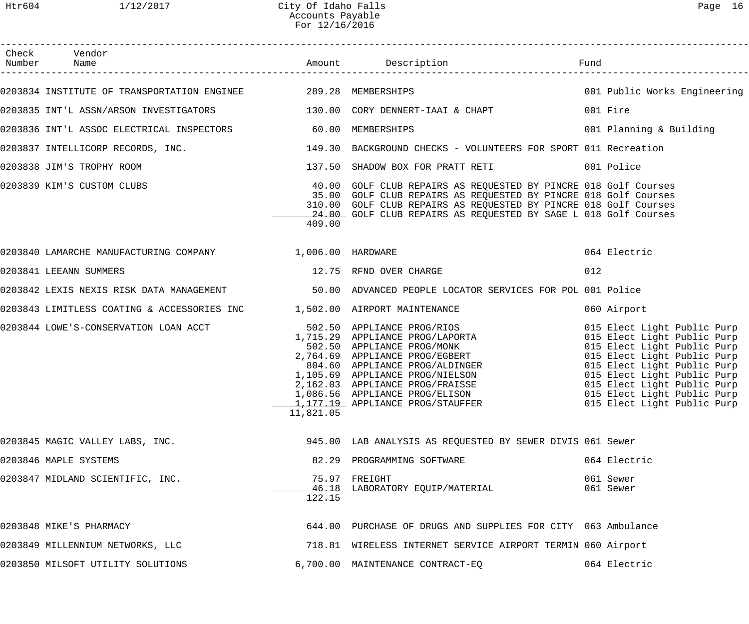| Check Vendor                                                                                        |           |                                                                                                                                                                                                                                                                           |                                                                                                                                                                                                                                                                                     |
|-----------------------------------------------------------------------------------------------------|-----------|---------------------------------------------------------------------------------------------------------------------------------------------------------------------------------------------------------------------------------------------------------------------------|-------------------------------------------------------------------------------------------------------------------------------------------------------------------------------------------------------------------------------------------------------------------------------------|
|                                                                                                     |           |                                                                                                                                                                                                                                                                           |                                                                                                                                                                                                                                                                                     |
| 0203834 INSTITUTE OF TRANSPORTATION ENGINEE 289.28 MEMBERSHIPS                                      |           |                                                                                                                                                                                                                                                                           | 001 Public Works Engineering                                                                                                                                                                                                                                                        |
| 0203835 INT'L ASSN/ARSON INVESTIGATORS 130.00 CORY DENNERT-IAAI & CHAPT                             |           |                                                                                                                                                                                                                                                                           | 001 Fire                                                                                                                                                                                                                                                                            |
| 0203836 INT'L ASSOC ELECTRICAL INSPECTORS 60.00 MEMBERSHIPS                                         |           |                                                                                                                                                                                                                                                                           | 001 Planning & Building                                                                                                                                                                                                                                                             |
| 0203837 INTELLICORP RECORDS, INC. 49 149.30 BACKGROUND CHECKS - VOLUNTEERS FOR SPORT 011 Recreation |           |                                                                                                                                                                                                                                                                           |                                                                                                                                                                                                                                                                                     |
| 0203838 JIM'S TROPHY ROOM                                                                           |           | 137.50 SHADOW BOX FOR PRATT RETI 6001 Police                                                                                                                                                                                                                              |                                                                                                                                                                                                                                                                                     |
| 0203839 KIM'S CUSTOM CLUBS                                                                          | 409.00    | 40.00 GOLF CLUB REPAIRS AS REQUESTED BY PINCRE 018 Golf Courses<br>35.00 GOLF CLUB REPAIRS AS REQUESTED BY PINCRE 018 Golf Courses<br>310.00 GOLF CLUB REPAIRS AS REQUESTED BY PINCRE 018 Golf Courses<br>24.00 GOLF CLUB REPAIRS AS REQUESTED BY SAGE L 018 Golf Courses |                                                                                                                                                                                                                                                                                     |
| 0203840 LAMARCHE MANUFACTURING COMPANY 1 006.00 HARDWARE                                            |           |                                                                                                                                                                                                                                                                           | 064 Electric                                                                                                                                                                                                                                                                        |
| 0203841 LEEANN SUMMERS                                                                              |           | 12.75 RFND OVER CHARGE                                                                                                                                                                                                                                                    | 012                                                                                                                                                                                                                                                                                 |
| 0203842 LEXIS NEXIS RISK DATA MANAGEMENT (50.00 ADVANCED PEOPLE LOCATOR SERVICES FOR POL 001 Police |           |                                                                                                                                                                                                                                                                           |                                                                                                                                                                                                                                                                                     |
| 0203843 LIMITLESS COATING & ACCESSORIES INC $1,502.00$ AIRPORT MAINTENANCE                          |           |                                                                                                                                                                                                                                                                           | 060 Airport                                                                                                                                                                                                                                                                         |
| 0203844 LOWE'S-CONSERVATION LOAN ACCT                                                               | 11,821.05 | 502.50 APPLIANCE PROG/RIOS<br>1,715.29 APPLIANCE PROG/LAPORTA<br>502.50 APPLIANCE PROG/MONK<br>2,764.69 APPLIANCE PROG/EGBERT<br>804.60 APPLIANCE PROG/ALDINGER<br>1,105.69 APPLIANCE PROG/NIELSON<br>2,162.03 APPLIANCE PROG/FRAISSE<br>1,086.56 A                       | 015 Elect Light Public Purp<br>015 Elect Light Public Purp<br>015 Elect Light Public Purp<br>015 Elect Light Public Purp<br>015 Elect Light Public Purp<br>015 Elect Light Public Purp<br>015 Elect Light Public Purp<br>015 Elect Light Public Purp<br>015 Elect Light Public Purp |
| 0203845 MAGIC VALLEY LABS, INC.                                                                     |           | 945.00 LAB ANALYSIS AS REQUESTED BY SEWER DIVIS 061 Sewer                                                                                                                                                                                                                 |                                                                                                                                                                                                                                                                                     |
| 0203846 MAPLE SYSTEMS                                                                               |           | 82.29 PROGRAMMING SOFTWARE                                                                                                                                                                                                                                                | 064 Electric                                                                                                                                                                                                                                                                        |
| 0203847 MIDLAND SCIENTIFIC, INC.                                                                    | 122.15    | 75.97 FREIGHT<br>46.18 LABORATORY EQUIP/MATERIAL                                                                                                                                                                                                                          | 061 Sewer<br>061 Sewer                                                                                                                                                                                                                                                              |
| 0203848 MIKE'S PHARMACY                                                                             |           | 644.00 PURCHASE OF DRUGS AND SUPPLIES FOR CITY 063 Ambulance                                                                                                                                                                                                              |                                                                                                                                                                                                                                                                                     |
| 0203849 MILLENNIUM NETWORKS, LLC                                                                    |           | 718.81 WIRELESS INTERNET SERVICE AIRPORT TERMIN 060 Airport                                                                                                                                                                                                               |                                                                                                                                                                                                                                                                                     |
| 0203850 MILSOFT UTILITY SOLUTIONS                                                                   |           | 6,700.00 MAINTENANCE CONTRACT-EQ                                                                                                                                                                                                                                          | 064 Electric                                                                                                                                                                                                                                                                        |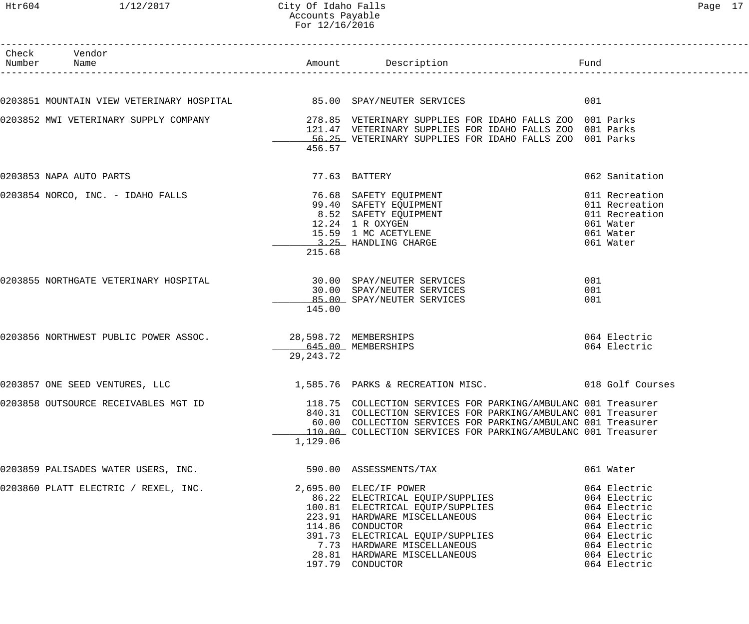# Accounts Payable

| Htr604          | 1/12/2017                                                           | City Of Idaho Falls<br>Accounts Payable<br>For 12/16/2016 |                                                                                                                                                                                 |                                                                                           | Page 17 |
|-----------------|---------------------------------------------------------------------|-----------------------------------------------------------|---------------------------------------------------------------------------------------------------------------------------------------------------------------------------------|-------------------------------------------------------------------------------------------|---------|
| Check<br>Number | Vendor<br>Name                                                      | Amount                                                    | Description                                                                                                                                                                     | Fund                                                                                      |         |
|                 | 203851 MOUNTAIN VIEW VETERINARY HOSPITAL 65.00 SPAY/NEUTER SERVICES |                                                           |                                                                                                                                                                                 | 001                                                                                       |         |
|                 | 203852 MWI VETERINARY SUPPLY COMPANY                                | 456.57                                                    | 278.85 VETERINARY SUPPLIES FOR IDAHO FALLS ZOO 001 Parks<br>121.47 VETERINARY SUPPLIES FOR IDAHO FALLS ZOO 001 Parks<br>56.25 VETERINARY SUPPLIES FOR IDAHO FALLS ZOO 001 Parks |                                                                                           |         |
|                 | 203853 NAPA AUTO PARTS                                              |                                                           | 77.63 BATTERY                                                                                                                                                                   | 062 Sanitation                                                                            |         |
|                 | 203854 NORCO, INC. - IDAHO FALLS                                    | 215.68                                                    | 76.68 SAFETY EQUIPMENT<br>99.40 SAFETY EQUIPMENT<br>8.52 SAFETY EQUIPMENT<br>12.24 1 R OXYGEN<br>15.59 1 MC ACETYLENE<br>3.25 HANDLING CHARGE                                   | 011 Recreation<br>011 Recreation<br>011 Recreation<br>061 Water<br>061 Water<br>061 Water |         |
|                 | 203855 NORTHGATE VETERINARY HOSPITAL                                | 145.00                                                    | 30.00 SPAY/NEUTER SERVICES<br>30.00 SPAY/NEUTER SERVICES<br>85.00 SPAY/NEUTER SERVICES                                                                                          | 001<br>001<br>001                                                                         |         |
|                 | 203856 NORTHWEST PUBLIC POWER ASSOC.                                | 29, 243. 72                                               | 28,598.72 MEMBERSHIPS<br>645.00 MEMBERSHIPS                                                                                                                                     | 064 Electric<br>064 Electric                                                              |         |
|                 | 203857 ONE SEED VENTURES, LLC                                       |                                                           | 1,585.76 PARKS & RECREATION MISC.                                                                                                                                               | 018 Golf Courses                                                                          |         |

D 118.75 COLLECTION SERVICES FOR PARKING/AMBULANC 001 Treasurer 840.31 COLLECTION SERVICES FOR PARKING/AMBULANC 001 Treasurer 60.00 COLLECTION SERVICES FOR PARKING/AMBULANC 001 Treasurer \_\_\_\_\_\_\_\_\_\_\_\_\_ 110.00 COLLECTION SERVICES FOR PARKING/AMBULANC 001 Treasurer  $\frac{1}{1.129.06}$ 

| 1,129.0 |  |
|---------|--|
|         |  |

| 0203859 PALISADES WATER USERS, INC.  | 590.00 ASSESSMENTS/TAX           | 061 Water    |
|--------------------------------------|----------------------------------|--------------|
| 0203860 PLATT ELECTRIC / REXEL, INC. | 2,695.00 ELEC/IF POWER           | 064 Electric |
|                                      | 86.22 ELECTRICAL EQUIP/SUPPLIES  | 064 Electric |
|                                      | 100.81 ELECTRICAL EQUIP/SUPPLIES | 064 Electric |
|                                      | 223.91 HARDWARE MISCELLANEOUS    | 064 Electric |
|                                      | 114.86 CONDUCTOR                 | 064 Electric |
|                                      | 391.73 ELECTRICAL EQUIP/SUPPLIES | 064 Electric |
|                                      | 7.73 HARDWARE MISCELLANEOUS      | 064 Electric |
|                                      | 28.81 HARDWARE MISCELLANEOUS     | 064 Electric |
|                                      | 197.79 CONDUCTOR                 | 064 Electric |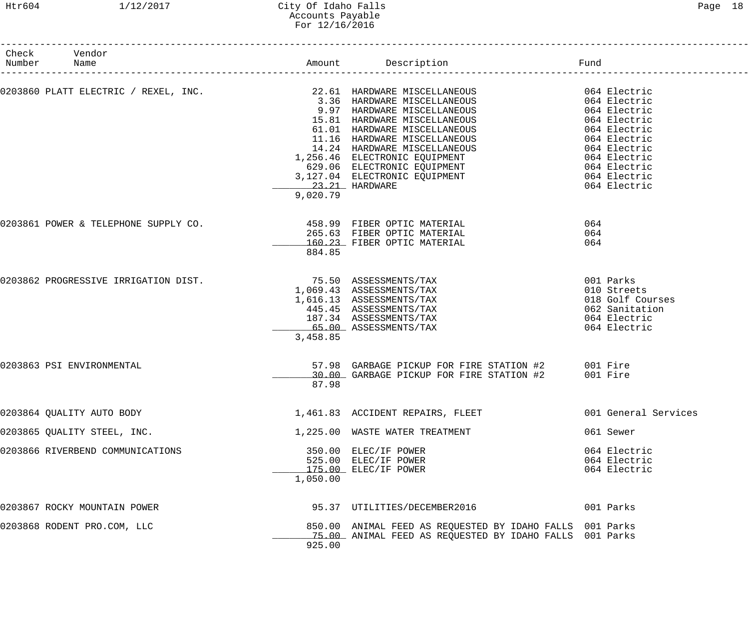#### Htr604 1/12/2017 City Of Idaho Falls Page 18 Accounts Payable For 12/16/2016

| Check Vendor<br>Number Name          |          | Amount Description Description                                                                                                                                                                                                                                                                                                                             |                                                                                                |
|--------------------------------------|----------|------------------------------------------------------------------------------------------------------------------------------------------------------------------------------------------------------------------------------------------------------------------------------------------------------------------------------------------------------------|------------------------------------------------------------------------------------------------|
|                                      |          | 0203860 PLATT ELECTRIC / REXEL, INC. 22.61 HARDWARE MISCELLANEOUS 64 Electric<br>3.36 HARDWARE MISCELLANEOUS<br>064 Electric<br>064 Electric<br>11.16 HARDWARE MISCELLANEOUS<br>14.24 HARDWARE MISCELLANEOUS<br>14.24 HARDWARE MISCELLANEOUS<br>164 Electric<br>629.06 ELECTRONIC EQUIPMENT<br>3,127.04 ELECTRONIC EQUIPMENT<br>23.21 HARDWARE<br>9,020.79 | 064 Electric                                                                                   |
| 0203861 POWER & TELEPHONE SUPPLY CO. | 884.85   | 458.99 FIBER OPTIC MATERIAL<br>265.63 FIBER OPTIC MATERIAL<br>160.23 FIBER OPTIC MATERIAL                                                                                                                                                                                                                                                                  | 064<br>064<br>064                                                                              |
| 0203862 PROGRESSIVE IRRIGATION DIST. | 3,458.85 | 75.50 ASSESSMENTS/TAX<br>1,069.43 ASSESSMENTS/TAX<br>1,616.13 ASSESSMENTS/TAX<br>445.45 ASSESSMENTS/TAX<br>187.34 ASSESSMENTS/TAX<br>65.00 ASSESSMENTS/TAX                                                                                                                                                                                                 | 001 Parks<br>010 Streets<br>018 Golf Courses<br>062 Sanitation<br>064 Electric<br>064 Electric |
| 0203863 PSI ENVIRONMENTAL            | 87.98    | 57.98 GARBAGE PICKUP FOR FIRE STATION #2 001 Fire<br>30.00 GARBAGE PICKUP FOR FIRE STATION #2                                                                                                                                                                                                                                                              | 001 Fire                                                                                       |
| 0203864 QUALITY AUTO BODY            |          | 1,461.83 ACCIDENT REPAIRS, FLEET                                                                                                                                                                                                                                                                                                                           | 001 General Services                                                                           |
| 0203865 QUALITY STEEL, INC.          |          | 1,225.00 WASTE WATER TREATMENT                                                                                                                                                                                                                                                                                                                             | 061 Sewer                                                                                      |
| 0203866 RIVERBEND COMMUNICATIONS     | 1,050.00 | 350.00 ELEC/IF POWER<br>525.00 ELEC/IF POWER<br>175.00 ELEC/IF POWER                                                                                                                                                                                                                                                                                       | 064 Electric<br>064 Electric<br>064 Electric                                                   |
| 0203867 ROCKY MOUNTAIN POWER         |          | 95.37 UTILITIES/DECEMBER2016                                                                                                                                                                                                                                                                                                                               | 001 Parks                                                                                      |
| 0203868 RODENT PRO.COM, LLC          | 925.00   | 850.00 ANIMAL FEED AS REQUESTED BY IDAHO FALLS 001 Parks<br>75.00 ANIMAL FEED AS REQUESTED BY IDAHO FALLS 001 Parks                                                                                                                                                                                                                                        |                                                                                                |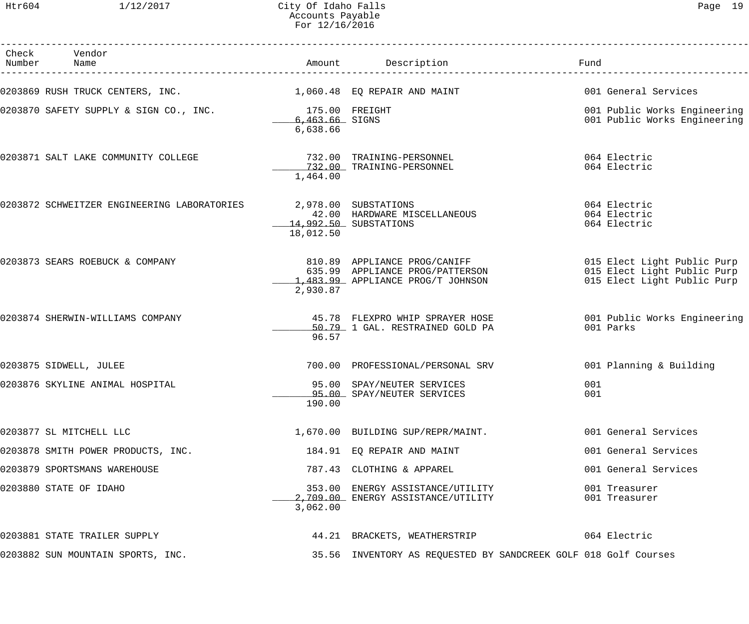Htr604 1/12/2017 City Of Idaho Falls Page 19 Accounts Payable For 12/16/2016

| г<br>~⊢ |  |
|---------|--|
|---------|--|

| Check Vendor<br>Number Name                                     |                                              | Amount Description                                                                                                                                                    | Fund                                                         |
|-----------------------------------------------------------------|----------------------------------------------|-----------------------------------------------------------------------------------------------------------------------------------------------------------------------|--------------------------------------------------------------|
| 0203869 RUSH TRUCK CENTERS, INC. $1,060.48$ EQ REPAIR AND MAINT |                                              |                                                                                                                                                                       | 001 General Services                                         |
| 0203870 SAFETY SUPPLY & SIGN CO., INC.                          | 175.00 FREIGHT<br>6,463.66 SIGNS<br>6,638.66 |                                                                                                                                                                       | 001 Public Works Engineering<br>001 Public Works Engineering |
| 0203871 SALT LAKE COMMUNITY COLLEGE                             | 1,464.00                                     | 732.00 TRAINING-PERSONNEL<br>732.00 TRAINING-PERSONNEL                                                                                                                | 064 Electric<br>064 Electric                                 |
| 0203872 SCHWEITZER ENGINEERING LABORATORIES                     | 2,978.00 SUBSTATIONS<br>18,012.50            | 42.00 HARDWARE MISCELLANEOUS<br>14,992.50 SUBSTATIONS                                                                                                                 | 064 Electric<br>064 Electric<br>064 Electric                 |
| 0203873 SEARS ROEBUCK & COMPANY                                 | 2,930.87                                     | 810.89 APPLIANCE PROG/CANIFF 6 015 Elect Light Public Purp<br>635.99 APPLIANCE PROG/PATTERSON<br>483.99 APPLIANCE PROG/PATTERSON<br>1,483.99 APPLIANCE PROG/T JOHNSON | 015 Elect Light Public Purp<br>015 Elect Light Public Purp   |
| 0203874 SHERWIN-WILLIAMS COMPANY                                | 96.57                                        | 45.78 FLEXPRO WHIP SPRAYER HOSE 6001 Public Works Engineering<br>50.79 1 GAL. RESTRAINED GOLD PA                                                                      | 001 Parks                                                    |
| 0203875 SIDWELL, JULEE                                          |                                              | 700.00 PROFESSIONAL/PERSONAL SRV                                                                                                                                      | 001 Planning & Building                                      |
| 0203876 SKYLINE ANIMAL HOSPITAL                                 | 190.00                                       | 95.00 SPAY/NEUTER SERVICES<br>95.00 SPAY/NEUTER SERVICES                                                                                                              | 001<br>001                                                   |
| 0203877 SL MITCHELL LLC                                         |                                              | 1,670.00 BUILDING SUP/REPR/MAINT.                                                                                                                                     | 001 General Services                                         |
| 0203878 SMITH POWER PRODUCTS, INC.                              |                                              | 184.91 EQ REPAIR AND MAINT                                                                                                                                            | 001 General Services                                         |
| 0203879 SPORTSMANS WAREHOUSE                                    |                                              | 787.43 CLOTHING & APPAREL                                                                                                                                             | 001 General Services                                         |
| 0203880 STATE OF IDAHO                                          | 3,062.00                                     | 353.00 ENERGY ASSISTANCE/UTILITY<br>2,709.00 ENERGY ASSISTANCE/UTILITY                                                                                                | 001 Treasurer<br>001 Treasurer                               |
| 0203881 STATE TRAILER SUPPLY                                    |                                              | 44.21 BRACKETS, WEATHERSTRIP                                                                                                                                          | 064 Electric                                                 |
| 0203882 SUN MOUNTAIN SPORTS, INC.                               |                                              | 35.56 INVENTORY AS REQUESTED BY SANDCREEK GOLF 018 Golf Courses                                                                                                       |                                                              |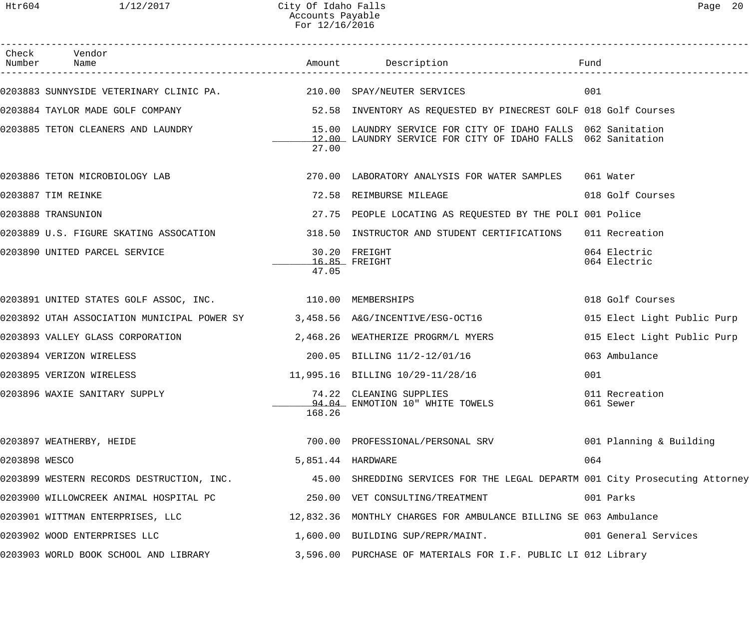| Check<br>Number | Vendor<br>Name                                                               |                   |                                                                                                                              | Fund                         |
|-----------------|------------------------------------------------------------------------------|-------------------|------------------------------------------------------------------------------------------------------------------------------|------------------------------|
|                 | 0203883 SUNNYSIDE VETERINARY CLINIC PA. 210.00 SPAY/NEUTER SERVICES          |                   |                                                                                                                              | 001                          |
|                 | 0203884 TAYLOR MADE GOLF COMPANY                                             |                   | 52.58 INVENTORY AS REQUESTED BY PINECREST GOLF 018 Golf Courses                                                              |                              |
|                 | 0203885 TETON CLEANERS AND LAUNDRY                                           | 27.00             | 15.00 LAUNDRY SERVICE FOR CITY OF IDAHO FALLS 062 Sanitation<br>12.00 LAUNDRY SERVICE FOR CITY OF IDAHO FALLS 062 Sanitation |                              |
|                 | 0203886 TETON MICROBIOLOGY LAB                                               |                   | 270.00 LABORATORY ANALYSIS FOR WATER SAMPLES 061 Water                                                                       |                              |
|                 | 0203887 TIM REINKE                                                           |                   | 72.58 REIMBURSE MILEAGE                                                                                                      | 018 Golf Courses             |
|                 | 0203888 TRANSUNION                                                           |                   | 27.75 PEOPLE LOCATING AS REQUESTED BY THE POLI 001 Police                                                                    |                              |
|                 | 0203889 U.S. FIGURE SKATING ASSOCATION                                       |                   | 318.50 INSTRUCTOR AND STUDENT CERTIFICATIONS                                                                                 | 011 Recreation               |
|                 | 0203890 UNITED PARCEL SERVICE                                                | 47.05             | 30.20 FREIGHT<br>$16.85$ FREIGHT                                                                                             | 064 Electric<br>064 Electric |
|                 | 0203891 UNITED STATES GOLF ASSOC, INC. 10 110.00 MEMBERSHIPS                 |                   |                                                                                                                              | 018 Golf Courses             |
|                 | 0203892 UTAH ASSOCIATION MUNICIPAL POWER SY 3,458.56 A&G/INCENTIVE/ESG-OCT16 |                   |                                                                                                                              | 015 Elect Light Public Purp  |
|                 | 0203893 VALLEY GLASS CORPORATION                                             |                   | 2,468.26 WEATHERIZE PROGRM/L MYERS                                                                                           | 015 Elect Light Public Purp  |
|                 | 0203894 VERIZON WIRELESS                                                     |                   | 200.05 BILLING 11/2-12/01/16                                                                                                 | 063 Ambulance                |
|                 | 0203895 VERIZON WIRELESS                                                     |                   | 11,995.16 BILLING 10/29-11/28/16                                                                                             | 001                          |
|                 | 0203896 WAXIE SANITARY SUPPLY                                                | 168.26            | 74.22 CLEANING SUPPLIES<br>94.04 ENMOTION 10" WHITE TOWELS                                                                   | 011 Recreation<br>061 Sewer  |
|                 | 0203897 WEATHERBY, HEIDE                                                     |                   | 700.00 PROFESSIONAL/PERSONAL SRV                                                                                             | 001 Planning & Building      |
| 0203898 WESCO   |                                                                              | 5,851.44 HARDWARE |                                                                                                                              | 064                          |
|                 | 0203899 WESTERN RECORDS DESTRUCTION, INC.                                    |                   | 45.00 SHREDDING SERVICES FOR THE LEGAL DEPARTM 001 City Prosecuting Attorney                                                 |                              |
|                 | 0203900 WILLOWCREEK ANIMAL HOSPITAL PC                                       |                   | 250.00 VET CONSULTING/TREATMENT                                                                                              | 001 Parks                    |
|                 | 0203901 WITTMAN ENTERPRISES, LLC                                             |                   | 12,832.36 MONTHLY CHARGES FOR AMBULANCE BILLING SE 063 Ambulance                                                             |                              |
|                 | 0203902 WOOD ENTERPRISES LLC                                                 |                   | 1,600.00 BUILDING SUP/REPR/MAINT.                                                                                            | 001 General Services         |
|                 | 0203903 WORLD BOOK SCHOOL AND LIBRARY                                        |                   | 3,596.00 PURCHASE OF MATERIALS FOR I.F. PUBLIC LI 012 Library                                                                |                              |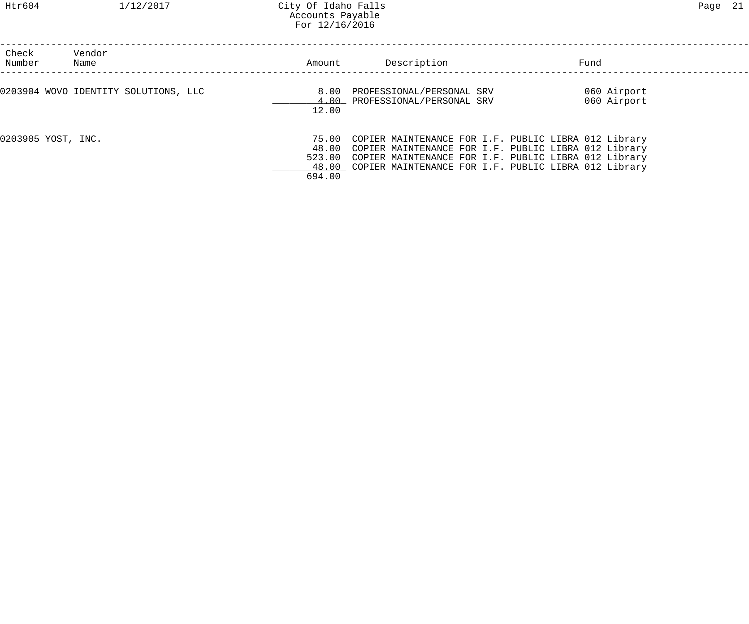| Check<br>Number    | Vendor<br>Name                       | Amount        | Description                                                                                                                                                                                                                                           | Fund                       |  |
|--------------------|--------------------------------------|---------------|-------------------------------------------------------------------------------------------------------------------------------------------------------------------------------------------------------------------------------------------------------|----------------------------|--|
|                    | 0203904 WOVO IDENTITY SOLUTIONS, LLC | 8.00<br>12.00 | PROFESSIONAL/PERSONAL SRV<br>4.00 PROFESSIONAL/PERSONAL SRV                                                                                                                                                                                           | 060 Airport<br>060 Airport |  |
| 0203905 YOST, INC. |                                      | 694.00        | 75.00 COPIER MAINTENANCE FOR I.F. PUBLIC LIBRA 012 Library<br>48.00 COPIER MAINTENANCE FOR I.F. PUBLIC LIBRA 012 Library<br>523.00 COPIER MAINTENANCE FOR I.F. PUBLIC LIBRA 012 Library<br>48.00 COPIER MAINTENANCE FOR I.F. PUBLIC LIBRA 012 Library |                            |  |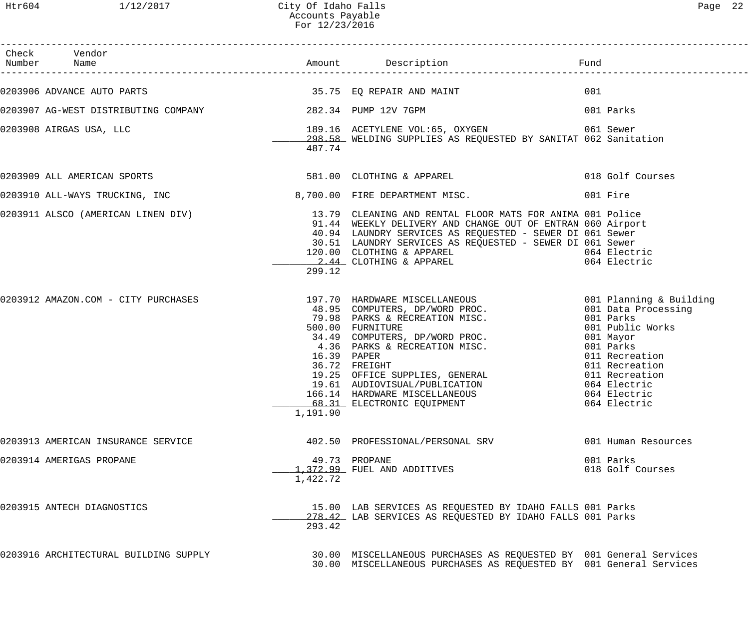| Check Vendor<br>Number Name                                |          |                                                                                                                                                                                                                                                                                                                                                                                                                                                                                                                                                                                |                                              |
|------------------------------------------------------------|----------|--------------------------------------------------------------------------------------------------------------------------------------------------------------------------------------------------------------------------------------------------------------------------------------------------------------------------------------------------------------------------------------------------------------------------------------------------------------------------------------------------------------------------------------------------------------------------------|----------------------------------------------|
|                                                            |          |                                                                                                                                                                                                                                                                                                                                                                                                                                                                                                                                                                                | 001                                          |
| 0203907 AG-WEST DISTRIBUTING COMPANY 1282.34 PUMP 12V 7GPM |          |                                                                                                                                                                                                                                                                                                                                                                                                                                                                                                                                                                                | 001 Parks                                    |
| 0203908 AIRGAS USA, LLC                                    | 487.74   | 298.58 WELDING SUPPLIES AS REQUESTED BY SANITAT 062 Sanitation                                                                                                                                                                                                                                                                                                                                                                                                                                                                                                                 |                                              |
|                                                            |          | 0203909 ALL AMERICAN SPORTS 600 100 100 2007HING & APPAREL                                                                                                                                                                                                                                                                                                                                                                                                                                                                                                                     | 018 Golf Courses                             |
|                                                            |          | 0203910 ALL-WAYS TRUCKING, INC 3,700.00 FIRE DEPARTMENT MISC.                                                                                                                                                                                                                                                                                                                                                                                                                                                                                                                  | 001 Fire                                     |
|                                                            | 299.12   | 0203911 ALSCO (AMERICAN LINEN DIV) 13.79 CLEANING AND RENTAL FLOOR MATS FOR ANIMA 001 Police<br>91.44 WEEKLY DELIVERY AND CHANGE OUT OF ENTRAN 060 Airport<br>40.94 LAUNDRY SERVICES AS REQUESTED - SEWER DI 061 Sewer<br>30.51 LAUNDRY SERVICES AS REQUESTED - SEWER DI 061 Sewer<br>120.00 CLOTHING & APPAREL<br>2.44 CLOTHING & APPAREL                                                                                                                                                                                                                                     | 064 Electric<br>064 Electric                 |
|                                                            | 1,191.90 | 0203912 AMAZON.COM - CITY PURCHASES (197.70 HARDWARE MISCELLANEOUS ) 001 Planning & Building<br>48.95 COMPUTERS, DP/WORD PROC. 001 Data Processing<br>79.98 PARKS & RECREATION MISC. 001 Parks (001 Parks (197.70 HARNWARE MISCELL<br>34.49 COMPUTERS, DP/WORD PROC. 001 Public Work<br>34.49 COMPUTERS, DP/WORD PROC. 001 Mayor<br>4.36 PARKS & RECREATION MISC. 001 Parks<br>16.39 PAPER 011 Recreation<br>36.72 FREIGHT 011 Recreation<br>19.25 OFFICE SUPPLIES, GENERAL 01<br>19.61 AUDIOVISUAL/PUBLICATION<br>166.14 HARDWARE MISCELLANEOUS<br>68.31 ELECTRONIC EQUIPMENT | 064 Electric<br>064 Electric<br>064 Electric |
| 0203913 AMERICAN INSURANCE SERVICE                         |          | 402.50 PROFESSIONAL/PERSONAL SRV                                                                                                                                                                                                                                                                                                                                                                                                                                                                                                                                               | 001 Human Resources                          |
| 0203914 AMERIGAS PROPANE                                   | 1,422.72 | 49.73 PROPANE<br>1,372.99 FUEL AND ADDITIVES                                                                                                                                                                                                                                                                                                                                                                                                                                                                                                                                   | 001 Parks<br>018 Golf Courses                |
| 0203915 ANTECH DIAGNOSTICS                                 | 293.42   | 15.00 LAB SERVICES AS REQUESTED BY IDAHO FALLS 001 Parks<br>278.42 LAB SERVICES AS REQUESTED BY IDAHO FALLS 001 Parks                                                                                                                                                                                                                                                                                                                                                                                                                                                          |                                              |
| 0203916 ARCHITECTURAL BUILDING SUPPLY                      |          | 30.00 MISCELLANEOUS PURCHASES AS REQUESTED BY 001 General Services<br>30.00 MISCELLANEOUS PURCHASES AS REQUESTED BY 001 General Services                                                                                                                                                                                                                                                                                                                                                                                                                                       |                                              |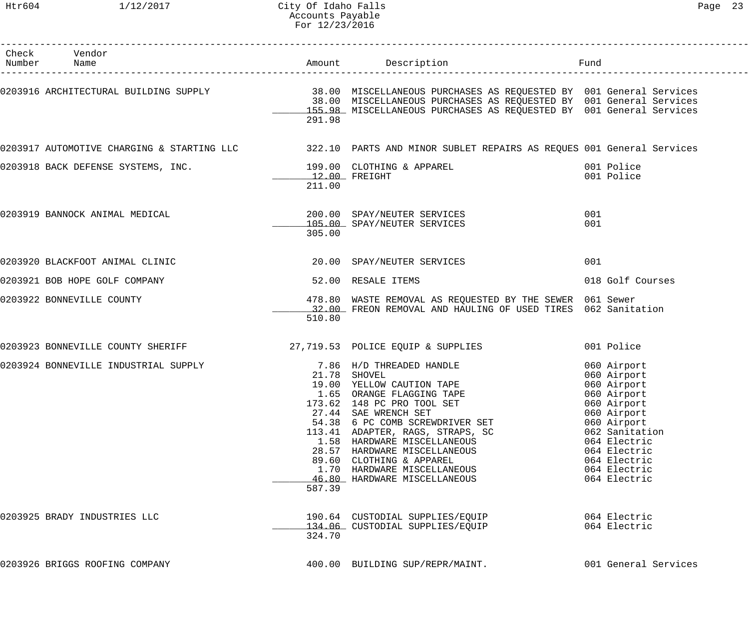#### Htr604 1/12/2017 City Of Idaho Falls Page 23 Accounts Payable For 12/23/2016

| Check Vendor<br>Number Name                                            |                         |                                                                                                                                                                                                                                                                                                                                                                                           |                                                                                                                                                                                                         |
|------------------------------------------------------------------------|-------------------------|-------------------------------------------------------------------------------------------------------------------------------------------------------------------------------------------------------------------------------------------------------------------------------------------------------------------------------------------------------------------------------------------|---------------------------------------------------------------------------------------------------------------------------------------------------------------------------------------------------------|
|                                                                        | 291.98                  | 0203916 ARCHITECTURAL BUILDING SUPPLY                        38.00 MISCELLANEOUS PURCHASES AS REQUESTED BY  001 General Services<br>38.00 MISCELLANEOUS PURCHASES AS REQUESTED BY  001 General Services<br>155.98 MISCELLANEOUS PURCHASES AS REQUESTED BY 001 General Services                                                                                                            |                                                                                                                                                                                                         |
|                                                                        |                         | 0203917 AUTOMOTIVE CHARGING & STARTING LLC 322.10 PARTS AND MINOR SUBLET REPAIRS AS REQUES 001 General Services                                                                                                                                                                                                                                                                           |                                                                                                                                                                                                         |
| 0203918 BACK DEFENSE SYSTEMS, INC. 199.00 CLOTHING & APPAREL           | 12.00 FREIGHT<br>211.00 | and 1001 Police                                                                                                                                                                                                                                                                                                                                                                           | 001 Police                                                                                                                                                                                              |
| 0203919 BANNOCK ANIMAL MEDICAL                                         | 305.00                  | 200.00 SPAY/NEUTER SERVICES<br>105.00 SPAY/NEUTER SERVICES                                                                                                                                                                                                                                                                                                                                | 001<br>001                                                                                                                                                                                              |
| 0203920 BLACKFOOT ANIMAL CLINIC                                        |                         | 20.00 SPAY/NEUTER SERVICES                                                                                                                                                                                                                                                                                                                                                                | 001                                                                                                                                                                                                     |
| 0203921 BOB HOPE GOLF COMPANY                                          |                         | 52.00 RESALE ITEMS                                                                                                                                                                                                                                                                                                                                                                        | 018 Golf Courses                                                                                                                                                                                        |
| 0203922 BONNEVILLE COUNTY                                              | 510.80                  | 478.80 WASTE REMOVAL AS REQUESTED BY THE SEWER 061 Sewer<br>32.00 FREON REMOVAL AND HAULING OF USED TIRES 062 Sanitation                                                                                                                                                                                                                                                                  |                                                                                                                                                                                                         |
| 0203923 BONNEVILLE COUNTY SHERIFF 30 27,719.53 POLICE EQUIP & SUPPLIES |                         |                                                                                                                                                                                                                                                                                                                                                                                           | 001 Police                                                                                                                                                                                              |
| 0203924 BONNEVILLE INDUSTRIAL SUPPLY                                   | 587.39                  | 7.86 H/D THREADED HANDLE<br>21.78 SHOVEL<br>19.00 YELLOW CAUTION TAPE<br>1.65 ORANGE FLAGGING TAPE<br>173.62 148 PC PRO TOOL SET<br>27.44 SAE WRENCH SET<br>54.38 6 PC COMB SCREWDRIVER SET<br>113.41 ADAPTER, RAGS, STRAPS, SC<br>1.58 HARDWARE MISCELLANEOUS<br>28.57 HARDWARE MISCELLANEOUS<br>89.60 CLOTHING & APPAREL<br>1.70 HARDWARE MISCELLANEOUS<br>46.80 HARDWARE MISCELLANEOUS | 060 Airport<br>060 Airport<br>060 Airport<br>060 Airport<br>060 Airport<br>060 Airport<br>060 Airport<br>062 Sanitation<br>064 Electric<br>064 Electric<br>064 Electric<br>064 Electric<br>064 Electric |
| 0203925 BRADY INDUSTRIES LLC                                           | 324.70                  | 190.64 CUSTODIAL SUPPLIES/EQUIP<br>134.06 CUSTODIAL SUPPLIES/EQUIP                                                                                                                                                                                                                                                                                                                        | 064 Electric<br>064 Electric                                                                                                                                                                            |
| 0203926 BRIGGS ROOFING COMPANY                                         |                         | 400.00 BUILDING SUP/REPR/MAINT.                                                                                                                                                                                                                                                                                                                                                           | 001 General Services                                                                                                                                                                                    |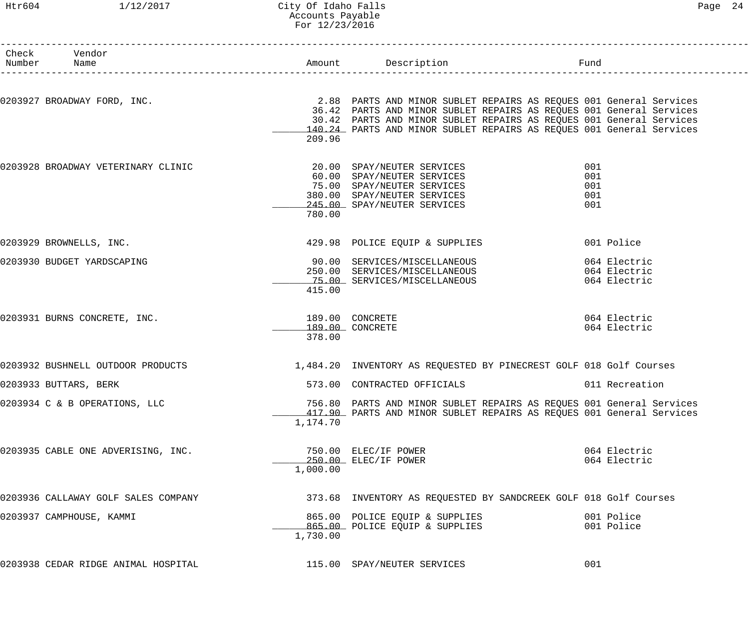#### Htr604 1/12/2017 City Of Idaho Falls Page 24 Accounts Payable For 12/23/2016

| Number | Check Vendor<br>Name                |          | n<br>-----------------------                                                                                                               | Fund           |  |
|--------|-------------------------------------|----------|--------------------------------------------------------------------------------------------------------------------------------------------|----------------|--|
|        |                                     |          |                                                                                                                                            |                |  |
|        | 0203927 BROADWAY FORD, INC.         |          | 2.88 PARTS AND MINOR SUBLET REPAIRS AS REQUES 001 General Services                                                                         |                |  |
|        |                                     |          | 36.42 PARTS AND MINOR SUBLET REPAIRS AS REQUES 001 General Services<br>30.42 PARTS AND MINOR SUBLET REPAIRS AS REQUES 001 General Services |                |  |
|        |                                     |          | 140.24 PARTS AND MINOR SUBLET REPAIRS AS REQUES 001 General Services                                                                       |                |  |
|        |                                     | 209.96   |                                                                                                                                            |                |  |
|        | 0203928 BROADWAY VETERINARY CLINIC  |          | 20.00 SPAY/NEUTER SERVICES                                                                                                                 | 001            |  |
|        |                                     |          | 60.00 SPAY/NEUTER SERVICES                                                                                                                 | 001            |  |
|        |                                     |          | 75.00 SPAY/NEUTER SERVICES<br>380.00 SPAY/NEUTER SERVICES                                                                                  | 001<br>001     |  |
|        |                                     |          | 245.00 SPAY/NEUTER SERVICES                                                                                                                | 001            |  |
|        |                                     | 780.00   |                                                                                                                                            |                |  |
|        | 0203929 BROWNELLS, INC.             |          | 429.98 POLICE EQUIP & SUPPLIES                                                                                                             | 001 Police     |  |
|        | 0203930 BUDGET YARDSCAPING          |          | 90.00 SERVICES/MISCELLANEOUS                                                                                                               | 064 Electric   |  |
|        |                                     |          | 250.00 SERVICES/MISCELLANEOUS 664 Electric                                                                                                 |                |  |
|        |                                     |          | 75.00 SERVICES/MISCELLANEOUS                                                                                                               | 064 Electric   |  |
|        |                                     | 415.00   |                                                                                                                                            |                |  |
|        | 0203931 BURNS CONCRETE, INC.        |          | 189.00 CONCRETE                                                                                                                            | 064 Electric   |  |
|        |                                     | 378.00   | 189.00 CONCRETE                                                                                                                            | 064 Electric   |  |
|        | 0203932 BUSHNELL OUTDOOR PRODUCTS   |          | 1,484.20 INVENTORY AS REQUESTED BY PINECREST GOLF 018 Golf Courses                                                                         |                |  |
|        |                                     |          |                                                                                                                                            |                |  |
|        | 0203933 BUTTARS, BERK               |          | 573.00 CONTRACTED OFFICIALS                                                                                                                | 011 Recreation |  |
|        | 0203934 C & B OPERATIONS, LLC       |          | 756.80 PARTS AND MINOR SUBLET REPAIRS AS REQUES 001 General Services                                                                       |                |  |
|        |                                     | 1,174.70 | 417.90 PARTS AND MINOR SUBLET REPAIRS AS REQUES 001 General Services                                                                       |                |  |
|        |                                     |          |                                                                                                                                            |                |  |
|        | 0203935 CABLE ONE ADVERISING, INC.  |          | 750.00 ELEC/IF POWER                                                                                                                       | 064 Electric   |  |
|        |                                     |          | 250.00 ELEC/IF POWER                                                                                                                       | 064 Electric   |  |
|        |                                     | 1,000.00 |                                                                                                                                            |                |  |
|        | 0203936 CALLAWAY GOLF SALES COMPANY |          | 373.68 INVENTORY AS REQUESTED BY SANDCREEK GOLF 018 Golf Courses                                                                           |                |  |
|        | 0203937 CAMPHOUSE, KAMMI            |          | 865.00 POLICE EQUIP & SUPPLIES                                                                                                             | 001 Police     |  |
|        |                                     |          | 865.00 POLICE EQUIP & SUPPLIES                                                                                                             | 001 Police     |  |
|        |                                     | 1,730.00 |                                                                                                                                            |                |  |
|        | 0203938 CEDAR RIDGE ANIMAL HOSPITAL |          | 115.00 SPAY/NEUTER SERVICES                                                                                                                | 001            |  |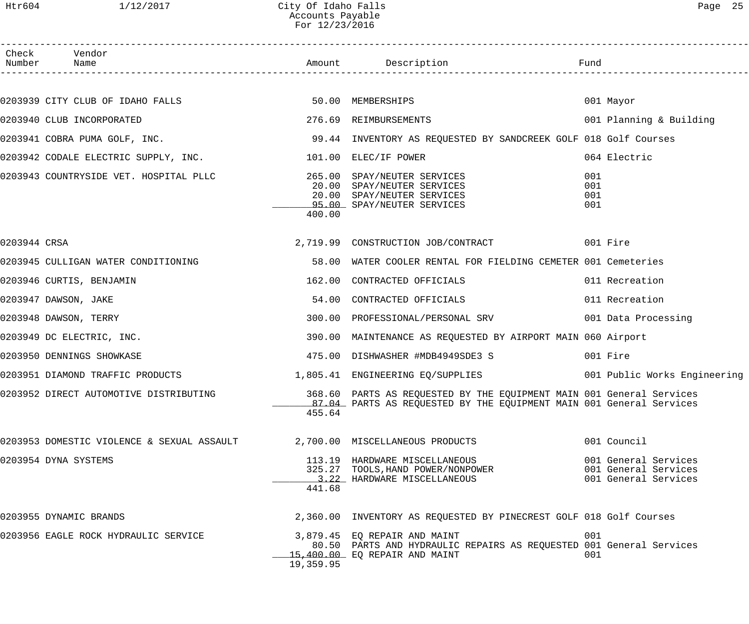------------------------------------------------------------------------------------------------------------------------------------

| Check        | Vendor<br>Number Name                                    |           |                                                                                                                                             | Fund                     |                                                                      |
|--------------|----------------------------------------------------------|-----------|---------------------------------------------------------------------------------------------------------------------------------------------|--------------------------|----------------------------------------------------------------------|
|              |                                                          |           |                                                                                                                                             |                          |                                                                      |
|              | 0203939 CITY CLUB OF IDAHO FALLS 60 00 50.00 MEMBERSHIPS |           |                                                                                                                                             |                          | 001 Mayor                                                            |
|              | 0203940 CLUB INCORPORATED                                |           | 276.69 REIMBURSEMENTS                                                                                                                       |                          | 001 Planning & Building                                              |
|              |                                                          |           | 0203941 COBRA PUMA GOLF, INC. THE SAND SERVICE SERVICE SERVICES AS REQUESTED BY SANDCREEK GOLF 018 Golf Courses                             |                          |                                                                      |
|              | 0203942 CODALE ELECTRIC SUPPLY, INC.                     |           | 101.00 ELEC/IF POWER                                                                                                                        |                          | 064 Electric                                                         |
|              |                                                          | 400.00    | 20.00 SPAY/NEUTER SERVICES<br>20.00 SPAY/NEUTER SERVICES<br>95.00 SPAY/NEUTER SERVICES                                                      | 001<br>001<br>001<br>001 |                                                                      |
| 0203944 CRSA |                                                          |           | 2,719.99 CONSTRUCTION JOB/CONTRACT 001 Fire                                                                                                 |                          |                                                                      |
|              | 0203945 CULLIGAN WATER CONDITIONING                      | 58.00     | WATER COOLER RENTAL FOR FIELDING CEMETER 001 Cemeteries                                                                                     |                          |                                                                      |
|              | 0203946 CURTIS, BENJAMIN                                 |           | 162.00 CONTRACTED OFFICIALS                                                                                                                 |                          | 011 Recreation                                                       |
|              | 0203947 DAWSON, JAKE                                     | 54.00     | CONTRACTED OFFICIALS                                                                                                                        |                          | 011 Recreation                                                       |
|              | 0203948 DAWSON, TERRY                                    |           | 300.00 PROFESSIONAL/PERSONAL SRV 001 Data Processing                                                                                        |                          |                                                                      |
|              | 0203949 DC ELECTRIC, INC.                                |           | 390.00 MAINTENANCE AS REQUESTED BY AIRPORT MAIN 060 Airport                                                                                 |                          |                                                                      |
|              | 0203950 DENNINGS SHOWKASE                                |           | 475.00 DISHWASHER #MDB4949SDE3 S                                                                                                            |                          | 001 Fire                                                             |
|              |                                                          |           | 0203951 DIAMOND TRAFFIC PRODUCTS 1,805.41 ENGINEERING EQ/SUPPLIES 001 Public Works Engineering                                              |                          |                                                                      |
|              | 0203952 DIRECT AUTOMOTIVE DISTRIBUTING                   | 455.64    | 368.60 PARTS AS REQUESTED BY THE EQUIPMENT MAIN 001 General Services<br>87.04 PARTS AS REQUESTED BY THE EQUIPMENT MAIN 001 General Services |                          |                                                                      |
|              | 0203953 DOMESTIC VIOLENCE & SEXUAL ASSAULT               |           | 2,700.00 MISCELLANEOUS PRODUCTS                                                                                                             |                          | 001 Council                                                          |
|              | 0203954 DYNA SYSTEMS                                     | 441.68    | 113.19 HARDWARE MISCELLANEOUS<br>325.27 TOOLS, HAND POWER/NONPOWER<br>3.22 HARDWARE MISCELLANEOUS                                           |                          | 001 General Services<br>001 General Services<br>001 General Services |
|              | 0203955 DYNAMIC BRANDS                                   |           | 2,360.00 INVENTORY AS REQUESTED BY PINECREST GOLF 018 Golf Courses                                                                          |                          |                                                                      |
|              | 0203956 EAGLE ROCK HYDRAULIC SERVICE                     | 19,359.95 | 3,879.45 EQ REPAIR AND MAINT<br>80.50 PARTS AND HYDRAULIC REPAIRS AS REQUESTED 001 General Services<br>15,400.00 EQ REPAIR AND MAINT        | 001<br>001               |                                                                      |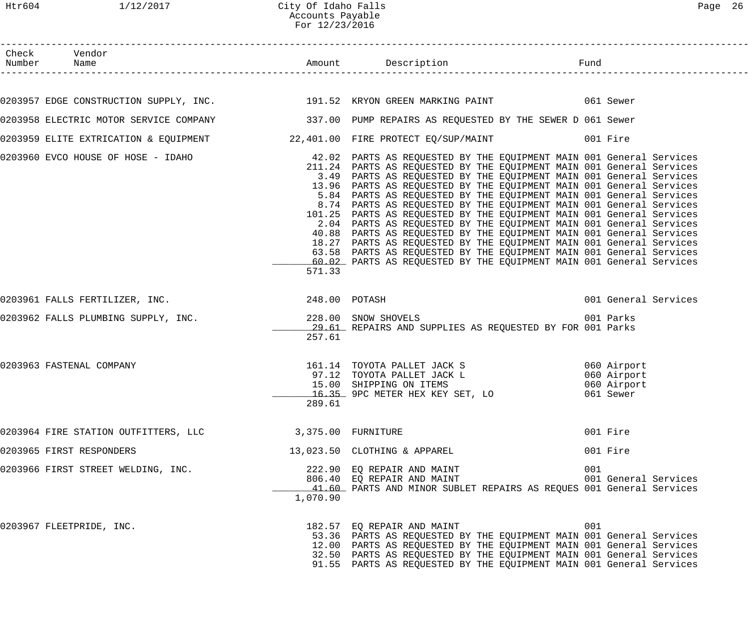#### Htr604 1/12/2017 City Of Idaho Falls Page 26 Accounts Payable For 12/23/2016

| Check Vendor                                                                                           |                    |                                                                                                                                                                                                                                                                                                                                                                                                                                                                                                                                                                                                                                                                                                                                                                                                                                                                                |     |                                         |
|--------------------------------------------------------------------------------------------------------|--------------------|--------------------------------------------------------------------------------------------------------------------------------------------------------------------------------------------------------------------------------------------------------------------------------------------------------------------------------------------------------------------------------------------------------------------------------------------------------------------------------------------------------------------------------------------------------------------------------------------------------------------------------------------------------------------------------------------------------------------------------------------------------------------------------------------------------------------------------------------------------------------------------|-----|-----------------------------------------|
|                                                                                                        |                    |                                                                                                                                                                                                                                                                                                                                                                                                                                                                                                                                                                                                                                                                                                                                                                                                                                                                                |     |                                         |
| 0203957 EDGE CONSTRUCTION SUPPLY, INC. 191.52 KRYON GREEN MARKING PAINT 6061 Sewer                     |                    |                                                                                                                                                                                                                                                                                                                                                                                                                                                                                                                                                                                                                                                                                                                                                                                                                                                                                |     |                                         |
| 0203958 ELECTRIC MOTOR SERVICE COMPANY 1999 1997.00 PUMP REPAIRS AS REQUESTED BY THE SEWER D 061 Sewer |                    |                                                                                                                                                                                                                                                                                                                                                                                                                                                                                                                                                                                                                                                                                                                                                                                                                                                                                |     |                                         |
| 0203959 ELITE EXTRICATION & EQUIPMENT $22,401.00$ FIRE PROTECT EQ/SUP/MAINT $001$ Fire                 |                    |                                                                                                                                                                                                                                                                                                                                                                                                                                                                                                                                                                                                                                                                                                                                                                                                                                                                                |     |                                         |
| 0203960 EVCO HOUSE OF HOSE - IDAHO                                                                     | 571.33             | 42.02 PARTS AS REQUESTED BY THE EQUIPMENT MAIN 001 General Services<br>211.24 PARTS AS REQUESTED BY THE EQUIPMENT MAIN 001 General Services<br>3.49 PARTS AS REQUESTED BY THE EQUIPMENT MAIN 001 General Services<br>13.96 PARTS AS REQUESTED BY THE EQUIPMENT MAIN 001 General Services<br>5.84 PARTS AS REQUESTED BY THE EQUIPMENT MAIN 001 General Services<br>8.74 PARTS AS REQUESTED BY THE EQUIPMENT MAIN 001 General Services<br>101.25 PARTS AS REQUESTED BY THE EQUIPMENT MAIN 001 General Services<br>2.04 PARTS AS REQUESTED BY THE EQUIPMENT MAIN 001 General Services<br>40.88 PARTS AS REQUESTED BY THE EQUIPMENT MAIN 001 General Services<br>18.27 PARTS AS REQUESTED BY THE EQUIPMENT MAIN 001 General Services<br>63.58 PARTS AS REQUESTED BY THE EQUIPMENT MAIN 001 General Services<br>60.02 PARTS AS REQUESTED BY THE EQUIPMENT MAIN 001 General Services |     |                                         |
| 0203961 FALLS FERTILIZER, INC. 248.00 POTASH                                                           |                    |                                                                                                                                                                                                                                                                                                                                                                                                                                                                                                                                                                                                                                                                                                                                                                                                                                                                                |     | 001 General Services                    |
| 0203962 FALLS PLUMBING SUPPLY, INC.                                                                    | 257.61             | 228.00 SNOW SHOVELS<br>29.61 REPAIRS AND SUPPLIES AS REQUESTED BY FOR 001 Parks                                                                                                                                                                                                                                                                                                                                                                                                                                                                                                                                                                                                                                                                                                                                                                                                |     | 001 Parks                               |
| 0203963 FASTENAL COMPANY                                                                               | 289.61             | 161.14 TOYOTA PALLET JACK S<br>060 Airport<br>97.12 TOYOTA PALLET JACK L<br>15.00 SHIPPING ON ITEMS<br><u>16.35</u> 9PC METER HEX KEY SET, LO                                                                                                                                                                                                                                                                                                                                                                                                                                                                                                                                                                                                                                                                                                                                  |     | 060 Airport<br>060 Airport<br>061 Sewer |
| 0203964 FIRE STATION OUTFITTERS, LLC                                                                   | 3,375.00 FURNITURE |                                                                                                                                                                                                                                                                                                                                                                                                                                                                                                                                                                                                                                                                                                                                                                                                                                                                                |     | 001 Fire                                |
| 0203965 FIRST RESPONDERS                                                                               |                    | 13,023.50 CLOTHING & APPAREL                                                                                                                                                                                                                                                                                                                                                                                                                                                                                                                                                                                                                                                                                                                                                                                                                                                   |     | 001 Fire                                |
| 0203966 FIRST STREET WELDING, INC.                                                                     | 1,070.90           | 222.90 EQ REPAIR AND MAINT<br>806.40 EQ REPAIR AND MAINT<br>41.60 PARTS AND MINOR SUBLET REPAIRS AS REQUES 001 General Services                                                                                                                                                                                                                                                                                                                                                                                                                                                                                                                                                                                                                                                                                                                                                | 001 | 001 General Services                    |
| 0203967 FLEETPRIDE, INC.                                                                               |                    | 182.57 EQ REPAIR AND MAINT<br>53.36 PARTS AS REQUESTED BY THE EQUIPMENT MAIN 001 General Services<br>12.00 PARTS AS REQUESTED BY THE EQUIPMENT MAIN 001 General Services<br>32.50 PARTS AS REQUESTED BY THE EQUIPMENT MAIN 001 General Services<br>91.55 PARTS AS REQUESTED BY THE EQUIPMENT MAIN 001 General Services                                                                                                                                                                                                                                                                                                                                                                                                                                                                                                                                                         | 001 |                                         |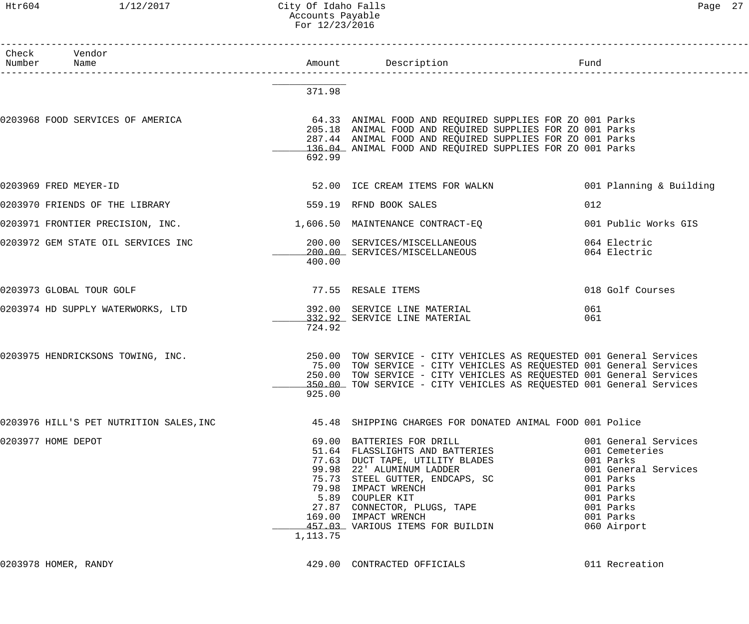### Htr604 1/12/2017 City Of Idaho Falls 27 Accounts Payable For 12/23/2016

| Check Vendor<br>Number Name             |          |                                                                                                                                                                                                                                                                                                        |                                                                                                                                                             |
|-----------------------------------------|----------|--------------------------------------------------------------------------------------------------------------------------------------------------------------------------------------------------------------------------------------------------------------------------------------------------------|-------------------------------------------------------------------------------------------------------------------------------------------------------------|
|                                         | 371.98   |                                                                                                                                                                                                                                                                                                        |                                                                                                                                                             |
| 0203968 FOOD SERVICES OF AMERICA        | 692.99   | 64.33 ANIMAL FOOD AND REQUIRED SUPPLIES FOR ZO 001 Parks<br>205.18 ANIMAL FOOD AND REQUIRED SUPPLIES FOR ZO 001 Parks<br>287.44 ANIMAL FOOD AND REQUIRED SUPPLIES FOR ZO 001 Parks<br>136.04 ANIMAL FOOD AND REQUIRED SUPPLIES FOR ZO 001 Parks                                                        |                                                                                                                                                             |
| 0203969 FRED MEYER-ID                   |          | 52.00 ICE CREAM ITEMS FOR WALKN                                                                                                                                                                                                                                                                        | 001 Planning & Building                                                                                                                                     |
| 0203970 FRIENDS OF THE LIBRARY          |          | 559.19 RFND BOOK SALES                                                                                                                                                                                                                                                                                 | 012                                                                                                                                                         |
|                                         |          | 0203971 FRONTIER PRECISION, INC.                                   1,606.50  MAINTENANCE CONTRACT-EQ                                                                                                                                                                                                   | 001 Public Works GIS                                                                                                                                        |
| 0203972 GEM STATE OIL SERVICES INC      | 400.00   | 200.00 SERVICES/MISCELLANEOUS<br>200.00 SERVICES/MISCELLANEOUS                                                                                                                                                                                                                                         | 064 Electric<br>064 Electric                                                                                                                                |
| 0203973 GLOBAL TOUR GOLF                |          | 77.55 RESALE ITEMS                                                                                                                                                                                                                                                                                     | 018 Golf Courses                                                                                                                                            |
| 0203974 HD SUPPLY WATERWORKS, LTD       | 724.92   | 392.00 SERVICE LINE MATERIAL<br>332.92 SERVICE LINE MATERIAL                                                                                                                                                                                                                                           | 061<br>061                                                                                                                                                  |
| 0203975 HENDRICKSONS TOWING, INC.       | 925.00   | 250.00 TOW SERVICE - CITY VEHICLES AS REQUESTED 001 General Services<br>75.00 TOW SERVICE - CITY VEHICLES AS REQUESTED 001 General Services<br>250.00 TOW SERVICE - CITY VEHICLES AS REQUESTED 001 General Services<br>350.00 TOW SERVICE - CITY VEHICLES AS REQUESTED 001 General Services            |                                                                                                                                                             |
| 0203976 HILL'S PET NUTRITION SALES, INC |          | 45.48 SHIPPING CHARGES FOR DONATED ANIMAL FOOD 001 Police                                                                                                                                                                                                                                              |                                                                                                                                                             |
| 0203977 HOME DEPOT                      | 1,113.75 | 69.00 BATTERIES FOR DRILL<br>51.64 FLASSLIGHTS AND BATTERIES<br>77.63 DUCT TAPE, UTILITY BLADES<br>99.98 22' ALUMINUM LADDER<br>75.73 STEEL GUTTER, ENDCAPS, SC<br>79.98 IMPACT WRENCH<br>5.89 COUPLER KIT<br>27.87 CONNECTOR, PLUGS, TAPE<br>169.00 IMPACT WRENCH<br>457.03 VARIOUS ITEMS FOR BUILDIN | 001 General Services<br>001 Cemeteries<br>001 Parks<br>001 General Services<br>001 Parks<br>001 Parks<br>001 Parks<br>001 Parks<br>001 Parks<br>060 Airport |

0203978 HOMER, RANDY **129.00 CONTRACTED OFFICIALS** 011 Recreation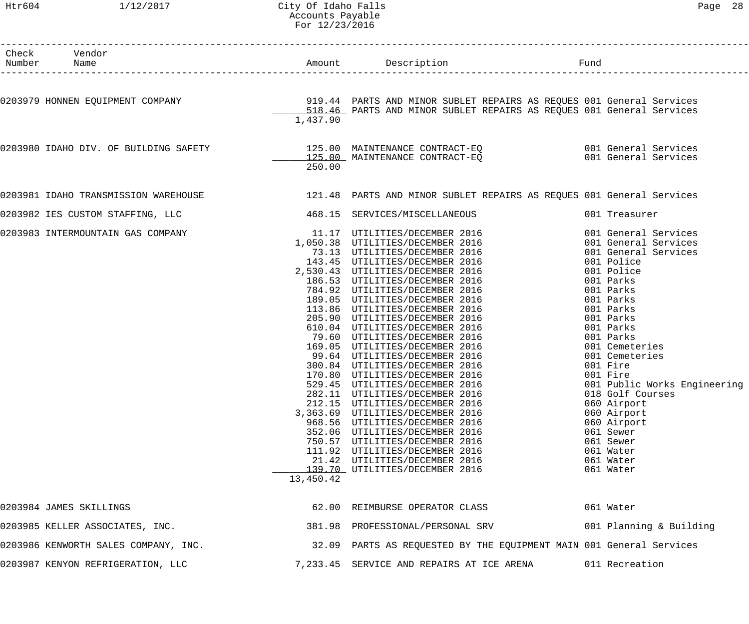#### Htr604 1/12/2017 City Of Idaho Falls Page 28 Accounts Payable For 12/23/2016

| Check Vendor<br>Number Name          |           | Amount Description<br><u>and the second second second</u> second second second second second second second second second second second second second second second second second second second second second second second second second second second se |                                    |
|--------------------------------------|-----------|-----------------------------------------------------------------------------------------------------------------------------------------------------------------------------------------------------------------------------------------------------------|------------------------------------|
|                                      |           |                                                                                                                                                                                                                                                           |                                    |
|                                      | 1,437.90  | 0203979 HONNEN EQUIPMENT COMPANY                         919.44 PARTS AND MINOR SUBLET REPAIRS AS REQUES 001 General Services<br>518.46 PARTS AND MINOR SUBLET REPAIRS AS REQUES 001 General Services                                                     |                                    |
|                                      | 250.00    | 0203980 IDAHO DIV. OF BUILDING SAFETY 125.00 MAINTENANCE CONTRACT-EQ<br>125.00 MAINTENANCE CONTRACT-EQ 1990 001 General Services                                                                                                                          |                                    |
|                                      |           | 0203981 IDAHO TRANSMISSION WAREHOUSE 121.48 PARTS AND MINOR SUBLET REPAIRS AS REQUES 001 General Services                                                                                                                                                 |                                    |
|                                      |           |                                                                                                                                                                                                                                                           |                                    |
| 0203982 IES CUSTOM STAFFING, LLC     |           | 468.15 SERVICES/MISCELLANEOUS                                                                                                                                                                                                                             | 001 Treasurer                      |
| 0203983 INTERMOUNTAIN GAS COMPANY    |           | 11.17 UTILITIES/DECEMBER 2016<br>1,050.38 UTILITIES/DECEMBER 2016<br>73.13 UTILITIES/DECEMBER 2016<br>143.45 UTILITIES/DECEMBER 2016<br>2,530.43 UTILITIES/DECEMBER 2016<br>186.53 UTILITIES/DECEMBER 2016<br>784.92 UTILITIES/DECEMBER 2016<br>189       | 001 General Services               |
|                                      |           |                                                                                                                                                                                                                                                           | 001 General Services               |
|                                      |           |                                                                                                                                                                                                                                                           | 001 General Services<br>001 Police |
|                                      |           |                                                                                                                                                                                                                                                           | 001 Police                         |
|                                      |           |                                                                                                                                                                                                                                                           | 001 Parks                          |
|                                      |           |                                                                                                                                                                                                                                                           | 001 Parks                          |
|                                      |           |                                                                                                                                                                                                                                                           | 001 Parks                          |
|                                      |           |                                                                                                                                                                                                                                                           | 001 Parks                          |
|                                      |           |                                                                                                                                                                                                                                                           | 001 Parks                          |
|                                      |           |                                                                                                                                                                                                                                                           | 001 Parks                          |
|                                      |           |                                                                                                                                                                                                                                                           | 001 Parks                          |
|                                      |           |                                                                                                                                                                                                                                                           | 001 Cemeteries<br>001 Cemeteries   |
|                                      |           |                                                                                                                                                                                                                                                           | 001 Fire                           |
|                                      |           | 170.80 UTILITIES/DECEMBER 2016                                                                                                                                                                                                                            | 001 Fire                           |
|                                      |           | 529.45 UTILITIES/DECEMBER 2016                                                                                                                                                                                                                            | 001 Public Works Engineering       |
|                                      |           | 282.11 UTILITIES/DECEMBER 2016                                                                                                                                                                                                                            | 018 Golf Courses                   |
|                                      |           | 212.15 UTILITIES/DECEMBER 2016                                                                                                                                                                                                                            | 060 Airport                        |
|                                      |           | 3,363.69 UTILITIES/DECEMBER 2016                                                                                                                                                                                                                          | 060 Airport                        |
|                                      |           | 968.56 UTILITIES/DECEMBER 2016                                                                                                                                                                                                                            | 060 Airport                        |
|                                      |           | 352.06 UTILITIES/DECEMBER 2016<br>750.57 UTILITIES/DECEMBER 2016                                                                                                                                                                                          | 061 Sewer<br>061 Sewer             |
|                                      |           | 111.92 UTILITIES/DECEMBER 2016                                                                                                                                                                                                                            | 061 Water                          |
|                                      |           | 21.42 UTILITIES/DECEMBER 2016                                                                                                                                                                                                                             | 061 Water                          |
|                                      |           | 139.70 UTILITIES/DECEMBER 2016                                                                                                                                                                                                                            | 061 Water                          |
|                                      | 13,450.42 |                                                                                                                                                                                                                                                           |                                    |
| 0203984 JAMES SKILLINGS              |           | 62.00 REIMBURSE OPERATOR CLASS                                                                                                                                                                                                                            | 061 Water                          |
| 0203985 KELLER ASSOCIATES, INC.      |           | 381.98 PROFESSIONAL/PERSONAL SRV                                                                                                                                                                                                                          | 001 Planning & Building            |
| 0203986 KENWORTH SALES COMPANY, INC. |           | 32.09 PARTS AS REQUESTED BY THE EQUIPMENT MAIN 001 General Services                                                                                                                                                                                       |                                    |
| 0203987 KENYON REFRIGERATION, LLC    |           | 7,233.45 SERVICE AND REPAIRS AT ICE ARENA                                                                                                                                                                                                                 | 011 Recreation                     |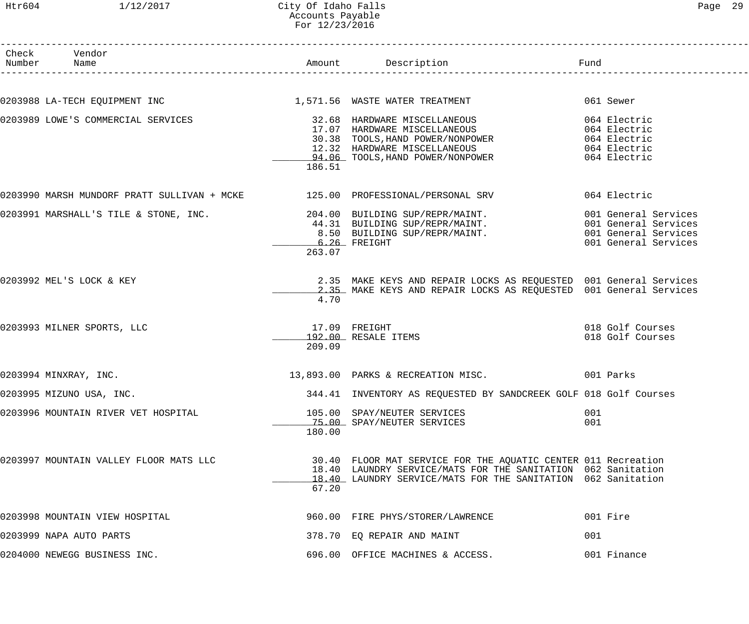| Check | Vendor<br>Number Name                  |                           |                                                                                                                                                                                                                                    | Fund        |
|-------|----------------------------------------|---------------------------|------------------------------------------------------------------------------------------------------------------------------------------------------------------------------------------------------------------------------------|-------------|
|       |                                        |                           |                                                                                                                                                                                                                                    |             |
|       |                                        |                           | 0203988 LA-TECH EQUIPMENT INC                                  1,571.56  WASTE WATER TREATMENT                        061 Sewer                                                                                                    |             |
|       | 0203989 LOWE'S COMMERCIAL SERVICES     | 186.51                    | 30.38 TOOLS, HAND POWER/NONPOWER 064 Electric<br>12.32 HARDWARE MISCELLANEOUS 064 Electric<br>94.06 TOOLS, HAND POWER/NONPOWER 064 Electric                                                                                        |             |
|       |                                        |                           | 0203990 MARSH MUNDORF PRATT SULLIVAN + MCKE 125.00 PROFESSIONAL/PERSONAL SRV 664 Electric                                                                                                                                          |             |
|       |                                        | 263.07                    | 0203991 MARSHALL'S TILE & STONE, INC. 204.00 BUILDING SUP/REPR/MAINT. 001 General Services (001 General Services<br>44.31 BUILDING SUP/REPR/MAINT. 001 General Services<br>6.26 FREIGHT 001 General Services (001 General Services |             |
|       | 0203992 MEL'S LOCK & KEY               | 4.70                      | 2.35 MAKE KEYS AND REPAIR LOCKS AS REQUESTED 001 General Services<br>2.35 MAKE KEYS AND REPAIR LOCKS AS REQUESTED 001 General Services                                                                                             |             |
|       | 0203993 MILNER SPORTS, LLC             | $17.09$ FREIGHT<br>209.09 | 192.00 RESALE ITEMS                                                                                                                                                                                                                |             |
|       | 0203994 MINXRAY, INC.                  |                           | 13,893.00 PARKS & RECREATION MISC. 001 Parks                                                                                                                                                                                       |             |
|       | 0203995 MIZUNO USA, INC.               |                           | 344.41 INVENTORY AS REQUESTED BY SANDCREEK GOLF 018 Golf Courses                                                                                                                                                                   |             |
|       | 0203996 MOUNTAIN RIVER VET HOSPITAL    | 180.00                    | 105.00 SPAY/NEUTER SERVICES<br>75.00 SPAY/NEUTER SERVICES                                                                                                                                                                          | 001<br>001  |
|       | 0203997 MOUNTAIN VALLEY FLOOR MATS LLC | 67.20                     | 30.40 FLOOR MAT SERVICE FOR THE AQUATIC CENTER 011 Recreation<br>18.40 LAUNDRY SERVICE/MATS FOR THE SANITATION 062 Sanitation<br>18.40 LAUNDRY SERVICE/MATS FOR THE SANITATION 062 Sanitation                                      |             |
|       | 0203998 MOUNTAIN VIEW HOSPITAL         |                           | 960.00 FIRE PHYS/STORER/LAWRENCE                                                                                                                                                                                                   | 001 Fire    |
|       | 0203999 NAPA AUTO PARTS                |                           | 378.70 EQ REPAIR AND MAINT                                                                                                                                                                                                         | 001         |
|       | 0204000 NEWEGG BUSINESS INC.           |                           | 696.00 OFFICE MACHINES & ACCESS.                                                                                                                                                                                                   | 001 Finance |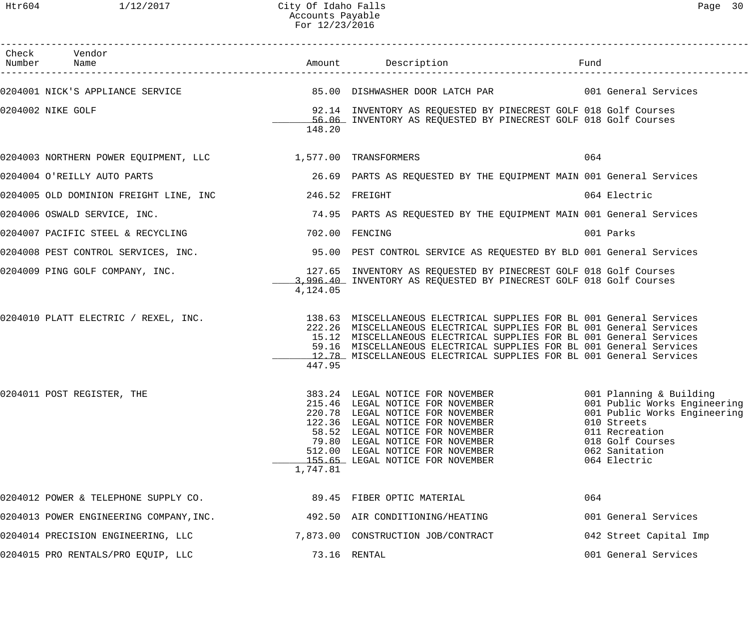| Check Vendor<br>Number Name                                                                                 |          | Amount Description                                                                                                                                                                                                                                                                                                                                                | Fund                                                                                                                                                |
|-------------------------------------------------------------------------------------------------------------|----------|-------------------------------------------------------------------------------------------------------------------------------------------------------------------------------------------------------------------------------------------------------------------------------------------------------------------------------------------------------------------|-----------------------------------------------------------------------------------------------------------------------------------------------------|
| 0204001 NICK'S APPLIANCE SERVICE                                                                            |          | 85.00 DISHWASHER DOOR LATCH PAR                           001 General Services                                                                                                                                                                                                                                                                                    |                                                                                                                                                     |
| 0204002 NIKE GOLF                                                                                           | 148.20   | 92.14 INVENTORY AS REQUESTED BY PINECREST GOLF 018 Golf Courses<br>56.06 INVENTORY AS REQUESTED BY PINECREST GOLF 018 Golf Courses                                                                                                                                                                                                                                |                                                                                                                                                     |
| 0204003 NORTHERN POWER EQUIPMENT, LLC $1,577.00$ TRANSFORMERS                                               |          |                                                                                                                                                                                                                                                                                                                                                                   | 064                                                                                                                                                 |
| 0204004 O'REILLY AUTO PARTS                                                                                 |          | 26.69 PARTS AS REQUESTED BY THE EQUIPMENT MAIN 001 General Services                                                                                                                                                                                                                                                                                               |                                                                                                                                                     |
| 0204005 OLD DOMINION FREIGHT LINE, INC                                                                      |          | 246.52 FREIGHT                                                                                                                                                                                                                                                                                                                                                    | 064 Electric                                                                                                                                        |
| 0204006 OSWALD SERVICE, INC.                                                                                |          | 74.95 PARTS AS REQUESTED BY THE EQUIPMENT MAIN 001 General Services                                                                                                                                                                                                                                                                                               |                                                                                                                                                     |
| 0204007 PACIFIC STEEL & RECYCLING                                                                           |          | 702.00 FENCING                                                                                                                                                                                                                                                                                                                                                    | 001 Parks                                                                                                                                           |
| 0204008 PEST CONTROL SERVICES, INC. 40 195.00 PEST CONTROL SERVICE AS REQUESTED BY BLD 001 General Services |          |                                                                                                                                                                                                                                                                                                                                                                   |                                                                                                                                                     |
| 0204009 PING GOLF COMPANY, INC.                                                                             | 4,124.05 | 127.65 INVENTORY AS REQUESTED BY PINECREST GOLF 018 Golf Courses<br>3,996.40 INVENTORY AS REQUESTED BY PINECREST GOLF 018 Golf Courses                                                                                                                                                                                                                            |                                                                                                                                                     |
| 0204010 PLATT ELECTRIC / REXEL, INC.                                                                        | 447.95   | 138.63 MISCELLANEOUS ELECTRICAL SUPPLIES FOR BL 001 General Services<br>222.26 MISCELLANEOUS ELECTRICAL SUPPLIES FOR BL 001 General Services<br>15.12 MISCELLANEOUS ELECTRICAL SUPPLIES FOR BL 001 General Services<br>59.16 MISCELLANEOUS ELECTRICAL SUPPLIES FOR BL 001 General Services<br>12.78 MISCELLANEOUS ELECTRICAL SUPPLIES FOR BL 001 General Services |                                                                                                                                                     |
| 0204011 POST REGISTER, THE                                                                                  | 1,747.81 | 383.24 LEGAL NOTICE FOR NOVEMBER 1997 001 Planning & Building<br>215.46 LEGAL NOTICE FOR NOVEMBER<br>220.78 LEGAL NOTICE FOR NOVEMBER<br>122.36 LEGAL NOTICE FOR NOVEMBER<br>58.52 LEGAL NOTICE FOR NOVEMBER<br>79.80 LEGAL NOTICE FOR NOVEMBER<br>512.00 LEGAL NOTICE FOR NOVEMBER<br>155.65 LEGAL NOTICE FOR NOVEMBER                                           | 001 Public Works Engineering<br>001 Public Works Engineering<br>010 Streets<br>011 Recreation<br>018 Golf Courses<br>062 Sanitation<br>064 Electric |
| 0204012 POWER & TELEPHONE SUPPLY CO.                                                                        |          | 89.45 FIBER OPTIC MATERIAL                                                                                                                                                                                                                                                                                                                                        | 064                                                                                                                                                 |
| 0204013 POWER ENGINEERING COMPANY, INC.                                                                     |          | 492.50 AIR CONDITIONING/HEATING                                                                                                                                                                                                                                                                                                                                   | 001 General Services                                                                                                                                |
| 0204014 PRECISION ENGINEERING, LLC                                                                          |          | 7,873.00 CONSTRUCTION JOB/CONTRACT                                                                                                                                                                                                                                                                                                                                | 042 Street Capital Imp                                                                                                                              |
| 0204015 PRO RENTALS/PRO EQUIP, LLC                                                                          |          | 73.16 RENTAL                                                                                                                                                                                                                                                                                                                                                      | 001 General Services                                                                                                                                |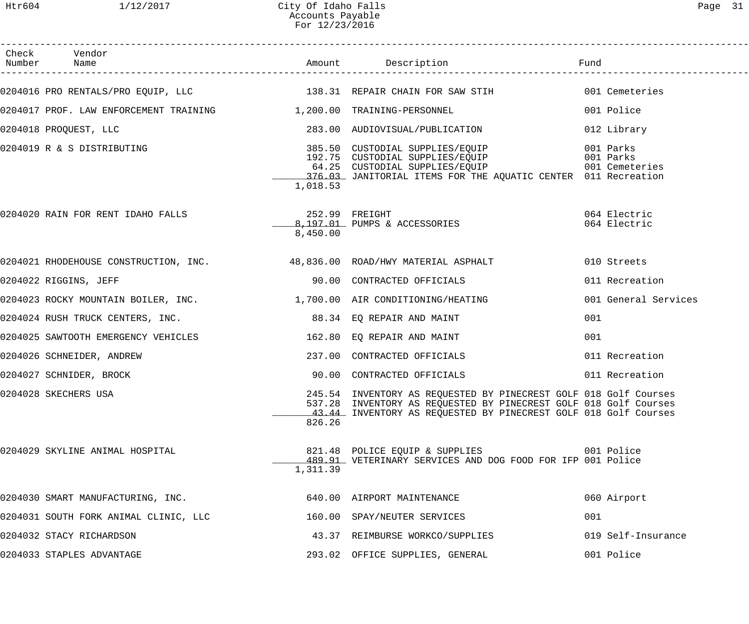| Check Vendor                                                                       |          |                                                                                                                                                                                                         |                                          |
|------------------------------------------------------------------------------------|----------|---------------------------------------------------------------------------------------------------------------------------------------------------------------------------------------------------------|------------------------------------------|
| 0204016 PRO RENTALS/PRO EQUIP, LLC 138.31 REPAIR CHAIN FOR SAW STIH 001 Cemeteries |          |                                                                                                                                                                                                         |                                          |
| 0204017 PROF. LAW ENFORCEMENT TRAINING $1,200.00$ TRAINING-PERSONNEL               |          |                                                                                                                                                                                                         | 001 Police                               |
| 0204018 PROQUEST, LLC                                                              |          | 283.00 AUDIOVISUAL/PUBLICATION                                                                                                                                                                          | 012 Library                              |
| 0204019 R & S DISTRIBUTING                                                         | 1,018.53 | 385.50 CUSTODIAL SUPPLIES/EQUIP<br>192.75 CUSTODIAL SUPPLIES/EQUIP<br>64.25 CUSTODIAL SUPPLIES/EQUIP<br>376.03 JANITORIAL ITEMS FOR THE AQUATIC CENTER 011 Recreation                                   | 001 Parks<br>001 Parks<br>001 Cemeteries |
|                                                                                    | 8,450.00 | 8,197.01 PUMPS & ACCESSORIES                                                                                                                                                                            | 064 Electric<br>064 Electric             |
| 0204021 RHODEHOUSE CONSTRUCTION, INC. 48,836.00 ROAD/HWY MATERIAL ASPHALT          |          |                                                                                                                                                                                                         | 010 Streets                              |
| 0204022 RIGGINS, JEFF                                                              |          | 90.00 CONTRACTED OFFICIALS                                                                                                                                                                              | 011 Recreation                           |
| 0204023 ROCKY MOUNTAIN BOILER, INC. 4.700.00 AIR CONDITIONING/HEATING              |          |                                                                                                                                                                                                         | 001 General Services                     |
| 0204024 RUSH TRUCK CENTERS, INC. 68.34 EQ REPAIR AND MAINT                         |          |                                                                                                                                                                                                         | 001                                      |
| 0204025 SAWTOOTH EMERGENCY VEHICLES 162.80 EQ REPAIR AND MAINT                     |          |                                                                                                                                                                                                         | 001                                      |
| 0204026 SCHNEIDER, ANDREW                                                          |          | 237.00 CONTRACTED OFFICIALS                                                                                                                                                                             | 011 Recreation                           |
| 0204027 SCHNIDER, BROCK                                                            |          | 90.00 CONTRACTED OFFICIALS                                                                                                                                                                              | 011 Recreation                           |
| 0204028 SKECHERS USA                                                               | 826.26   | 245.54 INVENTORY AS REQUESTED BY PINECREST GOLF 018 Golf Courses<br>537.28 INVENTORY AS REQUESTED BY PINECREST GOLF 018 Golf Courses<br>43.44 INVENTORY AS REQUESTED BY PINECREST GOLF 018 Golf Courses |                                          |
| 0204029 SKYLINE ANIMAL HOSPITAL                                                    | 1,311.39 | 821.48 POLICE EQUIP & SUPPLIES<br>489.91 VETERINARY SERVICES AND DOG FOOD FOR IFP 001 Police                                                                                                            | 001 Police                               |
| 0204030 SMART MANUFACTURING, INC.                                                  |          | 640.00 AIRPORT MAINTENANCE                                                                                                                                                                              | 060 Airport                              |
| 0204031 SOUTH FORK ANIMAL CLINIC, LLC                                              |          | 160.00 SPAY/NEUTER SERVICES                                                                                                                                                                             | 001                                      |
| 0204032 STACY RICHARDSON                                                           |          | 43.37 REIMBURSE WORKCO/SUPPLIES                                                                                                                                                                         | 019 Self-Insurance                       |
| 0204033 STAPLES ADVANTAGE                                                          |          | 293.02 OFFICE SUPPLIES, GENERAL                                                                                                                                                                         | 001 Police                               |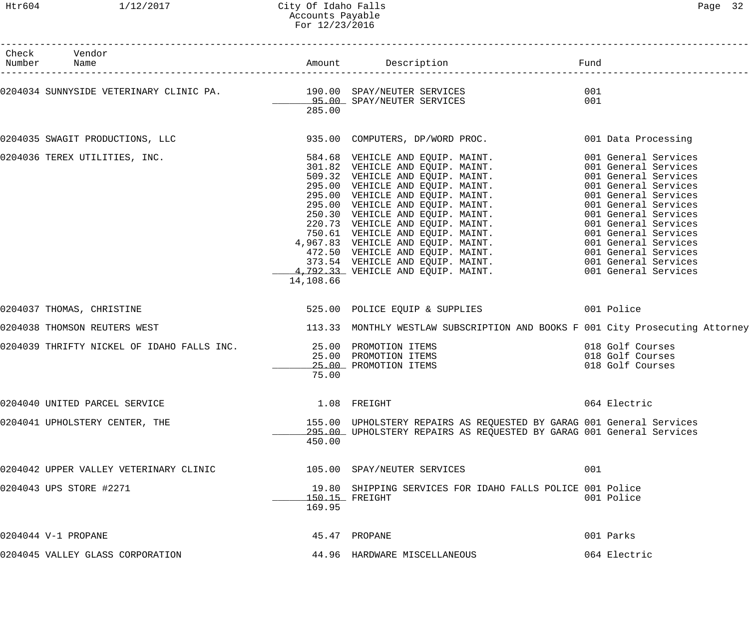| Check Vendor<br>Number Name                                                                  |           |                                                                                                                                                                                                                                              |                                                          |
|----------------------------------------------------------------------------------------------|-----------|----------------------------------------------------------------------------------------------------------------------------------------------------------------------------------------------------------------------------------------------|----------------------------------------------------------|
|                                                                                              | 285.00    | 0204034 SUNNYSIDE VETERINARY CLINIC PA.                       190.00  SPAY/NEUTER SERVICES<br>95.00  SPAY/NEUTER SERVICES                                                                                                                    | 001<br>001                                               |
|                                                                                              |           | 0204035 SWAGIT PRODUCTIONS, LLC 335.00 COMPUTERS, DP/WORD PROC. 001 Data Processing                                                                                                                                                          |                                                          |
| 0204036 TEREX UTILITIES, INC.                                                                | 14,108.66 | 984.68 VEHICLE AND EQUIP. MAINT.<br>301.82 VEHICLE AND EQUIP. MAINT.<br>509.32 VEHICLE AND EQUIP. MAINT.<br>901 General Services<br>95.00 VEHICLE AND EQUIP. MAINT.<br>901 General Services<br>95.00 VEHICLE AND EQUIP. MAINT.<br>901 Genera |                                                          |
| 0204037 THOMAS, CHRISTINE                                                                    |           | 525.00 POLICE EQUIP & SUPPLIES 001 Police                                                                                                                                                                                                    |                                                          |
| 0204038 THOMSON REUTERS WEST                                                                 |           | 113.33 MONTHLY WESTLAW SUBSCRIPTION AND BOOKS F 001 City Prosecuting Attorney                                                                                                                                                                |                                                          |
| 0204039 THRIFTY NICKEL OF IDAHO FALLS INC.<br>25.00 PROMOTION ITEMS<br>25.00 PROMOTION ITEMS | 75.00     |                                                                                                                                                                                                                                              | 018 Golf Courses<br>018 Golf Courses<br>018 Golf Courses |
| 0204040 UNITED PARCEL SERVICE                                                                |           | 1.08 FREIGHT                                                                                                                                                                                                                                 | 064 Electric                                             |
| 0204041 UPHOLSTERY CENTER, THE                                                               | 450.00    | 155.00 UPHOLSTERY REPAIRS AS REQUESTED BY GARAG 001 General Services<br>295.00 UPHOLSTERY REPAIRS AS REQUESTED BY GARAG 001 General Services                                                                                                 |                                                          |
| 0204042 UPPER VALLEY VETERINARY CLINIC $105.00$ SPAY/NEUTER SERVICES                         |           |                                                                                                                                                                                                                                              | 001                                                      |
| 0204043 UPS STORE #2271                                                                      | 169.95    | 19.80 SHIPPING SERVICES FOR IDAHO FALLS POLICE 001 Police<br>150.15 FREIGHT                                                                                                                                                                  | 001 Police                                               |
| 0204044 V-1 PROPANE                                                                          |           | 45.47 PROPANE                                                                                                                                                                                                                                | 001 Parks                                                |
| 0204045 VALLEY GLASS CORPORATION                                                             |           | 44.96 HARDWARE MISCELLANEOUS                                                                                                                                                                                                                 | 064 Electric                                             |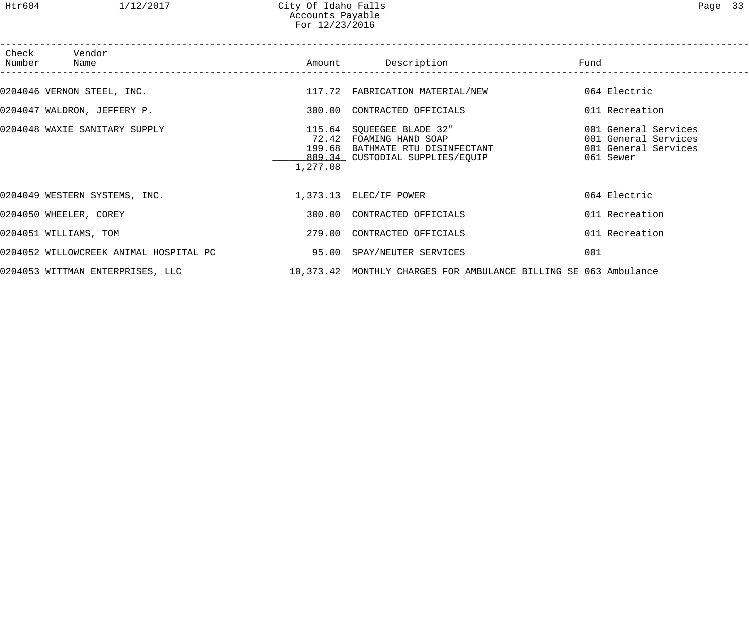| Check Vendor<br>Number Name                          |          | Amount Description                                                                                                          | Fund                                                                              |
|------------------------------------------------------|----------|-----------------------------------------------------------------------------------------------------------------------------|-----------------------------------------------------------------------------------|
| 0204046 VERNON STEEL, INC.                           |          | 117.72 FABRICATION MATERIAL/NEW                                                                                             | 064 Electric                                                                      |
| 0204047 WALDRON, JEFFERY P.                          |          | 300.00 CONTRACTED OFFICIALS                                                                                                 | 011 Recreation                                                                    |
| 0204048 WAXIE SANITARY SUPPLY                        | 1,277.08 | 115.64 SQUEEGEE BLADE 32"<br>72.42 FOAMING HAND SOAP<br>199.68 BATHMATE RTU DISINFECTANT<br>889.34 CUSTODIAL SUPPLIES/EQUIP | 001 General Services<br>001 General Services<br>001 General Services<br>061 Sewer |
| 0204049 WESTERN SYSTEMS, INC. 1,373.13 ELEC/IF POWER |          |                                                                                                                             | 064 Electric                                                                      |
| 0204050 WHEELER, COREY                               |          | 300.00 CONTRACTED OFFICIALS                                                                                                 | 011 Recreation                                                                    |
| 0204051 WILLIAMS, TOM                                |          | 279.00 CONTRACTED OFFICIALS                                                                                                 | 011 Recreation                                                                    |
|                                                      |          |                                                                                                                             | 001                                                                               |
| 0204053 WITTMAN ENTERPRISES, LLC                     |          | 10,373.42 MONTHLY CHARGES FOR AMBULANCE BILLING SE 063 Ambulance                                                            |                                                                                   |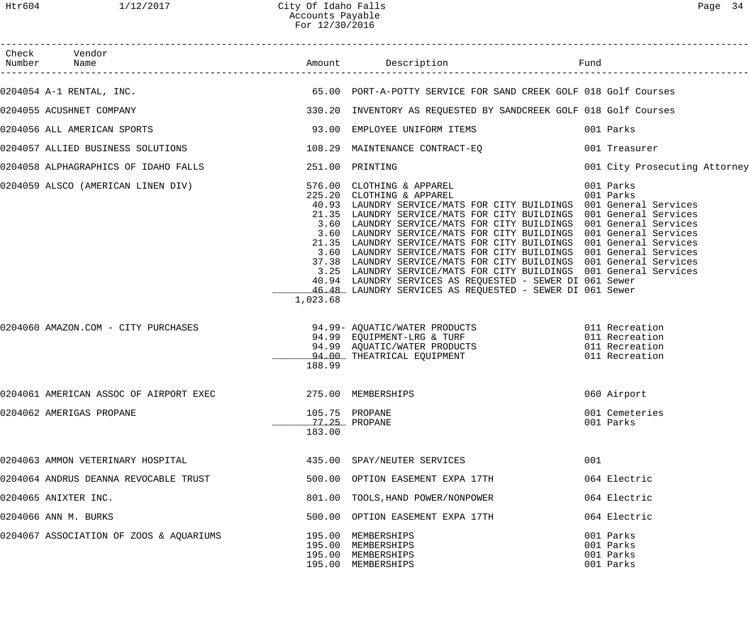| Page |  |
|------|--|
|------|--|

| Check Vendor<br>Number Name                                                                          |          |                                                                                                                                                                                                                                                                                                                                                                                                                                                                                                                                                                                                                                                                                                  |                                                  |
|------------------------------------------------------------------------------------------------------|----------|--------------------------------------------------------------------------------------------------------------------------------------------------------------------------------------------------------------------------------------------------------------------------------------------------------------------------------------------------------------------------------------------------------------------------------------------------------------------------------------------------------------------------------------------------------------------------------------------------------------------------------------------------------------------------------------------------|--------------------------------------------------|
| 0204054 A-1 RENTAL, INC.                                                                             |          | 65.00 PORT-A-POTTY SERVICE FOR SAND CREEK GOLF 018 Golf Courses                                                                                                                                                                                                                                                                                                                                                                                                                                                                                                                                                                                                                                  |                                                  |
| 0204055 ACUSHNET COMPANY                                                                             |          | 330.20 INVENTORY AS REQUESTED BY SANDCREEK GOLF 018 Golf Courses                                                                                                                                                                                                                                                                                                                                                                                                                                                                                                                                                                                                                                 |                                                  |
| 0204056 ALL AMERICAN SPORTS                                                                          |          | 93.00 EMPLOYEE UNIFORM ITEMS                                                                                                                                                                                                                                                                                                                                                                                                                                                                                                                                                                                                                                                                     | 001 Parks                                        |
| 0204057 ALLIED BUSINESS SOLUTIONS                                                                    |          | 108.29 MAINTENANCE CONTRACT-EQ                                                                                                                                                                                                                                                                                                                                                                                                                                                                                                                                                                                                                                                                   | 001 Treasurer                                    |
| 0204058 ALPHAGRAPHICS OF IDAHO FALLS                                                                 |          | 251.00 PRINTING                                                                                                                                                                                                                                                                                                                                                                                                                                                                                                                                                                                                                                                                                  | 001 City Prosecuting Attorney                    |
| 0204059 ALSCO (AMERICAN LINEN DIV)            576.00 CLOTHING & APPAREL<br>225.20 CLOTHING & APPAREL | 1,023.68 | 40.93 LAUNDRY SERVICE/MATS FOR CITY BUILDINGS 001 General Services<br>21.35 LAUNDRY SERVICE/MATS FOR CITY BUILDINGS 001 General Services<br>3.60 LAUNDRY SERVICE/MATS FOR CITY BUILDINGS 001 General Services<br>3.60 LAUNDRY SERVICE/MATS FOR CITY BUILDINGS 001 General Services<br>21.35 LAUNDRY SERVICE/MATS FOR CITY BUILDINGS 001 General Services<br>3.60 LAUNDRY SERVICE/MATS FOR CITY BUILDINGS 001 General Services<br>37.38 LAUNDRY SERVICE/MATS FOR CITY BUILDINGS 001 General Services<br>3.25 LAUNDRY SERVICE/MATS FOR CITY BUILDINGS 001 General Services<br>40.94 LAUNDRY SERVICES AS REQUESTED - SEWER DI 061 Sewer<br>46.48 LAUNDRY SERVICES AS REQUESTED - SEWER DI 061 Sewer | 001 Parks<br>001 Parks                           |
| 0204060 AMAZON.COM - CITY PURCHASES                                                                  | 188.99   | 94.99 AQUATIC/WATER PRODUCTS 011 Recreation<br>94.99 EQUIPMENT-LRG & TURF 011 Recreation<br>94.99 AQUATIC/WATER PRODUCTS 011 Recreation<br>94.00 THEATRICAL EQUIPMENT 011 Recreation                                                                                                                                                                                                                                                                                                                                                                                                                                                                                                             |                                                  |
| 0204061 AMERICAN ASSOC OF AIRPORT EXEC                                                               |          | 275.00 MEMBERSHIPS                                                                                                                                                                                                                                                                                                                                                                                                                                                                                                                                                                                                                                                                               | 060 Airport                                      |
| 0204062 AMERIGAS PROPANE                                                                             | 183.00   | 105.75 PROPANE<br>77.25 PROPANE                                                                                                                                                                                                                                                                                                                                                                                                                                                                                                                                                                                                                                                                  | 001 Cemeteries<br>001 Parks                      |
| 0204063 AMMON VETERINARY HOSPITAL                                                                    |          | 435.00 SPAY/NEUTER SERVICES                                                                                                                                                                                                                                                                                                                                                                                                                                                                                                                                                                                                                                                                      | 001                                              |
| 0204064 ANDRUS DEANNA REVOCABLE TRUST                                                                |          | 500.00 OPTION EASEMENT EXPA 17TH                                                                                                                                                                                                                                                                                                                                                                                                                                                                                                                                                                                                                                                                 | 064 Electric                                     |
| 0204065 ANIXTER INC.                                                                                 |          | 801.00 TOOLS, HAND POWER/NONPOWER                                                                                                                                                                                                                                                                                                                                                                                                                                                                                                                                                                                                                                                                | 064 Electric                                     |
| 0204066 ANN M. BURKS                                                                                 |          | 500.00 OPTION EASEMENT EXPA 17TH                                                                                                                                                                                                                                                                                                                                                                                                                                                                                                                                                                                                                                                                 | 064 Electric                                     |
| 0204067 ASSOCIATION OF ZOOS & AQUARIUMS                                                              |          | 195.00 MEMBERSHIPS<br>195.00 MEMBERSHIPS<br>195.00 MEMBERSHIPS<br>195.00 MEMBERSHIPS                                                                                                                                                                                                                                                                                                                                                                                                                                                                                                                                                                                                             | 001 Parks<br>001 Parks<br>001 Parks<br>001 Parks |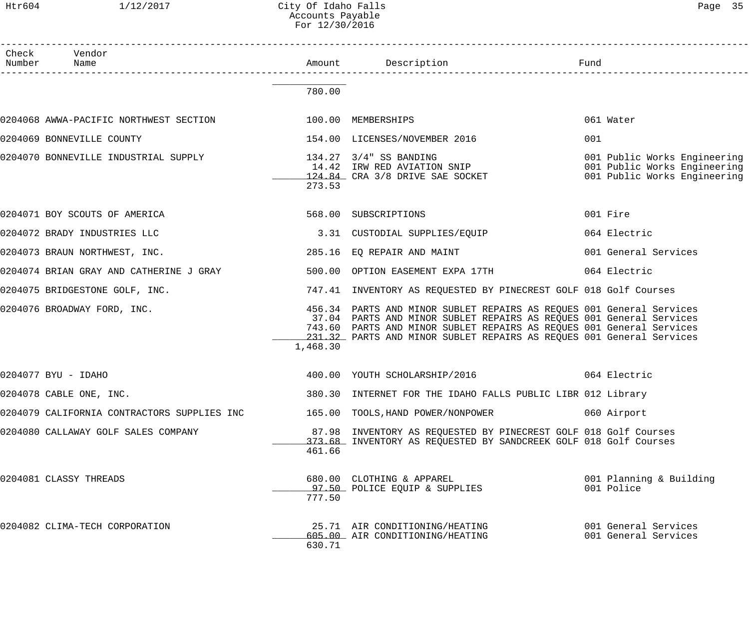#### Htr604 1/12/2017 City Of Idaho Falls Page 35 Accounts Payable For 12/30/2016

| Check Vendor<br>Number Name                 |          | L<br>.__________________________                                                                                                                                                                                                                                                            | Fund                                                                                         |
|---------------------------------------------|----------|---------------------------------------------------------------------------------------------------------------------------------------------------------------------------------------------------------------------------------------------------------------------------------------------|----------------------------------------------------------------------------------------------|
|                                             | 780.00   |                                                                                                                                                                                                                                                                                             |                                                                                              |
|                                             |          |                                                                                                                                                                                                                                                                                             | 061 Water                                                                                    |
| 0204069 BONNEVILLE COUNTY                   |          | 154.00 LICENSES/NOVEMBER 2016                                                                                                                                                                                                                                                               | 001                                                                                          |
| 0204070 BONNEVILLE INDUSTRIAL SUPPLY        | 273.53   | 134.27 3/4" SS BANDING<br>14.42 IRW RED AVIATION SNIP<br>124.84 CRA 3/8 DRIVE SAE SOCKET                                                                                                                                                                                                    | 001 Public Works Engineering<br>001 Public Works Engineering<br>001 Public Works Engineering |
| 0204071 BOY SCOUTS OF AMERICA               |          | 568.00 SUBSCRIPTIONS                                                                                                                                                                                                                                                                        | 001 Fire                                                                                     |
| 0204072 BRADY INDUSTRIES LLC                |          | 3.31 CUSTODIAL SUPPLIES/EQUIP                                                                                                                                                                                                                                                               | 064 Electric                                                                                 |
| 0204073 BRAUN NORTHWEST, INC.               |          | 285.16 EQ REPAIR AND MAINT                                                                                                                                                                                                                                                                  | 001 General Services                                                                         |
| 0204074 BRIAN GRAY AND CATHERINE J GRAY     |          | 500.00 OPTION EASEMENT EXPA 17TH                                                                                                                                                                                                                                                            | 064 Electric                                                                                 |
| 0204075 BRIDGESTONE GOLF, INC.              |          | 747.41 INVENTORY AS REQUESTED BY PINECREST GOLF 018 Golf Courses                                                                                                                                                                                                                            |                                                                                              |
| 0204076 BROADWAY FORD, INC.                 | 1,468.30 | 456.34 PARTS AND MINOR SUBLET REPAIRS AS REQUES 001 General Services<br>37.04 PARTS AND MINOR SUBLET REPAIRS AS REQUES 001 General Services<br>743.60 PARTS AND MINOR SUBLET REPAIRS AS REQUES 001 General Services<br>231.32 PARTS AND MINOR SUBLET REPAIRS AS REQUES 001 General Services |                                                                                              |
| 0204077 BYU - IDAHO                         |          | 400.00 YOUTH SCHOLARSHIP/2016 64 Electric                                                                                                                                                                                                                                                   |                                                                                              |
| 0204078 CABLE ONE, INC.                     |          | 380.30 INTERNET FOR THE IDAHO FALLS PUBLIC LIBR 012 Library                                                                                                                                                                                                                                 |                                                                                              |
| 0204079 CALIFORNIA CONTRACTORS SUPPLIES INC |          | 165.00 TOOLS, HAND POWER/NONPOWER                                                                                                                                                                                                                                                           | 060 Airport                                                                                  |
| 0204080 CALLAWAY GOLF SALES COMPANY         | 461.66   | 87.98 INVENTORY AS REQUESTED BY PINECREST GOLF 018 Golf Courses<br>373.68 INVENTORY AS REQUESTED BY SANDCREEK GOLF 018 Golf Courses                                                                                                                                                         |                                                                                              |
| 0204081 CLASSY THREADS                      | 777.50   | 680.00 CLOTHING & APPAREL<br><u>97.50</u> POLICE EQUIP & SUPPLIES                                                                                                                                                                                                                           | 001 Planning & Building<br>001 Police                                                        |
| 0204082 CLIMA-TECH CORPORATION              | 630.71   | 25.71 AIR CONDITIONING/HEATING<br>605.00 AIR CONDITIONING/HEATING                                                                                                                                                                                                                           | 001 General Services<br>001 General Services                                                 |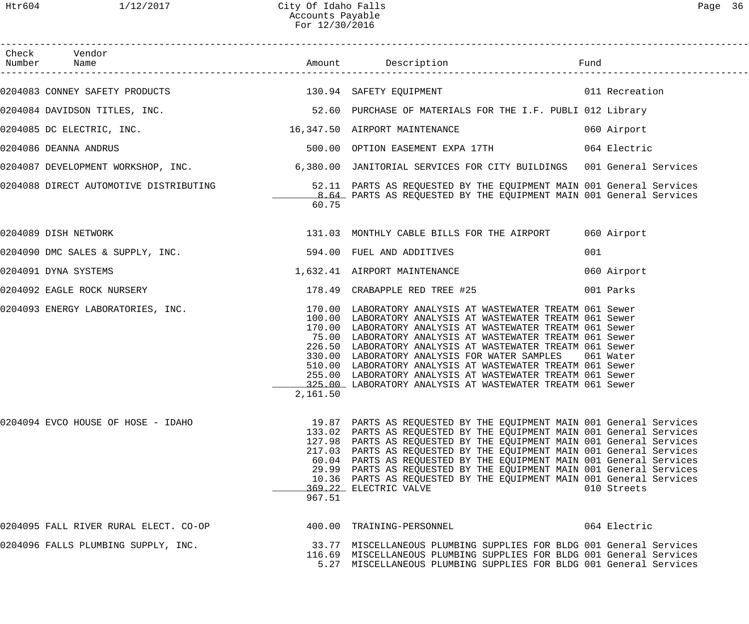| Page |  |
|------|--|
|------|--|

| Check Vendor<br>Number Name                                  |          |                                                                                                                                                                                                                                                                                                                                                                                                                                                                                                                                                                                                              |              |
|--------------------------------------------------------------|----------|--------------------------------------------------------------------------------------------------------------------------------------------------------------------------------------------------------------------------------------------------------------------------------------------------------------------------------------------------------------------------------------------------------------------------------------------------------------------------------------------------------------------------------------------------------------------------------------------------------------|--------------|
|                                                              |          |                                                                                                                                                                                                                                                                                                                                                                                                                                                                                                                                                                                                              |              |
|                                                              |          | 0204084 DAVIDSON TITLES, INC. THE CONTROLL STATE SERVICE SERVICE OF MATERIALS FOR THE I.F. PUBLI 012 Library                                                                                                                                                                                                                                                                                                                                                                                                                                                                                                 |              |
| 0204085 DC ELECTRIC, INC.                                    |          | 16,347.50 AIRPORT MAINTENANCE 6 060 Airport                                                                                                                                                                                                                                                                                                                                                                                                                                                                                                                                                                  |              |
| 0204086 DEANNA ANDRUS                                        |          | 500.00 OPTION EASEMENT EXPA 17TH 664 Electric                                                                                                                                                                                                                                                                                                                                                                                                                                                                                                                                                                |              |
|                                                              |          |                                                                                                                                                                                                                                                                                                                                                                                                                                                                                                                                                                                                              |              |
|                                                              | 60.75    | 0204088 DIRECT AUTOMOTIVE DISTRIBUTING <b>1990 SECOLUTE SECULS ENGLISHED BY</b> THE EQUIPMENT MAIN 001 General Services<br>8.64 PARTS AS REQUESTED BY THE EQUIPMENT MAIN 001 General Services                                                                                                                                                                                                                                                                                                                                                                                                                |              |
| 0204089 DISH NETWORK                                         |          | 131.03 MONTHLY CABLE BILLS FOR THE AIRPORT 060 Airport                                                                                                                                                                                                                                                                                                                                                                                                                                                                                                                                                       |              |
| 0204090 DMC SALES & SUPPLY, INC. $594.00$ FUEL AND ADDITIVES |          |                                                                                                                                                                                                                                                                                                                                                                                                                                                                                                                                                                                                              | 001          |
| 0204091 DYNA SYSTEMS                                         |          | 1,632.41 AIRPORT MAINTENANCE                                                                                                                                                                                                                                                                                                                                                                                                                                                                                                                                                                                 | 060 Airport  |
|                                                              |          |                                                                                                                                                                                                                                                                                                                                                                                                                                                                                                                                                                                                              |              |
|                                                              | 2,161.50 | 0204093 ENERGY LABORATORIES, INC.                        170.00 LABORATORY ANALYSIS AT WASTEWATER TREATM 061 Sewer<br>100.00 LABORATORY ANALYSIS AT WASTEWATER TREATM 061 Sewer<br>170.00 LABORATORY ANALYSIS AT WASTEWATER TREATM 061 Sewer<br>75.00 LABORATORY ANALYSIS AT WASTEWATER TREATM 061 Sewer<br>226.50 LABORATORY ANALYSIS AT WASTEWATER TREATM 061 Sewer<br>330.00 LABORATORY ANALYSIS FOR WATER SAMPLES<br>510.00 LABORATORY ANALYSIS AT WASTEWATER TREATM 061 Sewer<br>255.00 LABORATORY ANALYSIS AT WASTEWATER TREATM 061 Sewer<br>325.00 LABORATORY ANALYSIS AT WASTEWATER TREATM 061 Sewer | 061 Water    |
| 0204094 EVCO HOUSE OF HOSE - IDAHO                           | 967.51   | 19.87 PARTS AS REQUESTED BY THE EQUIPMENT MAIN 001 General Services<br>133.02 PARTS AS REQUESTED BY THE EQUIPMENT MAIN 001 General Services<br>127.98 PARTS AS REQUESTED BY THE EQUIPMENT MAIN 001 General Services<br>217.03 PARTS AS REQUESTED BY THE EQUIPMENT MAIN 001 General Services<br>60.04 PARTS AS REQUESTED BY THE EQUIPMENT MAIN 001 General Services<br>29.99 PARTS AS REQUESTED BY THE EQUIPMENT MAIN 001 General Services<br>10.36 PARTS AS REQUESTED BY THE EQUIPMENT MAIN 001 General Services<br>369.22 ELECTRIC VALVE                                                                    | 010 Streets  |
| 0204095 FALL RIVER RURAL ELECT. CO-OP                        |          | 400.00 TRAINING-PERSONNEL                                                                                                                                                                                                                                                                                                                                                                                                                                                                                                                                                                                    | 064 Electric |
| 0204096 FALLS PLUMBING SUPPLY, INC.                          |          | 33.77 MISCELLANEOUS PLUMBING SUPPLIES FOR BLDG 001 General Services<br>116.69 MISCELLANEOUS PLUMBING SUPPLIES FOR BLDG 001 General Services<br>5.27 MISCELLANEOUS PLUMBING SUPPLIES FOR BLDG 001 General Services                                                                                                                                                                                                                                                                                                                                                                                            |              |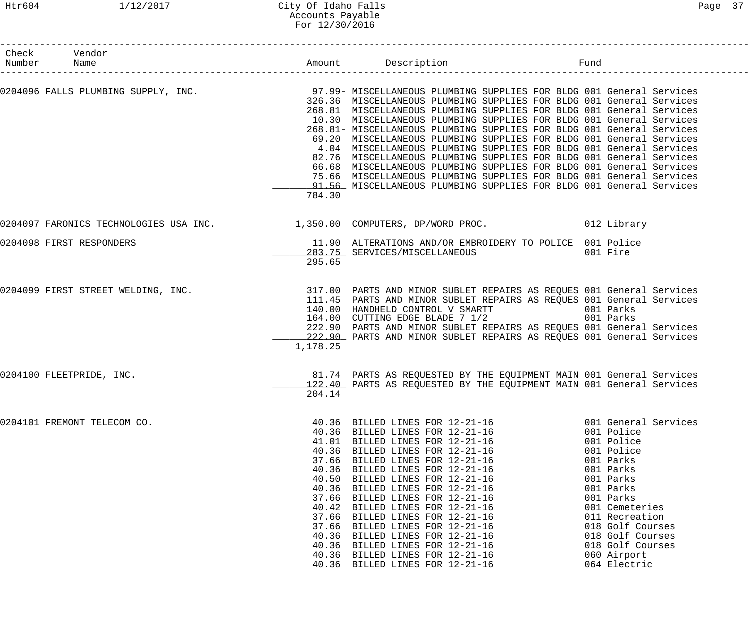#### Htr604 1/12/2017 City Of Idaho Falls Page 37 Accounts Payable For 12/30/2016

| Check Vendor<br>Number Name        |          | Amount Description                                                                                                                                                                                                                                                                                                                                                                                                                                                                                                                                                                                                                                                                                                                    | Fund                                                                                                                                                                                                                                                           |
|------------------------------------|----------|---------------------------------------------------------------------------------------------------------------------------------------------------------------------------------------------------------------------------------------------------------------------------------------------------------------------------------------------------------------------------------------------------------------------------------------------------------------------------------------------------------------------------------------------------------------------------------------------------------------------------------------------------------------------------------------------------------------------------------------|----------------------------------------------------------------------------------------------------------------------------------------------------------------------------------------------------------------------------------------------------------------|
|                                    | 784.30   | 326.36 MISCELLANEOUS PLUMBING SUPPLIES FOR BLDG 001 General Services<br>268.81 MISCELLANEOUS PLUMBING SUPPLIES FOR BLDG 001 General Services<br>10.30 MISCELLANEOUS PLUMBING SUPPLIES FOR BLDG 001 General Services<br>268.81- MISCELLANEOUS PLUMBING SUPPLIES FOR BLDG 001 General Services<br>69.20 MISCELLANEOUS PLUMBING SUPPLIES FOR BLDG 001 General Services<br>4.04 MISCELLANEOUS PLUMBING SUPPLIES FOR BLDG 001 General Services<br>82.76 MISCELLANEOUS PLUMBING SUPPLIES FOR BLDG 001 General Services<br>66.68 MISCELLANEOUS PLUMBING SUPPLIES FOR BLDG 001 General Services<br>75.66 MISCELLANEOUS PLUMBING SUPPLIES FOR BLDG 001 General Services<br>91.56 MISCELLANEOUS PLUMBING SUPPLIES FOR BLDG 001 General Services |                                                                                                                                                                                                                                                                |
|                                    |          | 0204097 FARONICS TECHNOLOGIES USA INC. 1,350.00 COMPUTERS, DP/WORD PROC. 012 Library                                                                                                                                                                                                                                                                                                                                                                                                                                                                                                                                                                                                                                                  |                                                                                                                                                                                                                                                                |
| 0204098 FIRST RESPONDERS           | 295.65   | 11.90 ALTERATIONS AND/OR EMBROIDERY TO POLICE 001 Police<br>283.75 SERVICES/MISCELLANEOUS                                                                                                                                                                                                                                                                                                                                                                                                                                                                                                                                                                                                                                             | 001 Fire                                                                                                                                                                                                                                                       |
| 0204099 FIRST STREET WELDING, INC. | 1,178.25 | 317.00 PARTS AND MINOR SUBLET REPAIRS AS REQUES 001 General Services<br>111.45 PARTS AND MINOR SUBLET REPAIRS AS REQUES 001 General Services<br>140.00 HANDHELD CONTROL V SMARTT 6001 Parks<br>164.00 CUTTING EDGE BLADE 7 1/2<br>222.90 PARTS AND MINOR SUBLET REPAIRS AS REQUES 001 General Services<br>222.90 PARTS AND MINOR SUBLET REPAIRS AS REQUES 001 General Services                                                                                                                                                                                                                                                                                                                                                        | 001 Parks                                                                                                                                                                                                                                                      |
| 0204100 FLEETPRIDE, INC.           |          | 81.74 PARTS AS REQUESTED BY THE EQUIPMENT MAIN 001 General Services<br>122.40 PARTS AS REQUESTED BY THE EQUIPMENT MAIN 001 General Services<br>204.14                                                                                                                                                                                                                                                                                                                                                                                                                                                                                                                                                                                 |                                                                                                                                                                                                                                                                |
| 0204101 FREMONT TELECOM CO.        |          | 40.36 BILLED LINES FOR 12-21-16<br>40.36 BILLED LINES FOR 12-21-16<br>41.01 BILLED LINES FOR 12-21-16<br>40.36 BILLED LINES FOR 12-21-16<br>37.66 BILLED LINES FOR 12-21-16<br>40.36 BILLED LINES FOR 12-21-16<br>40.50 BILLED LINES FOR 12-21-16<br>40.36 BILLED LINES FOR 12-21-16<br>37.66 BILLED LINES FOR 12-21-16<br>40.42 BILLED LINES FOR 12-21-16<br>37.66 BILLED LINES FOR 12-21-16<br>37.66 BILLED LINES FOR 12-21-16<br>40.36 BILLED LINES FOR 12-21-16<br>40.36 BILLED LINES FOR 12-21-16<br>40.36 BILLED LINES FOR 12-21-16<br>40.36 BILLED LINES FOR 12-21-16                                                                                                                                                          | 001 General Services<br>001 Police<br>001 Police<br>001 Police<br>001 Parks<br>001 Parks<br>001 Parks<br>001 Parks<br>001 Parks<br>001 Cemeteries<br>011 Recreation<br>018 Golf Courses<br>018 Golf Courses<br>018 Golf Courses<br>060 Airport<br>064 Electric |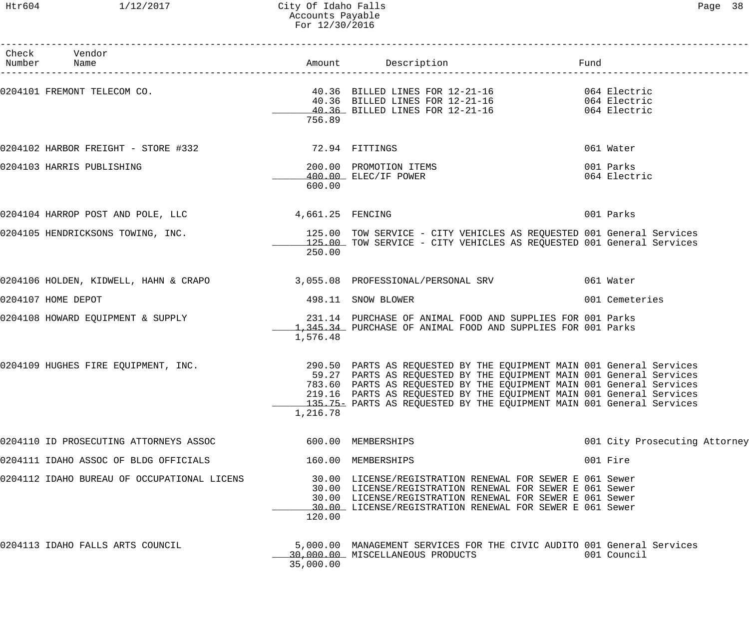#### Htr604 1/12/2017 City Of Idaho Falls Page 38 Accounts Payable For 12/30/2016

| Check Vendor<br>Number Name                        |                  |                                                                                                                                                                                                                                                                                                                                                                     | Fund                          |
|----------------------------------------------------|------------------|---------------------------------------------------------------------------------------------------------------------------------------------------------------------------------------------------------------------------------------------------------------------------------------------------------------------------------------------------------------------|-------------------------------|
| 0204101 FREMONT TELECOM CO.                        | 756.89           | 40.36 BILLED LINES FOR 12-21-16 064 Electric<br>40.36 BILLED LINES FOR 12-21-16 064 Electric<br>40.36 BILLED LINES FOR 12-21-16 064 Electric                                                                                                                                                                                                                        |                               |
| 0204102 HARBOR FREIGHT - STORE #332 72.94 FITTINGS |                  |                                                                                                                                                                                                                                                                                                                                                                     | 061 Water                     |
| 0204103 HARRIS PUBLISHING                          | 600.00           | 200.00 PROMOTION ITEMS<br>400.00 ELEC/IF POWER                                                                                                                                                                                                                                                                                                                      | 001 Parks<br>064 Electric     |
| 0204104 HARROP POST AND POLE, LLC                  | 4,661.25 FENCING |                                                                                                                                                                                                                                                                                                                                                                     | 001 Parks                     |
| 0204105 HENDRICKSONS TOWING, INC.                  | 250.00           | 125.00 TOW SERVICE - CITY VEHICLES AS REQUESTED 001 General Services<br>125.00 TOW SERVICE - CITY VEHICLES AS REQUESTED 001 General Services                                                                                                                                                                                                                        |                               |
|                                                    |                  | 0204106 HOLDEN, KIDWELL, HAHN & CRAPO 3,055.08 PROFESSIONAL/PERSONAL SRV 061 Water                                                                                                                                                                                                                                                                                  |                               |
| 0204107 HOME DEPOT                                 |                  | 498.11 SNOW BLOWER                                                                                                                                                                                                                                                                                                                                                  | 001 Cemeteries                |
| 0204108 HOWARD EQUIPMENT & SUPPLY                  | 1,576.48         | 231.14 PURCHASE OF ANIMAL FOOD AND SUPPLIES FOR 001 Parks<br>1,345.34 PURCHASE OF ANIMAL FOOD AND SUPPLIES FOR 001 Parks                                                                                                                                                                                                                                            |                               |
| 0204109 HUGHES FIRE EQUIPMENT, INC.                | 1,216.78         | 290.50 PARTS AS REQUESTED BY THE EQUIPMENT MAIN 001 General Services<br>59.27 PARTS AS REQUESTED BY THE EQUIPMENT MAIN 001 General Services<br>783.60 PARTS AS REQUESTED BY THE EQUIPMENT MAIN 001 General Services<br>219.16 PARTS AS REQUESTED BY THE EQUIPMENT MAIN 001 General Services<br>135.75 PARTS AS REQUESTED BY THE EQUIPMENT MAIN 001 General Services |                               |
| 0204110 ID PROSECUTING ATTORNEYS ASSOC             |                  | 600.00 MEMBERSHIPS                                                                                                                                                                                                                                                                                                                                                  | 001 City Prosecuting Attorney |
| 0204111 IDAHO ASSOC OF BLDG OFFICIALS              |                  | 160.00 MEMBERSHIPS                                                                                                                                                                                                                                                                                                                                                  | 001 Fire                      |
| 0204112 IDAHO BUREAU OF OCCUPATIONAL LICENS        | 120.00           | 30.00 LICENSE/REGISTRATION RENEWAL FOR SEWER E 061 Sewer<br>30.00 LICENSE/REGISTRATION RENEWAL FOR SEWER E 061 Sewer<br>30.00 LICENSE/REGISTRATION RENEWAL FOR SEWER E 061 Sewer<br>30.00 LICENSE/REGISTRATION RENEWAL FOR SEWER E 061 Sewer                                                                                                                        |                               |
| 0204113 IDAHO FALLS ARTS COUNCIL                   | 35,000.00        | 5,000.00 MANAGEMENT SERVICES FOR THE CIVIC AUDITO 001 General Services<br>30,000.00 MISCELLANEOUS PRODUCTS                                                                                                                                                                                                                                                          | 001 Council                   |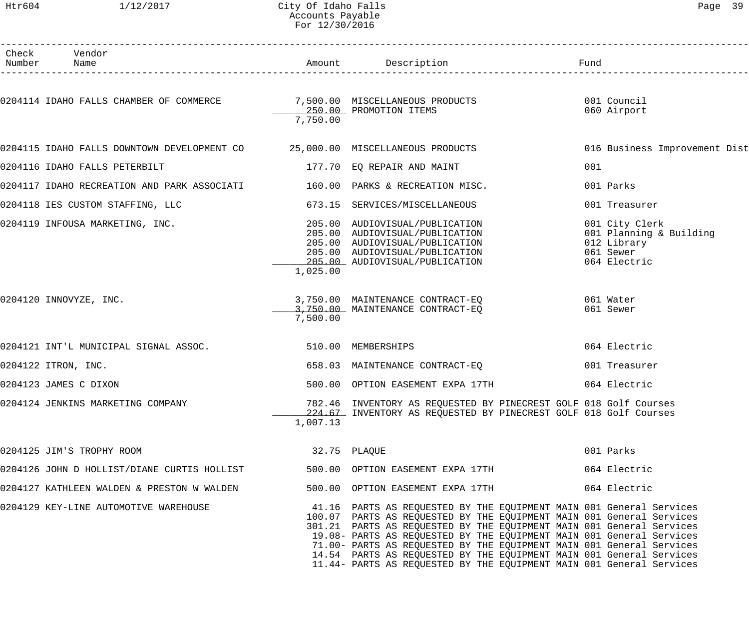## Accounts Payable

| Htr604          | 1/12/2017                                                                    | City Of Idaho Falls<br>Accounts Payable<br>For 12/30/2016 |                                                                                                                                                                                                                     | Page 39                                                                               |  |
|-----------------|------------------------------------------------------------------------------|-----------------------------------------------------------|---------------------------------------------------------------------------------------------------------------------------------------------------------------------------------------------------------------------|---------------------------------------------------------------------------------------|--|
| Check<br>Number | Vendor<br>Name                                                               |                                                           | Amount Description                                                                                                                                                                                                  | Fund                                                                                  |  |
|                 |                                                                              |                                                           | __________________________                                                                                                                                                                                          |                                                                                       |  |
|                 | 0204114 IDAHO FALLS CHAMBER OF COMMERCE 7,500.00 MISCELLANEOUS PRODUCTS      | 7,750.00                                                  | 250.00 PROMOTION ITEMS                                                                                                                                                                                              | 001 Council<br>060 Airport                                                            |  |
|                 |                                                                              |                                                           |                                                                                                                                                                                                                     |                                                                                       |  |
|                 | 0204115 IDAHO FALLS DOWNTOWN DEVELOPMENT CO 35,000.00 MISCELLANEOUS PRODUCTS |                                                           |                                                                                                                                                                                                                     | 016 Business Improvement Dist                                                         |  |
|                 | 0204116 IDAHO FALLS PETERBILT                                                |                                                           | 177.70 EQ REPAIR AND MAINT                                                                                                                                                                                          | 001                                                                                   |  |
|                 | 0204117 IDAHO RECREATION AND PARK ASSOCIATI                                  |                                                           | 160.00 PARKS & RECREATION MISC.                                                                                                                                                                                     | 001 Parks                                                                             |  |
|                 | 0204118 IES CUSTOM STAFFING, LLC                                             |                                                           | 673.15 SERVICES/MISCELLANEOUS                                                                                                                                                                                       | 001 Treasurer                                                                         |  |
|                 | 0204119 INFOUSA MARKETING, INC.                                              | 205.00<br>1,025.00                                        | AUDIOVISUAL/PUBLICATION<br>205.00 AUDIOVISUAL/PUBLICATION<br>205.00 AUDIOVISUAL/PUBLICATION<br>205.00 AUDIOVISUAL/PUBLICATION<br>205.00 AUDIOVISUAL/PUBLICATION                                                     | 001 City Clerk<br>001 Planning & Building<br>012 Library<br>061 Sewer<br>064 Electric |  |
|                 | 0204120 INNOVYZE, INC.                                                       | 7,500.00                                                  | 3,750.00 MAINTENANCE CONTRACT-EQ<br>3,750.00 MAINTENANCE CONTRACT-EQ                                                                                                                                                | 061 Water<br>061 Sewer                                                                |  |
|                 | 0204121 INT'L MUNICIPAL SIGNAL ASSOC.                                        |                                                           | 510.00 MEMBERSHIPS                                                                                                                                                                                                  | 064 Electric                                                                          |  |
|                 | 0204122 ITRON, INC.                                                          |                                                           | 658.03 MAINTENANCE CONTRACT-EO                                                                                                                                                                                      | 001 Treasurer                                                                         |  |
|                 | 0204123 JAMES C DIXON                                                        |                                                           | 500.00 OPTION EASEMENT EXPA 17TH                                                                                                                                                                                    | 064 Electric                                                                          |  |
|                 | 0204124 JENKINS MARKETING COMPANY                                            | 1,007.13                                                  | 782.46 INVENTORY AS REQUESTED BY PINECREST GOLF 018 Golf Courses<br>224.67 INVENTORY AS REQUESTED BY PINECREST GOLF 018 Golf Courses                                                                                |                                                                                       |  |
|                 | 0204125 JIM'S TROPHY ROOM                                                    |                                                           | 32.75 PLAQUE                                                                                                                                                                                                        | 001 Parks                                                                             |  |
|                 | 0204126 JOHN D HOLLIST/DIANE CURTIS HOLLIST                                  |                                                           | 500.00 OPTION EASEMENT EXPA 17TH                                                                                                                                                                                    | 064 Electric                                                                          |  |
|                 | 0204127 KATHLEEN WALDEN & PRESTON W WALDEN                                   |                                                           | 500.00 OPTION EASEMENT EXPA 17TH                                                                                                                                                                                    | 064 Electric                                                                          |  |
|                 | 0204129 KEY-LINE AUTOMOTIVE WAREHOUSE                                        |                                                           | 41.16 PARTS AS REQUESTED BY THE EQUIPMENT MAIN 001 General Services<br>100.07 PARTS AS REQUESTED BY THE EQUIPMENT MAIN 001 General Services<br>301.21 PARTS AS REQUESTED BY THE EQUIPMENT MAIN 001 General Services |                                                                                       |  |

19.08- PARTS AS REQUESTED BY THE EQUIPMENT MAIN 001 General Services 71.00- PARTS AS REQUESTED BY THE EQUIPMENT MAIN 001 General Services 14.54 PARTS AS REQUESTED BY THE EQUIPMENT MAIN 001 General Services 11.44- PARTS AS REQUESTED BY THE EQUIPMENT MAIN 001 General Services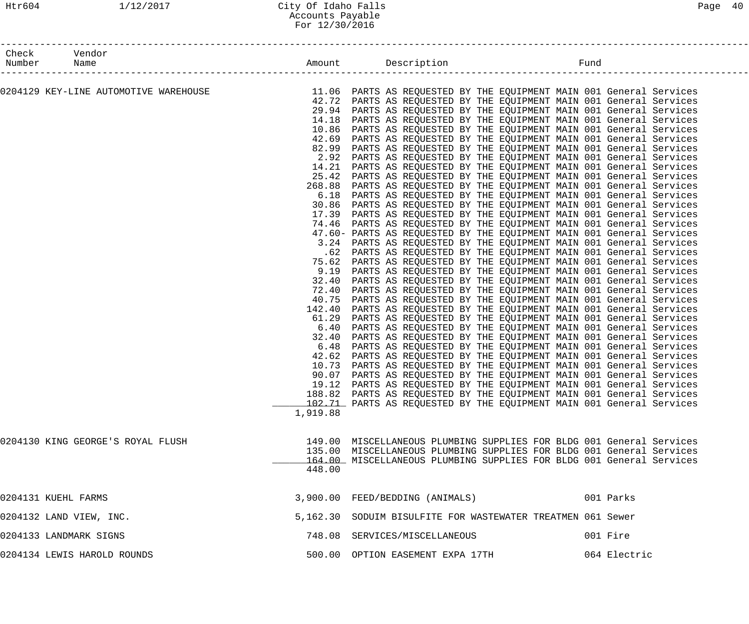| Check<br>Number Name    | Vendor                                |          |                                                                                                                                             |              |  |
|-------------------------|---------------------------------------|----------|---------------------------------------------------------------------------------------------------------------------------------------------|--------------|--|
|                         |                                       |          |                                                                                                                                             |              |  |
|                         | 0204129 KEY-LINE AUTOMOTIVE WAREHOUSE |          | 11.06 PARTS AS REQUESTED BY THE EQUIPMENT MAIN 001 General Services                                                                         |              |  |
|                         |                                       |          | 42.72 PARTS AS REQUESTED BY THE EQUIPMENT MAIN 001 General Services                                                                         |              |  |
|                         |                                       |          | 29.94 PARTS AS REQUESTED BY THE EQUIPMENT MAIN 001 General Services                                                                         |              |  |
|                         |                                       |          | 14.18 PARTS AS REQUESTED BY THE EQUIPMENT MAIN 001 General Services                                                                         |              |  |
|                         |                                       |          | 10.86 PARTS AS REQUESTED BY THE EQUIPMENT MAIN 001 General Services                                                                         |              |  |
|                         |                                       |          | 42.69 PARTS AS REQUESTED BY THE EQUIPMENT MAIN 001 General Services                                                                         |              |  |
|                         |                                       |          | 82.99 PARTS AS REQUESTED BY THE EQUIPMENT MAIN 001 General Services                                                                         |              |  |
|                         |                                       |          | 2.92 PARTS AS REQUESTED BY THE EQUIPMENT MAIN 001 General Services                                                                          |              |  |
|                         |                                       | 14.21    | PARTS AS REQUESTED BY THE EQUIPMENT MAIN 001 General Services                                                                               |              |  |
|                         |                                       |          | 25.42 PARTS AS REQUESTED BY THE EQUIPMENT MAIN 001 General Services<br>268.88 PARTS AS REQUESTED BY THE EQUIPMENT MAIN 001 General Services |              |  |
|                         |                                       |          | 6.18 PARTS AS REQUESTED BY THE EQUIPMENT MAIN 001 General Services                                                                          |              |  |
|                         |                                       |          | 30.86 PARTS AS REQUESTED BY THE EQUIPMENT MAIN 001 General Services                                                                         |              |  |
|                         |                                       |          | 17.39 PARTS AS REQUESTED BY THE EQUIPMENT MAIN 001 General Services                                                                         |              |  |
|                         |                                       |          | 74.46 PARTS AS REQUESTED BY THE EQUIPMENT MAIN 001 General Services                                                                         |              |  |
|                         |                                       |          | 47.60- PARTS AS REQUESTED BY THE EQUIPMENT MAIN 001 General Services                                                                        |              |  |
|                         |                                       |          | 3.24 PARTS AS REQUESTED BY THE EQUIPMENT MAIN 001 General Services                                                                          |              |  |
|                         |                                       |          | .62 PARTS AS REQUESTED BY THE EQUIPMENT MAIN 001 General Services                                                                           |              |  |
|                         |                                       |          | 75.62 PARTS AS REQUESTED BY THE EQUIPMENT MAIN 001 General Services                                                                         |              |  |
|                         |                                       | 9.19     | PARTS AS REQUESTED BY THE EQUIPMENT MAIN 001 General Services                                                                               |              |  |
|                         |                                       | 32.40    | PARTS AS REQUESTED BY THE EQUIPMENT MAIN 001 General Services                                                                               |              |  |
|                         |                                       |          | 72.40 PARTS AS REQUESTED BY THE EQUIPMENT MAIN 001 General Services                                                                         |              |  |
|                         |                                       |          | 40.75 PARTS AS REQUESTED BY THE EQUIPMENT MAIN 001 General Services                                                                         |              |  |
|                         |                                       |          | 142.40 PARTS AS REQUESTED BY THE EQUIPMENT MAIN 001 General Services                                                                        |              |  |
|                         |                                       |          | 61.29 PARTS AS REQUESTED BY THE EQUIPMENT MAIN 001 General Services                                                                         |              |  |
|                         |                                       |          | 6.40 PARTS AS REQUESTED BY THE EQUIPMENT MAIN 001 General Services                                                                          |              |  |
|                         |                                       | 32.40    | PARTS AS REQUESTED BY THE EQUIPMENT MAIN 001 General Services                                                                               |              |  |
|                         |                                       | 6.48     | PARTS AS REQUESTED BY THE EQUIPMENT MAIN 001 General Services                                                                               |              |  |
|                         |                                       |          | 42.62 PARTS AS REQUESTED BY THE EQUIPMENT MAIN 001 General Services                                                                         |              |  |
|                         |                                       |          | 10.73 PARTS AS REQUESTED BY THE EQUIPMENT MAIN 001 General Services                                                                         |              |  |
|                         |                                       |          | 90.07 PARTS AS REQUESTED BY THE EQUIPMENT MAIN 001 General Services                                                                         |              |  |
|                         |                                       |          | 19.12 PARTS AS REQUESTED BY THE EQUIPMENT MAIN 001 General Services<br>188.82 PARTS AS REQUESTED BY THE EQUIPMENT MAIN 001 General Services |              |  |
|                         |                                       |          | 102.71 PARTS AS REQUESTED BY THE EQUIPMENT MAIN 001 General Services                                                                        |              |  |
|                         |                                       | 1,919.88 |                                                                                                                                             |              |  |
|                         |                                       |          |                                                                                                                                             |              |  |
|                         | 0204130 KING GEORGE'S ROYAL FLUSH     |          | 149.00 MISCELLANEOUS PLUMBING SUPPLIES FOR BLDG 001 General Services                                                                        |              |  |
|                         |                                       |          | 135.00 MISCELLANEOUS PLUMBING SUPPLIES FOR BLDG 001 General Services                                                                        |              |  |
|                         |                                       |          | 164.00 MISCELLANEOUS PLUMBING SUPPLIES FOR BLDG 001 General Services                                                                        |              |  |
|                         |                                       | 448.00   |                                                                                                                                             |              |  |
| 0204131 KUEHL FARMS     |                                       |          | 3,900.00 FEED/BEDDING (ANIMALS)                                                                                                             | 001 Parks    |  |
|                         |                                       |          |                                                                                                                                             |              |  |
| 0204132 LAND VIEW, INC. |                                       |          | 5,162.30 SODUIM BISULFITE FOR WASTEWATER TREATMEN 061 Sewer                                                                                 |              |  |
| 0204133 LANDMARK SIGNS  |                                       |          | 748.08 SERVICES/MISCELLANEOUS                                                                                                               | 001 Fire     |  |
|                         | 0204134 LEWIS HAROLD ROUNDS           |          | 500.00 OPTION EASEMENT EXPA 17TH                                                                                                            | 064 Electric |  |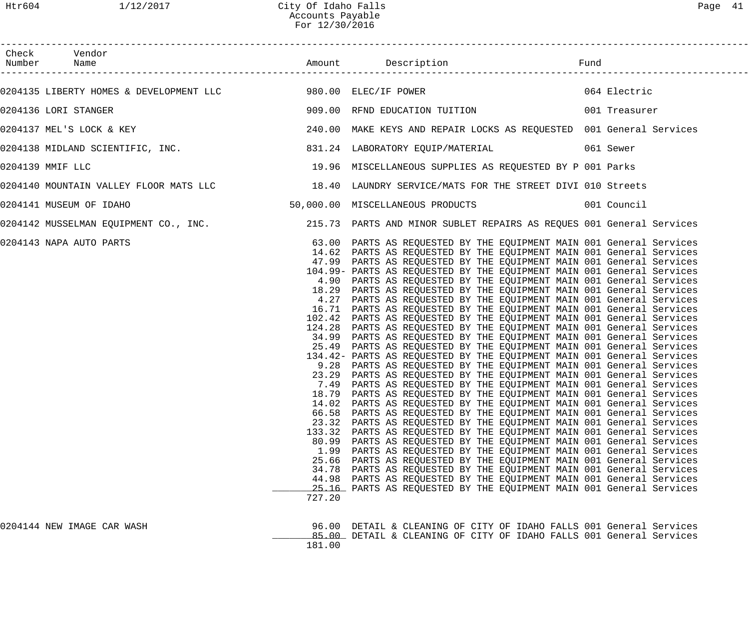| Check Vendor<br>Number Name |                 |                                                                                                                                                                                                                                                                                                                                                                                                                                                                                                                                                                                                                                                                                                                                                                                                                                                                                                                                                                                                                                                                                                                                                                                                                                                                                                                                                                                                                                                                                                                                                                                                                                                                                                                                                                                                                                                                                                                                                                                       |              |
|-----------------------------|-----------------|---------------------------------------------------------------------------------------------------------------------------------------------------------------------------------------------------------------------------------------------------------------------------------------------------------------------------------------------------------------------------------------------------------------------------------------------------------------------------------------------------------------------------------------------------------------------------------------------------------------------------------------------------------------------------------------------------------------------------------------------------------------------------------------------------------------------------------------------------------------------------------------------------------------------------------------------------------------------------------------------------------------------------------------------------------------------------------------------------------------------------------------------------------------------------------------------------------------------------------------------------------------------------------------------------------------------------------------------------------------------------------------------------------------------------------------------------------------------------------------------------------------------------------------------------------------------------------------------------------------------------------------------------------------------------------------------------------------------------------------------------------------------------------------------------------------------------------------------------------------------------------------------------------------------------------------------------------------------------------------|--------------|
|                             |                 |                                                                                                                                                                                                                                                                                                                                                                                                                                                                                                                                                                                                                                                                                                                                                                                                                                                                                                                                                                                                                                                                                                                                                                                                                                                                                                                                                                                                                                                                                                                                                                                                                                                                                                                                                                                                                                                                                                                                                                                       | 064 Electric |
| 0204136 LORI STANGER        |                 | 909.00 RFND EDUCATION TUITION 001 Treasurer                                                                                                                                                                                                                                                                                                                                                                                                                                                                                                                                                                                                                                                                                                                                                                                                                                                                                                                                                                                                                                                                                                                                                                                                                                                                                                                                                                                                                                                                                                                                                                                                                                                                                                                                                                                                                                                                                                                                           |              |
| 0204137 MEL'S LOCK & KEY    |                 | 240.00 MAKE KEYS AND REPAIR LOCKS AS REQUESTED 001 General Services                                                                                                                                                                                                                                                                                                                                                                                                                                                                                                                                                                                                                                                                                                                                                                                                                                                                                                                                                                                                                                                                                                                                                                                                                                                                                                                                                                                                                                                                                                                                                                                                                                                                                                                                                                                                                                                                                                                   |              |
|                             |                 | 0204138 MIDLAND SCIENTIFIC, INC. 631.24 LABORATORY EQUIP/MATERIAL 661 Sewer                                                                                                                                                                                                                                                                                                                                                                                                                                                                                                                                                                                                                                                                                                                                                                                                                                                                                                                                                                                                                                                                                                                                                                                                                                                                                                                                                                                                                                                                                                                                                                                                                                                                                                                                                                                                                                                                                                           |              |
| 0204139 MMIF LLC            |                 | 19.96 MISCELLANEOUS SUPPLIES AS REQUESTED BY P 001 Parks                                                                                                                                                                                                                                                                                                                                                                                                                                                                                                                                                                                                                                                                                                                                                                                                                                                                                                                                                                                                                                                                                                                                                                                                                                                                                                                                                                                                                                                                                                                                                                                                                                                                                                                                                                                                                                                                                                                              |              |
|                             |                 | 0204140 MOUNTAIN VALLEY FLOOR MATS LLC          18.40 LAUNDRY SERVICE/MATS FOR THE STREET DIVI 010 Streets                                                                                                                                                                                                                                                                                                                                                                                                                                                                                                                                                                                                                                                                                                                                                                                                                                                                                                                                                                                                                                                                                                                                                                                                                                                                                                                                                                                                                                                                                                                                                                                                                                                                                                                                                                                                                                                                            |              |
| 0204141 MUSEUM OF IDAHO     |                 | 50,000.00 MISCELLANEOUS PRODUCTS 001 Council                                                                                                                                                                                                                                                                                                                                                                                                                                                                                                                                                                                                                                                                                                                                                                                                                                                                                                                                                                                                                                                                                                                                                                                                                                                                                                                                                                                                                                                                                                                                                                                                                                                                                                                                                                                                                                                                                                                                          |              |
|                             |                 | 0204142 MUSSELMAN EQUIPMENT CO., INC. 215.73 PARTS AND MINOR SUBLET REPAIRS AS REQUES 001 General Services                                                                                                                                                                                                                                                                                                                                                                                                                                                                                                                                                                                                                                                                                                                                                                                                                                                                                                                                                                                                                                                                                                                                                                                                                                                                                                                                                                                                                                                                                                                                                                                                                                                                                                                                                                                                                                                                            |              |
| 0204143 NAPA AUTO PARTS     | 34.78<br>727.20 | 63.00 PARTS AS REQUESTED BY THE EQUIPMENT MAIN 001 General Services<br>14.62 PARTS AS REQUESTED BY THE EQUIPMENT MAIN 001 General Services<br>47.99 PARTS AS REQUESTED BY THE EQUIPMENT MAIN 001 General Services<br>104.99- PARTS AS REQUESTED BY THE EQUIPMENT MAIN 001 General Services<br>4.90 PARTS AS REQUESTED BY THE EQUIPMENT MAIN 001 General Services<br>18.29 PARTS AS REQUESTED BY THE EQUIPMENT MAIN 001 General Services<br>4.27 PARTS AS REQUESTED BY THE EQUIPMENT MAIN 001 General Services<br>16.71 PARTS AS REQUESTED BY THE EQUIPMENT MAIN 001 General Services<br>102.42 PARTS AS REQUESTED BY THE EQUIPMENT MAIN 001 General Services<br>124.28 PARTS AS REQUESTED BY THE EQUIPMENT MAIN 001 General Services<br>34.99 PARTS AS REQUESTED BY THE EQUIPMENT MAIN 001 General Services<br>25.49 PARTS AS REQUESTED BY THE EQUIPMENT MAIN 001 General Services<br>134.42- PARTS AS REQUESTED BY THE EQUIPMENT MAIN 001 General Services<br>9.28 PARTS AS REQUESTED BY THE EQUIPMENT MAIN 001 General Services<br>23.29 PARTS AS REQUESTED BY THE EQUIPMENT MAIN 001 General Services<br>7.49 PARTS AS REQUESTED BY THE EQUIPMENT MAIN 001 General Services<br>18.79 PARTS AS REQUESTED BY THE EQUIPMENT MAIN 001 General Services<br>14.02 PARTS AS REQUESTED BY THE EQUIPMENT MAIN 001 General Services<br>66.58 PARTS AS REQUESTED BY THE EQUIPMENT MAIN 001 General Services<br>23.32 PARTS AS REQUESTED BY THE EQUIPMENT MAIN 001 General Services<br>133.32 PARTS AS REQUESTED BY THE EQUIPMENT MAIN 001 General Services<br>80.99 PARTS AS REQUESTED BY THE EQUIPMENT MAIN 001 General Services<br>1.99 PARTS AS REQUESTED BY THE EQUIPMENT MAIN 001 General Services<br>25.66 PARTS AS REQUESTED BY THE EQUIPMENT MAIN 001 General Services<br>PARTS AS REQUESTED BY THE EQUIPMENT MAIN 001 General Services<br>44.98 PARTS AS REQUESTED BY THE EQUIPMENT MAIN 001 General Services<br>25.16 PARTS AS REQUESTED BY THE EQUIPMENT MAIN 001 General Services |              |
| 0204144 NEW IMAGE CAR WASH  | 181.00          | 96.00 DETAIL & CLEANING OF CITY OF IDAHO FALLS 001 General Services<br>85.00 DETAIL & CLEANING OF CITY OF IDAHO FALLS 001 General Services                                                                                                                                                                                                                                                                                                                                                                                                                                                                                                                                                                                                                                                                                                                                                                                                                                                                                                                                                                                                                                                                                                                                                                                                                                                                                                                                                                                                                                                                                                                                                                                                                                                                                                                                                                                                                                            |              |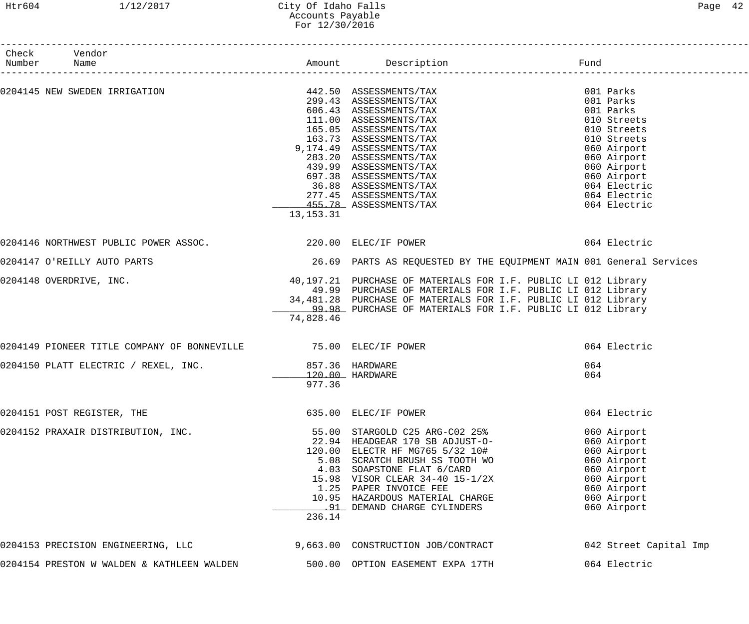## Htr604 1/12/2017 City Of Idaho Falls Page 42 Accounts Payable For 12/30/2016

| Check Vendor<br>Number                                          |             |                                                                                                                                                                                                                                                           |                        |
|-----------------------------------------------------------------|-------------|-----------------------------------------------------------------------------------------------------------------------------------------------------------------------------------------------------------------------------------------------------------|------------------------|
|                                                                 |             |                                                                                                                                                                                                                                                           |                        |
| 0204145 NEW SWEDEN IRRIGATION                                   |             | 442.50 ASSESSMENTS/TAX<br>299.43 ASSESSMENTS/TAX<br>606.43 ASSESSMENTS/TAX<br>111.00 ASSESSMENTS/TAX<br>165.05 ASSESSMENTS/TAX<br>163.73 ASSESSMENTS/TAX<br>9,174.49 ASSESSMENTS/TAX<br>283.20 ASSESSMENTS/TAX<br>439.99 ASSESSMENTS/TAX<br>697.38 ASSESS | 001 Parks              |
|                                                                 |             |                                                                                                                                                                                                                                                           | 001 Parks              |
|                                                                 |             |                                                                                                                                                                                                                                                           | 001 Parks              |
|                                                                 |             |                                                                                                                                                                                                                                                           | 010 Streets            |
|                                                                 |             |                                                                                                                                                                                                                                                           | 010 Streets            |
|                                                                 |             |                                                                                                                                                                                                                                                           | 010 Streets            |
|                                                                 |             | 9,174.49 ASSESSMENTS/TAX                                                                                                                                                                                                                                  | 060 Airport            |
|                                                                 |             |                                                                                                                                                                                                                                                           | 060 Airport            |
|                                                                 |             |                                                                                                                                                                                                                                                           | 060 Airport            |
|                                                                 |             |                                                                                                                                                                                                                                                           | 060 Airport            |
|                                                                 |             |                                                                                                                                                                                                                                                           | 064 Electric           |
|                                                                 |             |                                                                                                                                                                                                                                                           | 064 Electric           |
|                                                                 |             | 455.78 ASSESSMENTS/TAX                                                                                                                                                                                                                                    | 064 Electric           |
|                                                                 | 13, 153. 31 |                                                                                                                                                                                                                                                           |                        |
| 0204146 NORTHWEST PUBLIC POWER ASSOC. 220.00 ELEC/IF POWER      |             |                                                                                                                                                                                                                                                           | 064 Electric           |
| 0204147 O'REILLY AUTO PARTS                                     |             | 26.69 PARTS AS REQUESTED BY THE EQUIPMENT MAIN 001 General Services                                                                                                                                                                                       |                        |
|                                                                 |             |                                                                                                                                                                                                                                                           |                        |
| 0204148 OVERDRIVE, INC.                                         |             | 40,197.21 PURCHASE OF MATERIALS FOR I.F. PUBLIC LI 012 Library                                                                                                                                                                                            |                        |
|                                                                 |             | 49.99 PURCHASE OF MATERIALS FOR I.F. PUBLIC LI 012 Library                                                                                                                                                                                                |                        |
|                                                                 |             | 34,481.28 PURCHASE OF MATERIALS FOR I.F. PUBLIC LI 012 Library                                                                                                                                                                                            |                        |
|                                                                 |             | 99.98 PURCHASE OF MATERIALS FOR I.F. PUBLIC LI 012 Library                                                                                                                                                                                                |                        |
|                                                                 | 74,828.46   |                                                                                                                                                                                                                                                           |                        |
| 0204149 PIONEER TITLE COMPANY OF BONNEVILLE 75.00 ELEC/IF POWER |             |                                                                                                                                                                                                                                                           | 064 Electric           |
| 0204150 PLATT ELECTRIC / REXEL, INC. 657.36 HARDWARE            |             |                                                                                                                                                                                                                                                           | 064                    |
|                                                                 |             | 120.00 HARDWARE                                                                                                                                                                                                                                           | 064                    |
|                                                                 | 977.36      |                                                                                                                                                                                                                                                           |                        |
|                                                                 |             |                                                                                                                                                                                                                                                           |                        |
| 0204151 POST REGISTER, THE                                      |             | 635.00 ELEC/IF POWER                                                                                                                                                                                                                                      | 064 Electric           |
| 0204152 PRAXAIR DISTRIBUTION, INC.                              |             | 55.00 STARGOLD C25 ARG-C02 25%                                                                                                                                                                                                                            | 060 Airport            |
|                                                                 |             | 22.94 HEADGEAR 170 SB ADJUST-O-                                                                                                                                                                                                                           | 060 Airport            |
|                                                                 |             | 120.00 ELECTR HF MG765 5/32 10#<br>5.08 SCRATCH BRUSH SS TOOTH WO                                                                                                                                                                                         | 060 Airport            |
|                                                                 |             |                                                                                                                                                                                                                                                           | 060 Airport            |
|                                                                 |             |                                                                                                                                                                                                                                                           | 060 Airport            |
|                                                                 |             | 4.03 SOAPSTONE FLAT 6/CARD<br>15.98 VISOR CLEAR 34-40 15-1/2X                                                                                                                                                                                             | 060 Airport            |
|                                                                 |             | 1.25 PAPER INVOICE FEE                                                                                                                                                                                                                                    | 060 Airport            |
|                                                                 |             | 10.95 HAZARDOUS MATERIAL CHARGE                                                                                                                                                                                                                           | 060 Airport            |
|                                                                 |             | .91 DEMAND CHARGE CYLINDERS                                                                                                                                                                                                                               | 060 Airport            |
|                                                                 | 236.14      |                                                                                                                                                                                                                                                           |                        |
| 0204153 PRECISION ENGINEERING, LLC                              |             | 9,663.00 CONSTRUCTION JOB/CONTRACT                                                                                                                                                                                                                        | 042 Street Capital Imp |
| 0204154 PRESTON W WALDEN & KATHLEEN WALDEN                      |             | 500.00 OPTION EASEMENT EXPA 17TH                                                                                                                                                                                                                          | 064 Electric           |
|                                                                 |             |                                                                                                                                                                                                                                                           |                        |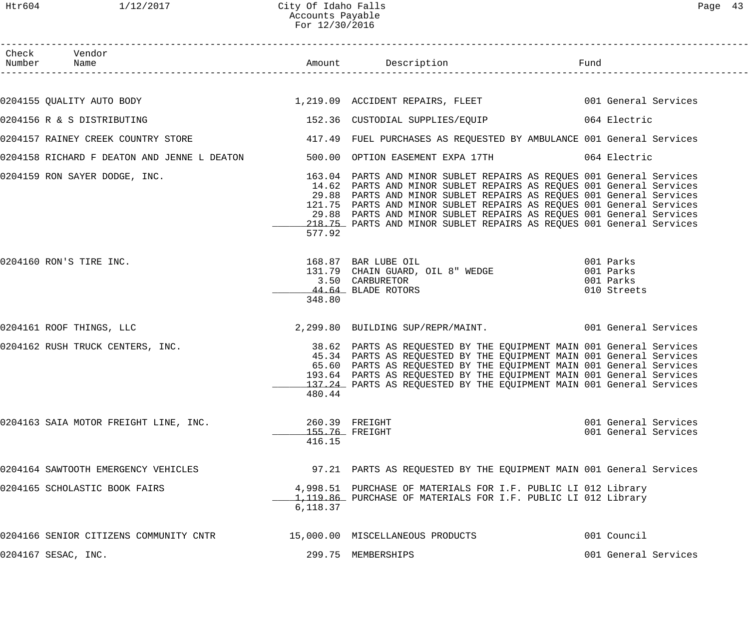| Page |  |
|------|--|
|------|--|

| Check Vendor<br>Number Name                                                                                              |          |                                                                                                                                                                                                                                                                                                                                                                   |                                              |
|--------------------------------------------------------------------------------------------------------------------------|----------|-------------------------------------------------------------------------------------------------------------------------------------------------------------------------------------------------------------------------------------------------------------------------------------------------------------------------------------------------------------------|----------------------------------------------|
|                                                                                                                          |          |                                                                                                                                                                                                                                                                                                                                                                   |                                              |
| 0204155 QUALITY AUTO BODY 1,219.09 ACCIDENT REPAIRS, FLEET 6001 General Services                                         |          |                                                                                                                                                                                                                                                                                                                                                                   |                                              |
| 0204156 R & S DISTRIBUTING                                                                                               |          | 152.36 CUSTODIAL SUPPLIES/EQUIP 064 Electric                                                                                                                                                                                                                                                                                                                      |                                              |
| 0204157 RAINEY CREEK COUNTRY STORE THE STORE A STATE AND FUEL PURCHASES AS REQUESTED BY AMBULANCE 001 General Services   |          |                                                                                                                                                                                                                                                                                                                                                                   |                                              |
| 0204158 RICHARD F DEATON AND JENNE L DEATON 500.00 OPTION EASEMENT EXPA 17TH 664 Electric                                |          |                                                                                                                                                                                                                                                                                                                                                                   |                                              |
| 0204159 RON SAYER DODGE, INC. THE SALE MANAGER 163.04 PARTS AND MINOR SUBLET REPAIRS AS REQUES 001 General Services      | 577.92   | 14.62 PARTS AND MINOR SUBLET REPAIRS AS REQUES 001 General Services<br>29.88 PARTS AND MINOR SUBLET REPAIRS AS REQUES 001 General Services<br>121.75 PARTS AND MINOR SUBLET REPAIRS AS REQUES 001 General Services<br>29.88 PARTS AND MINOR SUBLET REPAIRS AS REQUES 001 General Services<br>218.75 PARTS AND MINOR SUBLET REPAIRS AS REQUES 001 General Services |                                              |
| 0204160 RON'S TIRE INC.                                                                                                  | 348.80   | 168.87 BAR LUBE OIL<br>131.79 CHAIN GUARD, OIL 8" WEDGE 001 Parks<br>3.50 CARBURETOR 001 Parks<br>11.11 PIAPE BOTORS<br>3.50 CARBURETOR<br>44.64 BLADE ROTORS                                                                                                                                                                                                     | 010 Streets                                  |
| 0204161 ROOF THINGS, LLC                                                                                                 |          | 2,299.80 BUILDING SUP/REPR/MAINT. 001 General Services                                                                                                                                                                                                                                                                                                            |                                              |
| 0204162 RUSH TRUCK CENTERS, INC. THE SALE SERVICES 2008.62 PARTS AS REQUESTED BY THE EQUIPMENT MAIN 001 General Services |          | 45.34 PARTS AS REQUESTED BY THE EQUIPMENT MAIN 001 General Services<br>65.60 PARTS AS REQUESTED BY THE EQUIPMENT MAIN 001 General Services<br>193.64 PARTS AS REQUESTED BY THE EQUIPMENT MAIN 001 General Services<br>137.24 PARTS AS REQUESTED BY THE EQUIPMENT MAIN 001 General Services<br>480.44                                                              |                                              |
| 0204163 SAIA MOTOR FREIGHT LINE, INC.                                                                                    | 416.15   | 260.39 FREIGHT<br>155.76 FREIGHT                                                                                                                                                                                                                                                                                                                                  | 001 General Services<br>001 General Services |
| 0204164 SAWTOOTH EMERGENCY VEHICLES                                                                                      |          | 97.21 PARTS AS REQUESTED BY THE EQUIPMENT MAIN 001 General Services                                                                                                                                                                                                                                                                                               |                                              |
| 0204165 SCHOLASTIC BOOK FAIRS                                                                                            | 6,118.37 | 4,998.51 PURCHASE OF MATERIALS FOR I.F. PUBLIC LI 012 Library<br>1,119.86 PURCHASE OF MATERIALS FOR I.F. PUBLIC LI 012 Library                                                                                                                                                                                                                                    |                                              |
| 0204166 SENIOR CITIZENS COMMUNITY CNTR                                                                                   |          | 15,000.00 MISCELLANEOUS PRODUCTS                                                                                                                                                                                                                                                                                                                                  | 001 Council                                  |
| 0204167 SESAC, INC.                                                                                                      |          | 299.75 MEMBERSHIPS                                                                                                                                                                                                                                                                                                                                                | 001 General Services                         |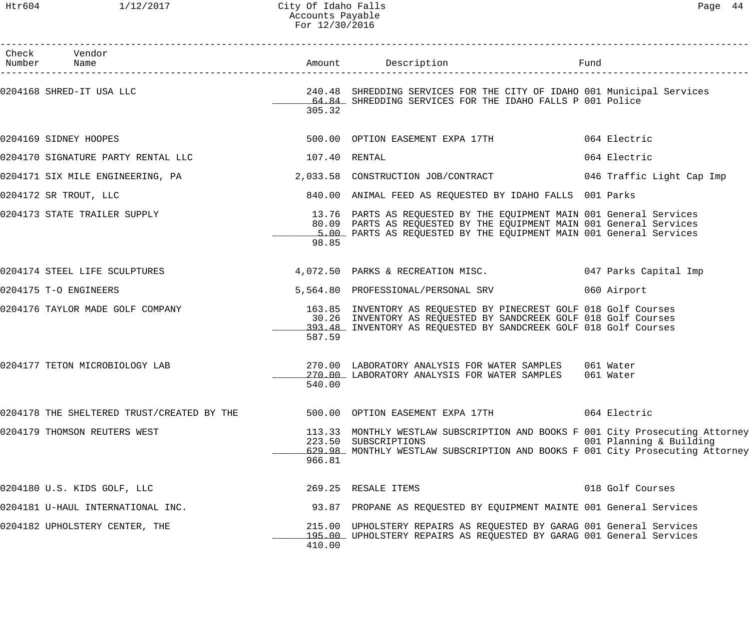| Check Vendor<br>Number Name                |               | Amount Description Description                                                                                                                                                                                   |                           |
|--------------------------------------------|---------------|------------------------------------------------------------------------------------------------------------------------------------------------------------------------------------------------------------------|---------------------------|
| 0204168 SHRED-IT USA LLC                   | 305.32        | 240.48 SHREDDING SERVICES FOR THE CITY OF IDAHO 001 Municipal Services<br>64.84 SHREDDING SERVICES FOR THE IDAHO FALLS P 001 Police                                                                              |                           |
| 0204169 SIDNEY HOOPES                      |               | 500.00 OPTION EASEMENT EXPA 17TH                                                                                                                                                                                 | 064 Electric              |
| 0204170 SIGNATURE PARTY RENTAL LLC         | 107.40 RENTAL |                                                                                                                                                                                                                  | 064 Electric              |
| 0204171 SIX MILE ENGINEERING, PA           |               | 2,033.58 CONSTRUCTION JOB/CONTRACT                                                                                                                                                                               | 046 Traffic Light Cap Imp |
| 0204172 SR TROUT, LLC                      |               | 840.00 ANIMAL FEED AS REQUESTED BY IDAHO FALLS 001 Parks                                                                                                                                                         |                           |
| 0204173 STATE TRAILER SUPPLY               | 98.85         | 13.76 PARTS AS REQUESTED BY THE EQUIPMENT MAIN 001 General Services<br>80.09 PARTS AS REQUESTED BY THE EQUIPMENT MAIN 001 General Services<br>5.00 PARTS AS REQUESTED BY THE EQUIPMENT MAIN 001 General Services |                           |
| 0204174 STEEL LIFE SCULPTURES              |               | 4,072.50 PARKS & RECREATION MISC. 047 Parks Capital Imp                                                                                                                                                          |                           |
| 0204175 T-O ENGINEERS                      |               | 5,564.80 PROFESSIONAL/PERSONAL SRV                                                                                                                                                                               | 060 Airport               |
| 0204176 TAYLOR MADE GOLF COMPANY           | 587.59        | 163.85 INVENTORY AS REQUESTED BY PINECREST GOLF 018 Golf Courses<br>30.26 INVENTORY AS REQUESTED BY SANDCREEK GOLF 018 Golf Courses<br>193.48 INVENTORY AS REQUESTED BY SANDCREEK GOLF 018 Golf Courses          |                           |
| 0204177 TETON MICROBIOLOGY LAB             | 540.00        | 270.00 LABORATORY ANALYSIS FOR WATER SAMPLES 061 Water<br>270.00 LABORATORY ANALYSIS FOR WATER SAMPLES                                                                                                           | 061 Water                 |
| 0204178 THE SHELTERED TRUST/CREATED BY THE |               | 500.00 OPTION EASEMENT EXPA 17TH                                                                                                                                                                                 | 064 Electric              |
| 0204179 THOMSON REUTERS WEST               | 966.81        | 113.33 MONTHLY WESTLAW SUBSCRIPTION AND BOOKS F 001 City Prosecuting Attorney<br>223.50 SUBSCRIPTIONS<br>629.98 MONTHLY WESTLAW SUBSCRIPTION AND BOOKS F 001 City Prosecuting Attorney                           | 001 Planning & Building   |
| 0204180 U.S. KIDS GOLF, LLC                |               | 269.25 RESALE ITEMS                                                                                                                                                                                              | 018 Golf Courses          |
| 0204181 U-HAUL INTERNATIONAL INC.          |               | 93.87 PROPANE AS REQUESTED BY EQUIPMENT MAINTE 001 General Services                                                                                                                                              |                           |
| 0204182 UPHOLSTERY CENTER, THE             | 410.00        | 215.00 UPHOLSTERY REPAIRS AS REQUESTED BY GARAG 001 General Services<br>195.00 UPHOLSTERY REPAIRS AS REQUESTED BY GARAG 001 General Services                                                                     |                           |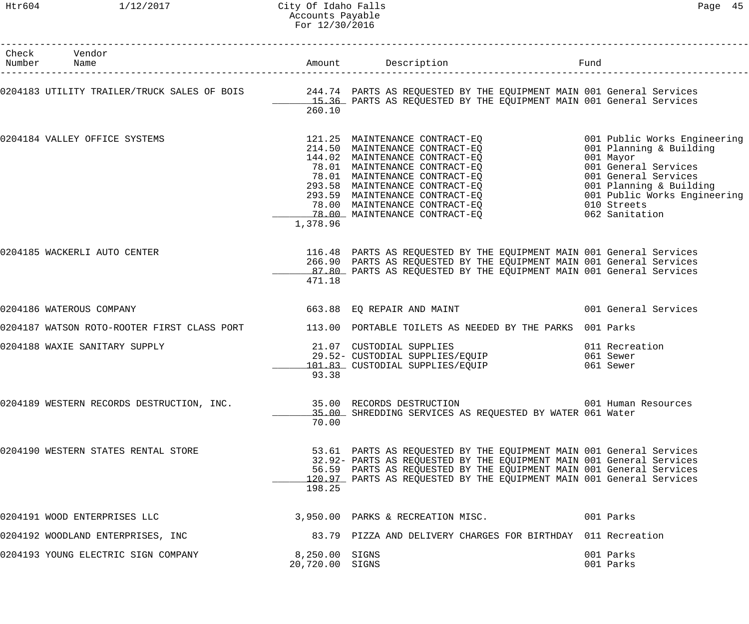## Htr604 1/12/2017 City Of Idaho Falls Page 45 Accounts Payable For 12/30/2016

| 0 |  |
|---|--|
|   |  |

| Check Vendor<br>Number Name               |                                   | Amount Description                                                                                                                                                                                                                                                                                                                                | Fund                                                                                                                                                                                                             |
|-------------------------------------------|-----------------------------------|---------------------------------------------------------------------------------------------------------------------------------------------------------------------------------------------------------------------------------------------------------------------------------------------------------------------------------------------------|------------------------------------------------------------------------------------------------------------------------------------------------------------------------------------------------------------------|
|                                           | 260.10                            | 0204183 UTILITY TRAILER/TRUCK SALES OF BOIS 244.74 PARTS AS REQUESTED BY THE EQUIPMENT MAIN 001 General Services<br>15.36 PARTS AS REQUESTED BY THE EQUIPMENT MAIN 001 General Services                                                                                                                                                           |                                                                                                                                                                                                                  |
| 0204184 VALLEY OFFICE SYSTEMS             | 1,378.96                          | 121.25   MAINTENANCE  CONTRACT-EQ<br>214.50   MAINTENANCE  CONTRACT-EQ<br>211.50 EMINIENANCE CONTRACT-EQ<br>78.01 MAINTENANCE CONTRACT-EQ<br>78.01 MAINTENANCE CONTRACT-EQ<br>293.58 MAINTENANCE CONTRACT-EQ<br>293.59 MAINTENANCE CONTRACT-EQ<br>78.00 MAINTENANCE CONTRACT-EQ<br>78.00 MAINTENANCE CONTRACT-EQ<br>78.00 MAINTENANCE CONTRACT-EO | 001 Public Works Engineering<br>001 Planning & Building<br>001 Mayor<br>001 General Services<br>001 General Services<br>001 Planning & Building<br>001 Public Works Engineering<br>010 Streets<br>062 Sanitation |
| 0204185 WACKERLI AUTO CENTER              | 471.18                            | 116.48 PARTS AS REQUESTED BY THE EQUIPMENT MAIN 001 General Services<br>266.90 PARTS AS REQUESTED BY THE EQUIPMENT MAIN 001 General Services<br>87.80 PARTS AS REQUESTED BY THE EQUIPMENT MAIN 001 General Services                                                                                                                               |                                                                                                                                                                                                                  |
| 0204186 WATEROUS COMPANY                  |                                   | 663.88 EQ REPAIR AND MAINT                                                                                                                                                                                                                                                                                                                        | 001 General Services                                                                                                                                                                                             |
|                                           |                                   | 0204187 WATSON ROTO-ROOTER FIRST CLASS PORT 113.00 PORTABLE TOILETS AS NEEDED BY THE PARKS 001 Parks                                                                                                                                                                                                                                              |                                                                                                                                                                                                                  |
| 0204188 WAXIE SANITARY SUPPLY             | 93.38                             | 21.07 CUSTODIAL SUPPLIES<br>29.52- CUSTODIAL SUPPLIES/EQUIP<br>101.83 CUSTODIAL SUPPLIES/EQUIP                                                                                                                                                                                                                                                    | 011 Recreation<br>061 Sewer<br>061 Sewer                                                                                                                                                                         |
| 0204189 WESTERN RECORDS DESTRUCTION, INC. | 70.00                             | 35.00 RECORDS DESTRUCTION<br>35.00 SHREDDING SERVICES AS REQUESTED BY WATER 061 Water                                                                                                                                                                                                                                                             | 001 Human Resources                                                                                                                                                                                              |
| 0204190 WESTERN STATES RENTAL STORE       | 198.25                            | 53.61 PARTS AS REQUESTED BY THE EQUIPMENT MAIN 001 General Services<br>32.92- PARTS AS REQUESTED BY THE EQUIPMENT MAIN 001 General Services<br>56.59 PARTS AS REQUESTED BY THE EQUIPMENT MAIN 001 General Services<br>120.97 PARTS AS REQUESTED BY THE EQUIPMENT MAIN 001 General Services                                                        |                                                                                                                                                                                                                  |
| 0204191 WOOD ENTERPRISES LLC              |                                   | 3,950.00 PARKS & RECREATION MISC. 001 Parks                                                                                                                                                                                                                                                                                                       |                                                                                                                                                                                                                  |
| 0204192 WOODLAND ENTERPRISES, INC         |                                   | 83.79 PIZZA AND DELIVERY CHARGES FOR BIRTHDAY 011 Recreation                                                                                                                                                                                                                                                                                      |                                                                                                                                                                                                                  |
| 0204193 YOUNG ELECTRIC SIGN COMPANY       | 8,250.00 SIGNS<br>20,720.00 SIGNS |                                                                                                                                                                                                                                                                                                                                                   | 001 Parks<br>001 Parks                                                                                                                                                                                           |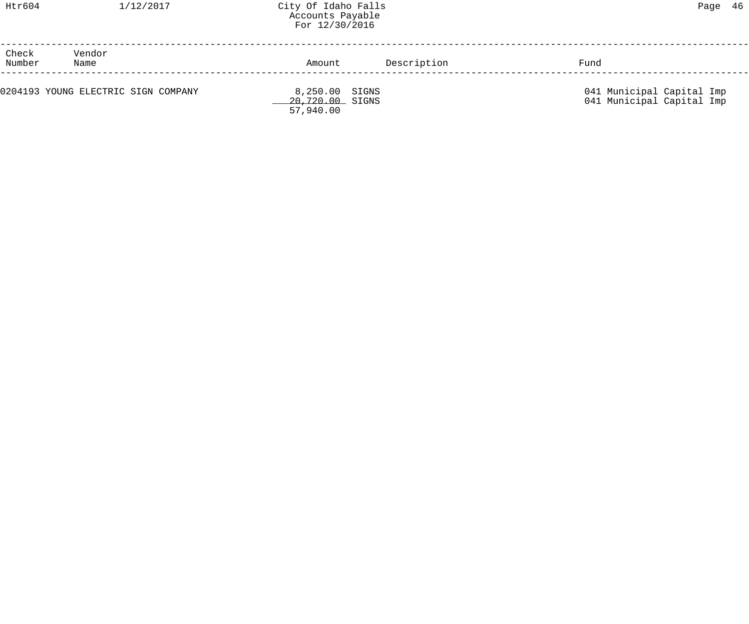| Check<br>Number | Vendor<br>Name                      | Amount                                         | Description | Fund                                                   |
|-----------------|-------------------------------------|------------------------------------------------|-------------|--------------------------------------------------------|
|                 | 0204193 YOUNG ELECTRIC SIGN COMPANY | 8,250.00 SIGNS<br>20,720.00 SIGNS<br>57,940.00 |             | 041 Municipal Capital Imp<br>041 Municipal Capital Imp |